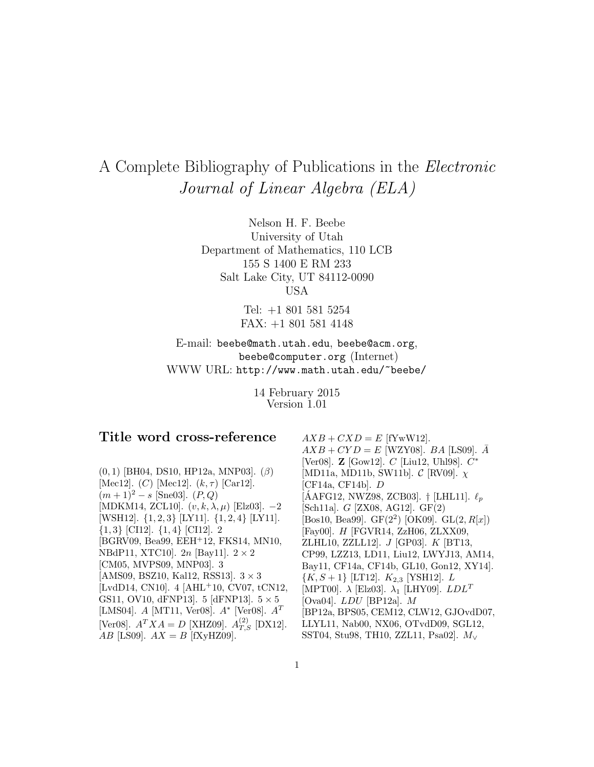# A Complete Bibliography of Publications in the Electronic Journal of Linear Algebra (ELA)

Nelson H. F. Beebe University of Utah Department of Mathematics, 110 LCB 155 S 1400 E RM 233 Salt Lake City, UT 84112-0090 USA

> Tel: +1 801 581 5254 FAX: +1 801 581 4148

E-mail: beebe@math.utah.edu, beebe@acm.org, beebe@computer.org (Internet) WWW URL: http://www.math.utah.edu/~beebe/

> 14 February 2015 Version 1.01

## **Title word cross-reference**

 $(0, 1)$  [BH04, DS10, HP12a, MNP03].  $(\beta)$ [Mec12].  $(C)$  [Mec12].  $(k, \tau)$  [Car12].  $(m+1)^2 - s$  [Sne03].  $(P,Q)$ [MDKM14, ZCL10].  $(v, k, \lambda, \mu)$  [Elz03].  $-2$ [WSH12]. {1, 2, 3} [LY11]. {1, 2, 4} [LY11].  $\{1,3\}$  [CI12].  $\{1,4\}$  [CI12]. 2 [BGRV09, Bea99, EEH<sup>+</sup>12, FKS14, MN10, NBdP11, XTC10].  $2n$  [Bay11].  $2 \times 2$ [CM05, MVPS09, MNP03]. 3 [AMS09, BSZ10, Kal12, RSS13].  $3 \times 3$ [LvdD14, CN10]. 4 [AHL<sup>+</sup>10, CV07, tCN12, GS11, OV10, dFNP13.  $5$  [dFNP13.  $5 \times 5$ ] [LMS04]. A [MT11, Ver08].  $A^*$  [Ver08].  $A^T$ [Ver08].  $A^T X A = D$  [XHZ09].  $A_{T,S}^{(2)}$  [DX12]. AB [LS09].  $AX = B$  [fXyHZ09].

 $AXB + CXD = E$  [fYwW12].  $AXB+CYD = E$  [WZY08]. BA [LS09].  $\overline{A}$ [Ver08]. **Z** [Gow12]. C [Liu12, Uhl98]. C<sup>∗</sup> [MD11a, MD11b, SW11b].  $\mathcal{C}$  [RV09].  $\chi$ [CF14a, CF14b]. D [AAFG12, NWZ98, ZCB03]. † [LHL11].  $\ell_p$ [Sch11a]. G [ZX08, AG12]. GF(2) [Bos10, Bea99]. GF $(2^2)$  [OK09]. GL $(2, R[x])$ [Fay00]. H [FGVR14, ZzH06, ZLXX09, ZLHL10, ZZLL12]. J [GP03]. K [BT13, CP99, LZZ13, LD11, Liu12, LWYJ13, AM14, Bay11, CF14a, CF14b, GL10, Gon12, XY14].  $\{K, S+1\}$  [LT12].  $K_{2,3}$  [YSH12].  $L$ [MPT00].  $\lambda$  [Elz03].  $\lambda_1$  [LHY09].  $LDL^T$ [Ova04]. LDU [BP12a]. M [BP12a, BPS05, CEM12, CLW12, GJOvdD07, LLYL11, Nab00, NX06, OTvdD09, SGL12, SST04, Stu98, TH10, ZZL11, Psa02]. M<sup>∨</sup>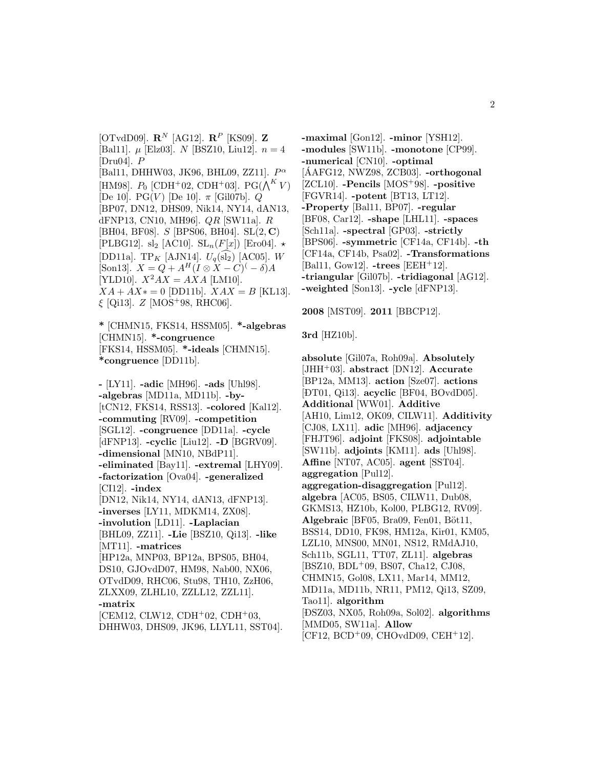$[OTvdD09]$ .  $\mathbb{R}^N$  [AG12].  $\mathbb{R}^P$  [KS09]. **Z** [Bal11].  $\mu$  [Elz03]. N [BSZ10, Liu12].  $n = 4$ [Dru $04$ ].  $P$ [Bal11, DHHW03, JK96, BHL09, ZZ11].  $P^{\alpha}$ [HM98].  $P_0$  [CDH<sup>+</sup>02, CDH<sup>+</sup>03]. PG( $\bigwedge^K V$ ) [De 10]. PG(V) [De 10].  $\pi$  [Gil07b]. Q [BP07, DN12, DHS09, Nik14, NY14, dAN13, dFNP13, CN10, MH96]. QR [SW11a]. R [BH04, BF08]. S [BPS06, BH04]. SL(2, **C**) [PLBG12]. sl<sub>2</sub> [AC10].  $SL_n(F[x])$  [Ero04].  $\star$ [DD11a]. TP<sub>K</sub> [AJN14].  $U_q(\text{sl}_2)$  [AC05]. W [Son13].  $X = Q + A^H (I \otimes X - C)^{(- \delta)} A$ [YLD10].  $X^2AX = AXA$  [LM10].  $XA + AX* = 0$  [DD11b].  $XAX = B$  [KL13].  $\xi$  [Qi13].  $Z$  [MOS<sup>+</sup>98, RHC06].

**\*** [CHMN15, FKS14, HSSM05]. **\*-algebras** [CHMN15]. **\*-congruence** [FKS14, HSSM05]. **\*-ideals** [CHMN15]. **\*congruence** [DD11b].

**-** [LY11]. **-adic** [MH96]. **-ads** [Uhl98]. **-algebras** [MD11a, MD11b]. **-by-** [tCN12, FKS14, RSS13]. **-colored** [Kal12]. **-commuting** [RV09]. **-competition** [SGL12]. **-congruence** [DD11a]. **-cycle** [dFNP13]. **-cyclic** [Liu12]. **-D** [BGRV09]. **-dimensional** [MN10, NBdP11]. **-eliminated** [Bay11]. **-extremal** [LHY09]. **-factorization** [Ova04]. **-generalized** [CI12]. **-index** [DN12, Nik14, NY14, dAN13, dFNP13]. **-inverses** [LY11, MDKM14, ZX08]. **-involution** [LD11]. **-Laplacian** [BHL09, ZZ11]. **-Lie** [BSZ10, Qi13]. **-like** [MT11]. **-matrices** [HP12a, MNP03, BP12a, BPS05, BH04, DS10, GJOvdD07, HM98, Nab00, NX06, OTvdD09, RHC06, Stu98, TH10, ZzH06, ZLXX09, ZLHL10, ZZLL12, ZZL11]. **-matrix**  $[CEM12, CLW12, CDH<sup>+</sup>02, CDH<sup>+</sup>03,$ DHHW03, DHS09, JK96, LLYL11, SST04]. **-maximal** [Gon12]. **-minor** [YSH12]. **-modules** [SW11b]. **-monotone** [CP99]. **-numerical** [CN10]. **-optimal**  $[AAFG12, NWZ98, ZCB03]$ .  $-orthogonal$ [ZCL10]. **-Pencils** [MOS<sup>+</sup>98]. **-positive** [FGVR14]. **-potent** [BT13, LT12]. **-Property** [Bal11, BP07]. **-regular** [BF08, Car12]. **-shape** [LHL11]. **-spaces** [Sch11a]. **-spectral** [GP03]. **-strictly** [BPS06]. **-symmetric** [CF14a, CF14b]. **-th** [CF14a, CF14b, Psa02]. **-Transformations** [Bal11, Gow12]. **-trees** [EEH<sup>+</sup>12]. **-triangular** [Gil07b]. **-tridiagonal** [AG12]. **-weighted** [Son13]. **-ycle** [dFNP13].

**2008** [MST09]. **2011** [BBCP12].

**3rd** [HZ10b].

**absolute** [Gil07a, Roh09a]. **Absolutely** [JHH<sup>+</sup>03]. **abstract** [DN12]. **Accurate** [BP12a, MM13]. **action** [Sze07]. **actions** [ ¯ DT01, Qi13]. **acyclic** [BF04, BOvdD05]. **Additional** [WW01]. **Additive** [AH10, Lim12, OK09, CILW11]. **Additivity** [CJ08, LX11]. **adic** [MH96]. **adjacency** [FHJT96]. **adjoint** [FKS08]. **adjointable** [SW11b]. **adjoints** [KM11]. **ads** [Uhl98]. **Affine** [NT07, AC05]. **agent** [SST04]. **aggregation** [Pul12]. **aggregation-disaggregation** [Pul12]. **algebra** [AC05, BS05, CILW11, Dub08, GKMS13, HZ10b, Kol00, PLBG12, RV09]. **Algebraic** [BF05, Bra09, Fen01, Böt11, BSS14, DD10, FK98, HM12a, Kir01, KM05, LZL10, MNS00, MN01, NS12, RMdAJ10, Sch11b, SGL11, TT07, ZL11]. **algebras** [BSZ10, BDL<sup>+</sup>09, BS07, Cha12, CJ08, CHMN15, Gol08, LX11, Mar14, MM12, MD11a, MD11b, NR11, PM12, Qi13, SZ09, Tao11]. **algorithm** [ ¯ DSZ03, NX05, Roh09a, Sol02]. **algorithms** [MMD05, SW11a]. **Allow**  $[CF12, BCD<sup>+</sup>09, CHOvdD09, CEH<sup>+</sup>12].$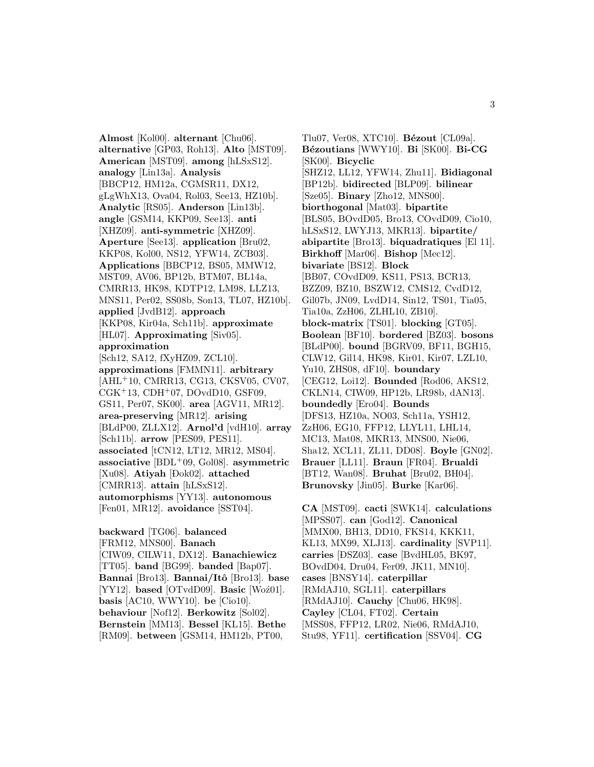**Almost** [Kol00]. **alternant** [Chu06]. **alternative** [GP03, Roh13]. **Alto** [MST09]. **American** [MST09]. **among** [hLSxS12]. **analogy** [Lin13a]. **Analysis** [BBCP12, HM12a, CGMSR11, DX12, gLgWhX13, Ova04, Rol03, See13, HZ10b]. **Analytic** [RS05]. **Anderson** [Lin13b]. **angle** [GSM14, KKP09, See13]. **anti** [XHZ09]. **anti-symmetric** [XHZ09]. **Aperture** [See13]. **application** [Bru02, KKP08, Kol00, NS12, YFW14, ZCB03]. **Applications** [BBCP12, BS05, MMW12, MST09, AV06, BP12b, BTM07, BL14a, CMRR13, HK98, KDTP12, LM98, LLZ13, MNS11, Per02, SS08b, Son13, TL07, HZ10b]. **applied** [JvdB12]. **approach** [KKP08, Kir04a, Sch11b]. **approximate** [HL07]. **Approximating** [Siv05]. **approximation** [Sch12, SA12, fXyHZ09, ZCL10]. **approximations** [FMMN11]. **arbitrary** [AHL<sup>+</sup>10, CMRR13, CG13, CKSV05, CV07,  $CGK<sup>+</sup>13, CDH<sup>+</sup>07, DOvdD10, GSF09,$ GS11, Per07, SK00]. **area** [AGV11, MR12]. **area-preserving** [MR12]. **arising** [BLdP00, ZLLX12]. **Arnol'd** [vdH10]. **array** [Sch11b]. **arrow** [PES09, PES11]. **associated** [tCN12, LT12, MR12, MS04]. **associative** [BDL<sup>+</sup>09, Gol08]. **asymmetric** [Xu08]. **Atiyah** [Dok02]. **attached** [CMRR13]. **attain** [hLSxS12]. **automorphisms** [YY13]. **autonomous** [Fen01, MR12]. **avoidance** [SST04].

**backward** [TG06]. **balanced** [FRM12, MNS00]. **Banach** [CIW09, CILW11, DX12]. **Banachiewicz** [TT05]. **band** [BG99]. **banded** [Bap07]. **Bannai** [Bro13]. **Bannai/Itˆo** [Bro13]. **base** [YY12]. **based** [OTvdD09]. **Basic** [Woź01]. **basis** [AC10, WWY10]. **be** [Cio10]. **behaviour** [Nof12]. **Berkowitz** [Sol02]. **Bernstein** [MM13]. **Bessel** [KL15]. **Bethe** [RM09]. **between** [GSM14, HM12b, PT00,

Tlu07, Ver08, XTC10]. **Bézout** [CL09a]. **B´ezoutians** [WWY10]. **Bi** [SK00]. **Bi-CG** [SK00]. **Bicyclic** [SHZ12, LL12, YFW14, Zhu11]. **Bidiagonal** [BP12b]. **bidirected** [BLP09]. **bilinear** [Sze05]. **Binary** [Zho12, MNS00]. **biorthogonal** [Mat03]. **bipartite** [BLS05, BOvdD05, Bro13, COvdD09, Cio10, hLSxS12, LWYJ13, MKR13]. **bipartite/ abipartite** [Bro13]. **biquadratiques** [El 11]. **Birkhoff** [Mar06]. **Bishop** [Mec12]. **bivariate** [BS12]. **Block** [BB07, COvdD09, KS11, PS13, BCR13, BZZ09, BZ10, BSZW12, CMS12, CvdD12, Gil07b, JN09, LvdD14, Sin12, TS01, Tia05, Tia10a, ZzH06, ZLHL10, ZB10]. **block-matrix** [TS01]. **blocking** [GT05]. **Boolean** [BF10]. **bordered** [BZ03]. **bosons** [BLdP00]. **bound** [BGRV09, BF11, BGH15, CLW12, Gil14, HK98, Kir01, Kir07, LZL10, Yu10, ZHS08, dF10]. **boundary** [CEG12, Loi12]. **Bounded** [Rod06, AKS12, CKLN14, CIW09, HP12b, LR98b, dAN13]. **boundedly** [Ero04]. **Bounds** [DFS13, HZ10a, NO03, Sch11a, YSH12, ZzH06, EG10, FFP12, LLYL11, LHL14, MC13, Mat08, MKR13, MNS00, Nie06, Sha12, XCL11, ZL11, DD08]. **Boyle** [GN02]. **Brauer** [LL11]. **Braun** [FR04]. **Brualdi** [BT12, Wan08]. **Bruhat** [Bru02, BH04]. **Brunovsky** [Jin05]. **Burke** [Kar06].

**CA** [MST09]. **cacti** [SWK14]. **calculations** [MPSS07]. **can** [God12]. **Canonical** [MMX00, BH13, DD10, FKS14, KKK11, KL13, MX99, XLJ13]. **cardinality** [SVP11]. **carries** [ ¯ DSZ03]. **case** [BvdHL05, BK97, BOvdD04, Dru04, Fer09, JK11, MN10]. **cases** [BNSY14]. **caterpillar** [RMdAJ10, SGL11]. **caterpillars** [RMdAJ10]. **Cauchy** [Chu06, HK98]. **Cayley** [CL04, FT02]. **Certain** [MSS08, FFP12, LR02, Nie06, RMdAJ10, Stu98, YF11]. **certification** [SSV04]. **CG**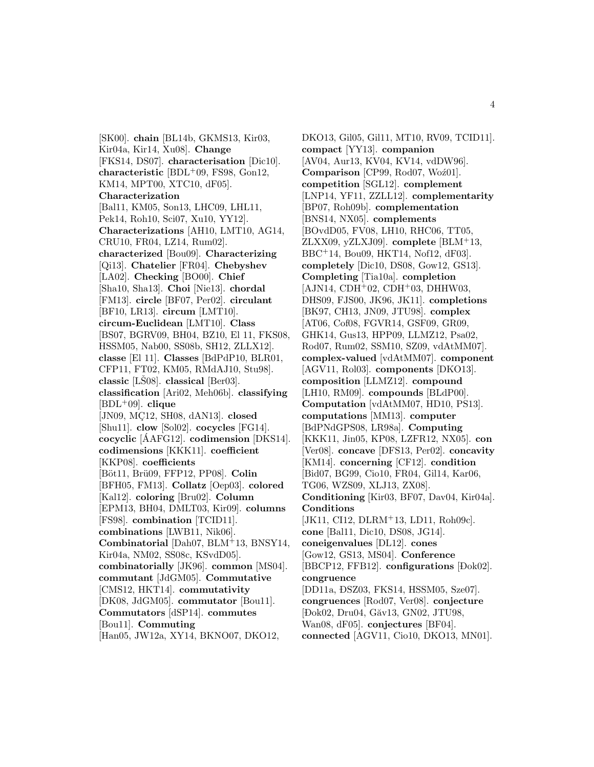[SK00]. **chain** [BL14b, GKMS13, Kir03, Kir04a, Kir14, Xu08]. **Change** [FKS14, DS07]. **characterisation** [Dic10]. **characteristic** [BDL<sup>+</sup>09, FS98, Gon12, KM14, MPT00, XTC10, dF05]. **Characterization** [Bal11, KM05, Son13, LHC09, LHL11, Pek14, Roh10, Sci07, Xu10, YY12]. **Characterizations** [AH10, LMT10, AG14, CRU10, FR04, LZ14, Rum02]. **characterized** [Bou09]. **Characterizing** [Qi13]. **Chatelier** [FR04]. **Chebyshev** [LA02]. **Checking** [BO00]. **Chief** [Sha10, Sha13]. **Choi** [Nie13]. **chordal** [FM13]. **circle** [BF07, Per02]. **circulant** [BF10, LR13]. **circum** [LMT10]. **circum-Euclidean** [LMT10]. **Class** [BS07, BGRV09, BH04, BZ10, El 11, FKS08, HSSM05, Nab00, SS08b, SH12, ZLLX12]. **classe** [El 11]. **Classes** [BdPdP10, BLR01, CFP11, FT02, KM05, RMdAJ10, Stu98]. **classic** [LS08]. **classical** [Ber03]. **classification** [Ari02, Meh06b]. **classifying** [BDL<sup>+</sup>09]. **clique** [JN09, MÇ12, SH08, dAN13]. **closed** [Shu11]. **clow** [Sol02]. **cocycles** [FG14]. **cocyclic** [AAFG12]. **codimension** [DKS14]. **codimensions** [KKK11]. **coefficient** [KKP08]. **coefficients** [Böt11, Brü09, FFP12, PP08]. Colin [BFH05, FM13]. **Collatz** [Oep03]. **colored** [Kal12]. **coloring** [Bru02]. **Column** [EPM13, BH04, DMLT03, Kir09]. **columns** [FS98]. **combination** [TCID11]. **combinations** [LWB11, Nik06]. **Combinatorial** [Dah07, BLM<sup>+</sup>13, BNSY14, Kir04a, NM02, SS08c, KSvdD05]. **combinatorially** [JK96]. **common** [MS04]. **commutant** [JdGM05]. **Commutative** [CMS12, HKT14]. **commutativity** [DK08, JdGM05]. **commutator** [Bou11]. **Commutators** [dSP14]. **commutes** [Bou11]. **Commuting** [Han05, JW12a, XY14, BKNO07, DKO12,

DKO13, Gil05, Gil11, MT10, RV09, TCID11]. **compact** [YY13]. **companion** [AV04, Aur13, KV04, KV14, vdDW96]. **Comparison** [CP99, Rod07, Woź01]. **competition** [SGL12]. **complement** [LNP14, YF11, ZZLL12]. **complementarity** [BP07, Roh09b]. **complementation** [BNS14, NX05]. **complements** [BOvdD05, FV08, LH10, RHC06, TT05, ZLXX09, yZLXJ09]. **complete** [BLM<sup>+</sup>13, BBC<sup>+</sup>14, Bou09, HKT14, Nof12, dF03]. **completely** [Dic10, DS08, Gow12, GS13]. **Completing** [Tia10a]. **completion**  $[AJN14, CDH<sup>+</sup>02, CDH<sup>+</sup>03, DHHW03,$ DHS09, FJS00, JK96, JK11]. **completions** [BK97, CH13, JN09, JTU98]. **complex** [AT06, Cof08, FGVR14, GSF09, GR09, GHK14, Gus13, HPP09, LLMZ12, Psa02, Rod07, Rum02, SSM10, SZ09, vdAtMM07]. **complex-valued** [vdAtMM07]. **component** [AGV11, Rol03]. **components** [DKO13]. **composition** [LLMZ12]. **compound** [LH10, RM09]. **compounds** [BLdP00]. **Computation** [vdAtMM07, HD10, PS13]. **computations** [MM13]. **computer** [BdPNdGPS08, LR98a]. **Computing** [KKK11, Jin05, KP08, LZFR12, NX05]. **con** [Ver08]. **concave** [DFS13, Per02]. **concavity** [KM14]. **concerning** [CF12]. **condition** [Bid07, BG99, Cio10, FR04, Gil14, Kar06, TG06, WZS09, XLJ13, ZX08]. **Conditioning** [Kir03, BF07, Dav04, Kir04a]. **Conditions** [JK11, CI12, DLRM<sup>+</sup>13, LD11, Roh09c]. **cone** [Bal11, Dic10, DS08, JG14]. **coneigenvalues** [DL12]. **cones** [Gow12, GS13, MS04]. **Conference** [BBCP12, FFB12]. **configurations** [Dok02]. **congruence** [DD11a, ĐSZ03, FKS14, HSSM05, Sze07]. **congruences** [Rod07, Ver08]. **conjecture** [Dok02, Dru04, Găv13, GN02, JTU98, Wan08, dF05]. **conjectures** [BF04]. **connected** [AGV11, Cio10, DKO13, MN01].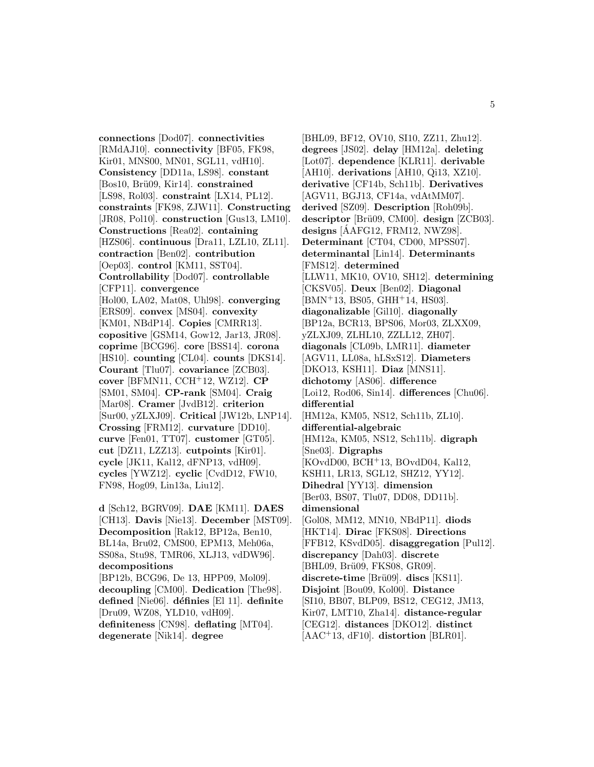**connections** [Dod07]. **connectivities** [RMdAJ10]. **connectivity** [BF05, FK98, Kir01, MNS00, MN01, SGL11, vdH10]. **Consistency** [DD11a, LS98]. **constant** [Bos10, Brü09, Kir14]. **constrained** [LS98, Rol03]. **constraint** [LX14, PL12]. **constraints** [FK98, ZJW11]. **Constructing** [JR08, Pol10]. **construction** [Gus13, LM10]. **Constructions** [Rea02]. **containing** [HZS06]. **continuous** [Dra11, LZL10, ZL11]. **contraction** [Ben02]. **contribution** [Oep03]. **control** [KM11, SST04]. **Controllability** [Dod07]. **controllable** [CFP11]. **convergence** [Hol00, LA02, Mat08, Uhl98]. **converging** [ERS09]. **convex** [MS04]. **convexity** [KM01, NBdP14]. **Copies** [CMRR13]. **copositive** [GSM14, Gow12, Jar13, JR08]. **coprime** [BCG96]. **core** [BSS14]. **corona** [HS10]. **counting** [CL04]. **counts** [DKS14]. **Courant** [Tlu07]. **covariance** [ZCB03]. **cover** [BFMN11, CCH<sup>+</sup>12, WZ12]. **CP** [SM01, SM04]. **CP-rank** [SM04]. **Craig** [Mar08]. **Cramer** [JvdB12]. **criterion** [Sur00, yZLXJ09]. **Critical** [JW12b, LNP14]. **Crossing** [FRM12]. **curvature** [DD10]. **curve** [Fen01, TT07]. **customer** [GT05]. **cut** [DZ11, LZZ13]. **cutpoints** [Kir01]. **cycle** [JK11, Kal12, dFNP13, vdH09]. **cycles** [YWZ12]. **cyclic** [CvdD12, FW10, FN98, Hog09, Lin13a, Liu12].

**d** [Sch12, BGRV09]. **DAE** [KM11]. **DAES** [CH13]. **Davis** [Nie13]. **December** [MST09]. **Decomposition** [Rak12, BP12a, Ben10, BL14a, Bru02, CMS00, EPM13, Meh06a, SS08a, Stu98, TMR06, XLJ13, vdDW96]. **decompositions** [BP12b, BCG96, De 13, HPP09, Mol09]. **decoupling** [CM00]. **Dedication** [The98]. **defined** [Nie06]. **d´efinies** [El 11]. **definite** [Dru09, WZ08, YLD10, vdH09]. **definiteness** [CN98]. **deflating** [MT04]. **degenerate** [Nik14]. **degree**

[BHL09, BF12, OV10, SI10, ZZ11, Zhu12]. **degrees** [JS02]. **delay** [HM12a]. **deleting** [Lot07]. **dependence** [KLR11]. **derivable** [AH10]. **derivations** [AH10, Qi13, XZ10]. **derivative** [CF14b, Sch11b]. **Derivatives** [AGV11, BGJ13, CF14a, vdAtMM07]. **derived** [SZ09]. **Description** [Roh09b]. **descriptor** [Brü09, CM00]. **design** [ZCB03]. **designs** [AAFG12, FRM12, NWZ98]. ´ **Determinant** [CT04, CD00, MPSS07]. **determinantal** [Lin14]. **Determinants** [FMS12]. **determined** [LLW11, MK10, OV10, SH12]. **determining** [CKSV05]. **Deux** [Ben02]. **Diagonal**  $[BMN<sup>+</sup>13, BS05, GHH<sup>+</sup>14, HS03].$ **diagonalizable** [Gil10]. **diagonally** [BP12a, BCR13, BPS06, Mor03, ZLXX09, yZLXJ09, ZLHL10, ZZLL12, ZH07]. **diagonals** [CL09b, LMR11]. **diameter** [AGV11, LL08a, hLSxS12]. **Diameters** [DKO13, KSH11]. **Diaz** [MNS11]. **dichotomy** [AS06]. **difference** [Loi12, Rod06, Sin14]. **differences** [Chu06]. **differential** [HM12a, KM05, NS12, Sch11b, ZL10]. **differential-algebraic** [HM12a, KM05, NS12, Sch11b]. **digraph** [Sne03]. **Digraphs** [KOvdD00, BCH<sup>+</sup>13, BOvdD04, Kal12, KSH11, LR13, SGL12, SHZ12, YY12]. **Dihedral** [YY13]. **dimension** [Ber03, BS07, Tlu07, DD08, DD11b]. **dimensional** [Gol08, MM12, MN10, NBdP11]. **diods** [HKT14]. **Dirac** [FKS08]. **Directions** [FFB12, KSvdD05]. **disaggregation** [Pul12]. **discrepancy** [Dah03]. **discrete** [BHL09, Brü09, FKS08, GR09]. **discrete-time** [Brü09]. **discs** [KS11]. **Disjoint** [Bou09, Kol00]. **Distance** [SI10, BB07, BLP09, BS12, CEG12, JM13, Kir07, LMT10, Zha14]. **distance-regular** [CEG12]. **distances** [DKO12]. **distinct** [AAC<sup>+</sup>13, dF10]. **distortion** [BLR01].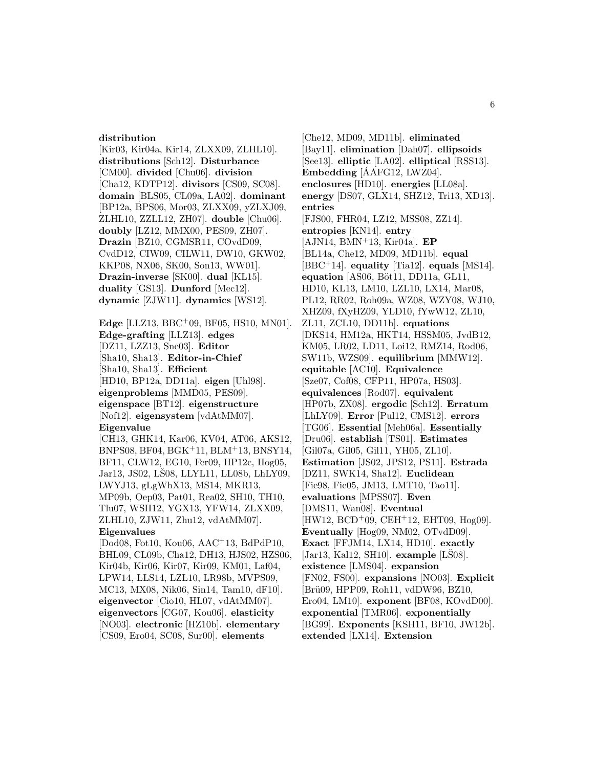#### **distribution**

[Kir03, Kir04a, Kir14, ZLXX09, ZLHL10]. **distributions** [Sch12]. **Disturbance** [CM00]. **divided** [Chu06]. **division** [Cha12, KDTP12]. **divisors** [CS09, SC08]. **domain** [BLS05, CL09a, LA02]. **dominant** [BP12a, BPS06, Mor03, ZLXX09, yZLXJ09, ZLHL10, ZZLL12, ZH07]. **double** [Chu06]. **doubly** [LZ12, MMX00, PES09, ZH07]. **Drazin** [BZ10, CGMSR11, COvdD09, CvdD12, CIW09, CILW11, DW10, GKW02, KKP08, NX06, SK00, Son13, WW01]. **Drazin-inverse** [SK00]. **dual** [KL15]. **duality** [GS13]. **Dunford** [Mec12]. **dynamic** [ZJW11]. **dynamics** [WS12].

**Edge** [LLZ13, BBC<sup>+</sup>09, BF05, HS10, MN01]. **Edge-grafting** [LLZ13]. **edges** [DZ11, LZZ13, Sne03]. **Editor** [Sha10, Sha13]. **Editor-in-Chief** [Sha10, Sha13]. **Efficient** [HD10, BP12a, DD11a]. **eigen** [Uhl98]. **eigenproblems** [MMD05, PES09]. **eigenspace** [BT12]. **eigenstructure** [Nof12]. **eigensystem** [vdAtMM07]. **Eigenvalue** [CH13, GHK14, Kar06, KV04, AT06, AKS12, BNPS08, BF04, BGK<sup>+</sup>11, BLM<sup>+</sup>13, BNSY14, BF11, CLW12, EG10, Fer09, HP12c, Hog05, Jar13, JS02, LŠ08, LLYL11, LL08b, LhLY09, LWYJ13, gLgWhX13, MS14, MKR13, MP09b, Oep03, Pat01, Rea02, SH10, TH10, Tlu07, WSH12, YGX13, YFW14, ZLXX09, ZLHL10, ZJW11, Zhu12, vdAtMM07]. **Eigenvalues** [Dod08, Fot10, Kou06, AAC<sup>+</sup>13, BdPdP10, BHL09, CL09b, Cha12, DH13, HJS02, HZS06, Kir04b, Kir06, Kir07, Kir09, KM01, Laf04, LPW14, LLS14, LZL10, LR98b, MVPS09, MC13, MX08, Nik06, Sin14, Tam10, dF10].

**eigenvector** [Cio10, HL07, vdAtMM07]. **eigenvectors** [CG07, Kou06]. **elasticity** [NO03]. **electronic** [HZ10b]. **elementary** [CS09, Ero04, SC08, Sur00]. **elements**

[Che12, MD09, MD11b]. **eliminated** [Bay11]. **elimination** [Dah07]. **ellipsoids** [See13]. **elliptic** [LA02]. **elliptical** [RSS13]. Embedding [AAFG12, LWZ04]. **enclosures** [HD10]. **energies** [LL08a]. **energy** [DS07, GLX14, SHZ12, Tri13, XD13]. **entries** [FJS00, FHR04, LZ12, MSS08, ZZ14]. **entropies** [KN14]. **entry** [AJN14, BMN<sup>+</sup>13, Kir04a]. **EP** [BL14a, Che12, MD09, MD11b]. **equal** [BBC<sup>+</sup>14]. **equality** [Tia12]. **equals** [MS14]. **equation** [AS06, Böt11, DD11a, GL11, HD10, KL13, LM10, LZL10, LX14, Mar08, PL12, RR02, Roh09a, WZ08, WZY08, WJ10, XHZ09, fXyHZ09, YLD10, fYwW12, ZL10, ZL11, ZCL10, DD11b]. **equations** [DKS14, HM12a, HKT14, HSSM05, JvdB12, KM05, LR02, LD11, Loi12, RMZ14, Rod06, SW11b, WZS09]. **equilibrium** [MMW12]. **equitable** [AC10]. **Equivalence** [Sze07, Cof08, CFP11, HP07a, HS03]. **equivalences** [Rod07]. **equivalent** [HP07b, ZX08]. **ergodic** [Sch12]. **Erratum** [LhLY09]. **Error** [Pul12, CMS12]. **errors** [TG06]. **Essential** [Meh06a]. **Essentially** [Dru06]. **establish** [TS01]. **Estimates** [Gil07a, Gil05, Gil11, YH05, ZL10]. **Estimation** [JS02, JPS12, PS11]. **Estrada** [DZ11, SWK14, Sha12]. **Euclidean** [Fie98, Fie05, JM13, LMT10, Tao11]. **evaluations** [MPSS07]. **Even** [DMS11, Wan08]. **Eventual**  $[HW12, BCD+09, CEH+12, EHT09, Hog09].$ **Eventually** [Hog09, NM02, OTvdD09]. **Exact** [FFJM14, LX14, HD10]. **exactly** [Jar13, Kal12, SH10]. **example** [LS08]. **existence** [LMS04]. **expansion** [FN02, FS00]. **expansions** [NO03]. **Explicit** [Brü09, HPP09, Roh11, vdDW96, BZ10, Ero04, LM10]. **exponent** [BF08, KOvdD00]. **exponential** [TMR06]. **exponentially** [BG99]. **Exponents** [KSH11, BF10, JW12b]. **extended** [LX14]. **Extension**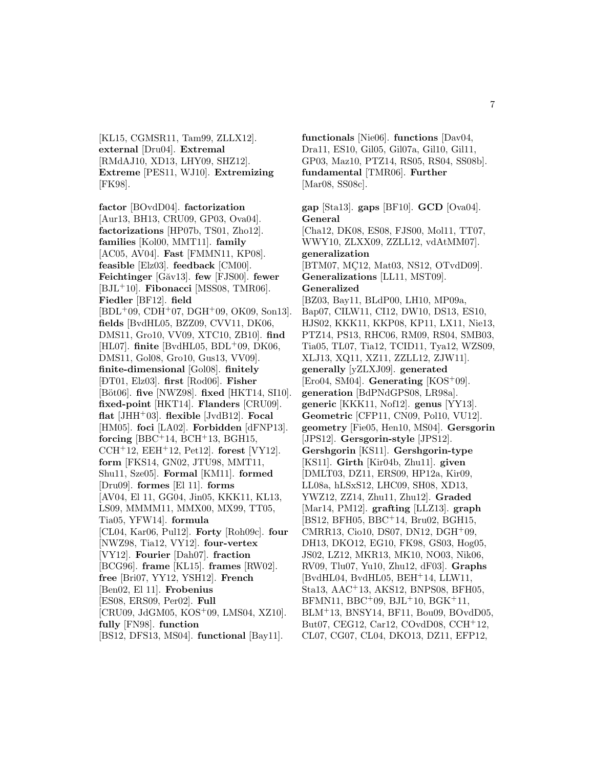[KL15, CGMSR11, Tam99, ZLLX12]. **external** [Dru04]. **Extremal** [RMdAJ10, XD13, LHY09, SHZ12]. **Extreme** [PES11, WJ10]. **Extremizing** [FK98].

**factor** [BOvdD04]. **factorization** [Aur13, BH13, CRU09, GP03, Ova04]. **factorizations** [HP07b, TS01, Zho12]. **families** [Kol00, MMT11]. **family** [AC05, AV04]. **Fast** [FMMN11, KP08]. **feasible** [Elz03]. **feedback** [CM00]. **Feichtinger** [G˘av13]. **few** [FJS00]. **fewer** [BJL<sup>+</sup>10]. **Fibonacci** [MSS08, TMR06]. **Fiedler** [BF12]. **field** [BDL<sup>+</sup>09, CDH<sup>+</sup>07, DGH<sup>+</sup>09, OK09, Son13]. **fields** [BvdHL05, BZZ09, CVV11, DK06, DMS11, Gro10, VV09, XTC10, ZB10]. **find** [HL07]. **finite** [BvdHL05, BDL<sup>+</sup>09, DK06, DMS11, Gol08, Gro10, Gus13, VV09]. **finite-dimensional** [Gol08]. **finitely** [ ¯ DT01, Elz03]. **first** [Rod06]. **Fisher** [B¨ot06]. **five** [NWZ98]. **fixed** [HKT14, SI10]. **fixed-point** [HKT14]. **Flanders** [CRU09]. **flat** [JHH<sup>+</sup>03]. **flexible** [JvdB12]. **Focal** [HM05]. **foci** [LA02]. **Forbidden** [dFNP13]. **forcing** [BBC<sup>+</sup>14, BCH<sup>+</sup>13, BGH15, CCH<sup>+</sup>12, EEH<sup>+</sup>12, Pet12]. **forest** [VY12]. **form** [FKS14, GN02, JTU98, MMT11, Shu11, Sze05]. **Formal** [KM11]. **formed** [Dru09]. **formes** [El 11]. **forms** [AV04, El 11, GG04, Jin05, KKK11, KL13, LS09, MMMM11, MMX00, MX99, TT05, Tia05, YFW14]. **formula** [CL04, Kar06, Pul12]. **Forty** [Roh09c]. **four** [NWZ98, Tia12, VY12]. **four-vertex** [VY12]. **Fourier** [Dah07]. **fraction** [BCG96]. **frame** [KL15]. **frames** [RW02]. **free** [Bri07, YY12, YSH12]. **French** [Ben02, El 11]. **Frobenius** [ES08, ERS09, Per02]. **Full** [CRU09, JdGM05, KOS<sup>+</sup>09, LMS04, XZ10]. **fully** [FN98]. **function** [BS12, DFS13, MS04]. **functional** [Bay11].

**functionals** [Nie06]. **functions** [Dav04, Dra11, ES10, Gil05, Gil07a, Gil10, Gil11, GP03, Maz10, PTZ14, RS05, RS04, SS08b]. **fundamental** [TMR06]. **Further** [Mar08, SS08c].

**gap** [Sta13]. **gaps** [BF10]. **GCD** [Ova04]. **General** [Cha12, DK08, ES08, FJS00, Mol11, TT07, WWY10, ZLXX09, ZZLL12, vdAtMM07]. **generalization** [BTM07, MÇ12, Mat03, NS12, OTvdD09]. **Generalizations** [LL11, MST09]. **Generalized** [BZ03, Bay11, BLdP00, LH10, MP09a, Bap07, CILW11, CI12, DW10, DS13, ES10, HJS02, KKK11, KKP08, KP11, LX11, Nie13, PTZ14, PS13, RHC06, RM09, RS04, SMB03, Tia05, TL07, Tia12, TCID11, Tya12, WZS09, XLJ13, XQ11, XZ11, ZZLL12, ZJW11]. **generally** [yZLXJ09]. **generated** [Ero04, SM04]. **Generating** [KOS<sup>+</sup>09]. **generation** [BdPNdGPS08, LR98a]. **generic** [KKK11, Nof12]. **genus** [YY13]. **Geometric** [CFP11, CN09, Pol10, VU12]. **geometry** [Fie05, Hen10, MS04]. **Gersgorin** [JPS12]. **Gersgorin-style** [JPS12]. **Gershgorin** [KS11]. **Gershgorin-type** [KS11]. **Girth** [Kir04b, Zhu11]. **given** [DMLT03, DZ11, ERS09, HP12a, Kir09, LL08a, hLSxS12, LHC09, SH08, XD13, YWZ12, ZZ14, Zhu11, Zhu12]. **Graded** [Mar14, PM12]. **grafting** [LLZ13]. **graph** [BS12, BFH05, BBC<sup>+</sup>14, Bru02, BGH15, CMRR13, Cio10, DS07, DN12, DGH<sup>+</sup>09, DH13, DKO12, EG10, FK98, GS03, Hog05, JS02, LZ12, MKR13, MK10, NO03, Nik06, RV09, Tlu07, Yu10, Zhu12, dF03]. **Graphs** [BvdHL04, BvdHL05, BEH<sup>+</sup>14, LLW11, Sta13, AAC<sup>+</sup>13, AKS12, BNPS08, BFH05,  $BFMN11, BBC^{+}09, BJL^{+}10, BGK^{+}11,$ BLM<sup>+</sup>13, BNSY14, BF11, Bou09, BOvdD05, But07, CEG12, Car12, COvdD08, CCH<sup>+</sup>12, CL07, CG07, CL04, DKO13, DZ11, EFP12,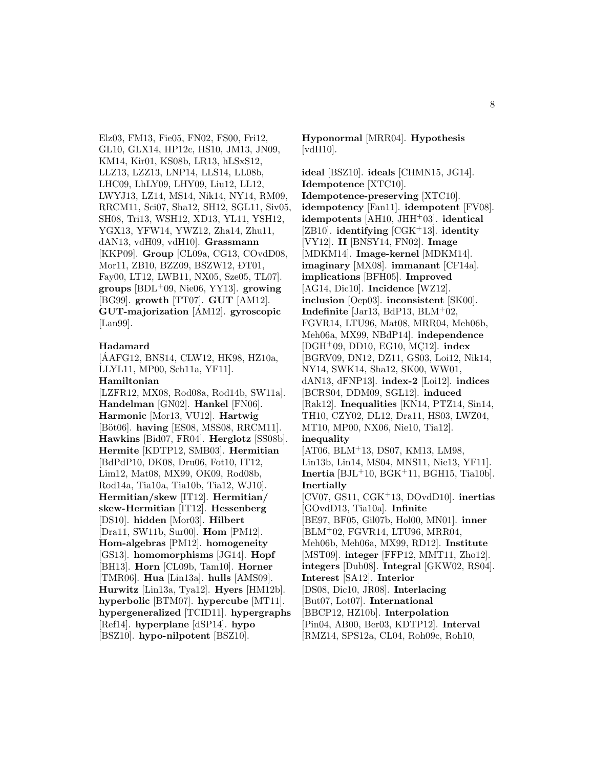Elz03, FM13, Fie05, FN02, FS00, Fri12, GL10, GLX14, HP12c, HS10, JM13, JN09, KM14, Kir01, KS08b, LR13, hLSxS12, LLZ13, LZZ13, LNP14, LLS14, LL08b, LHC09, LhLY09, LHY09, Liu12, LL12, LWYJ13, LZ14, MS14, Nik14, NY14, RM09, RRCM11, Sci07, Sha12, SH12, SGL11, Siv05, SH08, Tri13, WSH12, XD13, YL11, YSH12, YGX13, YFW14, YWZ12, Zha14, Zhu11, dAN13, vdH09, vdH10]. **Grassmann** [KKP09]. **Group** [CL09a, CG13, COvdD08, Mor11, ZB10, BZZ09, BSZW12, ĐT01, Fay00, LT12, LWB11, NX05, Sze05, TL07]. **groups** [BDL<sup>+</sup>09, Nie06, YY13]. **growing** [BG99]. **growth** [TT07]. **GUT** [AM12]. **GUT-majorization** [AM12]. **gyroscopic** [Lan99].

#### **Hadamard**

[AAFG12, BNS14, CLW12, HK98, HZ10a, ´ LLYL11, MP00, Sch11a, YF11]. **Hamiltonian** [LZFR12, MX08, Rod08a, Rod14b, SW11a].

**Handelman** [GN02]. **Hankel** [FN06]. **Harmonic** [Mor13, VU12]. **Hartwig** [Böt06]. **having** [ES08, MSS08, RRCM11]. **Hawkins** [Bid07, FR04]. **Herglotz** [SS08b]. **Hermite** [KDTP12, SMB03]. **Hermitian** [BdPdP10, DK08, Dru06, Fot10, IT12, Lim12, Mat08, MX99, OK09, Rod08b, Rod14a, Tia10a, Tia10b, Tia12, WJ10]. **Hermitian/skew** [IT12]. **Hermitian/ skew-Hermitian** [IT12]. **Hessenberg** [DS10]. **hidden** [Mor03]. **Hilbert** [Dra11, SW11b, Sur00]. **Hom** [PM12]. **Hom-algebras** [PM12]. **homogeneity** [GS13]. **homomorphisms** [JG14]. **Hopf** [BH13]. **Horn** [CL09b, Tam10]. **Horner** [TMR06]. **Hua** [Lin13a]. **hulls** [AMS09]. **Hurwitz** [Lin13a, Tya12]. **Hyers** [HM12b]. **hyperbolic** [BTM07]. **hypercube** [MT11]. **hypergeneralized** [TCID11]. **hypergraphs** [Ref14]. **hyperplane** [dSP14]. **hypo** [BSZ10]. **hypo-nilpotent** [BSZ10].

**Hyponormal** [MRR04]. **Hypothesis** [vdH10].

**ideal** [BSZ10]. **ideals** [CHMN15, JG14]. **Idempotence** [XTC10]. **Idempotence-preserving** [XTC10]. **idempotency** [Fan11]. **idempotent** [FV08]. **idempotents** [AH10, JHH<sup>+</sup>03]. **identical** [ZB10]. **identifying** [CGK<sup>+</sup>13]. **identity** [VY12]. **II** [BNSY14, FN02]. **Image** [MDKM14]. **Image-kernel** [MDKM14]. **imaginary** [MX08]. **immanant** [CF14a]. **implications** [BFH05]. **Improved** [AG14, Dic10]. **Incidence** [WZ12]. **inclusion** [Oep03]. **inconsistent** [SK00]. **Indefinite** [Jar13, BdP13, BLM<sup>+</sup>02, FGVR14, LTU96, Mat08, MRR04, Meh06b, Meh06a, MX99, NBdP14]. **independence** [DGH<sup>+</sup>09, DD10, EG10, MC12]. **index** [BGRV09, DN12, DZ11, GS03, Loi12, Nik14, NY14, SWK14, Sha12, SK00, WW01, dAN13, dFNP13]. **index-2** [Loi12]. **indices** [BCRS04, DDM09, SGL12]. **induced** [Rak12]. **Inequalities** [KN14, PTZ14, Sin14, TH10, CZY02, DL12, Dra11, HS03, LWZ04, MT10, MP00, NX06, Nie10, Tia12]. **inequality** [AT06, BLM<sup>+</sup>13, DS07, KM13, LM98, Lin13b, Lin14, MS04, MNS11, Nie13, YF11]. **Inertia** [BJL<sup>+</sup>10, BGK<sup>+</sup>11, BGH15, Tia10b]. **Inertially** [CV07, GS11, CGK<sup>+</sup>13, DOvdD10]. **inertias** [GOvdD13, Tia10a]. **Infinite** [BE97, BF05, Gil07b, Hol00, MN01]. **inner** [BLM<sup>+</sup>02, FGVR14, LTU96, MRR04, Meh06b, Meh06a, MX99, RD12]. **Institute** [MST09]. **integer** [FFP12, MMT11, Zho12]. **integers** [Dub08]. **Integral** [GKW02, RS04]. **Interest** [SA12]. **Interior** [DS08, Dic10, JR08]. **Interlacing** [But07, Lot07]. **International** [BBCP12, HZ10b]. **Interpolation** [Pin04, AB00, Ber03, KDTP12]. **Interval** [RMZ14, SPS12a, CL04, Roh09c, Roh10,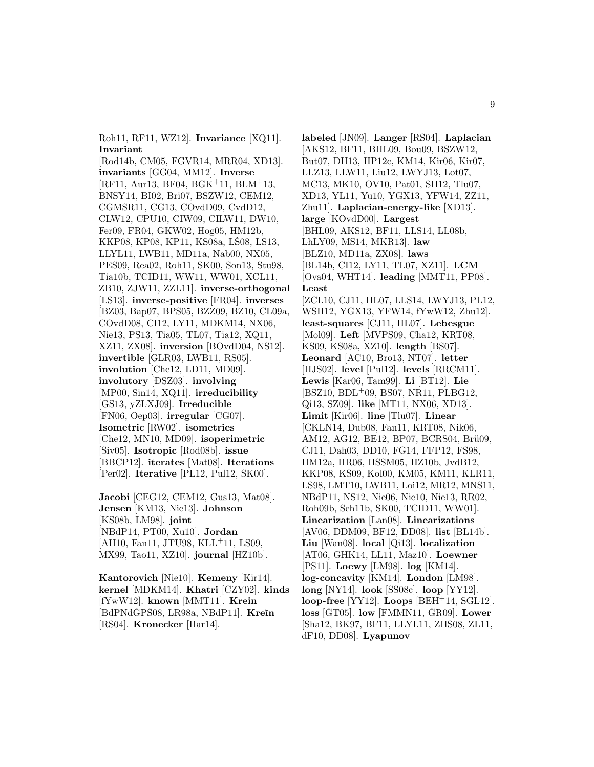Roh11, RF11, WZ12]. **Invariance** [XQ11]. **Invariant**

[Rod14b, CM05, FGVR14, MRR04, XD13]. **invariants** [GG04, MM12]. **Inverse** [RF11, Aur13, BF04, BGK<sup>+</sup>11, BLM<sup>+</sup>13, BNSY14, BI02, Bri07, BSZW12, CEM12, CGMSR11, CG13, COvdD09, CvdD12, CLW12, CPU10, CIW09, CILW11, DW10, Fer09, FR04, GKW02, Hog05, HM12b, KKP08, KP08, KP11, KS08a, LS08, LS13, LLYL11, LWB11, MD11a, Nab00, NX05, PES09, Rea02, Roh11, SK00, Son13, Stu98, Tia10b, TCID11, WW11, WW01, XCL11, ZB10, ZJW11, ZZL11]. **inverse-orthogonal** [LS13]. **inverse-positive** [FR04]. **inverses** [BZ03, Bap07, BPS05, BZZ09, BZ10, CL09a, COvdD08, CI12, LY11, MDKM14, NX06, Nie13, PS13, Tia05, TL07, Tia12, XQ11, XZ11, ZX08]. **inversion** [BOvdD04, NS12]. **invertible** [GLR03, LWB11, RS05]. **involution** [Che12, LD11, MD09].  $\left[ \text{DSZ03}\right]$ . **involving** [MP00, Sin14, XQ11]. **irreducibility** [GS13, yZLXJ09]. **Irreducible** [FN06, Oep03]. **irregular** [CG07]. **Isometric** [RW02]. **isometries** [Che12, MN10, MD09]. **isoperimetric** [Siv05]. **Isotropic** [Rod08b]. **issue** [BBCP12]. **iterates** [Mat08]. **Iterations** [Per02]. **Iterative** [PL12, Pul12, SK00].

**Jacobi** [CEG12, CEM12, Gus13, Mat08]. **Jensen** [KM13, Nie13]. **Johnson** [KS08b, LM98]. **joint** [NBdP14, PT00, Xu10]. **Jordan** [AH10, Fan11, JTU98, KLL+11, LS09, MX99, Tao11, XZ10]. **journal** [HZ10b].

**Kantorovich** [Nie10]. **Kemeny** [Kir14]. **kernel** [MDKM14]. **Khatri** [CZY02]. **kinds** [fYwW12]. **known** [MMT11]. **Krein** [BdPNdGPS08, LR98a, NBdP11]. **Kre˘ın** [RS04]. **Kronecker** [Har14].

**labeled** [JN09]. **Langer** [RS04]. **Laplacian** [AKS12, BF11, BHL09, Bou09, BSZW12, But07, DH13, HP12c, KM14, Kir06, Kir07, LLZ13, LLW11, Liu12, LWYJ13, Lot07, MC13, MK10, OV10, Pat01, SH12, Tlu07, XD13, YL11, Yu10, YGX13, YFW14, ZZ11, Zhu11]. **Laplacian-energy-like** [XD13]. **large** [KOvdD00]. **Largest** [BHL09, AKS12, BF11, LLS14, LL08b, LhLY09, MS14, MKR13]. **law** [BLZ10, MD11a, ZX08]. **laws** [BL14b, CI12, LY11, TL07, XZ11]. **LCM** [Ova04, WHT14]. **leading** [MMT11, PP08]. **Least** [ZCL10, CJ11, HL07, LLS14, LWYJ13, PL12, WSH12, YGX13, YFW14, fYwW12, Zhu12]. **least-squares** [CJ11, HL07]. **Lebesgue** [Mol09]. **Left** [MVPS09, Cha12, KRT08, KS09, KS08a, XZ10]. **length** [BS07]. **Leonard** [AC10, Bro13, NT07]. **letter** [HJS02]. **level** [Pul12]. **levels** [RRCM11]. **Lewis** [Kar06, Tam99]. **Li** [BT12]. **Lie** [BSZ10, BDL<sup>+</sup>09, BS07, NR11, PLBG12, Qi13, SZ09]. **like** [MT11, NX06, XD13]. **Limit** [Kir06]. **line** [Tlu07]. **Linear** [CKLN14, Dub08, Fan11, KRT08, Nik06, AM12, AG12, BE12, BP07, BCRS04, Brü09, CJ11, Dah03, DD10, FG14, FFP12, FS98, HM12a, HR06, HSSM05, HZ10b, JvdB12, KKP08, KS09, Kol00, KM05, KM11, KLR11, LS98, LMT10, LWB11, Loi12, MR12, MNS11, NBdP11, NS12, Nie06, Nie10, Nie13, RR02, Roh09b, Sch11b, SK00, TCID11, WW01]. **Linearization** [Lan08]. **Linearizations** [AV06, DDM09, BF12, DD08]. **list** [BL14b]. **Liu** [Wan08]. **local** [Qi13]. **localization** [AT06, GHK14, LL11, Maz10]. **Loewner** [PS11]. **Loewy** [LM98]. **log** [KM14]. **log-concavity** [KM14]. **London** [LM98]. **long** [NY14]. **look** [SS08c]. **loop** [YY12]. **loop-free** [YY12]. **Loops** [BEH<sup>+</sup>14, SGL12]. **loss** [GT05]. **low** [FMMN11, GR09]. **Lower** [Sha12, BK97, BF11, LLYL11, ZHS08, ZL11, dF10, DD08]. **Lyapunov**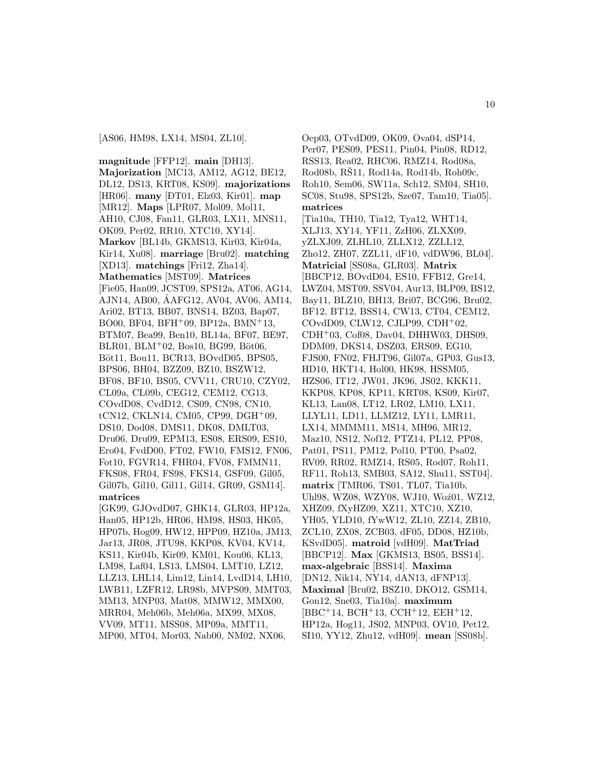[AS06, HM98, LX14, MS04, ZL10].

**magnitude** [FFP12]. **main** [DH13]. **Majorization** [MC13, AM12, AG12, BE12, DL12, DS13, KRT08, KS09]. **majorizations** [HR06]. **many** [ ¯ DT01, Elz03, Kir01]. **map** [MR12]. **Maps** [LPR07, Mol09, Mol11, AH10, CJ08, Fan11, GLR03, LX11, MNS11, OK09, Per02, RR10, XTC10, XY14]. **Markov** [BL14b, GKMS13, Kir03, Kir04a, Kir14, Xu08]. **marriage** [Bru02]. **matching** [XD13]. **matchings** [Fri12, Zha14]. **Mathematics** [MST09]. **Matrices** [Fie05, Han09, JCST09, SPS12a, AT06, AG14, AJN14, AB00, AAFG12, AV04, AV06, AM14, ´ Ari02, BT13, BB07, BNS14, BZ03, Bap07, BO00, BF04, BFH<sup>+</sup>09, BP12a, BMN<sup>+</sup>13, BTM07, Bea99, Ben10, BL14a, BF07, BE97,  $BLR01, BLM<sup>+</sup>02, Bos10, BG99, Böt06,$ Böt11, Bou11, BCR13, BOvdD05, BPS05, BPS06, BH04, BZZ09, BZ10, BSZW12, BF08, BF10, BS05, CVV11, CRU10, CZY02, CL09a, CL09b, CEG12, CEM12, CG13, COvdD08, CvdD12, CS09, CN98, CN10, tCN12, CKLN14, CM05, CP99, DGH<sup>+</sup>09, DS10, Dod08, DMS11, DK08, DMLT03, Dru06, Dru09, EPM13, ES08, ERS09, ES10, Ero04, FvdD00, FT02, FW10, FMS12, FN06, Fot10, FGVR14, FHR04, FV08, FMMN11, FKS08, FR04, FS98, FKS14, GSF09, Gil05, Gil07b, Gil10, Gil11, Gil14, GR09, GSM14]. **matrices** [GK99, GJOvdD07, GHK14, GLR03, HP12a,

Han05, HP12b, HR06, HM98, HS03, HK05, HP07b, Hog09, HW12, HPP09, HZ10a, JM13, Jar13, JR08, JTU98, KKP08, KV04, KV14, KS11, Kir04b, Kir09, KM01, Kou06, KL13, LM98, Laf04, LS13, LMS04, LMT10, LZ12, LLZ13, LHL14, Lim12, Lin14, LvdD14, LH10, LWB11, LZFR12, LR98b, MVPS09, MMT03, MM13, MNP03, Mat08, MMW12, MMX00, MRR04, Meh06b, Meh06a, MX99, MX08, VV09, MT11, MSS08, MP09a, MMT11, MP00, MT04, Mor03, Nab00, NM02, NX06,

Oep03, OTvdD09, OK09, Ova04, dSP14, Per07, PES09, PES11, Pin04, Pin08, RD12, RSS13, Rea02, RHC06, RMZ14, Rod08a, Rod08b, R $\tilde{S}11$ , Rod14a, Rod14b, Roh09c, Roh10, Sem06, SW11a, Sch12, SM04, SH10, SC08, Stu98, SPS12b, Sze07, Tam10, Tia05]. **matrices** [Tia10a, TH10, Tia12, Tya12, WHT14, XLJ13, XY14, YF11, ZzH06, ZLXX09, yZLXJ09, ZLHL10, ZLLX12, ZZLL12, Zho12, ZH07, ZZL11, dF10, vdDW96, BL04]. **Matricial** [SS08a, GLR03]. **Matrix** [BBCP12, BOvdD04, ES10, FFB12, Gre14, LWZ04, MST09, SSV04, Aur13, BLP09, BS12, Bay11, BLZ10, BH13, Bri07, BCG96, Bru02, BF12, BT12, BSS14, CW13, CT04, CEM12,  $COvdD09$ , CLW12, CJLP99, CDH<sup>+</sup>02, CDH<sup>+</sup>03, Cof08, Dav04, DHHW03, DHS09, DDM09, DKS14, <del>D</del>SZ03, ERS09, EG10, FJS00, FN02, FHJT96, Gil07a, GP03, Gus13, HD10, HKT14, Hol00, HK98, HSSM05, HZS06, IT12, JW01, JK96, JS02, KKK11, KKP08, KP08, KP11, KRT08, KS09, Kir07, KL13, Lan08, LT12, LR02, LM10, LX11, LLYL11, LD11, LLMZ12, LY11, LMR11, LX14, MMMM11, MS14, MH96, MR12, Maz10, NS12, Nof12, PTZ14, PL12, PP08, Pat01, PS11, PM12, Pol10, PT00, Psa02, RV09, RR02, RMZ14, RS05, Rod07, Roh11, RF11, Roh13, SMB03, SA12, Shu11, SST04]. **matrix** [TMR06, TS01, TL07, Tia10b, Uhl98, WZ08, WZY08, WJ10, Woź01, WZ12, XHZ09, fXyHZ09, XZ11, XTC10, XZ10, YH05, YLD10, fYwW12, ZL10, ZZ14, ZB10, ZCL10, ZX08, ZCB03, dF05, DD08, HZ10b, KSvdD05]. **matroid** [vdH09]. **MatTriad** [BBCP12]. **Max** [GKMS13, BS05, BSS14]. **max-algebraic** [BSS14]. **Maxima** [DN12, Nik14, NY14, dAN13, dFNP13]. **Maximal** [Bru02, BSZ10, DKO12, GSM14, Gon12, Sne03, Tia10a]. **maximum** [BBC<sup>+</sup>14, BCH<sup>+</sup>13, CCH<sup>+</sup>12, EEH<sup>+</sup>12, HP12a, Hog11, JS02, MNP03, OV10, Pet12, SI10, YY12, Zhu12, vdH09]. **mean** [SS08b].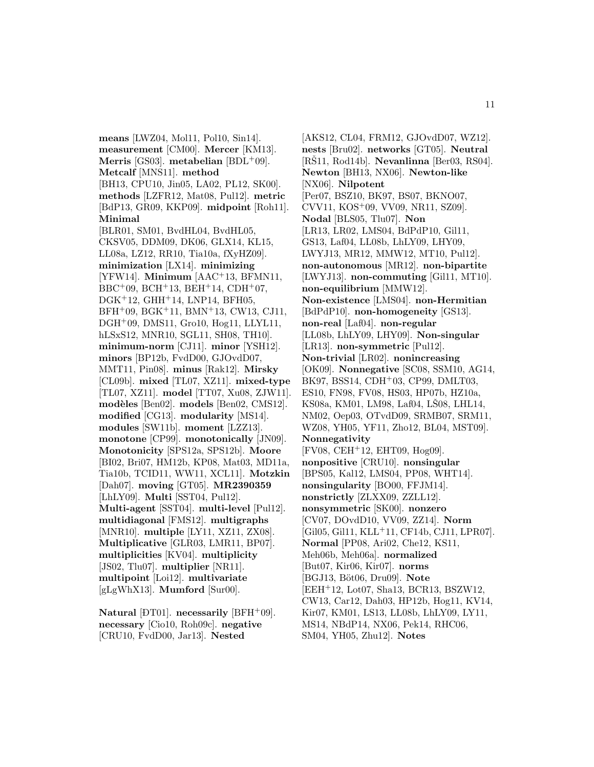**means** [LWZ04, Mol11, Pol10, Sin14]. **measurement** [CM00]. **Mercer** [KM13]. **Merris** [GS03]. **metabelian** [BDL<sup>+</sup>09]. **Metcalf** [MNS11]. **method** [BH13, CPU10, Jin05, LA02, PL12, SK00]. **methods** [LZFR12, Mat08, Pul12]. **metric** [BdP13, GR09, KKP09]. **midpoint** [Roh11]. **Minimal** [BLR01, SM01, BvdHL04, BvdHL05, CKSV05, DDM09, DK06, GLX14, KL15, LL08a, LZ12, RR10, Tia10a, fXyHZ09]. **minimization** [LX14]. **minimizing** [YFW14]. **Minimum** [AAC<sup>+</sup>13, BFMN11,  $BBC+09$ ,  $BCH+13$ ,  $BEH+14$ ,  $CDH+07$ , DGK<sup>+</sup>12, GHH<sup>+</sup>14, LNP14, BFH05, BFH<sup>+</sup>09, BGK<sup>+</sup>11, BMN<sup>+</sup>13, CW13, CJ11, DGH<sup>+</sup>09, DMS11, Gro10, Hog11, LLYL11, hLSxS12, MNR10, SGL11, SH08, TH10]. **minimum-norm** [CJ11]. **minor** [YSH12]. **minors** [BP12b, FvdD00, GJOvdD07, MMT11, Pin08]. **minus** [Rak12]. **Mirsky** [CL09b]. **mixed** [TL07, XZ11]. **mixed-type** [TL07, XZ11]. **model** [TT07, Xu08, ZJW11]. **mod`eles** [Ben02]. **models** [Ben02, CMS12]. **modified** [CG13]. **modularity** [MS14]. **modules** [SW11b]. **moment** [LZZ13]. **monotone** [CP99]. **monotonically** [JN09]. **Monotonicity** [SPS12a, SPS12b]. **Moore** [BI02, Bri07, HM12b, KP08, Mat03, MD11a, Tia10b, TCID11, WW11, XCL11]. **Motzkin** [Dah07]. **moving** [GT05]. **MR2390359** [LhLY09]. **Multi** [SST04, Pul12]. **Multi-agent** [SST04]. **multi-level** [Pul12]. **multidiagonal** [FMS12]. **multigraphs** [MNR10]. **multiple** [LY11, XZ11, ZX08]. **Multiplicative** [GLR03, LMR11, BP07]. **multiplicities** [KV04]. **multiplicity** [JS02, Tlu07]. **multiplier** [NR11]. **multipoint** [Loi12]. **multivariate** [gLgWhX13]. **Mumford** [Sur00].

Natural [DT01]. **necessarily** [BFH<sup>+</sup>09]. **necessary** [Cio10, Roh09c]. **negative** [CRU10, FvdD00, Jar13]. **Nested**

[AKS12, CL04, FRM12, GJOvdD07, WZ12]. **nests** [Bru02]. **networks** [GT05]. **Neutral**  $[R\text{S}11, Rod14b]$ . **Nevanlinna**  $[Ber03, RS04]$ . **Newton** [BH13, NX06]. **Newton-like** [NX06]. **Nilpotent** [Per07, BSZ10, BK97, BS07, BKNO07, CVV11, KOS<sup>+</sup>09, VV09, NR11, SZ09]. **Nodal** [BLS05, Tlu07]. **Non** [LR13, LR02, LMS04, BdPdP10, Gil11, GS13, Laf04, LL08b, LhLY09, LHY09, LWYJ13, MR12, MMW12, MT10, Pul12]. **non-autonomous** [MR12]. **non-bipartite** [LWYJ13]. **non-commuting** [Gil11, MT10]. **non-equilibrium** [MMW12]. **Non-existence** [LMS04]. **non-Hermitian** [BdPdP10]. **non-homogeneity** [GS13]. **non-real** [Laf04]. **non-regular** [LL08b, LhLY09, LHY09]. **Non-singular** [LR13]. **non-symmetric** [Pul12]. **Non-trivial** [LR02]. **nonincreasing** [OK09]. **Nonnegative** [SC08, SSM10, AG14, BK97, BSS14, CDH<sup>+</sup>03, CP99, DMLT03, ES10, FN98, FV08, HS03, HP07b, HZ10a, KS08a, KM01, LM98, Laf04, LS08, LHL14, NM02, Oep03, OTvdD09, SRMB07, SRM11, WZ08, YH05, YF11, Zho12, BL04, MST09]. **Nonnegativity** [FV08, CEH<sup>+</sup>12, EHT09, Hog09]. **nonpositive** [CRU10]. **nonsingular** [BPS05, Kal12, LMS04, PP08, WHT14]. **nonsingularity** [BO00, FFJM14]. **nonstrictly** [ZLXX09, ZZLL12]. **nonsymmetric** [SK00]. **nonzero** [CV07, DOvdD10, VV09, ZZ14]. **Norm** [Gil05, Gil11, KLL<sup>+</sup>11, CF14b, CJ11, LPR07]. **Normal** [PP08, Ari02, Che12, KS11, Meh06b, Meh06a]. **normalized** [But07, Kir06, Kir07]. **norms** [BGJ13, B¨ot06, Dru09]. **Note** [EEH<sup>+</sup>12, Lot07, Sha13, BCR13, BSZW12, CW13, Car12, Dah03, HP12b, Hog11, KV14, Kir07, KM01, LS13, LL08b, LhLY09, LY11, MS14, NBdP14, NX06, Pek14, RHC06, SM04, YH05, Zhu12]. **Notes**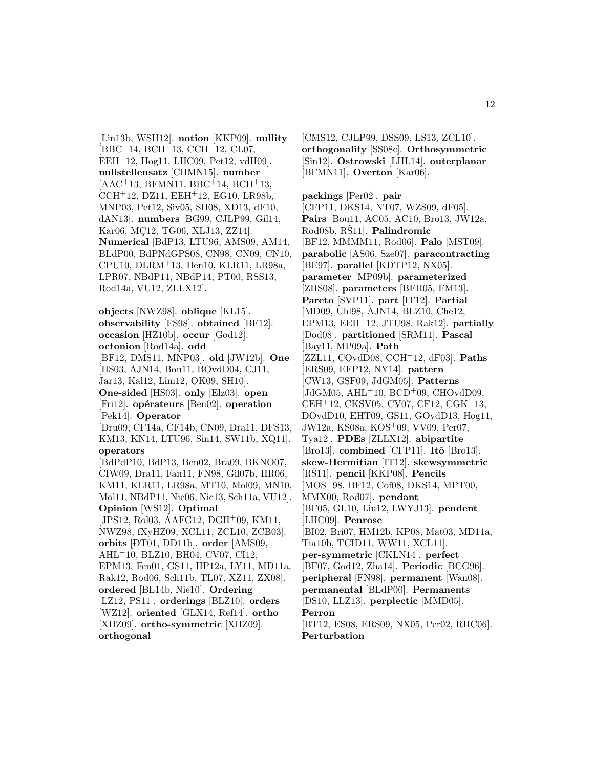[Lin13b, WSH12]. **notion** [KKP09]. **nullity** [BBC<sup>+</sup>14, BCH<sup>+</sup>13, CCH<sup>+</sup>12, CL07, EEH<sup>+</sup>12, Hog11, LHC09, Pet12, vdH09]. **nullstellensatz** [CHMN15]. **number** [AAC<sup>+</sup>13, BFMN11, BBC<sup>+</sup>14, BCH<sup>+</sup>13, CCH<sup>+</sup>12, DZ11, EEH<sup>+</sup>12, EG10, LR98b, MNP03, Pet12, Siv05, SH08, XD13, dF10, dAN13]. **numbers** [BG99, CJLP99, Gil14, Kar06, MC12, TG06, XLJ13, ZZ14. **Numerical** [BdP13, LTU96, AMS09, AM14, BLdP00, BdPNdGPS08, CN98, CN09, CN10, CPU10, DLRM<sup>+</sup>13, Hen10, KLR11, LR98a, LPR07, NBdP11, NBdP14, PT00, RSS13, Rod14a, VU12, ZLLX12].

**objects** [NWZ98]. **oblique** [KL15]. **observability** [FS98]. **obtained** [BF12]. **occasion** [HZ10b]. **occur** [God12]. **octonion** [Rod14a]. **odd** [BF12, DMS11, MNP03]. **old** [JW12b]. **One** [HS03, AJN14, Bou11, BOvdD04, CJ11, Jar13, Kal12, Lim12, OK09, SH10]. **One-sided** [HS03]. **only** [Elz03]. **open** [Fri12]. **opérateurs** [Ben02]. **operation** [Pek14]. **Operator** [Dru09, CF14a, CF14b, CN09, Dra11, DFS13, KM13, KN14, LTU96, Sin14, SW11b, XQ11]. **operators** [BdPdP10, BdP13, Ben02, Bra09, BKNO07, CIW09, Dra11, Fan11, FN98, Gil07b, HR06, KM11, KLR11, LR98a, MT10, Mol09, MN10, Mol11, NBdP11, Nie06, Nie13, Sch11a, VU12]. **Opinion** [WS12]. **Optimal**  $[JPS12, Rol03, AAFG12, DGH<sup>+</sup>09, KM11,$ NWZ98, fXyHZ09, XCL11, ZCL10, ZCB03]. **orbits** [ ¯ DT01, DD11b]. **order** [AMS09, AHL<sup>+</sup>10, BLZ10, BH04, CV07, CI12, EPM13, Fen01, GS11, HP12a, LY11, MD11a, Rak12, Rod06, Sch11b, TL07, XZ11, ZX08]. **ordered** [BL14b, Nie10]. **Ordering** [LZ12, PS11]. **orderings** [BLZ10]. **orders** [WZ12]. **oriented** [GLX14, Ref14]. **ortho** [XHZ09]. **ortho-symmetric** [XHZ09]. **orthogonal**

[CMS12, CJLP99, ĐSS09, LS13, ZCL10]. **orthogonality** [SS08c]. **Orthosymmetric** [Sin12]. **Ostrowski** [LHL14]. **outerplanar** [BFMN11]. **Overton** [Kar06].

**packings** [Per02]. **pair** [CFP11, DKS14, NT07, WZS09, dF05]. **Pairs** [Bou11, AC05, AC10, Bro13, JW12a, Rod08b, RS11. Palindromic [BF12, MMMM11, Rod06]. **Palo** [MST09]. **parabolic** [AS06, Sze07]. **paracontracting** [BE97]. **parallel** [KDTP12, NX05]. **parameter** [MP09b]. **parameterized** [ZHS08]. **parameters** [BFH05, FM13]. **Pareto** [SVP11]. **part** [IT12]. **Partial** [MD09, Uhl98, AJN14, BLZ10, Che12, EPM13, EEH<sup>+</sup>12, JTU98, Rak12]. **partially** [Dod08]. **partitioned** [SRM11]. **Pascal** [Bay11, MP09a]. **Path** [ZZL11, COvdD08, CCH<sup>+</sup>12, dF03]. **Paths** [ERS09, EFP12, NY14]. **pattern** [CW13, GSF09, JdGM05]. **Patterns** [JdGM05, AHL<sup>+</sup>10, BCD<sup>+</sup>09, CHOvdD09, CEH<sup>+</sup>12, CKSV05, CV07, CF12, CGK<sup>+</sup>13, DOvdD10, EHT09, GS11, GOvdD13, Hog11, JW12a, KS08a, KOS<sup>+</sup>09, VV09, Per07, Tya12]. **PDEs** [ZLLX12]. **abipartite** [Bro13]. **combined** [CFP11]. **Itˆo** [Bro13]. **skew-Hermitian** [IT12]. **skewsymmetric** [RŠ11]. pencil [KKP08]. Pencils [MOS<sup>+</sup>98, BF12, Cof08, DKS14, MPT00, MMX00, Rod07]. **pendant** [BF05, GL10, Liu12, LWYJ13]. **pendent** [LHC09]. **Penrose** [BI02, Bri07, HM12b, KP08, Mat03, MD11a, Tia10b, TCID11, WW11, XCL11]. **per-symmetric** [CKLN14]. **perfect** [BF07, God12, Zha14]. **Periodic** [BCG96]. **peripheral** [FN98]. **permanent** [Wan08]. **permanental** [BLdP00]. **Permanents** [DS10, LLZ13]. **perplectic** [MMD05]. **Perron** [BT12, ES08, ERS09, NX05, Per02, RHC06]. **Perturbation**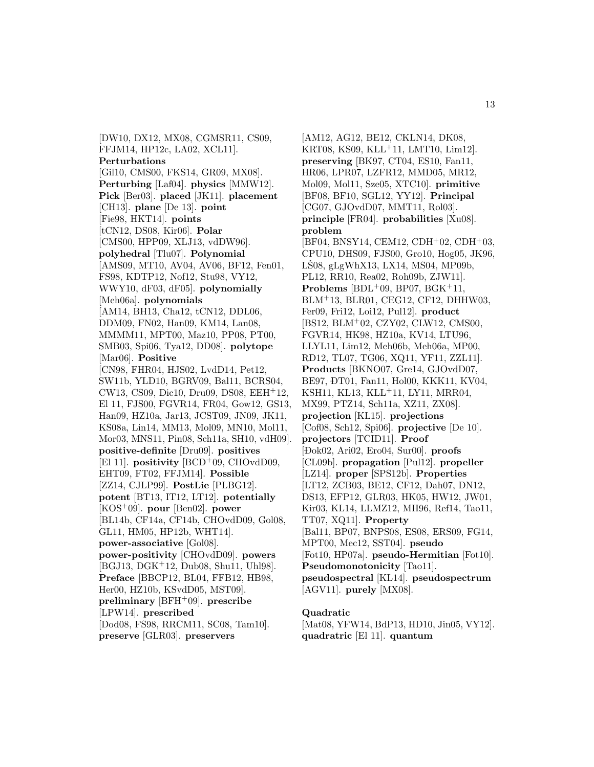[DW10, DX12, MX08, CGMSR11, CS09, FFJM14, HP12c, LA02, XCL11]. **Perturbations** [Gil10, CMS00, FKS14, GR09, MX08]. **Perturbing** [Laf04]. **physics** [MMW12]. **Pick** [Ber03]. **placed** [JK11]. **placement** [CH13]. **plane** [De 13]. **point** [Fie98, HKT14]. **points** [tCN12, DS08, Kir06]. **Polar** [CMS00, HPP09, XLJ13, vdDW96]. **polyhedral** [Tlu07]. **Polynomial** [AMS09, MT10, AV04, AV06, BF12, Fen01, FS98, KDTP12, Nof12, Stu98, VY12, WWY10, dF03, dF05]. **polynomially** [Meh06a]. **polynomials** [AM14, BH13, Cha12, tCN12, DDL06, DDM09, FN02, Han09, KM14, Lan08, MMMM11, MPT00, Maz10, PP08, PT00, SMB03, Spi06, Tya12, DD08]. **polytope** [Mar06]. **Positive** [CN98, FHR04, HJS02, LvdD14, Pet12, SW11b, YLD10, BGRV09, Bal11, BCRS04, CW13, CS09, Dic10, Dru09, DS08, EEH<sup>+</sup>12, El 11, FJS00, FGVR14, FR04, Gow12, GS13, Han09, HZ10a, Jar13, JCST09, JN09, JK11, KS08a, Lin14, MM13, Mol09, MN10, Mol11, Mor03, MNS11, Pin08, Sch11a, SH10, vdH09]. **positive-definite** [Dru09]. **positives** [El 11]. **positivity** [BCD<sup>+</sup>09, CHOvdD09, EHT09, FT02, FFJM14]. **Possible** [ZZ14, CJLP99]. **PostLie** [PLBG12]. **potent** [BT13, IT12, LT12]. **potentially** [KOS<sup>+</sup>09]. **pour** [Ben02]. **power** [BL14b, CF14a, CF14b, CHOvdD09, Gol08, GL11, HM05, HP12b, WHT14]. **power-associative** [Gol08]. **power-positivity** [CHOvdD09]. **powers** [BGJ13, DGK<sup>+</sup>12, Dub08, Shu11, Uhl98]. **Preface** [BBCP12, BL04, FFB12, HB98, Her00, HZ10b, KSvdD05, MST09]. **preliminary** [BFH<sup>+</sup>09]. **prescribe** [LPW14]. **prescribed** [Dod08, FS98, RRCM11, SC08, Tam10]. **preserve** [GLR03]. **preservers**

[AM12, AG12, BE12, CKLN14, DK08, KRT08, KS09, KLL<sup>+</sup>11, LMT10, Lim12]. **preserving** [BK97, CT04, ES10, Fan11, HR06, LPR07, LZFR12, MMD05, MR12, Mol09, Mol11, Sze05, XTC10]. **primitive** [BF08, BF10, SGL12, YY12]. **Principal** [CG07, GJOvdD07, MMT11, Rol03]. **principle** [FR04]. **probabilities** [Xu08]. **problem** [BF04, BNSY14, CEM12, CDH<sup>+</sup>02, CDH<sup>+</sup>03, CPU10, DHS09, FJS00, Gro10, Hog05, JK96, LS08, gLgWhX13, LX14, MS04, MP09b, PL12, RR10, Rea02, Roh09b, ZJW11]. **Problems** [BDL+09, BP07, BGK+11, BLM<sup>+</sup>13, BLR01, CEG12, CF12, DHHW03, Fer09, Fri12, Loi12, Pul12]. **product** [BS12, BLM<sup>+</sup>02, CZY02, CLW12, CMS00, FGVR14, HK98, HZ10a, KV14, LTU96, LLYL11, Lim12, Meh06b, Meh06a, MP00, RD12, TL07, TG06, XQ11, YF11, ZZL11]. **Products** [BKNO07, Gre14, GJOvdD07, BE97, ĐT01, Fan11, Hol00, KKK11, KV04, KSH11, KL13, KLL<sup>+</sup>11, LY11, MRR04, MX99, PTZ14, Sch11a, XZ11, ZX08]. **projection** [KL15]. **projections** [Cof08, Sch12, Spi06]. **projective** [De 10]. **projectors** [TCID11]. **Proof** [ ¯ Dok02, Ari02, Ero04, Sur00]. **proofs** [CL09b]. **propagation** [Pul12]. **propeller** [LZ14]. **proper** [SPS12b]. **Properties** [LT12, ZCB03, BE12, CF12, Dah07, DN12, DS13, EFP12, GLR03, HK05, HW12, JW01, Kir03, KL14, LLMZ12, MH96, Ref14, Tao11, TT07, XQ11]. **Property** [Bal11, BP07, BNPS08, ES08, ERS09, FG14, MPT00, Mec12, SST04]. **pseudo** [Fot10, HP07a]. **pseudo-Hermitian** [Fot10]. **Pseudomonotonicity** [Tao11]. **pseudospectral** [KL14]. **pseudospectrum** [AGV11]. **purely** [MX08].

#### **Quadratic**

[Mat08, YFW14, BdP13, HD10, Jin05, VY12]. **quadratric** [El 11]. **quantum**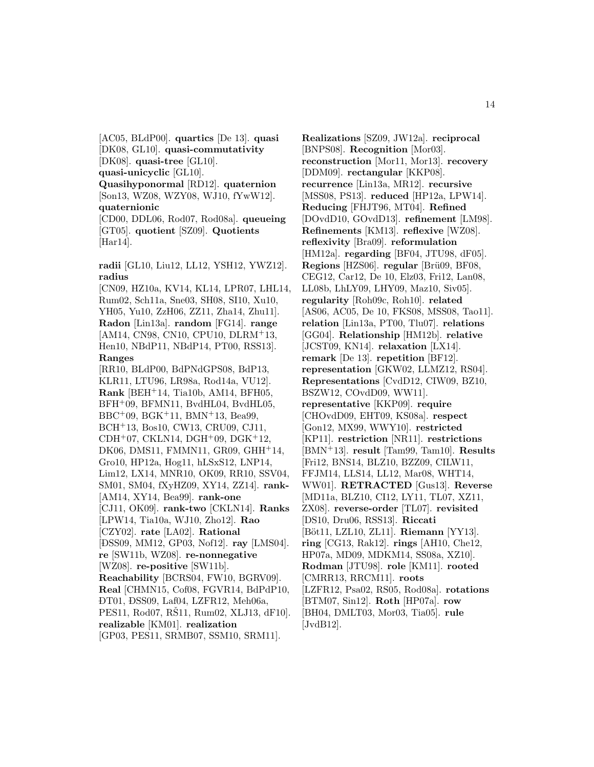[AC05, BLdP00]. **quartics** [De 13]. **quasi** [DK08, GL10]. **quasi-commutativity** [DK08]. **quasi-tree** [GL10]. **quasi-unicyclic** [GL10]. **Quasihyponormal** [RD12]. **quaternion** [Son13, WZ08, WZY08, WJ10, fYwW12]. **quaternionic** [CD00, DDL06, Rod07, Rod08a]. **queueing** [GT05]. **quotient** [SZ09]. **Quotients** [Har14].

**radii** [GL10, Liu12, LL12, YSH12, YWZ12]. **radius**

[CN09, HZ10a, KV14, KL14, LPR07, LHL14, Rum02, Sch11a, Sne03, SH08, SI10, Xu10, YH05, Yu10, ZzH06, ZZ11, Zha14, Zhu11]. **Radon** [Lin13a]. **random** [FG14]. **range** [AM14, CN98, CN10, CPU10, DLRM<sup>+</sup>13, Hen10, NBdP11, NBdP14, PT00, RSS13]. **Ranges** [RR10, BLdP00, BdPNdGPS08, BdP13, KLR11, LTU96, LR98a, Rod14a, VU12]. **Rank** [BEH<sup>+</sup>14, Tia10b, AM14, BFH05, BFH<sup>+</sup>09, BFMN11, BvdHL04, BvdHL05, BBC<sup>+</sup>09, BGK<sup>+</sup>11, BMN<sup>+</sup>13, Bea99, BCH<sup>+</sup>13, Bos10, CW13, CRU09, CJ11, CDH<sup>+</sup>07, CKLN14, DGH<sup>+</sup>09, DGK<sup>+</sup>12, DK06, DMS11, FMMN11, GR09, GHH<sup>+</sup>14, Gro10, HP12a, Hog11, hLSxS12, LNP14, Lim12, LX14, MNR10, OK09, RR10, SSV04, SM01, SM04, fXyHZ09, XY14, ZZ14]. **rank-** [AM14, XY14, Bea99]. **rank-one** [CJ11, OK09]. **rank-two** [CKLN14]. **Ranks** [LPW14, Tia10a, WJ10, Zho12]. **Rao** [CZY02]. **rate** [LA02]. **Rational** [ ¯ DSS09, MM12, GP03, Nof12]. **ray** [LMS04]. **re** [SW11b, WZ08]. **re-nonnegative** [WZ08]. **re-positive** [SW11b]. **Reachability** [BCRS04, FW10, BGRV09]. **Real** [CHMN15, Cof08, FGVR14, BdPdP10, ĐT01, ĐSS09, Laf04, LZFR12, Meh06a, PES11, Rod07, RS11, Rum02, XLJ13, dF10. **realizable** [KM01]. **realization** [GP03, PES11, SRMB07, SSM10, SRM11].

**Realizations** [SZ09, JW12a]. **reciprocal** [BNPS08]. **Recognition** [Mor03]. **reconstruction** [Mor11, Mor13]. **recovery** [DDM09]. **rectangular** [KKP08]. **recurrence** [Lin13a, MR12]. **recursive** [MSS08, PS13]. **reduced** [HP12a, LPW14]. **Reducing** [FHJT96, MT04]. **Refined** [DOvdD10, GOvdD13]. **refinement** [LM98]. **Refinements** [KM13]. **reflexive** [WZ08]. **reflexivity** [Bra09]. **reformulation** [HM12a]. **regarding** [BF04, JTU98, dF05]. **Regions** [HZS06]. **regular** [Brü09, BF08, CEG12, Car12, De 10, Elz03, Fri12, Lan08, LL08b, LhLY09, LHY09, Maz10, Siv05]. **regularity** [Roh09c, Roh10]. **related** [AS06, AC05, De 10, FKS08, MSS08, Tao11]. **relation** [Lin13a, PT00, Tlu07]. **relations** [GG04]. **Relationship** [HM12b]. **relative** [JCST09, KN14]. **relaxation** [LX14]. **remark** [De 13]. **repetition** [BF12]. **representation** [GKW02, LLMZ12, RS04]. **Representations** [CvdD12, CIW09, BZ10, BSZW12, COvdD09, WW11]. **representative** [KKP09]. **require** [CHOvdD09, EHT09, KS08a]. **respect** [Gon12, MX99, WWY10]. **restricted** [KP11]. **restriction** [NR11]. **restrictions** [BMN<sup>+</sup>13]. **result** [Tam99, Tam10]. **Results** [Fri12, BNS14, BLZ10, BZZ09, CILW11, FFJM14, LLS14, LL12, Mar08, WHT14, WW01]. **RETRACTED** [Gus13]. **Reverse** [MD11a, BLZ10, CI12, LY11, TL07, XZ11, ZX08]. **reverse-order** [TL07]. **revisited** [DS10, Dru06, RSS13]. **Riccati** [Böt11, LZL10, ZL11]. **Riemann** [YY13]. **ring** [CG13, Rak12]. **rings** [AH10, Che12, HP07a, MD09, MDKM14, SS08a, XZ10]. **Rodman** [JTU98]. **role** [KM11]. **rooted** [CMRR13, RRCM11]. **roots** [LZFR12, Psa02, RS05, Rod08a]. **rotations** [BTM07, Sin12]. **Roth** [HP07a]. **row** [BH04, DMLT03, Mor03, Tia05]. **rule** [JvdB12].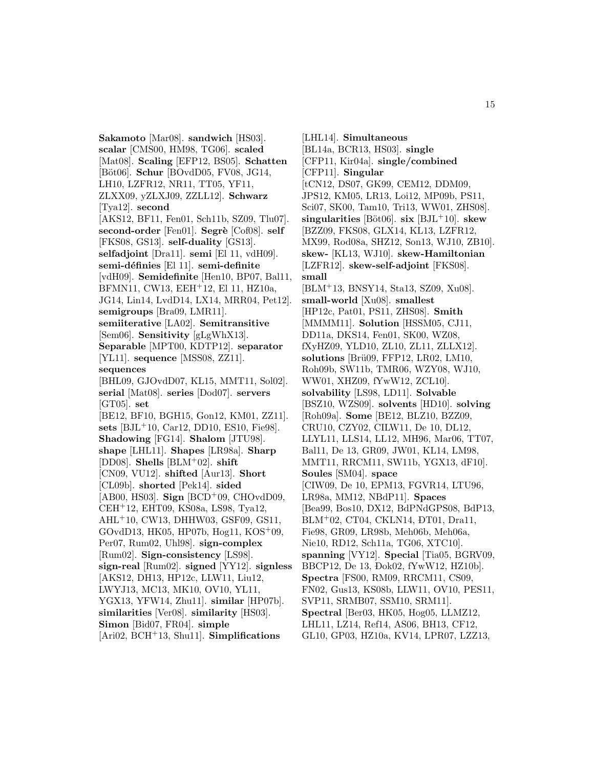**Sakamoto** [Mar08]. **sandwich** [HS03]. **scalar** [CMS00, HM98, TG06]. **scaled** [Mat08]. **Scaling** [EFP12, BS05]. **Schatten** [Böt06]. **Schur** [BOvdD05, FV08, JG14, LH10, LZFR12, NR11, TT05, YF11, ZLXX09, yZLXJ09, ZZLL12]. **Schwarz** [Tya12]. **second** [AKS12, BF11, Fen01, Sch11b, SZ09, Tlu07]. second-order<sup>[Fen01]</sup>. Segrè<sup>[Cof08]</sup>. self [FKS08, GS13]. **self-duality** [GS13]. **selfadjoint** [Dra11]. **semi** [El 11, vdH09]. **semi-d´efinies** [El 11]. **semi-definite** [vdH09]. **Semidefinite** [Hen10, BP07, Bal11, BFMN11, CW13, EEH<sup>+</sup>12, El 11, HZ10a, JG14, Lin14, LvdD14, LX14, MRR04, Pet12]. **semigroups** [Bra09, LMR11]. **semiiterative** [LA02]. **Semitransitive** [Sem06]. **Sensitivity** [gLgWhX13]. **Separable** [MPT00, KDTP12]. **separator** [YL11]. **sequence** [MSS08, ZZ11]. **sequences** [BHL09, GJOvdD07, KL15, MMT11, Sol02]. **serial** [Mat08]. **series** [Dod07]. **servers** [GT05]. **set** [BE12, BF10, BGH15, Gon12, KM01, ZZ11]. **sets** [BJL<sup>+</sup>10, Car12, DD10, ES10, Fie98]. **Shadowing** [FG14]. **Shalom** [JTU98]. **shape** [LHL11]. **Shapes** [LR98a]. **Sharp** [DD08]. **Shells** [BLM<sup>+</sup>02]. **shift** [CN09, VU12]. **shifted** [Aur13]. **Short** [CL09b]. **shorted** [Pek14]. **sided** [AB00, HS03]. **Sign** [BCD<sup>+</sup>09, CHOvdD09, CEH<sup>+</sup>12, EHT09, KS08a, LS98, Tya12, AHL<sup>+</sup>10, CW13, DHHW03, GSF09, GS11, GOvdD13, HK05, HP07b, Hog11, KOS<sup>+</sup>09, Per07, Rum02, Uhl98]. **sign-complex** [Rum02]. **Sign-consistency** [LS98]. **sign-real** [Rum02]. **signed** [YY12]. **signless** [AKS12, DH13, HP12c, LLW11, Liu12, LWYJ13, MC13, MK10, OV10, YL11, YGX13, YFW14, Zhu11]. **similar** [HP07b]. **similarities** [Ver08]. **similarity** [HS03]. **Simon** [Bid07, FR04]. **simple** [Ari02, BCH<sup>+</sup>13, Shu11]. **Simplifications**

[LHL14]. **Simultaneous** [BL14a, BCR13, HS03]. **single** [CFP11, Kir04a]. **single/combined** [CFP11]. **Singular** [tCN12, DS07, GK99, CEM12, DDM09, JPS12, KM05, LR13, Loi12, MP09b, PS11, Sci07, SK00, Tam10, Tri13, WW01, ZHS08].  $\boldsymbol{\text{singularities}}$  [Böt06].  $\boldsymbol{\text{six}}$  [BJL<sup>+</sup>10].  $\boldsymbol{\text{skew}}$ [BZZ09, FKS08, GLX14, KL13, LZFR12, MX99, Rod08a, SHZ12, Son13, WJ10, ZB10]. **skew-** [KL13, WJ10]. **skew-Hamiltonian** [LZFR12]. **skew-self-adjoint** [FKS08]. **small** [BLM<sup>+</sup>13, BNSY14, Sta13, SZ09, Xu08]. **small-world** [Xu08]. **smallest** [HP12c, Pat01, PS11, ZHS08]. **Smith** [MMMM11]. **Solution** [HSSM05, CJ11, DD11a, DKS14, Fen01, SK00, WZ08, fXyHZ09, YLD10, ZL10, ZL11, ZLLX12]. solutions [Brü09, FFP12, LR02, LM10, Roh09b, SW11b, TMR06, WZY08, WJ10, WW01, XHZ09, fYwW12, ZCL10]. **solvability** [LS98, LD11]. **Solvable** [BSZ10, WZS09]. **solvents** [HD10]. **solving** [Roh09a]. **Some** [BE12, BLZ10, BZZ09, CRU10, CZY02, CILW11, De 10, DL12, LLYL11, LLS14, LL12, MH96, Mar06, TT07, Bal11, De 13, GR09, JW01, KL14, LM98, MMT11, RRCM11, SW11b, YGX13, dF10]. **Soules** [SM04]. **space** [CIW09, De 10, EPM13, FGVR14, LTU96, LR98a, MM12, NBdP11]. **Spaces** [Bea99, Bos10, DX12, BdPNdGPS08, BdP13,  $\mathrm{BLM^{+}02}, \, \mathrm{CT04}, \, \mathrm{CKLN14}, \, \mathrm{DT01}, \, \mathrm{Dra11},$ Fie98, GR09, LR98b, Meh06b, Meh06a, Nie10, RD12, Sch11a, TG06, XTC10]. **spanning** [VY12]. **Special** [Tia05, BGRV09, BBCP12, De 13, Đok02, fYwW12, HZ10b]. **Spectra** [FS00, RM09, RRCM11, CS09, FN02, Gus13, KS08b, LLW11, OV10, PES11, SVP11, SRMB07, SSM10, SRM11]. **Spectral** [Ber03, HK05, Hog05, LLMZ12, LHL11, LZ14, Ref14, AS06, BH13, CF12, GL10, GP03, HZ10a, KV14, LPR07, LZZ13,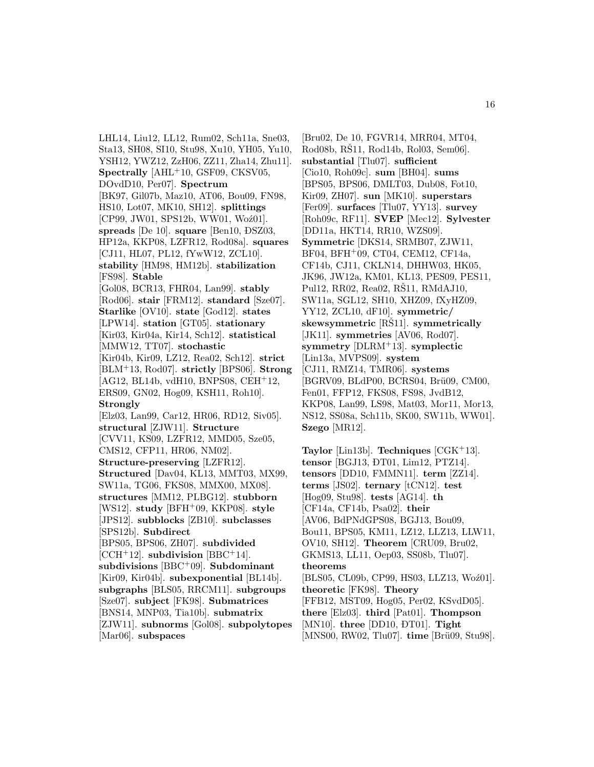LHL14, Liu12, LL12, Rum02, Sch11a, Sne03, Sta13, SH08, SI10, Stu98, Xu10, YH05, Yu10, YSH12, YWZ12, ZzH06, ZZ11, Zha14, Zhu11]. **Spectrally** [AHL<sup>+</sup>10, GSF09, CKSV05, DOvdD10, Per07]. **Spectrum** [BK97, Gil07b, Maz10, AT06, Bou09, FN98, HS10, Lot07, MK10, SH12]. **splittings** [CP99, JW01, SPS12b, WW01, Woź01]. **spreads** [De 10]. **square** [Ben10, DSZ03, HP12a, KKP08, LZFR12, Rod08a]. **squares** [CJ11, HL07, PL12, fYwW12, ZCL10]. **stability** [HM98, HM12b]. **stabilization** [FS98]. **Stable** [Gol08, BCR13, FHR04, Lan99]. **stably** [Rod06]. **stair** [FRM12]. **standard** [Sze07]. **Starlike** [OV10]. **state** [God12]. **states** [LPW14]. **station** [GT05]. **stationary** [Kir03, Kir04a, Kir14, Sch12]. **statistical** [MMW12, TT07]. **stochastic** [Kir04b, Kir09, LZ12, Rea02, Sch12]. **strict** [BLM<sup>+</sup>13, Rod07]. **strictly** [BPS06]. **Strong** [AG12, BL14b, vdH10, BNPS08, CEH<sup>+</sup>12, ERS09, GN02, Hog09, KSH11, Roh10]. **Strongly** [Elz03, Lan99, Car12, HR06, RD12, Siv05]. **structural** [ZJW11]. **Structure** [CVV11, KS09, LZFR12, MMD05, Sze05, CMS12, CFP11, HR06, NM02]. **Structure-preserving** [LZFR12]. **Structured** [Dav04, KL13, MMT03, MX99, SW11a, TG06, FKS08, MMX00, MX08]. **structures** [MM12, PLBG12]. **stubborn** [WS12]. **study** [BFH<sup>+</sup>09, KKP08]. **style** [JPS12]. **subblocks** [ZB10]. **subclasses** [SPS12b]. **Subdirect** [BPS05, BPS06, ZH07]. **subdivided** [CCH<sup>+</sup>12]. **subdivision** [BBC<sup>+</sup>14]. **subdivisions** [BBC<sup>+</sup>09]. **Subdominant** [Kir09, Kir04b]. **subexponential** [BL14b]. **subgraphs** [BLS05, RRCM11]. **subgroups** [Sze07]. **subject** [FK98]. **Submatrices** [BNS14, MNP03, Tia10b]. **submatrix** [ZJW11]. **subnorms** [Gol08]. **subpolytopes** [Mar06]. **subspaces**

[Bru02, De 10, FGVR14, MRR04, MT04, Rod08b, RŠ11, Rod14b, Rol03, Sem06. **substantial** [Tlu07]. **sufficient** [Cio10, Roh09c]. **sum** [BH04]. **sums** [BPS05, BPS06, DMLT03, Dub08, Fot10, Kir09, ZH07]. **sun** [MK10]. **superstars** [Fer09]. **surfaces** [Tlu07, YY13]. **survey** [Roh09c, RF11]. **SVEP** [Mec12]. **Sylvester** [DD11a, HKT14, RR10, WZS09]. **Symmetric** [DKS14, SRMB07, ZJW11, BF04, BFH<sup>+</sup>09, CT04, CEM12, CF14a, CF14b, CJ11, CKLN14, DHHW03, HK05, JK96, JW12a, KM01, KL13, PES09, PES11, Pul12, RR02, Rea02, RS11, RMdAJ10, SW11a, SGL12, SH10, XHZ09, fXyHZ09, YY12, ZCL10, dF10]. **symmetric/** skewsymmetric [RS11]. symmetrically [JK11]. **symmetries** [AV06, Rod07]. **symmetry** [DLRM<sup>+</sup>13]. **symplectic** [Lin13a, MVPS09]. **system** [CJ11, RMZ14, TMR06]. **systems** [BGRV09, BLdP00, BCRS04, Brü09, CM00, Fen01, FFP12, FKS08, FS98, JvdB12, KKP08, Lan99, LS98, Mat03, Mor11, Mor13, NS12, SS08a, Sch11b, SK00, SW11b, WW01]. **Szego** [MR12].

**Taylor** [Lin13b]. **Techniques** [CGK<sup>+</sup>13]. **tensor** [BGJ13, ĐT01, Lim12, PTZ14]. **tensors** [DD10, FMMN11]. **term** [ZZ14]. **terms** [JS02]. **ternary** [tCN12]. **test** [Hog09, Stu98]. **tests** [AG14]. **th** [CF14a, CF14b, Psa02]. **their** [AV06, BdPNdGPS08, BGJ13, Bou09, Bou11, BPS05, KM11, LZ12, LLZ13, LLW11, OV10, SH12]. **Theorem** [CRU09, Bru02, GKMS13, LL11, Oep03, SS08b, Tlu07]. **theorems** [BLS05, CL09b, CP99, HS03, LLZ13, Woź01]. **theoretic** [FK98]. **Theory** [FFB12, MST09, Hog05, Per02, KSvdD05]. **there** [Elz03]. **third** [Pat01]. **Thompson** [MN10]. **three** [DD10, ĐT01]. **Tight** [MNS00, RW02, Tlu07]. **time** [Brü09, Stu98].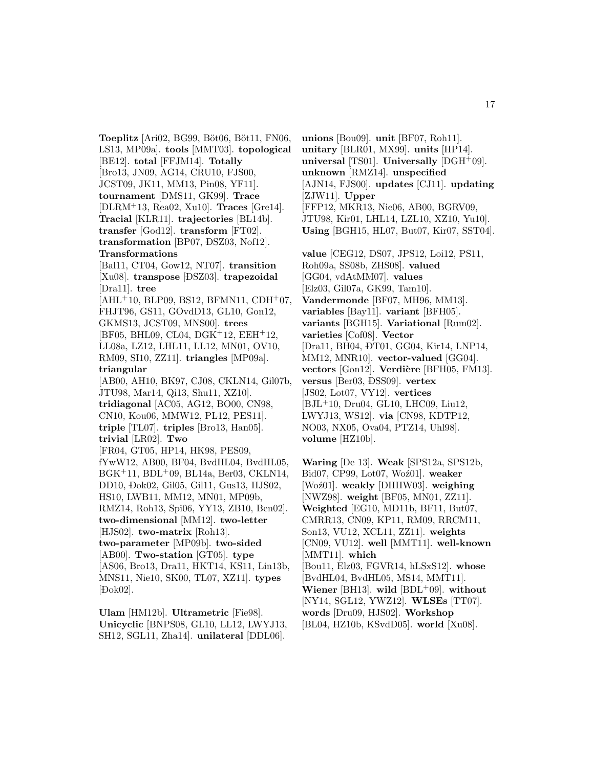**Toeplitz** [Ari02, BG99, Böt06, Böt11, FN06, LS13, MP09a]. **tools** [MMT03]. **topological** [BE12]. **total** [FFJM14]. **Totally** [Bro13, JN09, AG14, CRU10, FJS00, JCST09, JK11, MM13, Pin08, YF11]. **tournament** [DMS11, GK99]. **Trace** [DLRM<sup>+</sup>13, Rea02, Xu10]. **Traces** [Gre14]. **Tracial** [KLR11]. **trajectories** [BL14b]. **transfer** [God12]. **transform** [FT02]. **transformation** [BP07, ĐSZ03, Nof12]. **Transformations** [Bal11, CT04, Gow12, NT07]. **transition** [Xu08]. **transpose** [ ¯ DSZ03]. **trapezoidal** [Dra11]. **tree**  $[AHL+10, BLP09, BS12, BFMN11, CDH+07,$ FHJT96, GS11, GOvdD13, GL10, Gon12, GKMS13, JCST09, MNS00]. **trees** [BF05, BHL09, CL04, DGK<sup>+</sup>12, EEH<sup>+</sup>12, LL08a, LZ12, LHL11, LL12, MN01, OV10, RM09, SI10, ZZ11]. **triangles** [MP09a]. **triangular** [AB00, AH10, BK97, CJ08, CKLN14, Gil07b, JTU98, Mar14, Qi13, Shu11, XZ10]. **tridiagonal** [AC05, AG12, BO00, CN98, CN10, Kou06, MMW12, PL12, PES11]. **triple** [TL07]. **triples** [Bro13, Han05]. **trivial** [LR02]. **Two** [FR04, GT05, HP14, HK98, PES09, fYwW12, AB00, BF04, BvdHL04, BvdHL05, BGK<sup>+</sup>11, BDL<sup>+</sup>09, BL14a, Ber03, CKLN14, DD10, ¯ Dok02, Gil05, Gil11, Gus13, HJS02, HS10, LWB11, MM12, MN01, MP09b, RMZ14, Roh13, Spi06, YY13, ZB10, Ben02]. **two-dimensional** [MM12]. **two-letter** [HJS02]. **two-matrix** [Roh13]. **two-parameter** [MP09b]. **two-sided** [AB00]. **Two-station** [GT05]. **type** [AS06, Bro13, Dra11, HKT14, KS11, Lin13b, MNS11, Nie10, SK00, TL07, XZ11]. **types** [ ¯ Dok02].

**Ulam** [HM12b]. **Ultrametric** [Fie98]. **Unicyclic** [BNPS08, GL10, LL12, LWYJ13, SH12, SGL11, Zha14]. **unilateral** [DDL06].

**unions** [Bou09]. **unit** [BF07, Roh11]. **unitary** [BLR01, MX99]. **units** [HP14]. **universal** [TS01]. **Universally** [DGH<sup>+</sup>09]. **unknown** [RMZ14]. **unspecified** [AJN14, FJS00]. **updates** [CJ11]. **updating** [ZJW11]. **Upper** [FFP12, MKR13, Nie06, AB00, BGRV09, JTU98, Kir01, LHL14, LZL10, XZ10, Yu10]. **Using** [BGH15, HL07, But07, Kir07, SST04]. **value** [CEG12, DS07, JPS12, Loi12, PS11, Roh09a, SS08b, ZHS08]. **valued** [GG04, vdAtMM07]. **values** [Elz03, Gil07a, GK99, Tam10]. **Vandermonde** [BF07, MH96, MM13]. **variables** [Bay11]. **variant** [BFH05]. **variants** [BGH15]. **Variational** [Rum02]. **varieties** [Cof08]. **Vector** [Dra11, BH04, ĐT01, GG04, Kir14, LNP14, MM12, MNR10]. **vector-valued** [GG04]. vectors [Gon12]. Verdière [BFH05, FM13]. **versus** [Ber03, DSS09]. **vertex** [JS02, Lot07, VY12]. **vertices** [BJL<sup>+</sup>10, Dru04, GL10, LHC09, Liu12, LWYJ13, WS12]. **via** [CN98, KDTP12, NO03, NX05, Ova04, PTZ14, Uhl98]. **volume** [HZ10b].

**Waring** [De 13]. **Weak** [SPS12a, SPS12b, Bid07, CP99, Lot07, Woź01]. **weaker** [Woź01]. **weakly** [DHHW03]. **weighing** [NWZ98]. **weight** [BF05, MN01, ZZ11]. **Weighted** [EG10, MD11b, BF11, But07, CMRR13, CN09, KP11, RM09, RRCM11, Son13, VU12, XCL11, ZZ11]. **weights** [CN09, VU12]. **well** [MMT11]. **well-known** [MMT11]. **which** [Bou11, Elz03, FGVR14, hLSxS12]. **whose** [BvdHL04, BvdHL05, MS14, MMT11]. **Wiener** [BH13]. **wild** [BDL<sup>+</sup>09]. **without** [NY14, SGL12, YWZ12]. **WLSEs** [TT07]. **words** [Dru09, HJS02]. **Workshop** [BL04, HZ10b, KSvdD05]. **world** [Xu08].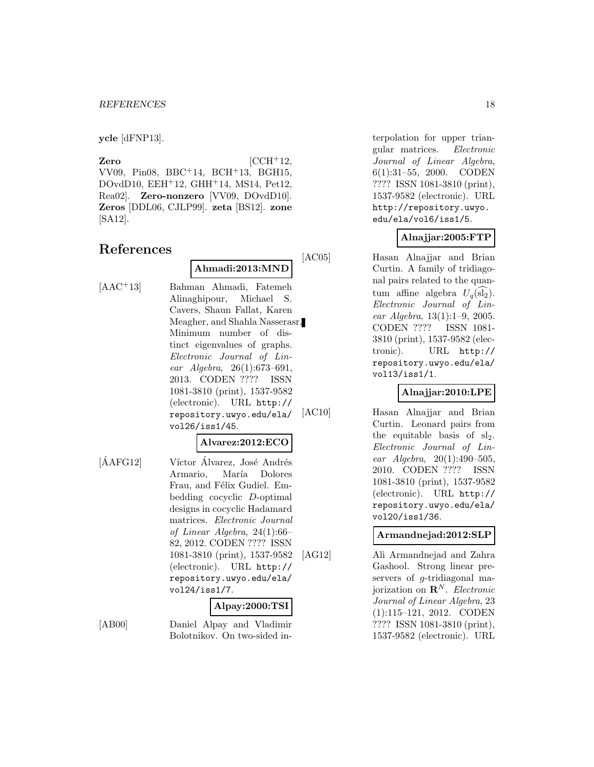**ycle** [dFNP13].

**Zero** [CCH<sup>+</sup>12, VV09, Pin08, BBC<sup>+</sup>14, BCH<sup>+</sup>13, BGH15, DOvdD10, EEH<sup>+</sup>12, GHH<sup>+</sup>14, MS14, Pet12, Rea02]. **Zero-nonzero** [VV09, DOvdD10]. **Zeros** [DDL06, CJLP99]. **zeta** [BS12]. **zone** [SA12].

## **References**

**Ahmadi:2013:MND**

[AAC<sup>+</sup>13] Bahman Ahmadi, Fatemeh Alinaghipour, Michael S. Cavers, Shaun Fallat, Karen Meagher, and Shahla Nasserasr. Minimum number of distinct eigenvalues of graphs. Electronic Journal of Linear Algebra, 26(1):673–691, 2013. CODEN ???? ISSN 1081-3810 (print), 1537-9582 (electronic). URL http:// repository.uwyo.edu/ela/ vol26/iss1/45.

#### **Alvarez:2012:ECO**

[ÁAFG12] Víctor Álvarez, José Andrés Armario, María Dolores Frau, and Félix Gudiel. Embedding cocyclic D-optimal designs in cocyclic Hadamard matrices. Electronic Journal of Linear Algebra, 24(1):66– 82, 2012. CODEN ???? ISSN 1081-3810 (print), 1537-9582 (electronic). URL http:// repository.uwyo.edu/ela/ vol24/iss1/7.

## **Alpay:2000:TSI**

[AB00] Daniel Alpay and Vladimir Bolotnikov. On two-sided interpolation for upper triangular matrices. Electronic Journal of Linear Algebra, 6(1):31–55, 2000. CODEN ???? ISSN 1081-3810 (print), 1537-9582 (electronic). URL http://repository.uwyo. edu/ela/vol6/iss1/5.

## **Alnajjar:2005:FTP**

[AC05] Hasan Alnajjar and Brian Curtin. A family of tridiagonal pairs related to the quantum affine algebra  $U_q(\mathrm{sl}_2)$ . Electronic Journal of Linear Algebra, 13(1):1–9, 2005. CODEN ???? ISSN 1081- 3810 (print), 1537-9582 (electronic). URL http:// repository.uwyo.edu/ela/ vol13/iss1/1.

## **Alnajjar:2010:LPE**

[AC10] Hasan Alnajjar and Brian Curtin. Leonard pairs from the equitable basis of  $sl_2$ . Electronic Journal of Linear Algebra, 20(1):490–505, 2010. CODEN ???? ISSN 1081-3810 (print), 1537-9582 (electronic). URL http:// repository.uwyo.edu/ela/ vol20/iss1/36.

**Armandnejad:2012:SLP**

[AG12] Ali Armandnejad and Zahra Gashool. Strong linear preservers of g-tridiagonal majorization on  $\mathbb{R}^N$ . Electronic Journal of Linear Algebra, 23 (1):115–121, 2012. CODEN ???? ISSN 1081-3810 (print), 1537-9582 (electronic). URL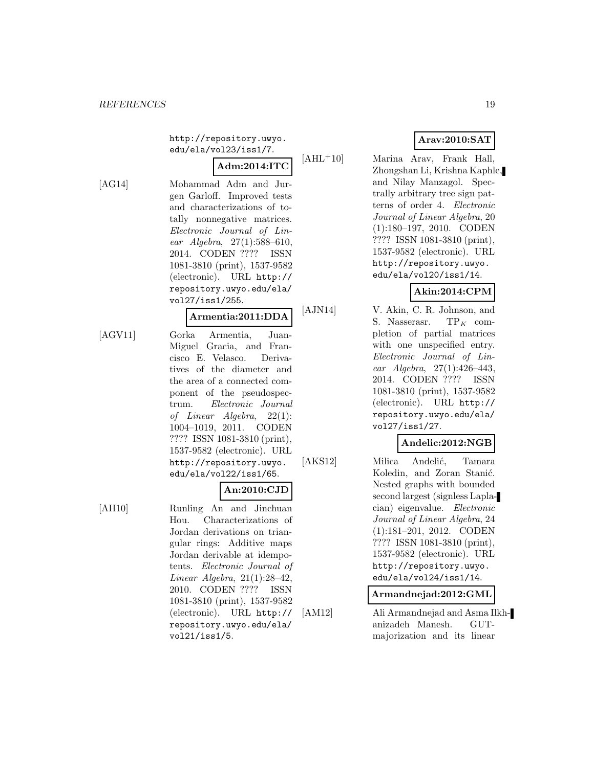http://repository.uwyo. edu/ela/vol23/iss1/7.

**Adm:2014:ITC**

[AG14] Mohammad Adm and Jurgen Garloff. Improved tests and characterizations of totally nonnegative matrices. Electronic Journal of Linear  $Algebra$ ,  $27(1):588-610$ , 2014. CODEN ???? ISSN 1081-3810 (print), 1537-9582 (electronic). URL http:// repository.uwyo.edu/ela/ vol27/iss1/255.

#### **Armentia:2011:DDA**

[AGV11] Gorka Armentia, Juan-Miguel Gracia, and Francisco E. Velasco. Derivatives of the diameter and the area of a connected component of the pseudospectrum. Electronic Journal of Linear Algebra, 22(1): 1004–1019, 2011. CODEN ???? ISSN 1081-3810 (print), 1537-9582 (electronic). URL http://repository.uwyo. edu/ela/vol22/iss1/65.

## **An:2010:CJD**

[AH10] Runling An and Jinchuan Hou. Characterizations of Jordan derivations on triangular rings: Additive maps Jordan derivable at idempotents. Electronic Journal of Linear Algebra, 21(1):28–42, 2010. CODEN ???? ISSN 1081-3810 (print), 1537-9582 (electronic). URL http:// repository.uwyo.edu/ela/ vol21/iss1/5.

## **Arav:2010:SAT**

[AHL<sup>+</sup>10] Marina Arav, Frank Hall, Zhongshan Li, Krishna Kaphle, and Nilay Manzagol. Spectrally arbitrary tree sign patterns of order 4. Electronic Journal of Linear Algebra, 20 (1):180–197, 2010. CODEN ???? ISSN 1081-3810 (print), 1537-9582 (electronic). URL http://repository.uwyo. edu/ela/vol20/iss1/14.

## **Akin:2014:CPM**

[AJN14] V. Akin, C. R. Johnson, and S. Nasserasr.  $TP_K$  completion of partial matrices with one unspecified entry. Electronic Journal of Linear Algebra, 27(1):426–443, 2014. CODEN ???? ISSN 1081-3810 (print), 1537-9582 (electronic). URL http:// repository.uwyo.edu/ela/ vol27/iss1/27.

## **Andelic:2012:NGB**

[AKS12] Milica Andelić, Tamara Koledin, and Zoran Stanić. Nested graphs with bounded second largest (signless Laplacian) eigenvalue. Electronic Journal of Linear Algebra, 24 (1):181–201, 2012. CODEN ???? ISSN 1081-3810 (print), 1537-9582 (electronic). URL http://repository.uwyo. edu/ela/vol24/iss1/14.

## **Armandnejad:2012:GML**

[AM12] Ali Armandnejad and Asma Ilkhanizadeh Manesh. GUTmajorization and its linear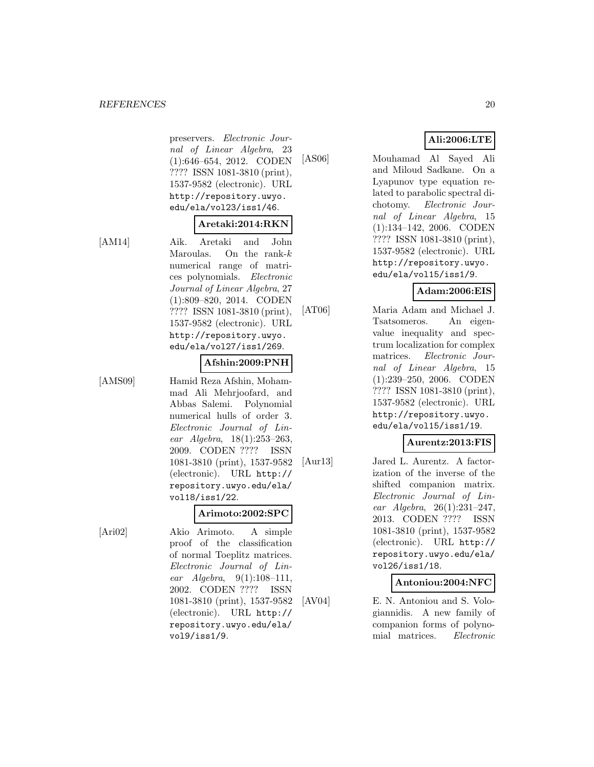#### *REFERENCES* 20

preservers. Electronic Journal of Linear Algebra, 23 (1):646–654, 2012. CODEN ???? ISSN 1081-3810 (print), 1537-9582 (electronic). URL http://repository.uwyo. edu/ela/vol23/iss1/46.

## **Aretaki:2014:RKN**

[AM14] Aik. Aretaki and John Maroulas. On the rank- $k$ numerical range of matrices polynomials. Electronic Journal of Linear Algebra, 27 (1):809–820, 2014. CODEN ???? ISSN 1081-3810 (print), 1537-9582 (electronic). URL http://repository.uwyo. edu/ela/vol27/iss1/269.

## **Afshin:2009:PNH**

[AMS09] Hamid Reza Afshin, Mohammad Ali Mehrjoofard, and Abbas Salemi. Polynomial numerical hulls of order 3. Electronic Journal of Linear Algebra, 18(1):253–263, 2009. CODEN ???? ISSN 1081-3810 (print), 1537-9582 (electronic). URL http:// repository.uwyo.edu/ela/ vol18/iss1/22.

## **Arimoto:2002:SPC**

[Ari02] Akio Arimoto. A simple proof of the classification of normal Toeplitz matrices. Electronic Journal of Linear Algebra, 9(1):108–111, 2002. CODEN ???? ISSN 1081-3810 (print), 1537-9582 (electronic). URL http:// repository.uwyo.edu/ela/ vol9/iss1/9.

## **Ali:2006:LTE**

[AS06] Mouhamad Al Sayed Ali and Miloud Sadkane. On a Lyapunov type equation related to parabolic spectral dichotomy. Electronic Journal of Linear Algebra, 15 (1):134–142, 2006. CODEN ???? ISSN 1081-3810 (print), 1537-9582 (electronic). URL http://repository.uwyo. edu/ela/vol15/iss1/9.

## **Adam:2006:EIS**

[AT06] Maria Adam and Michael J. Tsatsomeros. An eigenvalue inequality and spectrum localization for complex matrices. Electronic Journal of Linear Algebra, 15 (1):239–250, 2006. CODEN ???? ISSN 1081-3810 (print), 1537-9582 (electronic). URL http://repository.uwyo. edu/ela/vol15/iss1/19.

## **Aurentz:2013:FIS**

[Aur13] Jared L. Aurentz. A factorization of the inverse of the shifted companion matrix. Electronic Journal of Linear Algebra, 26(1):231–247, 2013. CODEN ???? ISSN 1081-3810 (print), 1537-9582 (electronic). URL http:// repository.uwyo.edu/ela/ vol26/iss1/18.

#### **Antoniou:2004:NFC**

[AV04] E. N. Antoniou and S. Vologiannidis. A new family of companion forms of polynomial matrices. Electronic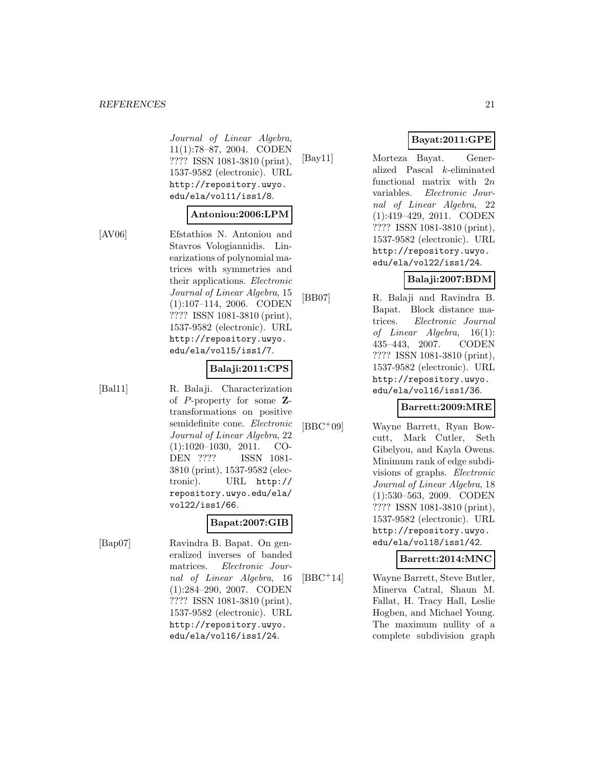#### *REFERENCES* 21

Journal of Linear Algebra, 11(1):78–87, 2004. CODEN ???? ISSN 1081-3810 (print), 1537-9582 (electronic). URL http://repository.uwyo. edu/ela/vol11/iss1/8.

#### **Antoniou:2006:LPM**

[AV06] Efstathios N. Antoniou and Stavros Vologiannidis. Linearizations of polynomial matrices with symmetries and their applications. Electronic Journal of Linear Algebra, 15 (1):107–114, 2006. CODEN ???? ISSN 1081-3810 (print), 1537-9582 (electronic). URL http://repository.uwyo. edu/ela/vol15/iss1/7.

## **Balaji:2011:CPS**

[Bal11] R. Balaji. Characterization of P-property for some **Z**transformations on positive semidefinite cone. Electronic Journal of Linear Algebra, 22 (1):1020–1030, 2011. CO-DEN ???? ISSN 1081- 3810 (print), 1537-9582 (electronic). URL http:// repository.uwyo.edu/ela/ vol22/iss1/66.

## **Bapat:2007:GIB**

[Bap07] Ravindra B. Bapat. On generalized inverses of banded matrices. Electronic Journal of Linear Algebra, 16 (1):284–290, 2007. CODEN ???? ISSN 1081-3810 (print), 1537-9582 (electronic). URL http://repository.uwyo. edu/ela/vol16/iss1/24.

## **Bayat:2011:GPE**

[Bay11] Morteza Bayat. Generalized Pascal k-eliminated functional matrix with 2n variables. Electronic Journal of Linear Algebra, 22 (1):419–429, 2011. CODEN ???? ISSN 1081-3810 (print), 1537-9582 (electronic). URL http://repository.uwyo. edu/ela/vol22/iss1/24.

## **Balaji:2007:BDM**

[BB07] R. Balaji and Ravindra B. Bapat. Block distance matrices. Electronic Journal of Linear Algebra, 16(1): 435–443, 2007. CODEN ???? ISSN 1081-3810 (print), 1537-9582 (electronic). URL http://repository.uwyo. edu/ela/vol16/iss1/36.

## **Barrett:2009:MRE**

[BBC<sup>+</sup>09] Wayne Barrett, Ryan Bowcutt, Mark Cutler, Seth Gibelyou, and Kayla Owens. Minimum rank of edge subdivisions of graphs. Electronic Journal of Linear Algebra, 18 (1):530–563, 2009. CODEN ???? ISSN 1081-3810 (print), 1537-9582 (electronic). URL http://repository.uwyo. edu/ela/vol18/iss1/42.

## **Barrett:2014:MNC**

[BBC<sup>+</sup>14] Wayne Barrett, Steve Butler, Minerva Catral, Shaun M. Fallat, H. Tracy Hall, Leslie Hogben, and Michael Young. The maximum nullity of a complete subdivision graph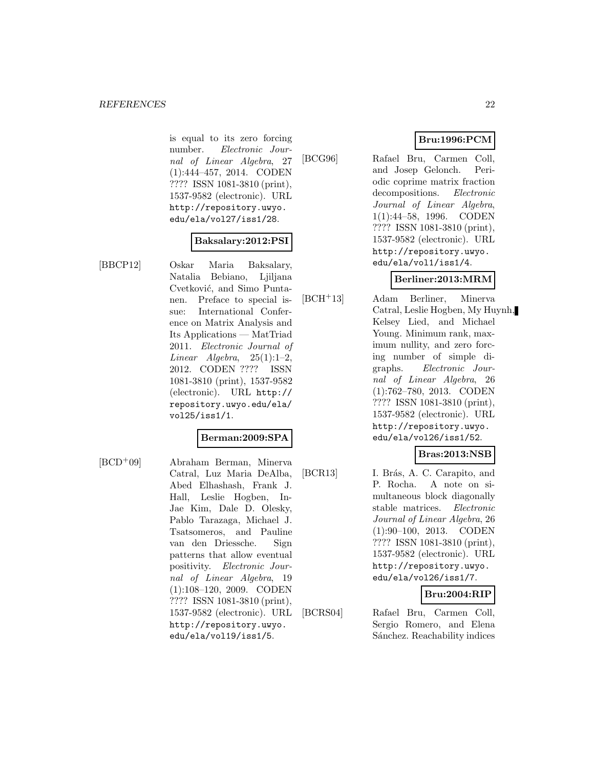is equal to its zero forcing number. Electronic Journal of Linear Algebra, 27 (1):444–457, 2014. CODEN ???? ISSN 1081-3810 (print), 1537-9582 (electronic). URL http://repository.uwyo. edu/ela/vol27/iss1/28.

## **Baksalary:2012:PSI**

[BBCP12] Oskar Maria Baksalary, Natalia Bebiano, Ljiljana Cvetković, and Simo Puntanen. Preface to special issue: International Conference on Matrix Analysis and Its Applications — MatTriad 2011. Electronic Journal of Linear Algebra,  $25(1):1-2$ , 2012. CODEN ???? ISSN 1081-3810 (print), 1537-9582 (electronic). URL http:// repository.uwyo.edu/ela/ vol25/iss1/1.

## **Berman:2009:SPA**

[BCD<sup>+</sup>09] Abraham Berman, Minerva Catral, Luz Maria DeAlba, Abed Elhashash, Frank J. Hall, Leslie Hogben, In-Jae Kim, Dale D. Olesky, Pablo Tarazaga, Michael J. Tsatsomeros, and Pauline van den Driessche. Sign patterns that allow eventual positivity. Electronic Journal of Linear Algebra, 19 (1):108–120, 2009. CODEN ???? ISSN 1081-3810 (print), 1537-9582 (electronic). URL http://repository.uwyo. edu/ela/vol19/iss1/5.

[BCG96] Rafael Bru, Carmen Coll, and Josep Gelonch. Periodic coprime matrix fraction decompositions. Electronic Journal of Linear Algebra, 1(1):44–58, 1996. CODEN ???? ISSN 1081-3810 (print), 1537-9582 (electronic). URL http://repository.uwyo. edu/ela/vol1/iss1/4.

## **Berliner:2013:MRM**

[BCH<sup>+</sup>13] Adam Berliner, Minerva Catral, Leslie Hogben, My Huynh, Kelsey Lied, and Michael Young. Minimum rank, maximum nullity, and zero forcing number of simple digraphs. Electronic Journal of Linear Algebra, 26 (1):762–780, 2013. CODEN ???? ISSN 1081-3810 (print), 1537-9582 (electronic). URL http://repository.uwyo. edu/ela/vol26/iss1/52.

## **Bras:2013:NSB**

[BCR13] I. Brás, A. C. Carapito, and P. Rocha. A note on simultaneous block diagonally stable matrices. Electronic Journal of Linear Algebra, 26 (1):90–100, 2013. CODEN ???? ISSN 1081-3810 (print), 1537-9582 (electronic). URL http://repository.uwyo. edu/ela/vol26/iss1/7.

## **Bru:2004:RIP**

[BCRS04] Rafael Bru, Carmen Coll, Sergio Romero, and Elena Sánchez. Reachability indices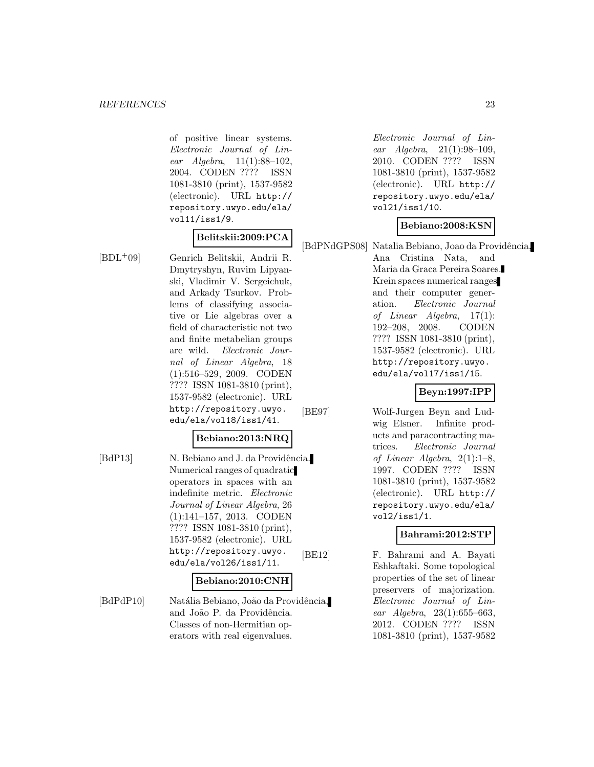of positive linear systems. Electronic Journal of Linear Algebra, 11(1):88–102, 2004. CODEN ???? ISSN 1081-3810 (print), 1537-9582 (electronic). URL http:// repository.uwyo.edu/ela/ vol11/iss1/9.

### **Belitskii:2009:PCA**

Dmytryshyn, Ruvim Lipyanski, Vladimir V. Sergeichuk, and Arkady Tsurkov. Problems of classifying associative or Lie algebras over a field of characteristic not two and finite metabelian groups are wild. Electronic Journal of Linear Algebra, 18 (1):516–529, 2009. CODEN ???? ISSN 1081-3810 (print), 1537-9582 (electronic). URL

[BDL<sup>+</sup>09] Genrich Belitskii, Andrii R.

#### **Bebiano:2013:NRQ**

http://repository.uwyo. edu/ela/vol18/iss1/41.

[BdP13] N. Bebiano and J. da Providência. Numerical ranges of quadratic operators in spaces with an indefinite metric. Electronic Journal of Linear Algebra, 26 (1):141–157, 2013. CODEN ???? ISSN 1081-3810 (print), 1537-9582 (electronic). URL http://repository.uwyo. edu/ela/vol26/iss1/11.

#### **Bebiano:2010:CNH**

[BdPdP10] Natália Bebiano, João da Providência, and João P. da Providência. Classes of non-Hermitian operators with real eigenvalues.

Electronic Journal of Linear Algebra, 21(1):98–109, 2010. CODEN ???? ISSN 1081-3810 (print), 1537-9582 (electronic). URL http:// repository.uwyo.edu/ela/ vol21/iss1/10.

**Bebiano:2008:KSN**

[BdPNdGPS08] Natalia Bebiano, Joao da Providência, Ana Cristina Nata, and

Maria da Graca Pereira Soares. Krein spaces numerical ranges and their computer generation. Electronic Journal of Linear Algebra, 17(1): 192–208, 2008. CODEN ???? ISSN 1081-3810 (print), 1537-9582 (electronic). URL http://repository.uwyo. edu/ela/vol17/iss1/15.

## **Beyn:1997:IPP**

[BE97] Wolf-Jurgen Beyn and Ludwig Elsner. Infinite products and paracontracting matrices. Electronic Journal of Linear Algebra, 2(1):1–8, 1997. CODEN ???? ISSN 1081-3810 (print), 1537-9582 (electronic). URL http:// repository.uwyo.edu/ela/ vol2/iss1/1.

## **Bahrami:2012:STP**

[BE12] F. Bahrami and A. Bayati Eshkaftaki. Some topological properties of the set of linear preservers of majorization. Electronic Journal of Linear Algebra, 23(1):655–663, 2012. CODEN ???? ISSN 1081-3810 (print), 1537-9582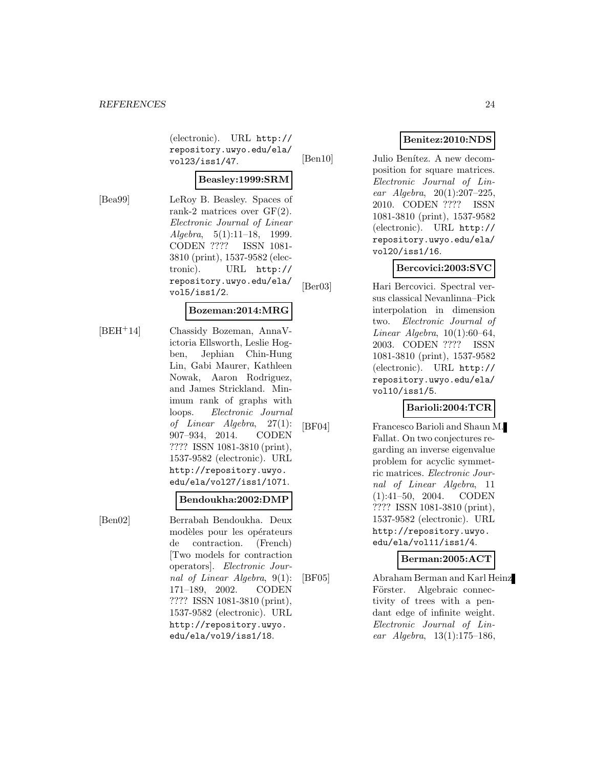(electronic). URL http:// repository.uwyo.edu/ela/ vol23/iss1/47.

## **Beasley:1999:SRM**

[Bea99] LeRoy B. Beasley. Spaces of rank-2 matrices over GF(2). Electronic Journal of Linear  $Algebra, 5(1):11-18, 1999.$ CODEN ???? ISSN 1081- 3810 (print), 1537-9582 (electronic). URL http:// repository.uwyo.edu/ela/ vol5/iss1/2.

### **Bozeman:2014:MRG**

[BEH<sup>+</sup>14] Chassidy Bozeman, AnnaVictoria Ellsworth, Leslie Hogben, Jephian Chin-Hung Lin, Gabi Maurer, Kathleen Nowak, Aaron Rodriguez, and James Strickland. Minimum rank of graphs with loops. Electronic Journal of Linear Algebra, 27(1): 907–934, 2014. CODEN ???? ISSN 1081-3810 (print), 1537-9582 (electronic). URL http://repository.uwyo. edu/ela/vol27/iss1/1071.

#### **Bendoukha:2002:DMP**

[Ben02] Berrabah Bendoukha. Deux modèles pour les opérateurs de contraction. (French) [Two models for contraction operators]. Electronic Journal of Linear Algebra, 9(1): 171–189, 2002. CODEN ???? ISSN 1081-3810 (print), 1537-9582 (electronic). URL http://repository.uwyo. edu/ela/vol9/iss1/18.

## **Benitez:2010:NDS**

[Ben10] Julio Benítez. A new decomposition for square matrices. Electronic Journal of Linear Algebra, 20(1):207–225, 2010. CODEN ???? ISSN 1081-3810 (print), 1537-9582 (electronic). URL http:// repository.uwyo.edu/ela/ vol20/iss1/16.

## **Bercovici:2003:SVC**

[Ber03] Hari Bercovici. Spectral versus classical Nevanlinna–Pick interpolation in dimension two. Electronic Journal of Linear Algebra, 10(1):60–64, 2003. CODEN ???? ISSN 1081-3810 (print), 1537-9582 (electronic). URL http:// repository.uwyo.edu/ela/ vol10/iss1/5.

## **Barioli:2004:TCR**

[BF04] Francesco Barioli and Shaun M. Fallat. On two conjectures regarding an inverse eigenvalue problem for acyclic symmetric matrices. Electronic Journal of Linear Algebra, 11 (1):41–50, 2004. CODEN ???? ISSN 1081-3810 (print), 1537-9582 (electronic). URL http://repository.uwyo. edu/ela/vol11/iss1/4.

## **Berman:2005:ACT**

[BF05] Abraham Berman and Karl Heinz Förster. Algebraic connectivity of trees with a pendant edge of infinite weight. Electronic Journal of Linear Algebra, 13(1):175–186,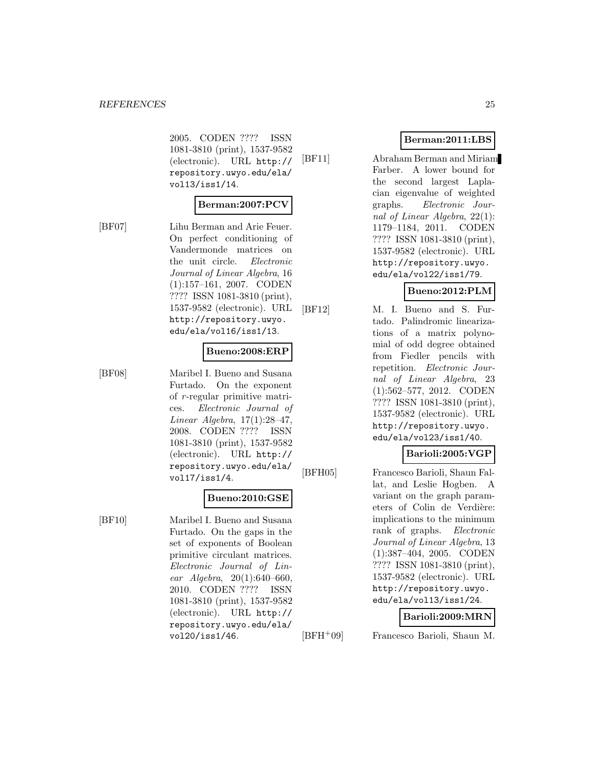2005. CODEN ???? ISSN 1081-3810 (print), 1537-9582 (electronic). URL http:// repository.uwyo.edu/ela/ vol13/iss1/14.

#### **Berman:2007:PCV**

[BF07] Lihu Berman and Arie Feuer. On perfect conditioning of Vandermonde matrices on the unit circle. Electronic Journal of Linear Algebra, 16 (1):157–161, 2007. CODEN ???? ISSN 1081-3810 (print), 1537-9582 (electronic). URL http://repository.uwyo. edu/ela/vol16/iss1/13.

#### **Bueno:2008:ERP**

[BF08] Maribel I. Bueno and Susana Furtado. On the exponent of r-regular primitive matrices. Electronic Journal of Linear Algebra, 17(1):28–47, 2008. CODEN ???? ISSN 1081-3810 (print), 1537-9582 (electronic). URL http:// repository.uwyo.edu/ela/ vol17/iss1/4.

#### **Bueno:2010:GSE**

[BF10] Maribel I. Bueno and Susana Furtado. On the gaps in the set of exponents of Boolean primitive circulant matrices. Electronic Journal of Linear Algebra, 20(1):640–660, 2010. CODEN ???? ISSN 1081-3810 (print), 1537-9582 (electronic). URL http:// repository.uwyo.edu/ela/ vol20/iss1/46.

## **Berman:2011:LBS**

[BF11] Abraham Berman and Miriam Farber. A lower bound for the second largest Laplacian eigenvalue of weighted graphs. Electronic Journal of Linear Algebra, 22(1): 1179–1184, 2011. CODEN ???? ISSN 1081-3810 (print), 1537-9582 (electronic). URL http://repository.uwyo. edu/ela/vol22/iss1/79.

## **Bueno:2012:PLM**

[BF12] M. I. Bueno and S. Furtado. Palindromic linearizations of a matrix polynomial of odd degree obtained from Fiedler pencils with repetition. Electronic Journal of Linear Algebra, 23 (1):562–577, 2012. CODEN ???? ISSN 1081-3810 (print), 1537-9582 (electronic). URL http://repository.uwyo. edu/ela/vol23/iss1/40.

## **Barioli:2005:VGP**

[BFH05] Francesco Barioli, Shaun Fallat, and Leslie Hogben. A variant on the graph parameters of Colin de Verdière: implications to the minimum rank of graphs. Electronic Journal of Linear Algebra, 13 (1):387–404, 2005. CODEN ???? ISSN 1081-3810 (print), 1537-9582 (electronic). URL http://repository.uwyo. edu/ela/vol13/iss1/24.

#### **Barioli:2009:MRN**

[BFH<sup>+</sup>09] Francesco Barioli, Shaun M.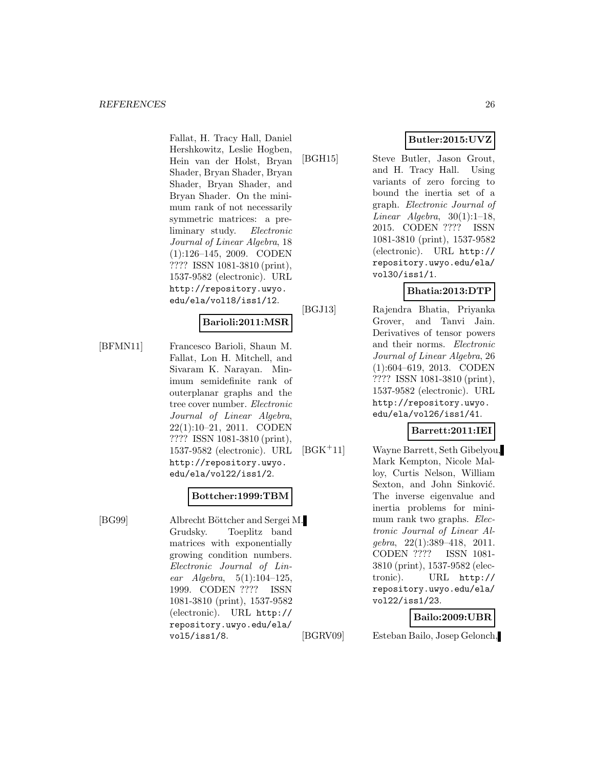Fallat, H. Tracy Hall, Daniel Hershkowitz, Leslie Hogben, Hein van der Holst, Bryan Shader, Bryan Shader, Bryan Shader, Bryan Shader, and Bryan Shader. On the minimum rank of not necessarily symmetric matrices: a preliminary study. Electronic Journal of Linear Algebra, 18 (1):126–145, 2009. CODEN ???? ISSN 1081-3810 (print), 1537-9582 (electronic). URL http://repository.uwyo. edu/ela/vol18/iss1/12.

## **Barioli:2011:MSR**

[BFMN11] Francesco Barioli, Shaun M. Fallat, Lon H. Mitchell, and Sivaram K. Narayan. Minimum semidefinite rank of outerplanar graphs and the tree cover number. Electronic Journal of Linear Algebra, 22(1):10–21, 2011. CODEN ???? ISSN 1081-3810 (print), 1537-9582 (electronic). URL http://repository.uwyo. edu/ela/vol22/iss1/2.

## **Bottcher:1999:TBM**

[BG99] Albrecht Böttcher and Sergei M. Grudsky. Toeplitz band matrices with exponentially growing condition numbers. Electronic Journal of Linear  $Algebra, 5(1):104-125,$ 1999. CODEN ???? ISSN 1081-3810 (print), 1537-9582 (electronic). URL http:// repository.uwyo.edu/ela/ vol5/iss1/8.

**Butler:2015:UVZ**

[BGH15] Steve Butler, Jason Grout, and H. Tracy Hall. Using variants of zero forcing to bound the inertia set of a graph. Electronic Journal of Linear Algebra,  $30(1):1-18$ , 2015. CODEN ???? ISSN 1081-3810 (print), 1537-9582 (electronic). URL http:// repository.uwyo.edu/ela/ vol30/iss1/1.

## **Bhatia:2013:DTP**

[BGJ13] Rajendra Bhatia, Priyanka Grover, and Tanvi Jain. Derivatives of tensor powers and their norms. Electronic Journal of Linear Algebra, 26 (1):604–619, 2013. CODEN ???? ISSN 1081-3810 (print), 1537-9582 (electronic). URL http://repository.uwyo. edu/ela/vol26/iss1/41.

## **Barrett:2011:IEI**

[BGK<sup>+</sup>11] Wayne Barrett, Seth Gibelyou, Mark Kempton, Nicole Malloy, Curtis Nelson, William Sexton, and John Sinković. The inverse eigenvalue and inertia problems for minimum rank two graphs. Electronic Journal of Linear Algebra, 22(1):389–418, 2011. CODEN ???? ISSN 1081- 3810 (print), 1537-9582 (electronic). URL http:// repository.uwyo.edu/ela/ vol22/iss1/23.

## **Bailo:2009:UBR**

[BGRV09] Esteban Bailo, Josep Gelonch,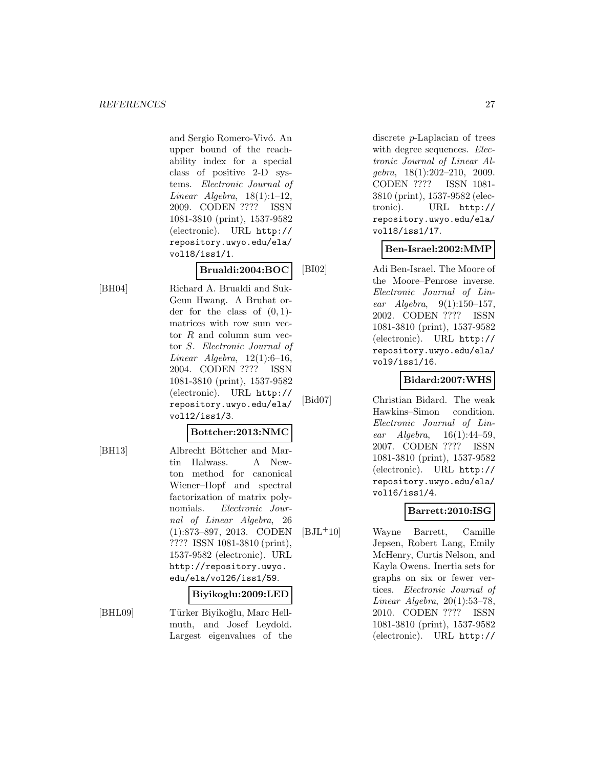and Sergio Romero-Vivó. An upper bound of the reachability index for a special class of positive 2-D systems. Electronic Journal of Linear Algebra,  $18(1):1-12$ , 2009. CODEN ???? ISSN 1081-3810 (print), 1537-9582 (electronic). URL http:// repository.uwyo.edu/ela/ vol18/iss1/1.

**Brualdi:2004:BOC**

[BH04] Richard A. Brualdi and Suk-Geun Hwang. A Bruhat order for the class of  $(0, 1)$ matrices with row sum vector  $R$  and column sum vector S. Electronic Journal of Linear Algebra,  $12(1):6-16$ , 2004. CODEN ???? ISSN 1081-3810 (print), 1537-9582 (electronic). URL http:// repository.uwyo.edu/ela/ vol12/iss1/3.

## **Bottcher:2013:NMC**

[BH13] Albrecht Böttcher and Martin Halwass. A Newton method for canonical Wiener–Hopf and spectral factorization of matrix polynomials. Electronic Journal of Linear Algebra, 26 (1):873–897, 2013. CODEN ???? ISSN 1081-3810 (print), 1537-9582 (electronic). URL http://repository.uwyo. edu/ela/vol26/iss1/59.

## **Biyikoglu:2009:LED**

[BHL09] Türker Biyikoğlu, Marc Hellmuth, and Josef Leydold. Largest eigenvalues of the discrete p-Laplacian of trees with degree sequences. Electronic Journal of Linear Algebra, 18(1):202–210, 2009. CODEN ???? ISSN 1081- 3810 (print), 1537-9582 (electronic). URL http:// repository.uwyo.edu/ela/ vol18/iss1/17.

## **Ben-Israel:2002:MMP**

[BI02] Adi Ben-Israel. The Moore of the Moore–Penrose inverse. Electronic Journal of Linear Algebra,  $9(1):150-157$ , 2002. CODEN ???? ISSN 1081-3810 (print), 1537-9582 (electronic). URL http:// repository.uwyo.edu/ela/ vol9/iss1/16.

## **Bidard:2007:WHS**

[Bid07] Christian Bidard. The weak Hawkins–Simon condition. Electronic Journal of Linear  $Algebra$ ,  $16(1):44-59$ , 2007. CODEN ???? ISSN 1081-3810 (print), 1537-9582 (electronic). URL http:// repository.uwyo.edu/ela/ vol16/iss1/4.

## **Barrett:2010:ISG**

[BJL<sup>+</sup>10] Wayne Barrett, Camille Jepsen, Robert Lang, Emily McHenry, Curtis Nelson, and Kayla Owens. Inertia sets for graphs on six or fewer vertices. Electronic Journal of Linear Algebra, 20(1):53–78, 2010. CODEN ???? ISSN 1081-3810 (print), 1537-9582 (electronic). URL http://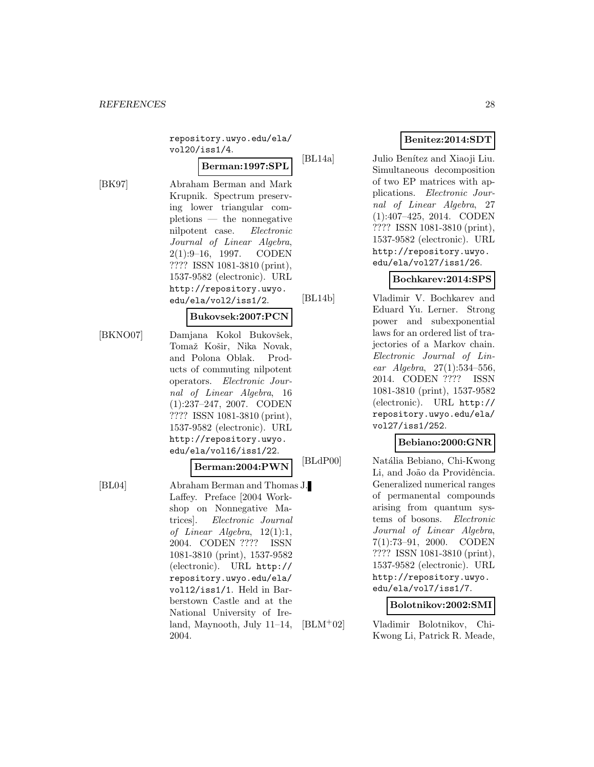repository.uwyo.edu/ela/ vol20/iss1/4.

## **Berman:1997:SPL**

[BK97] Abraham Berman and Mark Krupnik. Spectrum preserving lower triangular completions — the nonnegative nilpotent case. Electronic Journal of Linear Algebra, 2(1):9–16, 1997. CODEN ???? ISSN 1081-3810 (print), 1537-9582 (electronic). URL http://repository.uwyo. edu/ela/vol2/iss1/2.

## **Bukovsek:2007:PCN**

[BKNO07] Damjana Kokol Bukovšek, Tomaž Košir, Nika Novak, and Polona Oblak. Products of commuting nilpotent operators. Electronic Journal of Linear Algebra, 16 (1):237–247, 2007. CODEN ???? ISSN 1081-3810 (print), 1537-9582 (electronic). URL http://repository.uwyo. edu/ela/vol16/iss1/22.

#### **Berman:2004:PWN**

[BL04] Abraham Berman and Thomas J. Laffey. Preface [2004 Workshop on Nonnegative Matrices]. Electronic Journal of Linear Algebra, 12(1):1, 2004. CODEN ???? ISSN 1081-3810 (print), 1537-9582 (electronic). URL http:// repository.uwyo.edu/ela/ vol12/iss1/1. Held in Barberstown Castle and at the National University of Ireland, Maynooth, July 11–14, 2004.

## **Benitez:2014:SDT**

[BL14a] Julio Benítez and Xiaoji Liu. Simultaneous decomposition of two EP matrices with applications. Electronic Journal of Linear Algebra, 27 (1):407–425, 2014. CODEN ???? ISSN 1081-3810 (print), 1537-9582 (electronic). URL http://repository.uwyo. edu/ela/vol27/iss1/26.

## **Bochkarev:2014:SPS**

[BL14b] Vladimir V. Bochkarev and Eduard Yu. Lerner. Strong power and subexponential laws for an ordered list of trajectories of a Markov chain. Electronic Journal of Linear Algebra, 27(1):534–556, 2014. CODEN ???? ISSN 1081-3810 (print), 1537-9582 (electronic). URL http:// repository.uwyo.edu/ela/ vol27/iss1/252.

#### **Bebiano:2000:GNR**

[BLdP00] Natália Bebiano, Chi-Kwong Li, and João da Providência. Generalized numerical ranges of permanental compounds arising from quantum systems of bosons. Electronic Journal of Linear Algebra, 7(1):73–91, 2000. CODEN ???? ISSN 1081-3810 (print), 1537-9582 (electronic). URL http://repository.uwyo. edu/ela/vol7/iss1/7.

**Bolotnikov:2002:SMI**

[BLM<sup>+</sup>02] Vladimir Bolotnikov, Chi-Kwong Li, Patrick R. Meade,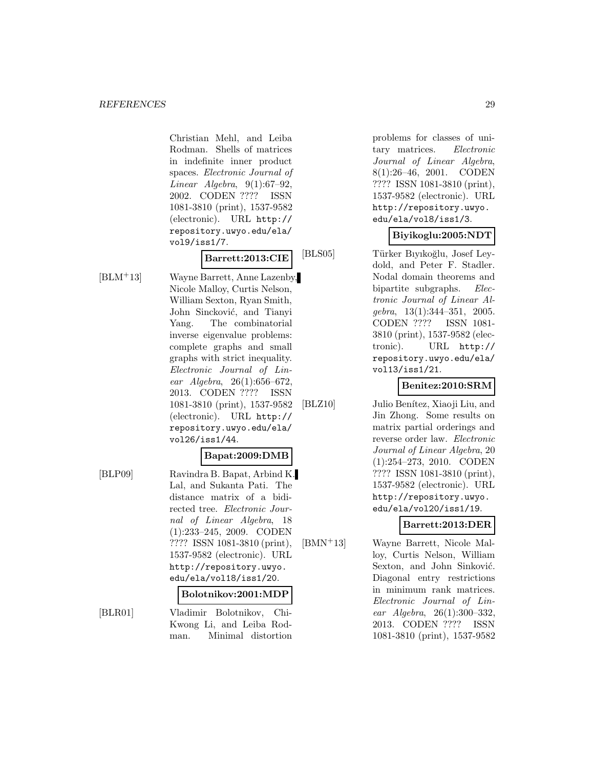Christian Mehl, and Leiba Rodman. Shells of matrices in indefinite inner product spaces. Electronic Journal of Linear Algebra,  $9(1):67-92$ , 2002. CODEN ???? ISSN 1081-3810 (print), 1537-9582 (electronic). URL http:// repository.uwyo.edu/ela/ vol9/iss1/7.

**Barrett:2013:CIE**

[BLM<sup>+</sup>13] Wayne Barrett, Anne Lazenby, Nicole Malloy, Curtis Nelson, William Sexton, Ryan Smith, John Sincković, and Tianyi Yang. The combinatorial inverse eigenvalue problems: complete graphs and small graphs with strict inequality. Electronic Journal of Linear Algebra, 26(1):656–672, 2013. CODEN ???? ISSN 1081-3810 (print), 1537-9582 (electronic). URL http:// repository.uwyo.edu/ela/ vol26/iss1/44.

## **Bapat:2009:DMB**

[BLP09] Ravindra B. Bapat, Arbind K. Lal, and Sukanta Pati. The distance matrix of a bidirected tree. Electronic Journal of Linear Algebra, 18 (1):233–245, 2009. CODEN ???? ISSN 1081-3810 (print), 1537-9582 (electronic). URL http://repository.uwyo. edu/ela/vol18/iss1/20.

#### **Bolotnikov:2001:MDP**

[BLR01] Vladimir Bolotnikov, Chi-Kwong Li, and Leiba Rodman. Minimal distortion

problems for classes of unitary matrices. Electronic Journal of Linear Algebra, 8(1):26–46, 2001. CODEN ???? ISSN 1081-3810 (print), 1537-9582 (electronic). URL http://repository.uwyo. edu/ela/vol8/iss1/3.

## **Biyikoglu:2005:NDT**

[BLS05] Türker Bıyıkoğlu, Josef Leydold, and Peter F. Stadler. Nodal domain theorems and bipartite subgraphs. Electronic Journal of Linear Alqebra,  $13(1):344-351$ ,  $2005$ . CODEN ???? ISSN 1081- 3810 (print), 1537-9582 (electronic). URL http:// repository.uwyo.edu/ela/ vol13/iss1/21.

## **Benitez:2010:SRM**

[BLZ10] Julio Benítez, Xiaoji Liu, and Jin Zhong. Some results on matrix partial orderings and reverse order law. Electronic Journal of Linear Algebra, 20 (1):254–273, 2010. CODEN ???? ISSN 1081-3810 (print), 1537-9582 (electronic). URL http://repository.uwyo. edu/ela/vol20/iss1/19.

## **Barrett:2013:DER**

[BMN<sup>+</sup>13] Wayne Barrett, Nicole Malloy, Curtis Nelson, William Sexton, and John Sinković. Diagonal entry restrictions in minimum rank matrices. Electronic Journal of Linear Algebra, 26(1):300–332, 2013. CODEN ???? ISSN 1081-3810 (print), 1537-9582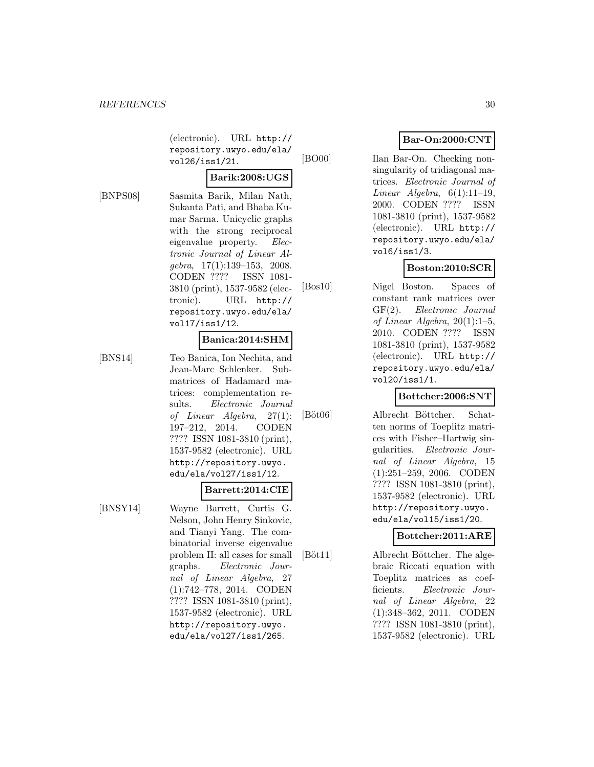(electronic). URL http:// repository.uwyo.edu/ela/ vol26/iss1/21.

#### **Barik:2008:UGS**

[BNPS08] Sasmita Barik, Milan Nath, Sukanta Pati, and Bhaba Kumar Sarma. Unicyclic graphs with the strong reciprocal eigenvalue property. Electronic Journal of Linear Al $qebra, 17(1):139-153, 2008.$ CODEN ???? ISSN 1081- 3810 (print), 1537-9582 (electronic). URL http:// repository.uwyo.edu/ela/ vol17/iss1/12.

### **Banica:2014:SHM**

[BNS14] Teo Banica, Ion Nechita, and Jean-Marc Schlenker. Submatrices of Hadamard matrices: complementation results. Electronic Journal of Linear Algebra, 27(1): 197–212, 2014. CODEN ???? ISSN 1081-3810 (print), 1537-9582 (electronic). URL http://repository.uwyo. edu/ela/vol27/iss1/12.

[BNSY14] Wayne Barrett, Curtis G. Nelson, John Henry Sinkovic, and Tianyi Yang. The combinatorial inverse eigenvalue problem II: all cases for small graphs. Electronic Journal of Linear Algebra, 27 (1):742–778, 2014. CODEN ???? ISSN 1081-3810 (print), 1537-9582 (electronic). URL http://repository.uwyo. edu/ela/vol27/iss1/265.

**Barrett:2014:CIE**

## **Bar-On:2000:CNT**

[BO00] Ilan Bar-On. Checking nonsingularity of tridiagonal matrices. Electronic Journal of Linear Algebra,  $6(1):11-19$ , 2000. CODEN ???? ISSN 1081-3810 (print), 1537-9582 (electronic). URL http:// repository.uwyo.edu/ela/ vol6/iss1/3.

## **Boston:2010:SCR**

[Bos10] Nigel Boston. Spaces of constant rank matrices over GF(2). Electronic Journal of Linear Algebra,  $20(1):1-5$ , 2010. CODEN ???? ISSN 1081-3810 (print), 1537-9582 (electronic). URL http:// repository.uwyo.edu/ela/ vol20/iss1/1.

## **Bottcher:2006:SNT**

[Böt06] Albrecht Böttcher. Schatten norms of Toeplitz matrices with Fisher–Hartwig singularities. Electronic Journal of Linear Algebra, 15 (1):251–259, 2006. CODEN ???? ISSN 1081-3810 (print), 1537-9582 (electronic). URL http://repository.uwyo. edu/ela/vol15/iss1/20.

## **Bottcher:2011:ARE**

[Böt11] Albrecht Böttcher. The algebraic Riccati equation with Toeplitz matrices as coefficients. Electronic Journal of Linear Algebra, 22 (1):348–362, 2011. CODEN ???? ISSN 1081-3810 (print), 1537-9582 (electronic). URL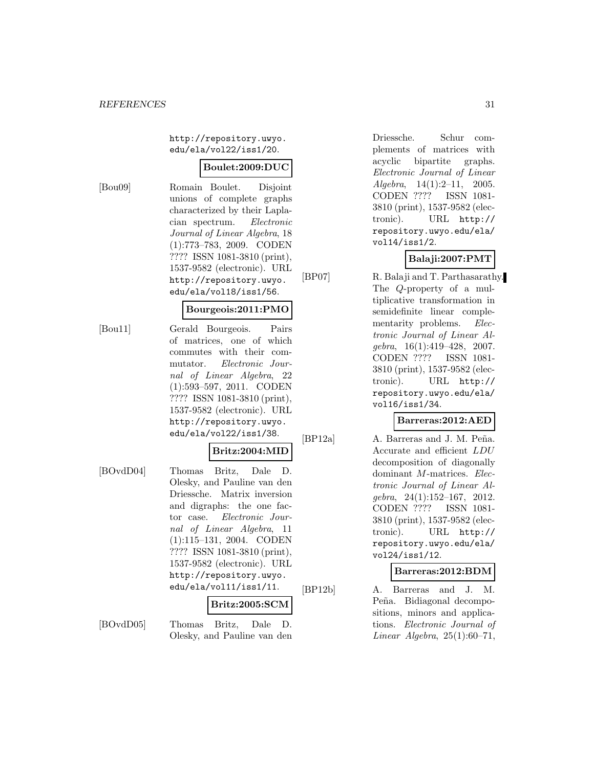http://repository.uwyo. edu/ela/vol22/iss1/20.

## **Boulet:2009:DUC**

[Bou09] Romain Boulet. Disjoint unions of complete graphs characterized by their Laplacian spectrum. Electronic Journal of Linear Algebra, 18 (1):773–783, 2009. CODEN ???? ISSN 1081-3810 (print), 1537-9582 (electronic). URL http://repository.uwyo. edu/ela/vol18/iss1/56.

## **Bourgeois:2011:PMO**

[Bou11] Gerald Bourgeois. Pairs of matrices, one of which commutes with their commutator. Electronic Journal of Linear Algebra, 22 (1):593–597, 2011. CODEN ???? ISSN 1081-3810 (print), 1537-9582 (electronic). URL http://repository.uwyo. edu/ela/vol22/iss1/38.

## **Britz:2004:MID**

[BOvdD04] Thomas Britz, Dale D. Olesky, and Pauline van den Driessche. Matrix inversion and digraphs: the one factor case. Electronic Journal of Linear Algebra, 11 (1):115–131, 2004. CODEN ???? ISSN 1081-3810 (print), 1537-9582 (electronic). URL http://repository.uwyo. edu/ela/vol11/iss1/11.

#### **Britz:2005:SCM**

[BOvdD05] Thomas Britz, Dale D. Olesky, and Pauline van den Driessche. Schur complements of matrices with acyclic bipartite graphs. Electronic Journal of Linear Algebra, 14(1):2–11, 2005. CODEN ???? ISSN 1081- 3810 (print), 1537-9582 (electronic). URL http:// repository.uwyo.edu/ela/ vol14/iss1/2.

## **Balaji:2007:PMT**

[BP07] R. Balaji and T. Parthasarathy. The Q-property of a multiplicative transformation in semidefinite linear complementarity problems. Electronic Journal of Linear Algebra, 16(1):419–428, 2007. CODEN ???? ISSN 1081- 3810 (print), 1537-9582 (electronic). URL http:// repository.uwyo.edu/ela/ vol16/iss1/34.

## **Barreras:2012:AED**

[BP12a] A. Barreras and J. M. Peña. Accurate and efficient LDU decomposition of diagonally dominant *M*-matrices. Electronic Journal of Linear Algebra, 24(1):152–167, 2012. CODEN ???? ISSN 1081- 3810 (print), 1537-9582 (electronic). URL http:// repository.uwyo.edu/ela/ vol24/iss1/12.

## **Barreras:2012:BDM**

[BP12b] A. Barreras and J. M. Peña. Bidiagonal decompositions, minors and applications. Electronic Journal of Linear Algebra,  $25(1):60-71$ ,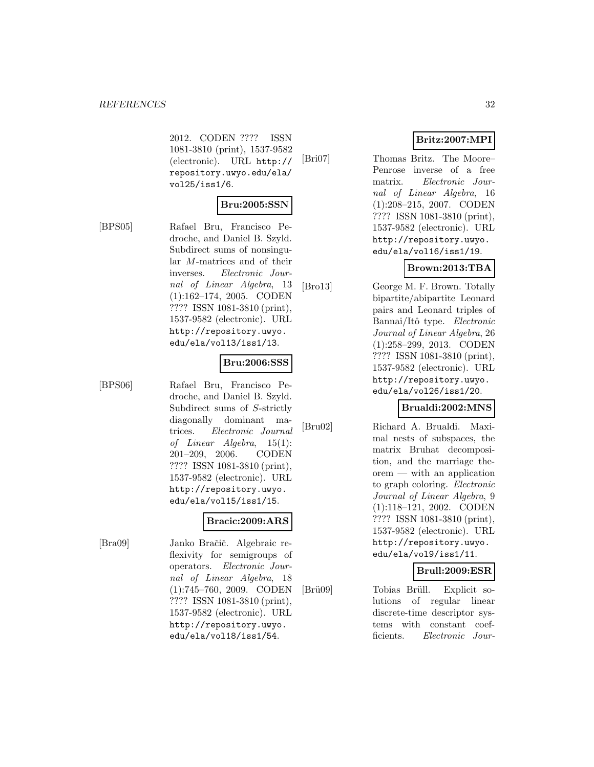2012. CODEN ???? ISSN 1081-3810 (print), 1537-9582 (electronic). URL http:// repository.uwyo.edu/ela/ vol25/iss1/6.

## **Bru:2005:SSN**

[BPS05] Rafael Bru, Francisco Pedroche, and Daniel B. Szyld. Subdirect sums of nonsingular M-matrices and of their inverses. Electronic Journal of Linear Algebra, 13 (1):162–174, 2005. CODEN ???? ISSN 1081-3810 (print), 1537-9582 (electronic). URL http://repository.uwyo. edu/ela/vol13/iss1/13.

## **Bru:2006:SSS**

[BPS06] Rafael Bru, Francisco Pedroche, and Daniel B. Szyld. Subdirect sums of S-strictly diagonally dominant matrices. Electronic Journal of Linear Algebra, 15(1): 201–209, 2006. CODEN ???? ISSN 1081-3810 (print), 1537-9582 (electronic). URL http://repository.uwyo. edu/ela/vol15/iss1/15.

## **Bracic:2009:ARS**

[Bra09] Janko Bračič. Algebraic reflexivity for semigroups of operators. Electronic Journal of Linear Algebra, 18 (1):745–760, 2009. CODEN ???? ISSN 1081-3810 (print), 1537-9582 (electronic). URL http://repository.uwyo. edu/ela/vol18/iss1/54.

## **Britz:2007:MPI**

[Bri07] Thomas Britz. The Moore– Penrose inverse of a free matrix. Electronic Journal of Linear Algebra, 16 (1):208–215, 2007. CODEN ???? ISSN 1081-3810 (print), 1537-9582 (electronic). URL http://repository.uwyo. edu/ela/vol16/iss1/19.

## **Brown:2013:TBA**

[Bro13] George M. F. Brown. Totally bipartite/abipartite Leonard pairs and Leonard triples of Bannai/Itô type. Electronic Journal of Linear Algebra, 26 (1):258–299, 2013. CODEN ???? ISSN 1081-3810 (print), 1537-9582 (electronic). URL http://repository.uwyo. edu/ela/vol26/iss1/20.

## **Brualdi:2002:MNS**

[Bru02] Richard A. Brualdi. Maximal nests of subspaces, the matrix Bruhat decomposition, and the marriage theorem — with an application to graph coloring. Electronic Journal of Linear Algebra, 9 (1):118–121, 2002. CODEN ???? ISSN 1081-3810 (print), 1537-9582 (electronic). URL http://repository.uwyo. edu/ela/vol9/iss1/11.

## **Brull:2009:ESR**

[Brü09] Tobias Brüll. Explicit solutions of regular linear discrete-time descriptor systems with constant coefficients. Electronic Jour-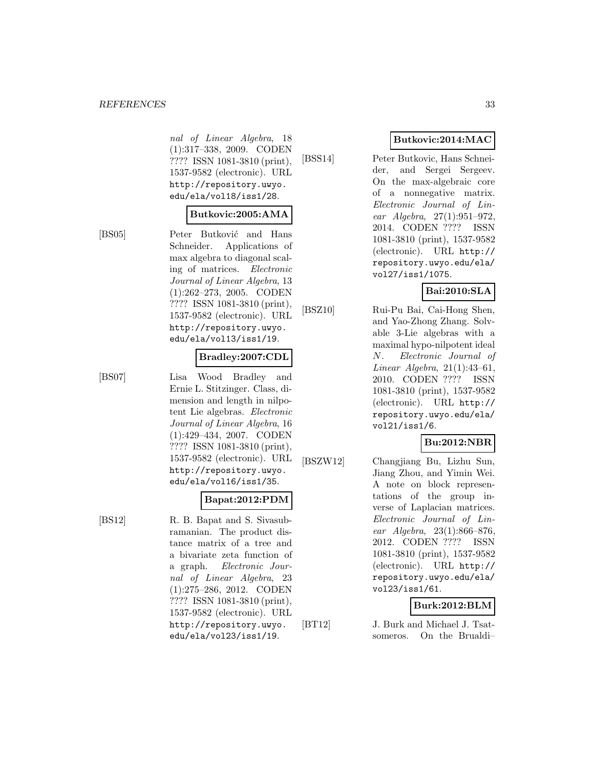#### *REFERENCES* 33

nal of Linear Algebra, 18 (1):317–338, 2009. CODEN ???? ISSN 1081-3810 (print), 1537-9582 (electronic). URL http://repository.uwyo. edu/ela/vol18/iss1/28.

#### **Butkovic:2005:AMA**

[BS05] Peter Butković and Hans Schneider. Applications of max algebra to diagonal scaling of matrices. Electronic Journal of Linear Algebra, 13 (1):262–273, 2005. CODEN ???? ISSN 1081-3810 (print), 1537-9582 (electronic). URL http://repository.uwyo. edu/ela/vol13/iss1/19.

### **Bradley:2007:CDL**

[BS07] Lisa Wood Bradley and Ernie L. Stitzinger. Class, dimension and length in nilpotent Lie algebras. Electronic Journal of Linear Algebra, 16 (1):429–434, 2007. CODEN ???? ISSN 1081-3810 (print), 1537-9582 (electronic). URL http://repository.uwyo. edu/ela/vol16/iss1/35.

#### **Bapat:2012:PDM**

[BS12] R. B. Bapat and S. Sivasubramanian. The product distance matrix of a tree and a bivariate zeta function of a graph. Electronic Journal of Linear Algebra, 23 (1):275–286, 2012. CODEN ???? ISSN 1081-3810 (print), 1537-9582 (electronic). URL http://repository.uwyo. edu/ela/vol23/iss1/19.

## **Butkovic:2014:MAC**

[BSS14] Peter Butkovic, Hans Schneider, and Sergei Sergeev. On the max-algebraic core of a nonnegative matrix. Electronic Journal of Linear Algebra, 27(1):951–972, 2014. CODEN ???? ISSN 1081-3810 (print), 1537-9582 (electronic). URL http:// repository.uwyo.edu/ela/ vol27/iss1/1075.

## **Bai:2010:SLA**

[BSZ10] Rui-Pu Bai, Cai-Hong Shen, and Yao-Zhong Zhang. Solvable 3-Lie algebras with a maximal hypo-nilpotent ideal N. Electronic Journal of Linear Algebra, 21(1):43–61, 2010. CODEN ???? ISSN 1081-3810 (print), 1537-9582 (electronic). URL http:// repository.uwyo.edu/ela/ vol21/iss1/6.

## **Bu:2012:NBR**

[BSZW12] Changjiang Bu, Lizhu Sun, Jiang Zhou, and Yimin Wei. A note on block representations of the group inverse of Laplacian matrices. Electronic Journal of Linear Algebra, 23(1):866–876, 2012. CODEN ???? ISSN 1081-3810 (print), 1537-9582 (electronic). URL http:// repository.uwyo.edu/ela/ vol23/iss1/61.

## **Burk:2012:BLM**

[BT12] J. Burk and Michael J. Tsatsomeros. On the Brualdi–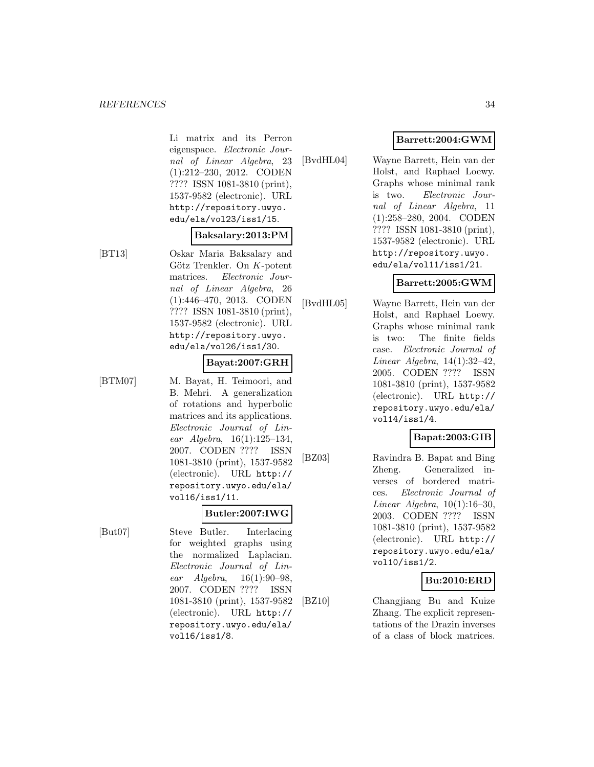Li matrix and its Perron eigenspace. Electronic Journal of Linear Algebra, 23 (1):212–230, 2012. CODEN ???? ISSN 1081-3810 (print), 1537-9582 (electronic). URL http://repository.uwyo. edu/ela/vol23/iss1/15.

### **Baksalary:2013:PM**

[BT13] Oskar Maria Baksalary and Götz Trenkler. On  $K$ -potent matrices. Electronic Journal of Linear Algebra, 26 (1):446–470, 2013. CODEN ???? ISSN 1081-3810 (print), 1537-9582 (electronic). URL http://repository.uwyo. edu/ela/vol26/iss1/30.

## **Bayat:2007:GRH**

[BTM07] M. Bayat, H. Teimoori, and B. Mehri. A generalization of rotations and hyperbolic matrices and its applications. Electronic Journal of Linear Algebra, 16(1):125–134, 2007. CODEN ???? ISSN 1081-3810 (print), 1537-9582 (electronic). URL http:// repository.uwyo.edu/ela/ vol16/iss1/11.

## **Butler:2007:IWG**

[But07] Steve Butler. Interlacing for weighted graphs using the normalized Laplacian. Electronic Journal of Linear Algebra, 16(1):90–98, 2007. CODEN ???? ISSN 1081-3810 (print), 1537-9582 (electronic). URL http:// repository.uwyo.edu/ela/ vol16/iss1/8.

[BvdHL04] Wayne Barrett, Hein van der Holst, and Raphael Loewy. Graphs whose minimal rank is two. Electronic Journal of Linear Algebra, 11 (1):258–280, 2004. CODEN ???? ISSN 1081-3810 (print), 1537-9582 (electronic). URL http://repository.uwyo. edu/ela/vol11/iss1/21.

## **Barrett:2005:GWM**

[BvdHL05] Wayne Barrett, Hein van der Holst, and Raphael Loewy. Graphs whose minimal rank is two: The finite fields case. Electronic Journal of Linear Algebra, 14(1):32–42, 2005. CODEN ???? ISSN 1081-3810 (print), 1537-9582 (electronic). URL http:// repository.uwyo.edu/ela/ vol14/iss1/4.

## **Bapat:2003:GIB**

[BZ03] Ravindra B. Bapat and Bing Zheng. Generalized inverses of bordered matrices. Electronic Journal of Linear Algebra, 10(1):16–30, 2003. CODEN ???? ISSN 1081-3810 (print), 1537-9582 (electronic). URL http:// repository.uwyo.edu/ela/ vol10/iss1/2.

## **Bu:2010:ERD**

[BZ10] Changjiang Bu and Kuize Zhang. The explicit representations of the Drazin inverses of a class of block matrices.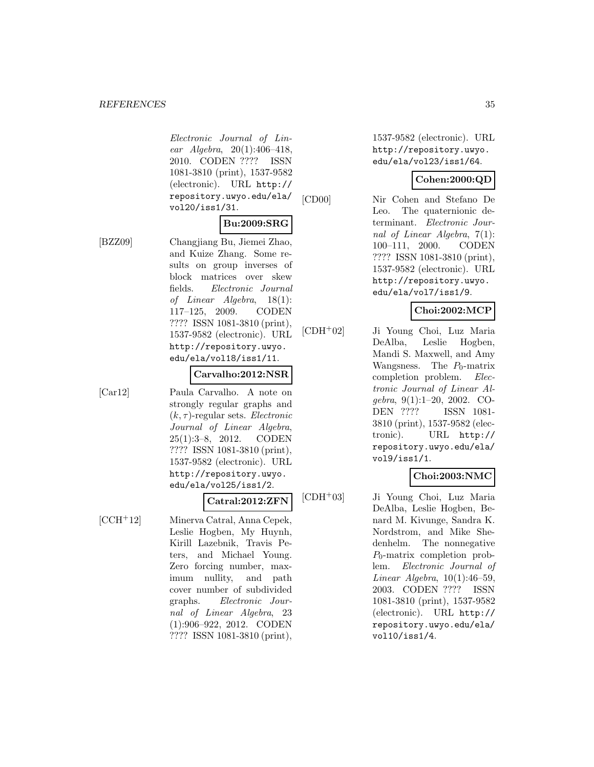Electronic Journal of Linear Algebra, 20(1):406–418, 2010. CODEN ???? ISSN 1081-3810 (print), 1537-9582 (electronic). URL http:// repository.uwyo.edu/ela/ vol20/iss1/31.

### **Bu:2009:SRG**

[BZZ09] Changjiang Bu, Jiemei Zhao, and Kuize Zhang. Some results on group inverses of block matrices over skew fields. Electronic Journal of Linear Algebra, 18(1): 117–125, 2009. CODEN ???? ISSN 1081-3810 (print), 1537-9582 (electronic). URL http://repository.uwyo. edu/ela/vol18/iss1/11.

#### **Carvalho:2012:NSR**

[Car12] Paula Carvalho. A note on strongly regular graphs and  $(k, \tau)$ -regular sets. *Electronic* Journal of Linear Algebra, 25(1):3–8, 2012. CODEN ???? ISSN 1081-3810 (print), 1537-9582 (electronic). URL http://repository.uwyo. edu/ela/vol25/iss1/2.

## **Catral:2012:ZFN**

[CCH<sup>+</sup>12] Minerva Catral, Anna Cepek, Leslie Hogben, My Huynh, Kirill Lazebnik, Travis Peters, and Michael Young. Zero forcing number, maximum nullity, and path cover number of subdivided graphs. Electronic Journal of Linear Algebra, 23 (1):906–922, 2012. CODEN ???? ISSN 1081-3810 (print),

1537-9582 (electronic). URL http://repository.uwyo. edu/ela/vol23/iss1/64.

## **Cohen:2000:QD**

[CD00] Nir Cohen and Stefano De Leo. The quaternionic determinant. Electronic Journal of Linear Algebra, 7(1): 100–111, 2000. CODEN ???? ISSN 1081-3810 (print), 1537-9582 (electronic). URL http://repository.uwyo. edu/ela/vol7/iss1/9.

## **Choi:2002:MCP**

[CDH<sup>+</sup>02] Ji Young Choi, Luz Maria DeAlba, Leslie Hogben, Mandi S. Maxwell, and Amy Wangsness. The  $P_0$ -matrix completion problem. Electronic Journal of Linear Algebra, 9(1):1–20, 2002. CO-DEN ???? ISSN 1081- 3810 (print), 1537-9582 (electronic). URL http:// repository.uwyo.edu/ela/ vol9/iss1/1.

## **Choi:2003:NMC**

[CDH<sup>+</sup>03] Ji Young Choi, Luz Maria DeAlba, Leslie Hogben, Benard M. Kivunge, Sandra K. Nordstrom, and Mike Shedenhelm. The nonnegative  $P_0$ -matrix completion problem. Electronic Journal of Linear Algebra,  $10(1):46-59$ , 2003. CODEN ???? ISSN 1081-3810 (print), 1537-9582 (electronic). URL http:// repository.uwyo.edu/ela/ vol10/iss1/4.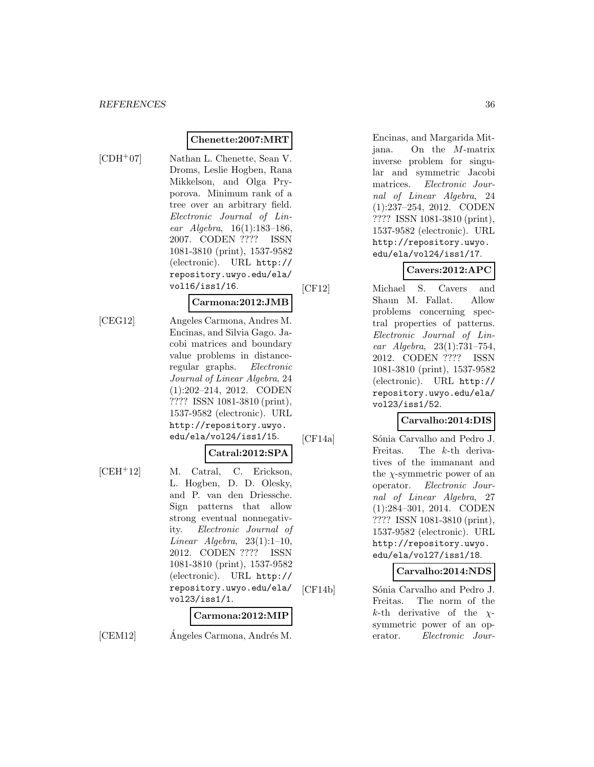## **Chenette:2007:MRT**

- 
- [CDH<sup>+</sup>07] Nathan L. Chenette, Sean V. Droms, Leslie Hogben, Rana Mikkelson, and Olga Pryporova. Minimum rank of a tree over an arbitrary field. Electronic Journal of Linear Algebra, 16(1):183–186, 2007. CODEN ???? ISSN 1081-3810 (print), 1537-9582 (electronic). URL http:// repository.uwyo.edu/ela/ vol16/iss1/16.

## **Carmona:2012:JMB**

[CEG12] Angeles Carmona, Andres M. Encinas, and Silvia Gago. Jacobi matrices and boundary value problems in distanceregular graphs. Electronic Journal of Linear Algebra, 24 (1):202–214, 2012. CODEN ???? ISSN 1081-3810 (print), 1537-9582 (electronic). URL http://repository.uwyo. edu/ela/vol24/iss1/15.

## **Catral:2012:SPA**

[CEH<sup>+</sup>12] M. Catral, C. Erickson, L. Hogben, D. D. Olesky, and P. van den Driessche. Sign patterns that allow strong eventual nonnegativity. Electronic Journal of Linear Algebra,  $23(1):1-10$ , 2012. CODEN ???? ISSN 1081-3810 (print), 1537-9582 (electronic). URL http:// repository.uwyo.edu/ela/ vol23/iss1/1.

#### **Carmona:2012:MIP**

 $[CEM12]$  Angeles Carmona, Andrés M.

Encinas, and Margarida Mitjana. On the M-matrix inverse problem for singular and symmetric Jacobi matrices. Electronic Journal of Linear Algebra, 24 (1):237–254, 2012. CODEN ???? ISSN 1081-3810 (print), 1537-9582 (electronic). URL http://repository.uwyo. edu/ela/vol24/iss1/17.

## **Cavers:2012:APC**

[CF12] Michael S. Cavers and Shaun M. Fallat. Allow problems concerning spectral properties of patterns. Electronic Journal of Linear Algebra, 23(1):731–754, 2012. CODEN ???? ISSN 1081-3810 (print), 1537-9582 (electronic). URL http:// repository.uwyo.edu/ela/ vol23/iss1/52.

## **Carvalho:2014:DIS**

[CF14a] Sónia Carvalho and Pedro J. Freitas. The k-th derivatives of the immanant and the  $\chi$ -symmetric power of an operator. Electronic Journal of Linear Algebra, 27 (1):284–301, 2014. CODEN ???? ISSN 1081-3810 (print), 1537-9582 (electronic). URL http://repository.uwyo. edu/ela/vol27/iss1/18.

## **Carvalho:2014:NDS**

[CF14b] Sónia Carvalho and Pedro J. Freitas. The norm of the k-th derivative of the  $\chi$ symmetric power of an operator. Electronic Jour-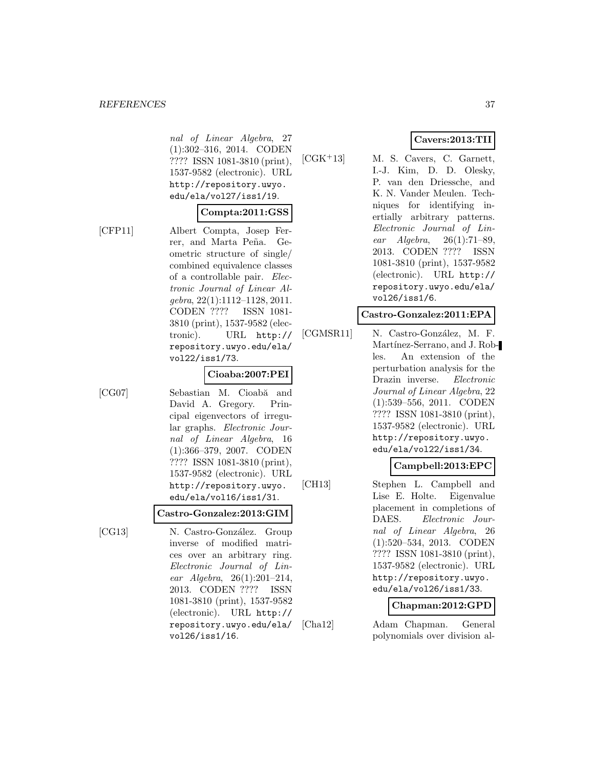nal of Linear Algebra, 27 (1):302–316, 2014. CODEN ???? ISSN 1081-3810 (print), 1537-9582 (electronic). URL http://repository.uwyo. edu/ela/vol27/iss1/19.

#### **Compta:2011:GSS**

[CFP11] Albert Compta, Josep Ferrer, and Marta Peña. Geometric structure of single/ combined equivalence classes of a controllable pair. Electronic Journal of Linear Algebra, 22(1):1112–1128, 2011. CODEN ???? ISSN 1081- 3810 (print), 1537-9582 (electronic). URL http:// repository.uwyo.edu/ela/ vol22/iss1/73.

#### **Cioaba:2007:PEI**

[CG07] Sebastian M. Cioabă and David A. Gregory. Principal eigenvectors of irregular graphs. Electronic Journal of Linear Algebra, 16 (1):366–379, 2007. CODEN ???? ISSN 1081-3810 (print), 1537-9582 (electronic). URL http://repository.uwyo. edu/ela/vol16/iss1/31.

#### **Castro-Gonzalez:2013:GIM**

[CG13] N. Castro-González. Group inverse of modified matrices over an arbitrary ring. Electronic Journal of Linear Algebra, 26(1):201–214, 2013. CODEN ???? ISSN 1081-3810 (print), 1537-9582 (electronic). URL http:// repository.uwyo.edu/ela/ vol26/iss1/16.

### **Cavers:2013:TII**

[CGK<sup>+</sup>13] M. S. Cavers, C. Garnett, I.-J. Kim, D. D. Olesky, P. van den Driessche, and K. N. Vander Meulen. Techniques for identifying inertially arbitrary patterns. Electronic Journal of Linear Algebra, 26(1):71–89, 2013. CODEN ???? ISSN 1081-3810 (print), 1537-9582 (electronic). URL http:// repository.uwyo.edu/ela/ vol26/iss1/6.

#### **Castro-Gonzalez:2011:EPA**

[CGMSR11] N. Castro-González, M. F. Martínez-Serrano, and J. Robles. An extension of the perturbation analysis for the Drazin inverse. Electronic Journal of Linear Algebra, 22 (1):539–556, 2011. CODEN ???? ISSN 1081-3810 (print), 1537-9582 (electronic). URL http://repository.uwyo. edu/ela/vol22/iss1/34.

### **Campbell:2013:EPC**

[CH13] Stephen L. Campbell and Lise E. Holte. Eigenvalue placement in completions of DAES. Electronic Journal of Linear Algebra, 26 (1):520–534, 2013. CODEN ???? ISSN 1081-3810 (print), 1537-9582 (electronic). URL http://repository.uwyo. edu/ela/vol26/iss1/33.

### **Chapman:2012:GPD**

[Cha12] Adam Chapman. General polynomials over division al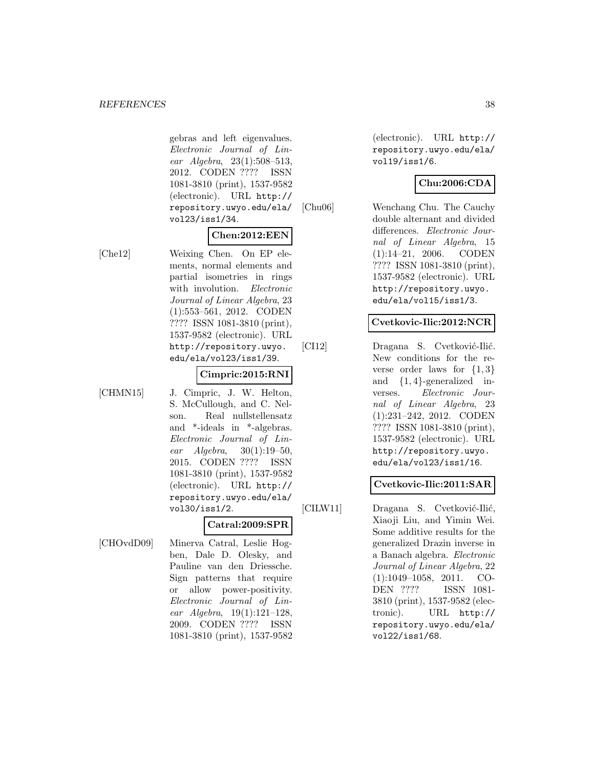gebras and left eigenvalues. Electronic Journal of Linear Algebra, 23(1):508–513, 2012. CODEN ???? ISSN 1081-3810 (print), 1537-9582 (electronic). URL http:// repository.uwyo.edu/ela/ vol23/iss1/34.

### **Chen:2012:EEN**

[Che12] Weixing Chen. On EP elements, normal elements and partial isometries in rings with involution. Electronic Journal of Linear Algebra, 23 (1):553–561, 2012. CODEN ???? ISSN 1081-3810 (print), 1537-9582 (electronic). URL http://repository.uwyo. edu/ela/vol23/iss1/39.

### **Cimpric:2015:RNI**

- 
- [CHMN15] J. Cimpric, J. W. Helton, S. McCullough, and C. Nelson. Real nullstellensatz and \*-ideals in \*-algebras. Electronic Journal of Linear Algebra, 30(1):19–50, 2015. CODEN ???? ISSN 1081-3810 (print), 1537-9582 (electronic). URL http:// repository.uwyo.edu/ela/ vol30/iss1/2.

### **Catral:2009:SPR**

[CHOvdD09] Minerva Catral, Leslie Hogben, Dale D. Olesky, and Pauline van den Driessche. Sign patterns that require or allow power-positivity. Electronic Journal of Linear Algebra, 19(1):121–128, 2009. CODEN ???? ISSN 1081-3810 (print), 1537-9582

(electronic). URL http:// repository.uwyo.edu/ela/ vol19/iss1/6.

# **Chu:2006:CDA**

[Chu06] Wenchang Chu. The Cauchy double alternant and divided differences. Electronic Journal of Linear Algebra, 15 (1):14–21, 2006. CODEN ???? ISSN 1081-3810 (print), 1537-9582 (electronic). URL http://repository.uwyo. edu/ela/vol15/iss1/3.

### **Cvetkovic-Ilic:2012:NCR**

[CI12] Dragana S. Cvetković-Ilić. New conditions for the reverse order laws for  $\{1,3\}$ and  ${1, 4}$ -generalized inverses. Electronic Journal of Linear Algebra, 23 (1):231–242, 2012. CODEN ???? ISSN 1081-3810 (print), 1537-9582 (electronic). URL http://repository.uwyo. edu/ela/vol23/iss1/16.

### **Cvetkovic-Ilic:2011:SAR**

[CILW11] Dragana S. Cvetković-Ilić, Xiaoji Liu, and Yimin Wei. Some additive results for the generalized Drazin inverse in a Banach algebra. Electronic Journal of Linear Algebra, 22 (1):1049–1058, 2011. CO-DEN ???? ISSN 1081- 3810 (print), 1537-9582 (electronic). URL http:// repository.uwyo.edu/ela/ vol22/iss1/68.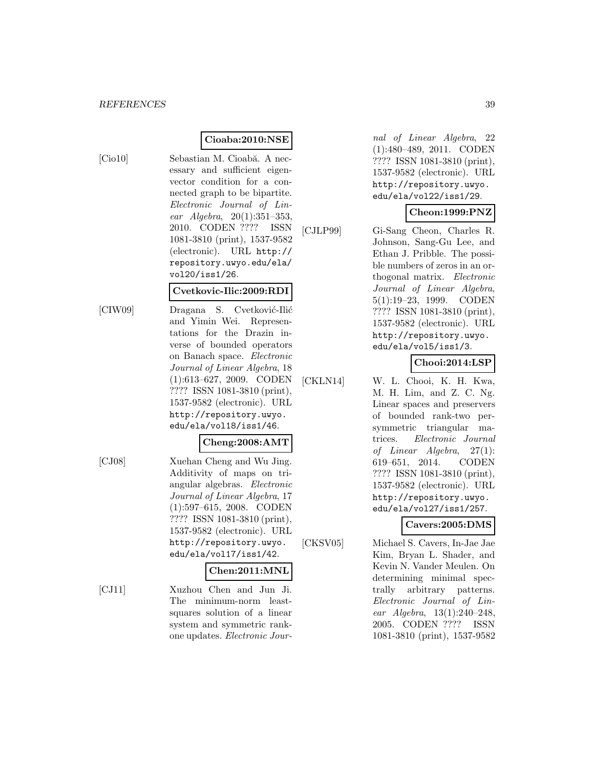# **Cioaba:2010:NSE**

[Cio10] Sebastian M. Cioabă. A necessary and sufficient eigenvector condition for a connected graph to be bipartite. Electronic Journal of Linear Algebra, 20(1):351–353, 2010. CODEN ???? ISSN 1081-3810 (print), 1537-9582 (electronic). URL http:// repository.uwyo.edu/ela/ vol20/iss1/26.

#### **Cvetkovic-Ilic:2009:RDI**

[CIW09] Dragana S. Cvetković-Ilić and Yimin Wei. Representations for the Drazin inverse of bounded operators on Banach space. Electronic Journal of Linear Algebra, 18 (1):613–627, 2009. CODEN ???? ISSN 1081-3810 (print), 1537-9582 (electronic). URL http://repository.uwyo. edu/ela/vol18/iss1/46.

### **Cheng:2008:AMT**

[CJ08] Xuehan Cheng and Wu Jing. Additivity of maps on triangular algebras. Electronic Journal of Linear Algebra, 17 (1):597–615, 2008. CODEN ???? ISSN 1081-3810 (print), 1537-9582 (electronic). URL http://repository.uwyo. edu/ela/vol17/iss1/42.

### **Chen:2011:MNL**

[CJ11] Xuzhou Chen and Jun Ji. The minimum-norm leastsquares solution of a linear system and symmetric rankone updates. Electronic Jour-

nal of Linear Algebra, 22 (1):480–489, 2011. CODEN ???? ISSN 1081-3810 (print), 1537-9582 (electronic). URL http://repository.uwyo. edu/ela/vol22/iss1/29.

### **Cheon:1999:PNZ**

[CJLP99] Gi-Sang Cheon, Charles R. Johnson, Sang-Gu Lee, and Ethan J. Pribble. The possible numbers of zeros in an orthogonal matrix. Electronic Journal of Linear Algebra, 5(1):19–23, 1999. CODEN ???? ISSN 1081-3810 (print), 1537-9582 (electronic). URL http://repository.uwyo. edu/ela/vol5/iss1/3.

# **Chooi:2014:LSP**

[CKLN14] W. L. Chooi, K. H. Kwa, M. H. Lim, and Z. C. Ng. Linear spaces and preservers of bounded rank-two persymmetric triangular matrices. Electronic Journal of Linear Algebra, 27(1): 619–651, 2014. CODEN ???? ISSN 1081-3810 (print), 1537-9582 (electronic). URL http://repository.uwyo. edu/ela/vol27/iss1/257.

# **Cavers:2005:DMS**

[CKSV05] Michael S. Cavers, In-Jae Jae Kim, Bryan L. Shader, and Kevin N. Vander Meulen. On determining minimal spectrally arbitrary patterns. Electronic Journal of Linear Algebra, 13(1):240–248, 2005. CODEN ???? ISSN 1081-3810 (print), 1537-9582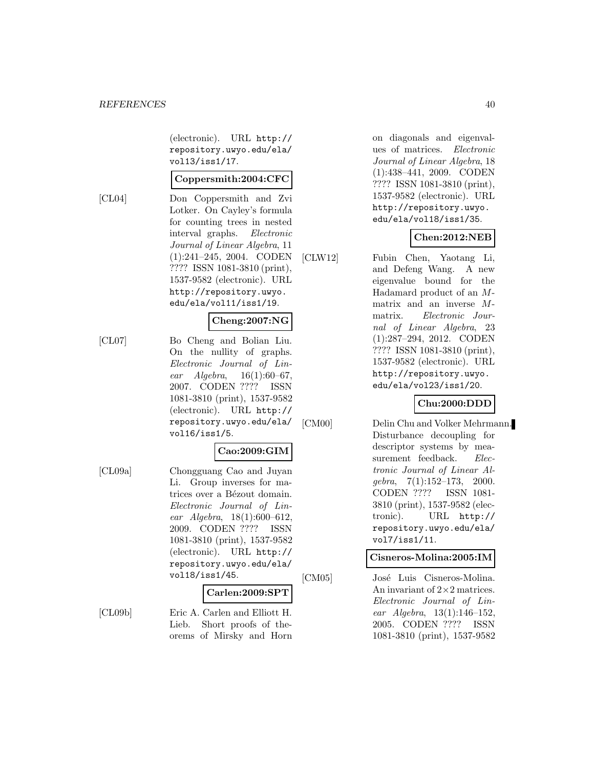(electronic). URL http:// repository.uwyo.edu/ela/ vol13/iss1/17.

#### **Coppersmith:2004:CFC**

[CL04] Don Coppersmith and Zvi Lotker. On Cayley's formula for counting trees in nested interval graphs. Electronic Journal of Linear Algebra, 11 (1):241–245, 2004. CODEN ???? ISSN 1081-3810 (print), 1537-9582 (electronic). URL http://repository.uwyo. edu/ela/vol11/iss1/19.

#### **Cheng:2007:NG**

[CL07] Bo Cheng and Bolian Liu. On the nullity of graphs. Electronic Journal of Linear Algebra,  $16(1):60-67$ , 2007. CODEN ???? ISSN 1081-3810 (print), 1537-9582 (electronic). URL http:// repository.uwyo.edu/ela/ vol16/iss1/5.

### **Cao:2009:GIM**

[CL09a] Chongguang Cao and Juyan Li. Group inverses for matrices over a Bézout domain. Electronic Journal of Linear Algebra, 18(1):600–612, 2009. CODEN ???? ISSN 1081-3810 (print), 1537-9582 (electronic). URL http:// repository.uwyo.edu/ela/ vol18/iss1/45.

#### **Carlen:2009:SPT**

[CL09b] Eric A. Carlen and Elliott H. Lieb. Short proofs of theorems of Mirsky and Horn

on diagonals and eigenvalues of matrices. Electronic Journal of Linear Algebra, 18 (1):438–441, 2009. CODEN ???? ISSN 1081-3810 (print), 1537-9582 (electronic). URL http://repository.uwyo. edu/ela/vol18/iss1/35.

# **Chen:2012:NEB**

[CLW12] Fubin Chen, Yaotang Li, and Defeng Wang. A new eigenvalue bound for the Hadamard product of an Mmatrix and an inverse Mmatrix. Electronic Journal of Linear Algebra, 23 (1):287–294, 2012. CODEN ???? ISSN 1081-3810 (print), 1537-9582 (electronic). URL http://repository.uwyo. edu/ela/vol23/iss1/20.

### **Chu:2000:DDD**

[CM00] Delin Chu and Volker Mehrmann. Disturbance decoupling for descriptor systems by measurement feedback. Electronic Journal of Linear Algebra, 7(1):152–173, 2000. CODEN ???? ISSN 1081- 3810 (print), 1537-9582 (electronic). URL http:// repository.uwyo.edu/ela/ vol7/iss1/11.

#### **Cisneros-Molina:2005:IM**

[CM05] José Luis Cisneros-Molina. An invariant of  $2\times 2$  matrices. Electronic Journal of Linear Algebra, 13(1):146–152, 2005. CODEN ???? ISSN 1081-3810 (print), 1537-9582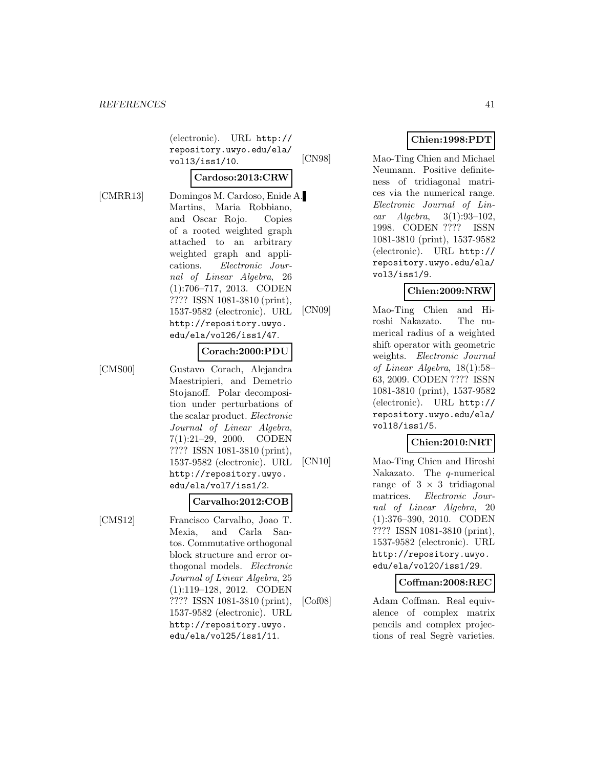(electronic). URL http:// repository.uwyo.edu/ela/ vol13/iss1/10.

#### **Cardoso:2013:CRW**

[CMRR13] Domingos M. Cardoso, Enide A. Martins, Maria Robbiano, and Oscar Rojo. Copies of a rooted weighted graph attached to an arbitrary weighted graph and applications. Electronic Journal of Linear Algebra, 26 (1):706–717, 2013. CODEN ???? ISSN 1081-3810 (print), 1537-9582 (electronic). URL http://repository.uwyo. edu/ela/vol26/iss1/47.

#### **Corach:2000:PDU**

[CMS00] Gustavo Corach, Alejandra Maestripieri, and Demetrio Stojanoff. Polar decomposition under perturbations of the scalar product. Electronic Journal of Linear Algebra, 7(1):21–29, 2000. CODEN ???? ISSN 1081-3810 (print), 1537-9582 (electronic). URL http://repository.uwyo. edu/ela/vol7/iss1/2.

#### **Carvalho:2012:COB**

[CMS12] Francisco Carvalho, Joao T. Mexia, and Carla Santos. Commutative orthogonal block structure and error orthogonal models. Electronic Journal of Linear Algebra, 25 (1):119–128, 2012. CODEN ???? ISSN 1081-3810 (print), 1537-9582 (electronic). URL http://repository.uwyo. edu/ela/vol25/iss1/11.

### **Chien:1998:PDT**

[CN98] Mao-Ting Chien and Michael Neumann. Positive definiteness of tridiagonal matrices via the numerical range. Electronic Journal of Linear Algebra, 3(1):93–102, 1998. CODEN ???? ISSN 1081-3810 (print), 1537-9582 (electronic). URL http:// repository.uwyo.edu/ela/ vol3/iss1/9.

### **Chien:2009:NRW**

[CN09] Mao-Ting Chien and Hiroshi Nakazato. The numerical radius of a weighted shift operator with geometric weights. Electronic Journal of Linear Algebra, 18(1):58– 63, 2009. CODEN ???? ISSN 1081-3810 (print), 1537-9582 (electronic). URL http:// repository.uwyo.edu/ela/ vol18/iss1/5.

# **Chien:2010:NRT**

[CN10] Mao-Ting Chien and Hiroshi Nakazato. The q-numerical range of  $3 \times 3$  tridiagonal matrices. Electronic Journal of Linear Algebra, 20 (1):376–390, 2010. CODEN ???? ISSN 1081-3810 (print), 1537-9582 (electronic). URL http://repository.uwyo. edu/ela/vol20/iss1/29.

### **Coffman:2008:REC**

[Cof08] Adam Coffman. Real equivalence of complex matrix pencils and complex projections of real Segrè varieties.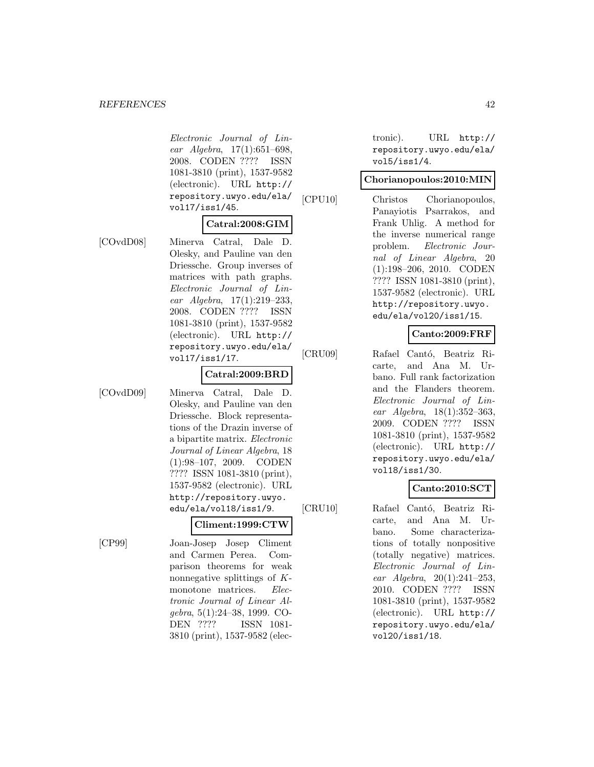Electronic Journal of Linear Algebra, 17(1):651–698, 2008. CODEN ???? ISSN 1081-3810 (print), 1537-9582 (electronic). URL http:// repository.uwyo.edu/ela/ vol17/iss1/45.

#### **Catral:2008:GIM**

[COvdD08] Minerva Catral, Dale D. Olesky, and Pauline van den Driessche. Group inverses of matrices with path graphs. Electronic Journal of Linear Algebra, 17(1):219–233,

> 2008. CODEN ???? ISSN 1081-3810 (print), 1537-9582 (electronic). URL http:// repository.uwyo.edu/ela/ vol17/iss1/17.

> > **Catral:2009:BRD**

[COvdD09] Minerva Catral, Dale D. Olesky, and Pauline van den Driessche. Block representations of the Drazin inverse of a bipartite matrix. Electronic Journal of Linear Algebra, 18 (1):98–107, 2009. CODEN ???? ISSN 1081-3810 (print), 1537-9582 (electronic). URL http://repository.uwyo. edu/ela/vol18/iss1/9.

#### **Climent:1999:CTW**

[CP99] Joan-Josep Josep Climent and Carmen Perea. Comparison theorems for weak nonnegative splittings of Kmonotone matrices. Electronic Journal of Linear Algebra, 5(1):24–38, 1999. CO-DEN ???? ISSN 1081- 3810 (print), 1537-9582 (electronic). URL http:// repository.uwyo.edu/ela/ vol5/iss1/4.

### **Chorianopoulos:2010:MIN**

[CPU10] Christos Chorianopoulos, Panayiotis Psarrakos, and Frank Uhlig. A method for the inverse numerical range problem. Electronic Journal of Linear Algebra, 20 (1):198–206, 2010. CODEN ???? ISSN 1081-3810 (print), 1537-9582 (electronic). URL http://repository.uwyo. edu/ela/vol20/iss1/15.

# **Canto:2009:FRF**

[CRU09] Rafael Cantó, Beatriz Ricarte, and Ana M. Urbano. Full rank factorization and the Flanders theorem. Electronic Journal of Linear Algebra, 18(1):352–363, 2009. CODEN ???? ISSN 1081-3810 (print), 1537-9582 (electronic). URL http:// repository.uwyo.edu/ela/ vol18/iss1/30.

### **Canto:2010:SCT**

[CRU10] Rafael Cantó, Beatriz Ricarte, and Ana M. Urbano. Some characterizations of totally nonpositive (totally negative) matrices. Electronic Journal of Linear Algebra, 20(1):241–253, 2010. CODEN ???? ISSN 1081-3810 (print), 1537-9582 (electronic). URL http:// repository.uwyo.edu/ela/ vol20/iss1/18.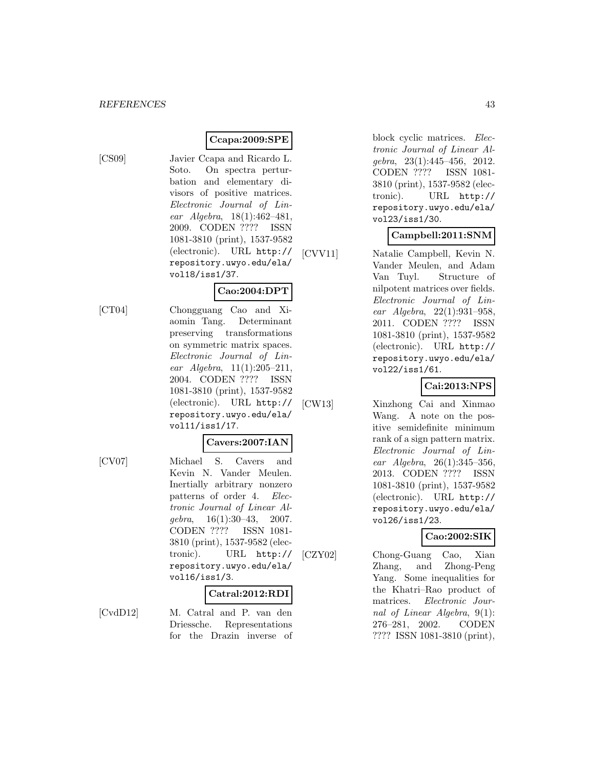# **Ccapa:2009:SPE**

[CS09] Javier Ccapa and Ricardo L. Soto. On spectra perturbation and elementary divisors of positive matrices. Electronic Journal of Linear Algebra, 18(1):462–481, 2009. CODEN ???? ISSN 1081-3810 (print), 1537-9582 (electronic). URL http:// repository.uwyo.edu/ela/ vol18/iss1/37.

# **Cao:2004:DPT**

[CT04] Chongguang Cao and Xiaomin Tang. Determinant preserving transformations on symmetric matrix spaces. Electronic Journal of Linear  $Algebra$ ,  $11(1):205-211$ , 2004. CODEN ???? ISSN 1081-3810 (print), 1537-9582 (electronic). URL http:// repository.uwyo.edu/ela/ vol11/iss1/17.

# **Cavers:2007:IAN**

[CV07] Michael S. Cavers and Kevin N. Vander Meulen. Inertially arbitrary nonzero patterns of order 4. Electronic Journal of Linear Algebra, 16(1):30–43, 2007. CODEN ???? ISSN 1081- 3810 (print), 1537-9582 (electronic). URL http:// repository.uwyo.edu/ela/ vol16/iss1/3.

# **Catral:2012:RDI**

[CvdD12] M. Catral and P. van den Driessche. Representations for the Drazin inverse of block cyclic matrices. Electronic Journal of Linear Algebra, 23(1):445–456, 2012. CODEN ???? ISSN 1081- 3810 (print), 1537-9582 (electronic). URL http:// repository.uwyo.edu/ela/ vol23/iss1/30.

### **Campbell:2011:SNM**

[CVV11] Natalie Campbell, Kevin N. Vander Meulen, and Adam Van Tuyl. Structure of nilpotent matrices over fields. Electronic Journal of Linear Algebra, 22(1):931–958, 2011. CODEN ???? ISSN 1081-3810 (print), 1537-9582 (electronic). URL http:// repository.uwyo.edu/ela/ vol22/iss1/61.

# **Cai:2013:NPS**

[CW13] Xinzhong Cai and Xinmao Wang. A note on the positive semidefinite minimum rank of a sign pattern matrix. Electronic Journal of Linear Algebra, 26(1):345–356, 2013. CODEN ???? ISSN 1081-3810 (print), 1537-9582 (electronic). URL http:// repository.uwyo.edu/ela/ vol26/iss1/23.

# **Cao:2002:SIK**

[CZY02] Chong-Guang Cao, Xian Zhang, and Zhong-Peng Yang. Some inequalities for the Khatri–Rao product of matrices. Electronic Journal of Linear Algebra, 9(1): 276–281, 2002. CODEN ???? ISSN 1081-3810 (print),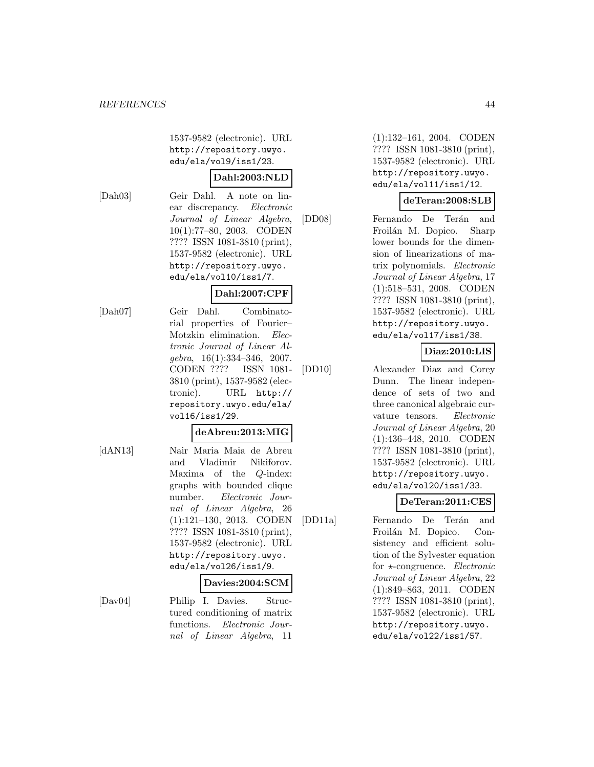1537-9582 (electronic). URL http://repository.uwyo. edu/ela/vol9/iss1/23.

### **Dahl:2003:NLD**

[Dah03] Geir Dahl. A note on linear discrepancy. Electronic Journal of Linear Algebra, 10(1):77–80, 2003. CODEN ???? ISSN 1081-3810 (print), 1537-9582 (electronic). URL http://repository.uwyo. edu/ela/vol10/iss1/7.

# **Dahl:2007:CPF**

[Dah07] Geir Dahl. Combinatorial properties of Fourier– Motzkin elimination. Electronic Journal of Linear Algebra, 16(1):334–346, 2007. CODEN ???? ISSN 1081- 3810 (print), 1537-9582 (electronic). URL http:// repository.uwyo.edu/ela/ vol16/iss1/29.

### **deAbreu:2013:MIG**

[dAN13] Nair Maria Maia de Abreu and Vladimir Nikiforov. Maxima of the Q-index: graphs with bounded clique number. Electronic Journal of Linear Algebra, 26 (1):121–130, 2013. CODEN ???? ISSN 1081-3810 (print), 1537-9582 (electronic). URL http://repository.uwyo. edu/ela/vol26/iss1/9.

### **Davies:2004:SCM**

[Dav04] Philip I. Davies. Structured conditioning of matrix functions. Electronic Journal of Linear Algebra, 11

(1):132–161, 2004. CODEN ???? ISSN 1081-3810 (print), 1537-9582 (electronic). URL http://repository.uwyo. edu/ela/vol11/iss1/12.

### **deTeran:2008:SLB**

[DD08] Fernando De Terán and Froilán M. Dopico. Sharp lower bounds for the dimension of linearizations of matrix polynomials. Electronic Journal of Linear Algebra, 17 (1):518–531, 2008. CODEN ???? ISSN 1081-3810 (print), 1537-9582 (electronic). URL http://repository.uwyo. edu/ela/vol17/iss1/38.

# **Diaz:2010:LIS**

[DD10] Alexander Diaz and Corey Dunn. The linear independence of sets of two and three canonical algebraic curvature tensors. Electronic Journal of Linear Algebra, 20 (1):436–448, 2010. CODEN ???? ISSN 1081-3810 (print), 1537-9582 (electronic). URL http://repository.uwyo. edu/ela/vol20/iss1/33.

# **DeTeran:2011:CES**

[DD11a] Fernando De Terán and Froilán M. Dopico. Consistency and efficient solution of the Sylvester equation for  $\star$ -congruence. Electronic Journal of Linear Algebra, 22 (1):849–863, 2011. CODEN ???? ISSN 1081-3810 (print), 1537-9582 (electronic). URL http://repository.uwyo. edu/ela/vol22/iss1/57.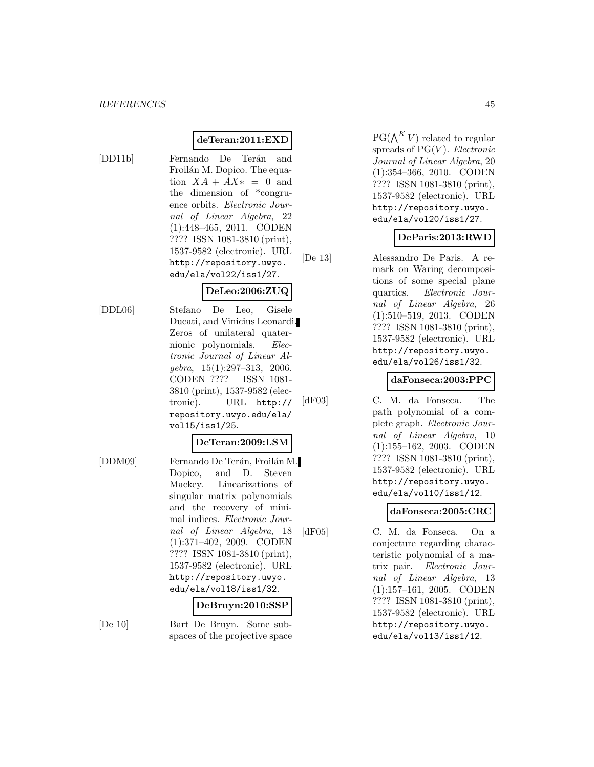### **deTeran:2011:EXD**

[DD11b] Fernando De Terán and Froilán M. Dopico. The equation  $XA + AX* = 0$  and the dimension of \*congruence orbits. Electronic Journal of Linear Algebra, 22 (1):448–465, 2011. CODEN ???? ISSN 1081-3810 (print), 1537-9582 (electronic). URL http://repository.uwyo. edu/ela/vol22/iss1/27.

### **DeLeo:2006:ZUQ**

[DDL06] Stefano De Leo, Gisele Ducati, and Vinicius Leonardi. Zeros of unilateral quaternionic polynomials. Electronic Journal of Linear Algebra, 15(1):297–313, 2006. CODEN ???? ISSN 1081- 3810 (print), 1537-9582 (electronic). URL http:// repository.uwyo.edu/ela/ vol15/iss1/25.

### **DeTeran:2009:LSM**

[DDM09] Fernando De Terán, Froilán M. Dopico, and D. Steven Mackey. Linearizations of singular matrix polynomials and the recovery of minimal indices. Electronic Journal of Linear Algebra, 18 (1):371–402, 2009. CODEN ???? ISSN 1081-3810 (print), 1537-9582 (electronic). URL http://repository.uwyo. edu/ela/vol18/iss1/32.

#### **DeBruyn:2010:SSP**

[De 10] Bart De Bruyn. Some subspaces of the projective space  $PG(\bigwedge^K V)$  related to regular spreads of  $PG(V)$ . Electronic Journal of Linear Algebra, 20 (1):354–366, 2010. CODEN ???? ISSN 1081-3810 (print), 1537-9582 (electronic). URL http://repository.uwyo. edu/ela/vol20/iss1/27.

#### **DeParis:2013:RWD**

[De 13] Alessandro De Paris. A remark on Waring decompositions of some special plane quartics. Electronic Journal of Linear Algebra, 26 (1):510–519, 2013. CODEN ???? ISSN 1081-3810 (print), 1537-9582 (electronic). URL http://repository.uwyo. edu/ela/vol26/iss1/32.

### **daFonseca:2003:PPC**

[dF03] C. M. da Fonseca. The path polynomial of a complete graph. Electronic Journal of Linear Algebra, 10 (1):155–162, 2003. CODEN ???? ISSN 1081-3810 (print), 1537-9582 (electronic). URL http://repository.uwyo. edu/ela/vol10/iss1/12.

# **daFonseca:2005:CRC**

[dF05] C. M. da Fonseca. On a conjecture regarding characteristic polynomial of a matrix pair. Electronic Journal of Linear Algebra, 13 (1):157–161, 2005. CODEN ???? ISSN 1081-3810 (print), 1537-9582 (electronic). URL http://repository.uwyo. edu/ela/vol13/iss1/12.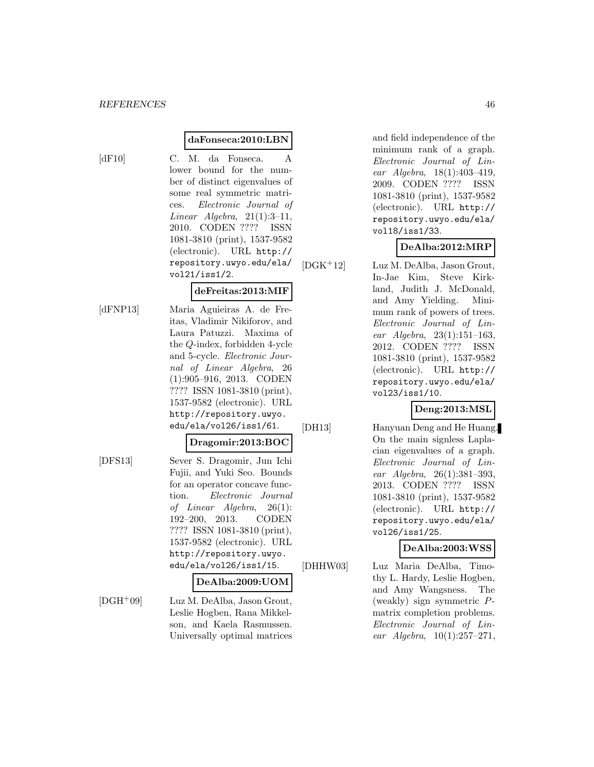#### **daFonseca:2010:LBN**

[dF10] C. M. da Fonseca. A lower bound for the number of distinct eigenvalues of some real symmetric matrices. Electronic Journal of  $Linear \ Algebra, 21(1):3-11,$ 2010. CODEN ???? ISSN 1081-3810 (print), 1537-9582 (electronic). URL http:// repository.uwyo.edu/ela/ vol21/iss1/2.

#### **deFreitas:2013:MIF**

[dFNP13] Maria Aguieiras A. de Freitas, Vladimir Nikiforov, and Laura Patuzzi. Maxima of the Q-index, forbidden 4-ycle and 5-cycle. Electronic Journal of Linear Algebra, 26 (1):905–916, 2013. CODEN ???? ISSN 1081-3810 (print), 1537-9582 (electronic). URL http://repository.uwyo. edu/ela/vol26/iss1/61.

#### **Dragomir:2013:BOC**

[DFS13] Sever S. Dragomir, Jun Ichi Fujii, and Yuki Seo. Bounds for an operator concave function. Electronic Journal of Linear Algebra, 26(1): 192–200, 2013. CODEN ???? ISSN 1081-3810 (print), 1537-9582 (electronic). URL http://repository.uwyo. edu/ela/vol26/iss1/15.

#### **DeAlba:2009:UOM**

[DGH<sup>+</sup>09] Luz M. DeAlba, Jason Grout, Leslie Hogben, Rana Mikkelson, and Kaela Rasmussen. Universally optimal matrices and field independence of the minimum rank of a graph. Electronic Journal of Linear Algebra, 18(1):403–419, 2009. CODEN ???? ISSN 1081-3810 (print), 1537-9582 (electronic). URL http:// repository.uwyo.edu/ela/ vol18/iss1/33.

### **DeAlba:2012:MRP**

[DGK<sup>+</sup>12] Luz M. DeAlba, Jason Grout, In-Jae Kim, Steve Kirkland, Judith J. McDonald, and Amy Yielding. Minimum rank of powers of trees. Electronic Journal of Linear Algebra, 23(1):151–163, 2012. CODEN ???? ISSN 1081-3810 (print), 1537-9582 (electronic). URL http:// repository.uwyo.edu/ela/ vol23/iss1/10.

### **Deng:2013:MSL**

[DH13] Hanyuan Deng and He Huang. On the main signless Laplacian eigenvalues of a graph. Electronic Journal of Linear Algebra, 26(1):381–393, 2013. CODEN ???? ISSN 1081-3810 (print), 1537-9582 (electronic). URL http:// repository.uwyo.edu/ela/ vol26/iss1/25.

#### **DeAlba:2003:WSS**

[DHHW03] Luz Maria DeAlba, Timothy L. Hardy, Leslie Hogben, and Amy Wangsness. The (weakly) sign symmetric Pmatrix completion problems. Electronic Journal of Linear  $Algebra$ ,  $10(1):257-271$ ,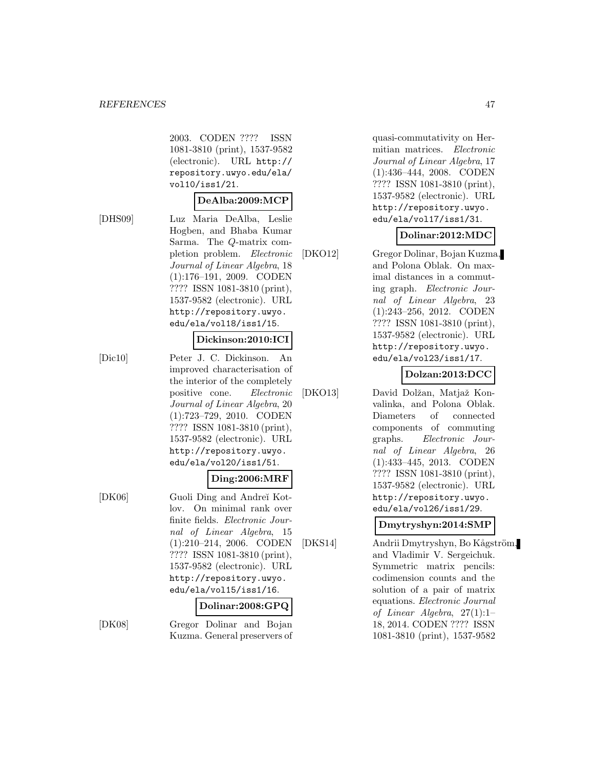2003. CODEN ???? ISSN 1081-3810 (print), 1537-9582 (electronic). URL http:// repository.uwyo.edu/ela/ vol10/iss1/21.

#### **DeAlba:2009:MCP**

[DHS09] Luz Maria DeAlba, Leslie Hogben, and Bhaba Kumar Sarma. The Q-matrix completion problem. Electronic Journal of Linear Algebra, 18 (1):176–191, 2009. CODEN ???? ISSN 1081-3810 (print), 1537-9582 (electronic). URL http://repository.uwyo. edu/ela/vol18/iss1/15.

#### **Dickinson:2010:ICI**

[Dic10] Peter J. C. Dickinson. An improved characterisation of the interior of the completely positive cone. Electronic Journal of Linear Algebra, 20 (1):723–729, 2010. CODEN ???? ISSN 1081-3810 (print), 1537-9582 (electronic). URL http://repository.uwyo. edu/ela/vol20/iss1/51.

#### **Ding:2006:MRF**

[DK06] Guoli Ding and Andreĭ Kotlov. On minimal rank over finite fields. Electronic Journal of Linear Algebra, 15 (1):210–214, 2006. CODEN ???? ISSN 1081-3810 (print), 1537-9582 (electronic). URL http://repository.uwyo. edu/ela/vol15/iss1/16.

#### **Dolinar:2008:GPQ**

[DK08] Gregor Dolinar and Bojan Kuzma. General preservers of quasi-commutativity on Hermitian matrices. Electronic Journal of Linear Algebra, 17 (1):436–444, 2008. CODEN ???? ISSN 1081-3810 (print), 1537-9582 (electronic). URL http://repository.uwyo. edu/ela/vol17/iss1/31.

#### **Dolinar:2012:MDC**

[DKO12] Gregor Dolinar, Bojan Kuzma, and Polona Oblak. On maximal distances in a commuting graph. Electronic Journal of Linear Algebra, 23 (1):243–256, 2012. CODEN ???? ISSN 1081-3810 (print), 1537-9582 (electronic). URL http://repository.uwyo. edu/ela/vol23/iss1/17.

### **Dolzan:2013:DCC**

[DKO13] David Dolžan, Matjaž Konvalinka, and Polona Oblak. Diameters of connected components of commuting graphs. Electronic Journal of Linear Algebra, 26 (1):433–445, 2013. CODEN ???? ISSN 1081-3810 (print), 1537-9582 (electronic). URL http://repository.uwyo. edu/ela/vol26/iss1/29.

#### **Dmytryshyn:2014:SMP**

[DKS14] Andrii Dmytryshyn, Bo Kågström, and Vladimir V. Sergeichuk. Symmetric matrix pencils: codimension counts and the solution of a pair of matrix equations. Electronic Journal of Linear Algebra, 27(1):1– 18, 2014. CODEN ???? ISSN 1081-3810 (print), 1537-9582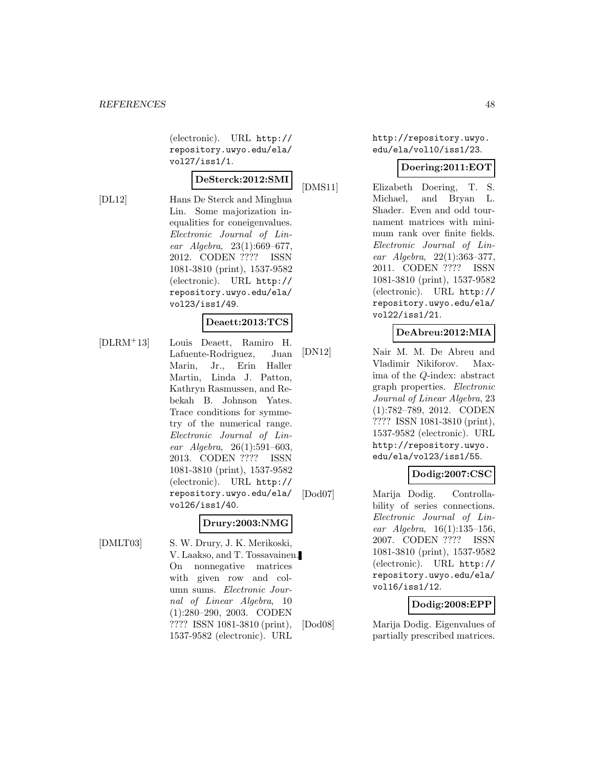(electronic). URL http:// repository.uwyo.edu/ela/ vol27/iss1/1.

# **DeSterck:2012:SMI**

[DL12] Hans De Sterck and Minghua Lin. Some majorization inequalities for coneigenvalues. Electronic Journal of Linear Algebra, 23(1):669–677, 2012. CODEN ???? ISSN 1081-3810 (print), 1537-9582 (electronic). URL http:// repository.uwyo.edu/ela/ vol23/iss1/49.

### **Deaett:2013:TCS**

[DLRM<sup>+</sup>13] Louis Deaett, Ramiro H. Lafuente-Rodriguez, Juan Marin, Jr., Erin Haller Martin, Linda J. Patton, Kathryn Rasmussen, and Rebekah B. Johnson Yates. Trace conditions for symmetry of the numerical range. Electronic Journal of Linear Algebra, 26(1):591–603, 2013. CODEN ???? ISSN 1081-3810 (print), 1537-9582 (electronic). URL http:// repository.uwyo.edu/ela/ vol26/iss1/40.

# **Drury:2003:NMG**

[DMLT03] S. W. Drury, J. K. Merikoski, V. Laakso, and T. Tossavainen. On nonnegative matrices with given row and column sums. Electronic Journal of Linear Algebra, 10 (1):280–290, 2003. CODEN ???? ISSN 1081-3810 (print), 1537-9582 (electronic). URL

http://repository.uwyo. edu/ela/vol10/iss1/23.

### **Doering:2011:EOT**

[DMS11] Elizabeth Doering, T. S. Michael, and Bryan L. Shader. Even and odd tournament matrices with minimum rank over finite fields. Electronic Journal of Linear Algebra, 22(1):363–377, 2011. CODEN ???? ISSN 1081-3810 (print), 1537-9582 (electronic). URL http:// repository.uwyo.edu/ela/ vol22/iss1/21.

### **DeAbreu:2012:MIA**

[DN12] Nair M. M. De Abreu and Vladimir Nikiforov. Maxima of the Q-index: abstract graph properties. Electronic Journal of Linear Algebra, 23 (1):782–789, 2012. CODEN ???? ISSN 1081-3810 (print), 1537-9582 (electronic). URL http://repository.uwyo. edu/ela/vol23/iss1/55.

# **Dodig:2007:CSC**

[Dod07] Marija Dodig. Controllability of series connections. Electronic Journal of Linear Algebra, 16(1):135–156, 2007. CODEN ???? ISSN 1081-3810 (print), 1537-9582 (electronic). URL http:// repository.uwyo.edu/ela/ vol16/iss1/12.

# **Dodig:2008:EPP**

[Dod08] Marija Dodig. Eigenvalues of partially prescribed matrices.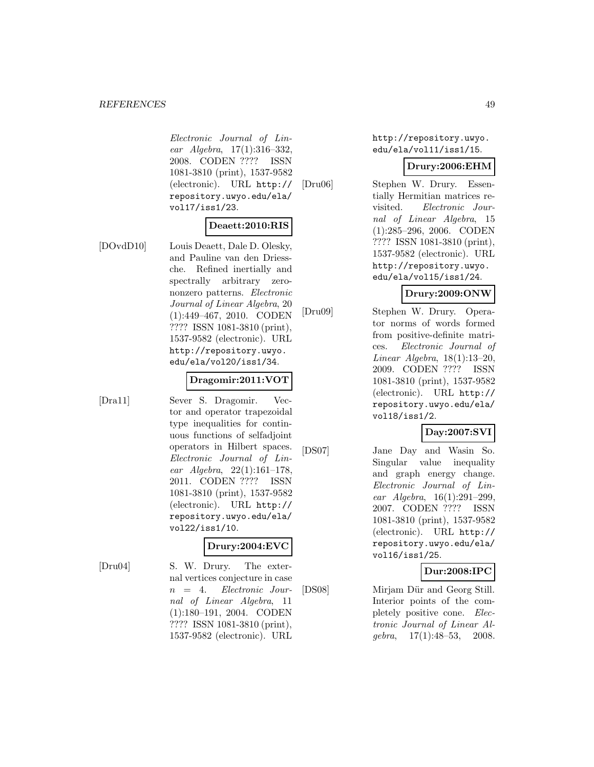Electronic Journal of Linear Algebra, 17(1):316–332, 2008. CODEN ???? ISSN 1081-3810 (print), 1537-9582 (electronic). URL http:// repository.uwyo.edu/ela/ vol17/iss1/23.

### **Deaett:2010:RIS**

[DOvdD10] Louis Deaett, Dale D. Olesky, and Pauline van den Driessche. Refined inertially and spectrally arbitrary zerononzero patterns. Electronic Journal of Linear Algebra, 20 (1):449–467, 2010. CODEN ???? ISSN 1081-3810 (print), 1537-9582 (electronic). URL http://repository.uwyo. edu/ela/vol20/iss1/34.

#### **Dragomir:2011:VOT**

[Dra11] Sever S. Dragomir. Vector and operator trapezoidal type inequalities for continuous functions of selfadjoint operators in Hilbert spaces. Electronic Journal of Linear Algebra, 22(1):161–178, 2011. CODEN ???? ISSN 1081-3810 (print), 1537-9582 (electronic). URL http:// repository.uwyo.edu/ela/ vol22/iss1/10.

### **Drury:2004:EVC**

[Dru04] S. W. Drury. The external vertices conjecture in case n = 4. Electronic Journal of Linear Algebra, 11 (1):180–191, 2004. CODEN ???? ISSN 1081-3810 (print), 1537-9582 (electronic). URL http://repository.uwyo. edu/ela/vol11/iss1/15.

#### **Drury:2006:EHM**

[Dru06] Stephen W. Drury. Essentially Hermitian matrices revisited. Electronic Journal of Linear Algebra, 15 (1):285–296, 2006. CODEN ???? ISSN 1081-3810 (print), 1537-9582 (electronic). URL http://repository.uwyo. edu/ela/vol15/iss1/24.

# **Drury:2009:ONW**

[Dru09] Stephen W. Drury. Operator norms of words formed from positive-definite matrices. Electronic Journal of Linear Algebra, 18(1):13–20, 2009. CODEN ???? ISSN 1081-3810 (print), 1537-9582 (electronic). URL http:// repository.uwyo.edu/ela/ vol18/iss1/2.

# **Day:2007:SVI**

[DS07] Jane Day and Wasin So. Singular value inequality and graph energy change. Electronic Journal of Linear Algebra, 16(1):291–299, 2007. CODEN ???? ISSN 1081-3810 (print), 1537-9582 (electronic). URL http:// repository.uwyo.edu/ela/ vol16/iss1/25.

# **Dur:2008:IPC**

[DS08] Mirjam Dür and Georg Still. Interior points of the completely positive cone. Electronic Journal of Linear Alqebra,  $17(1):48-53$ ,  $2008$ .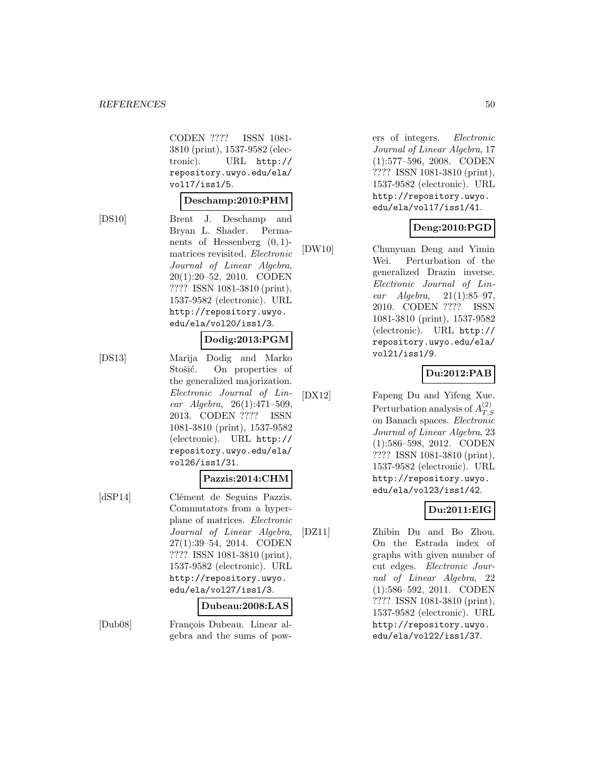CODEN ???? ISSN 1081- 3810 (print), 1537-9582 (electronic). URL http:// repository.uwyo.edu/ela/ vol17/iss1/5.

#### **Deschamp:2010:PHM**

[DS10] Brent J. Deschamp and Bryan L. Shader. Permanents of Hessenberg  $(0, 1)$ matrices revisited. Electronic Journal of Linear Algebra, 20(1):20–52, 2010. CODEN ???? ISSN 1081-3810 (print), 1537-9582 (electronic). URL http://repository.uwyo. edu/ela/vol20/iss1/3.

#### **Dodig:2013:PGM**

[DS13] Marija Dodig and Marko Stošić. On properties of the generalized majorization. Electronic Journal of Linear Algebra, 26(1):471–509, 2013. CODEN ???? ISSN 1081-3810 (print), 1537-9582 (electronic). URL http:// repository.uwyo.edu/ela/ vol26/iss1/31.

#### **Pazzis:2014:CHM**

[dSP14] Clément de Seguins Pazzis. Commutators from a hyperplane of matrices. Electronic Journal of Linear Algebra, 27(1):39–54, 2014. CODEN ???? ISSN 1081-3810 (print), 1537-9582 (electronic). URL http://repository.uwyo. edu/ela/vol27/iss1/3.

#### **Dubeau:2008:LAS**

[Dub08] François Dubeau. Linear algebra and the sums of powers of integers. Electronic Journal of Linear Algebra, 17 (1):577–596, 2008. CODEN ???? ISSN 1081-3810 (print), 1537-9582 (electronic). URL http://repository.uwyo. edu/ela/vol17/iss1/41.

#### **Deng:2010:PGD**

[DW10] Chunyuan Deng and Yimin Wei. Perturbation of the generalized Drazin inverse. Electronic Journal of Linear  $Algebra, 21(1):85-97,$ 2010. CODEN ???? ISSN 1081-3810 (print), 1537-9582 (electronic). URL http:// repository.uwyo.edu/ela/ vol21/iss1/9.

### **Du:2012:PAB**

[DX12] Fapeng Du and Yifeng Xue. Perturbation analysis of  $A_{T,S}^{(2)}$ on Banach spaces. Electronic Journal of Linear Algebra, 23 (1):586–598, 2012. CODEN ???? ISSN 1081-3810 (print), 1537-9582 (electronic). URL http://repository.uwyo. edu/ela/vol23/iss1/42.

# **Du:2011:EIG**

[DZ11] Zhibin Du and Bo Zhou. On the Estrada index of graphs with given number of cut edges. Electronic Journal of Linear Algebra, 22 (1):586–592, 2011. CODEN ???? ISSN 1081-3810 (print), 1537-9582 (electronic). URL http://repository.uwyo. edu/ela/vol22/iss1/37.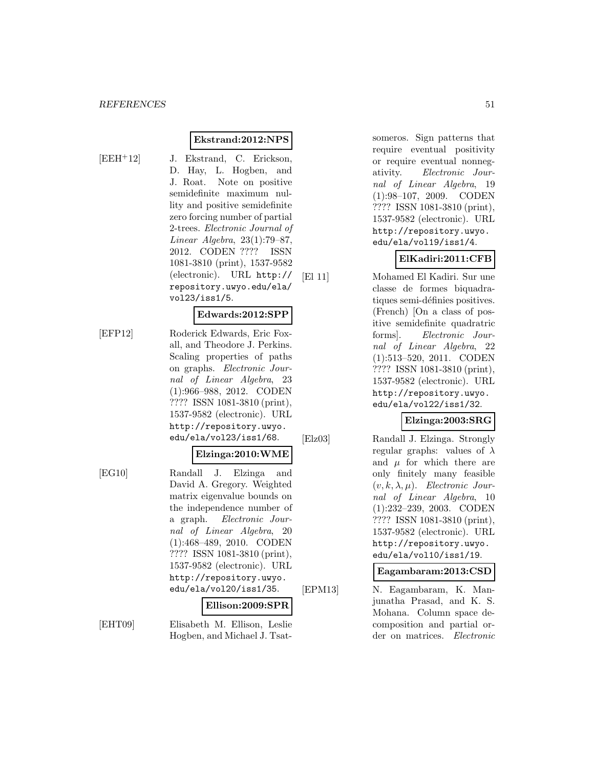#### **Ekstrand:2012:NPS**

- 
- [EEH<sup>+</sup>12] J. Ekstrand, C. Erickson, D. Hay, L. Hogben, and J. Roat. Note on positive semidefinite maximum nullity and positive semidefinite zero forcing number of partial 2-trees. Electronic Journal of Linear Algebra, 23(1):79–87, 2012. CODEN ???? ISSN 1081-3810 (print), 1537-9582 (electronic). URL http:// repository.uwyo.edu/ela/ vol23/iss1/5.

#### **Edwards:2012:SPP**

[EFP12] Roderick Edwards, Eric Foxall, and Theodore J. Perkins. Scaling properties of paths on graphs. Electronic Journal of Linear Algebra, 23 (1):966–988, 2012. CODEN ???? ISSN 1081-3810 (print), 1537-9582 (electronic). URL http://repository.uwyo. edu/ela/vol23/iss1/68.

#### **Elzinga:2010:WME**

[EG10] Randall J. Elzinga and David A. Gregory. Weighted matrix eigenvalue bounds on the independence number of a graph. Electronic Journal of Linear Algebra, 20 (1):468–489, 2010. CODEN ???? ISSN 1081-3810 (print), 1537-9582 (electronic). URL http://repository.uwyo. edu/ela/vol20/iss1/35.

#### **Ellison:2009:SPR**

[EHT09] Elisabeth M. Ellison, Leslie Hogben, and Michael J. Tsatsomeros. Sign patterns that require eventual positivity or require eventual nonnegativity. Electronic Journal of Linear Algebra, 19 (1):98–107, 2009. CODEN ???? ISSN 1081-3810 (print), 1537-9582 (electronic). URL http://repository.uwyo. edu/ela/vol19/iss1/4.

# **ElKadiri:2011:CFB**

[El 11] Mohamed El Kadiri. Sur une classe de formes biquadratiques semi-définies positives. (French) [On a class of positive semidefinite quadratric forms]. Electronic Journal of Linear Algebra, 22 (1):513–520, 2011. CODEN ???? ISSN 1081-3810 (print), 1537-9582 (electronic). URL http://repository.uwyo. edu/ela/vol22/iss1/32.

### **Elzinga:2003:SRG**

[Elz03] Randall J. Elzinga. Strongly regular graphs: values of  $\lambda$ and  $\mu$  for which there are only finitely many feasible  $(v, k, \lambda, \mu)$ . Electronic Journal of Linear Algebra, 10 (1):232–239, 2003. CODEN ???? ISSN 1081-3810 (print), 1537-9582 (electronic). URL http://repository.uwyo. edu/ela/vol10/iss1/19.

**Eagambaram:2013:CSD**

[EPM13] N. Eagambaram, K. Manjunatha Prasad, and K. S. Mohana. Column space decomposition and partial order on matrices. Electronic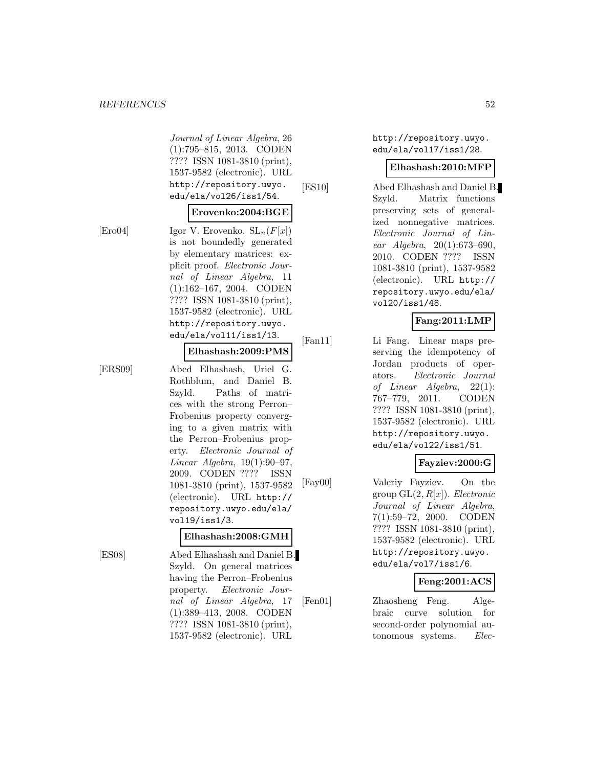Journal of Linear Algebra, 26 (1):795–815, 2013. CODEN ???? ISSN 1081-3810 (print), 1537-9582 (electronic). URL http://repository.uwyo. edu/ela/vol26/iss1/54.

#### **Erovenko:2004:BGE**

[Ero04] Igor V. Erovenko.  $SL_n(F[x])$ is not boundedly generated by elementary matrices: explicit proof. Electronic Journal of Linear Algebra, 11 (1):162–167, 2004. CODEN ???? ISSN 1081-3810 (print), 1537-9582 (electronic). URL http://repository.uwyo. edu/ela/vol11/iss1/13.

#### **Elhashash:2009:PMS**

[ERS09] Abed Elhashash, Uriel G. Rothblum, and Daniel B. Szyld. Paths of matrices with the strong Perron– Frobenius property converging to a given matrix with the Perron–Frobenius property. Electronic Journal of Linear Algebra, 19(1):90–97, 2009. CODEN ???? ISSN 1081-3810 (print), 1537-9582 (electronic). URL http:// repository.uwyo.edu/ela/ vol19/iss1/3.

#### **Elhashash:2008:GMH**

[ES08] Abed Elhashash and Daniel B. Szyld. On general matrices having the Perron–Frobenius property. Electronic Journal of Linear Algebra, 17 (1):389–413, 2008. CODEN ???? ISSN 1081-3810 (print), 1537-9582 (electronic). URL

http://repository.uwyo. edu/ela/vol17/iss1/28.

#### **Elhashash:2010:MFP**

[ES10] Abed Elhashash and Daniel B. Szyld. Matrix functions preserving sets of generalized nonnegative matrices. Electronic Journal of Linear Algebra, 20(1):673–690, 2010. CODEN ???? ISSN 1081-3810 (print), 1537-9582 (electronic). URL http:// repository.uwyo.edu/ela/ vol20/iss1/48.

### **Fang:2011:LMP**

[Fan11] Li Fang. Linear maps preserving the idempotency of Jordan products of operators. Electronic Journal of Linear Algebra, 22(1): 767–779, 2011. CODEN ???? ISSN 1081-3810 (print), 1537-9582 (electronic). URL http://repository.uwyo. edu/ela/vol22/iss1/51.

# **Fayziev:2000:G**

[Fay00] Valeriy Fayziev. On the group  $GL(2, R[x])$ . Electronic Journal of Linear Algebra, 7(1):59–72, 2000. CODEN ???? ISSN 1081-3810 (print), 1537-9582 (electronic). URL http://repository.uwyo. edu/ela/vol7/iss1/6.

#### **Feng:2001:ACS**

[Fen01] Zhaosheng Feng. Algebraic curve solution for second-order polynomial autonomous systems. Elec-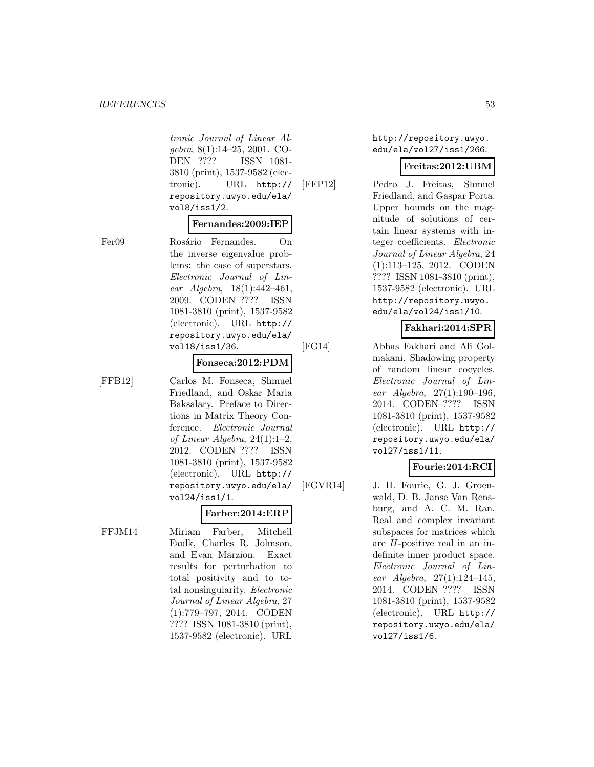tronic Journal of Linear Algebra, 8(1):14–25, 2001. CO-DEN ???? ISSN 1081- 3810 (print), 1537-9582 (electronic). URL http:// repository.uwyo.edu/ela/ vol8/iss1/2.

#### **Fernandes:2009:IEP**

[Fer09] Rosário Fernandes. On the inverse eigenvalue problems: the case of superstars. Electronic Journal of Linear Algebra, 18(1):442–461, 2009. CODEN ???? ISSN 1081-3810 (print), 1537-9582 (electronic). URL http:// repository.uwyo.edu/ela/ vol18/iss1/36.

#### **Fonseca:2012:PDM**

[FFB12] Carlos M. Fonseca, Shmuel Friedland, and Oskar Maria Baksalary. Preface to Directions in Matrix Theory Conference. Electronic Journal of Linear Algebra, 24(1):1–2, 2012. CODEN ???? ISSN 1081-3810 (print), 1537-9582 (electronic). URL http:// repository.uwyo.edu/ela/ vol24/iss1/1.

# **Farber:2014:ERP**

[FFJM14] Miriam Farber, Mitchell Faulk, Charles R. Johnson, and Evan Marzion. Exact results for perturbation to total positivity and to total nonsingularity. Electronic Journal of Linear Algebra, 27 (1):779–797, 2014. CODEN ???? ISSN 1081-3810 (print), 1537-9582 (electronic). URL http://repository.uwyo. edu/ela/vol27/iss1/266.

#### **Freitas:2012:UBM**

[FFP12] Pedro J. Freitas, Shmuel Friedland, and Gaspar Porta. Upper bounds on the magnitude of solutions of certain linear systems with integer coefficients. Electronic Journal of Linear Algebra, 24 (1):113–125, 2012. CODEN ???? ISSN 1081-3810 (print), 1537-9582 (electronic). URL http://repository.uwyo. edu/ela/vol24/iss1/10.

### **Fakhari:2014:SPR**

[FG14] Abbas Fakhari and Ali Golmakani. Shadowing property of random linear cocycles. Electronic Journal of Linear Algebra, 27(1):190–196, 2014. CODEN ???? ISSN 1081-3810 (print), 1537-9582 (electronic). URL http:// repository.uwyo.edu/ela/ vol27/iss1/11.

# **Fourie:2014:RCI**

[FGVR14] J. H. Fourie, G. J. Groenwald, D. B. Janse Van Rensburg, and A. C. M. Ran. Real and complex invariant subspaces for matrices which are H-positive real in an indefinite inner product space. Electronic Journal of Linear Algebra, 27(1):124–145, 2014. CODEN ???? ISSN 1081-3810 (print), 1537-9582 (electronic). URL http:// repository.uwyo.edu/ela/ vol27/iss1/6.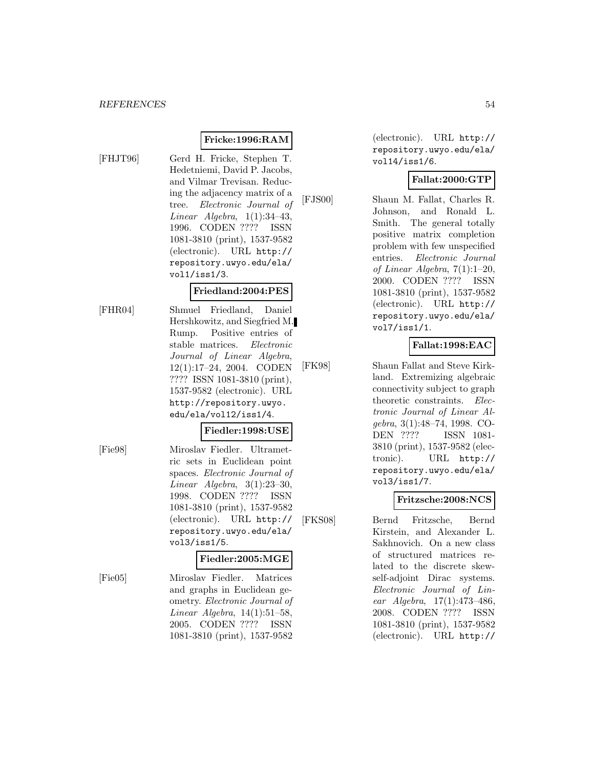# **Fricke:1996:RAM**

- 
- [FHJT96] Gerd H. Fricke, Stephen T. Hedetniemi, David P. Jacobs, and Vilmar Trevisan. Reducing the adjacency matrix of a tree. Electronic Journal of Linear Algebra,  $1(1):34-43$ , 1996. CODEN ???? ISSN 1081-3810 (print), 1537-9582 (electronic). URL http:// repository.uwyo.edu/ela/ vol1/iss1/3.

#### **Friedland:2004:PES**

[FHR04] Shmuel Friedland, Daniel Hershkowitz, and Siegfried M. Rump. Positive entries of stable matrices. Electronic Journal of Linear Algebra, 12(1):17–24, 2004. CODEN ???? ISSN 1081-3810 (print), 1537-9582 (electronic). URL http://repository.uwyo. edu/ela/vol12/iss1/4.

#### **Fiedler:1998:USE**

[Fie98] Miroslav Fiedler. Ultrametric sets in Euclidean point spaces. Electronic Journal of Linear Algebra, 3(1):23–30, 1998. CODEN ???? ISSN 1081-3810 (print), 1537-9582 (electronic). URL http:// repository.uwyo.edu/ela/ vol3/iss1/5.

### **Fiedler:2005:MGE**

[Fie05] Miroslav Fiedler. Matrices and graphs in Euclidean geometry. Electronic Journal of Linear Algebra, 14(1):51–58, 2005. CODEN ???? ISSN 1081-3810 (print), 1537-9582

(electronic). URL http:// repository.uwyo.edu/ela/ vol14/iss1/6.

### **Fallat:2000:GTP**

[FJS00] Shaun M. Fallat, Charles R. Johnson, and Ronald L. Smith. The general totally positive matrix completion problem with few unspecified entries. Electronic Journal of Linear Algebra, 7(1):1–20, 2000. CODEN ???? ISSN 1081-3810 (print), 1537-9582 (electronic). URL http:// repository.uwyo.edu/ela/ vol7/iss1/1.

# **Fallat:1998:EAC**

[FK98] Shaun Fallat and Steve Kirkland. Extremizing algebraic connectivity subject to graph theoretic constraints. Electronic Journal of Linear Algebra, 3(1):48–74, 1998. CO-DEN ???? ISSN 1081- 3810 (print), 1537-9582 (electronic). URL http:// repository.uwyo.edu/ela/ vol3/iss1/7.

### **Fritzsche:2008:NCS**

[FKS08] Bernd Fritzsche, Bernd Kirstein, and Alexander L. Sakhnovich. On a new class of structured matrices related to the discrete skewself-adjoint Dirac systems. Electronic Journal of Linear Algebra, 17(1):473–486, 2008. CODEN ???? ISSN 1081-3810 (print), 1537-9582 (electronic). URL http://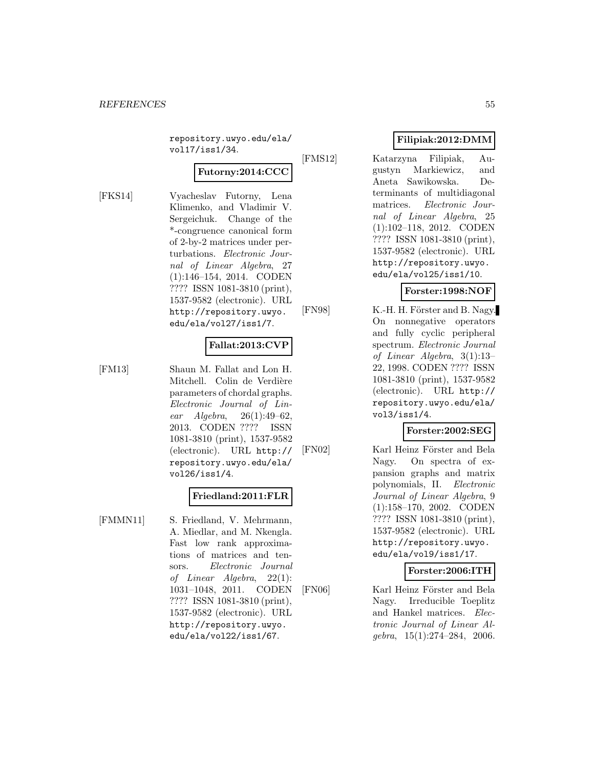repository.uwyo.edu/ela/ vol17/iss1/34.

### **Futorny:2014:CCC**

[FKS14] Vyacheslav Futorny, Lena Klimenko, and Vladimir V. Sergeichuk. Change of the \*-congruence canonical form of 2-by-2 matrices under perturbations. Electronic Journal of Linear Algebra, 27 (1):146–154, 2014. CODEN ???? ISSN 1081-3810 (print), 1537-9582 (electronic). URL http://repository.uwyo. edu/ela/vol27/iss1/7.

# **Fallat:2013:CVP**

[FM13] Shaun M. Fallat and Lon H. Mitchell. Colin de Verdière parameters of chordal graphs. Electronic Journal of Linear Algebra, 26(1):49–62, 2013. CODEN ???? ISSN 1081-3810 (print), 1537-9582 (electronic). URL http:// repository.uwyo.edu/ela/ vol26/iss1/4.

### **Friedland:2011:FLR**

[FMMN11] S. Friedland, V. Mehrmann, A. Miedlar, and M. Nkengla. Fast low rank approximations of matrices and tensors. Electronic Journal of Linear Algebra, 22(1): 1031–1048, 2011. CODEN ???? ISSN 1081-3810 (print), 1537-9582 (electronic). URL http://repository.uwyo. edu/ela/vol22/iss1/67.

### **Filipiak:2012:DMM**

[FMS12] Katarzyna Filipiak, Augustyn Markiewicz, and Aneta Sawikowska. Determinants of multidiagonal matrices. Electronic Journal of Linear Algebra, 25 (1):102–118, 2012. CODEN ???? ISSN 1081-3810 (print), 1537-9582 (electronic). URL http://repository.uwyo. edu/ela/vol25/iss1/10.

# **Forster:1998:NOF**

[FN98] K.-H. H. Förster and B. Nagy. On nonnegative operators and fully cyclic peripheral spectrum. Electronic Journal of Linear Algebra, 3(1):13– 22, 1998. CODEN ???? ISSN 1081-3810 (print), 1537-9582 (electronic). URL http:// repository.uwyo.edu/ela/ vol3/iss1/4.

### **Forster:2002:SEG**

[FN02] Karl Heinz Förster and Bela Nagy. On spectra of expansion graphs and matrix polynomials, II. Electronic Journal of Linear Algebra, 9 (1):158–170, 2002. CODEN ???? ISSN 1081-3810 (print), 1537-9582 (electronic). URL http://repository.uwyo. edu/ela/vol9/iss1/17.

# **Forster:2006:ITH**

[FN06] Karl Heinz Förster and Bela Nagy. Irreducible Toeplitz and Hankel matrices. Electronic Journal of Linear Algebra, 15(1):274–284, 2006.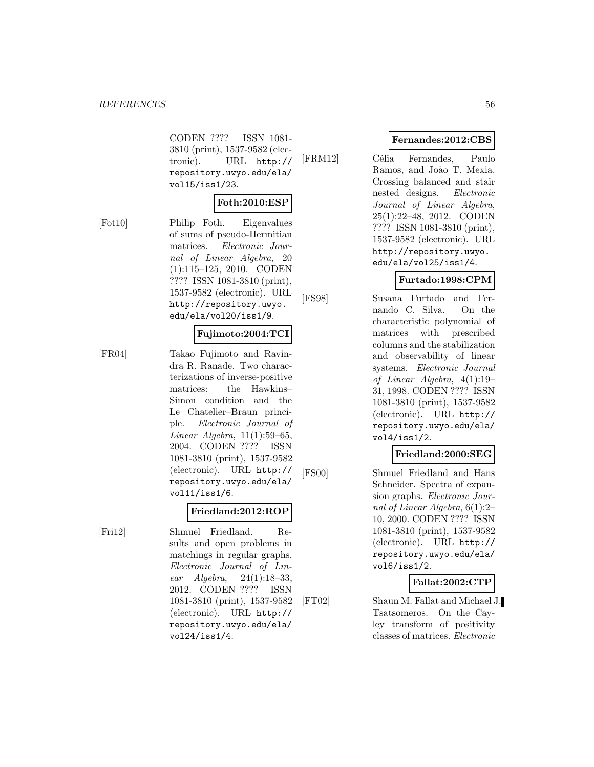CODEN ???? ISSN 1081- 3810 (print), 1537-9582 (electronic). URL http:// repository.uwyo.edu/ela/ vol15/iss1/23.

### **Foth:2010:ESP**

[Fot10] Philip Foth. Eigenvalues of sums of pseudo-Hermitian matrices. Electronic Journal of Linear Algebra, 20 (1):115–125, 2010. CODEN ???? ISSN 1081-3810 (print), 1537-9582 (electronic). URL http://repository.uwyo. edu/ela/vol20/iss1/9.

#### **Fujimoto:2004:TCI**

[FR04] Takao Fujimoto and Ravindra R. Ranade. Two characterizations of inverse-positive matrices: the Hawkins– Simon condition and the Le Chatelier–Braun principle. Electronic Journal of Linear Algebra, 11(1):59–65, 2004. CODEN ???? ISSN 1081-3810 (print), 1537-9582 (electronic). URL http:// repository.uwyo.edu/ela/ vol11/iss1/6.

### **Friedland:2012:ROP**

[Fri12] Shmuel Friedland. Results and open problems in matchings in regular graphs. Electronic Journal of Linear Algebra, 24(1):18–33, 2012. CODEN ???? ISSN 1081-3810 (print), 1537-9582 (electronic). URL http:// repository.uwyo.edu/ela/ vol24/iss1/4.

### **Fernandes:2012:CBS**

[FRM12] Célia Fernandes, Paulo Ramos, and João T. Mexia. Crossing balanced and stair nested designs. Electronic Journal of Linear Algebra, 25(1):22–48, 2012. CODEN ???? ISSN 1081-3810 (print), 1537-9582 (electronic). URL http://repository.uwyo. edu/ela/vol25/iss1/4.

# **Furtado:1998:CPM**

[FS98] Susana Furtado and Fernando C. Silva. On the characteristic polynomial of matrices with prescribed columns and the stabilization and observability of linear systems. Electronic Journal of Linear Algebra, 4(1):19– 31, 1998. CODEN ???? ISSN 1081-3810 (print), 1537-9582 (electronic). URL http:// repository.uwyo.edu/ela/ vol4/iss1/2.

### **Friedland:2000:SEG**

[FS00] Shmuel Friedland and Hans Schneider. Spectra of expansion graphs. Electronic Journal of Linear Algebra, 6(1):2– 10, 2000. CODEN ???? ISSN 1081-3810 (print), 1537-9582 (electronic). URL http:// repository.uwyo.edu/ela/ vol6/iss1/2.

### **Fallat:2002:CTP**

[FT02] Shaun M. Fallat and Michael J. Tsatsomeros. On the Cayley transform of positivity classes of matrices. Electronic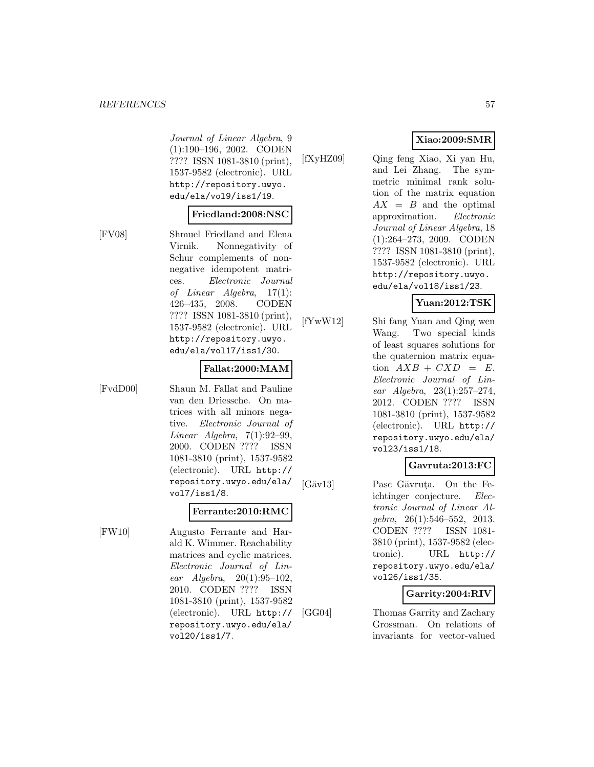Journal of Linear Algebra, 9 (1):190–196, 2002. CODEN ???? ISSN 1081-3810 (print), 1537-9582 (electronic). URL http://repository.uwyo. edu/ela/vol9/iss1/19.

#### **Friedland:2008:NSC**

[FV08] Shmuel Friedland and Elena Virnik. Nonnegativity of Schur complements of nonnegative idempotent matrices. Electronic Journal of Linear Algebra, 17(1): 426–435, 2008. CODEN ???? ISSN 1081-3810 (print), 1537-9582 (electronic). URL http://repository.uwyo. edu/ela/vol17/iss1/30.

#### **Fallat:2000:MAM**

[FvdD00] Shaun M. Fallat and Pauline van den Driessche. On matrices with all minors negative. Electronic Journal of Linear Algebra, 7(1):92–99, 2000. CODEN ???? ISSN 1081-3810 (print), 1537-9582 (electronic). URL http:// repository.uwyo.edu/ela/ vol7/iss1/8.

### **Ferrante:2010:RMC**

[FW10] Augusto Ferrante and Harald K. Wimmer. Reachability matrices and cyclic matrices. Electronic Journal of Linear Algebra, 20(1):95–102, 2010. CODEN ???? ISSN 1081-3810 (print), 1537-9582 (electronic). URL http:// repository.uwyo.edu/ela/ vol20/iss1/7.

**Xiao:2009:SMR**

[fXyHZ09] Qing feng Xiao, Xi yan Hu, and Lei Zhang. The symmetric minimal rank solution of the matrix equation  $AX = B$  and the optimal approximation. Electronic Journal of Linear Algebra, 18 (1):264–273, 2009. CODEN ???? ISSN 1081-3810 (print), 1537-9582 (electronic). URL http://repository.uwyo. edu/ela/vol18/iss1/23.

### **Yuan:2012:TSK**

[fYwW12] Shi fang Yuan and Qing wen Wang. Two special kinds of least squares solutions for the quaternion matrix equation  $AXB + CXD = E$ . Electronic Journal of Linear Algebra, 23(1):257–274, 2012. CODEN ???? ISSN 1081-3810 (print), 1537-9582 (electronic). URL http:// repository.uwyo.edu/ela/ vol23/iss1/18.

# **Gavruta:2013:FC**

[Găv13] Pasc Găvruta. On the Feichtinger conjecture. Electronic Journal of Linear Algebra, 26(1):546–552, 2013. CODEN ???? ISSN 1081- 3810 (print), 1537-9582 (electronic). URL http:// repository.uwyo.edu/ela/ vol26/iss1/35.

### **Garrity:2004:RIV**

[GG04] Thomas Garrity and Zachary Grossman. On relations of invariants for vector-valued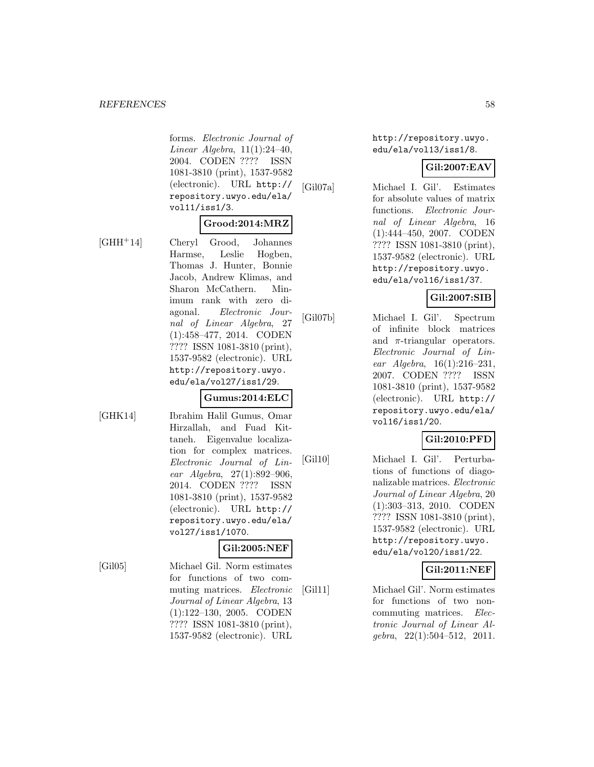forms. Electronic Journal of Linear Algebra, 11(1):24–40, 2004. CODEN ???? ISSN 1081-3810 (print), 1537-9582 (electronic). URL http:// repository.uwyo.edu/ela/ vol11/iss1/3.

### **Grood:2014:MRZ**

[GHH<sup>+</sup>14] Cheryl Grood, Johannes Harmse, Leslie Hogben, Thomas J. Hunter, Bonnie Jacob, Andrew Klimas, and Sharon McCathern. Minimum rank with zero diagonal. Electronic Journal of Linear Algebra, 27 (1):458–477, 2014. CODEN ???? ISSN 1081-3810 (print), 1537-9582 (electronic). URL

[GHK14] Ibrahim Halil Gumus, Omar Hirzallah, and Fuad Kittaneh. Eigenvalue localization for complex matrices. Electronic Journal of Linear Algebra, 27(1):892–906, 2014. CODEN ???? ISSN 1081-3810 (print), 1537-9582 (electronic). URL http:// repository.uwyo.edu/ela/ vol27/iss1/1070.

http://repository.uwyo. edu/ela/vol27/iss1/29.

**Gumus:2014:ELC**

### **Gil:2005:NEF**

[Gil05] Michael Gil. Norm estimates for functions of two commuting matrices. Electronic Journal of Linear Algebra, 13 (1):122–130, 2005. CODEN ???? ISSN 1081-3810 (print), 1537-9582 (electronic). URL

http://repository.uwyo. edu/ela/vol13/iss1/8.

# **Gil:2007:EAV**

[Gil07a] Michael I. Gil'. Estimates for absolute values of matrix functions. Electronic Journal of Linear Algebra, 16 (1):444–450, 2007. CODEN ???? ISSN 1081-3810 (print), 1537-9582 (electronic). URL http://repository.uwyo. edu/ela/vol16/iss1/37.

# **Gil:2007:SIB**

[Gil07b] Michael I. Gil'. Spectrum of infinite block matrices and  $\pi$ -triangular operators. Electronic Journal of Linear Algebra, 16(1):216–231, 2007. CODEN ???? ISSN 1081-3810 (print), 1537-9582 (electronic). URL http:// repository.uwyo.edu/ela/ vol16/iss1/20.

# **Gil:2010:PFD**

[Gil10] Michael I. Gil'. Perturbations of functions of diagonalizable matrices. Electronic Journal of Linear Algebra, 20 (1):303–313, 2010. CODEN ???? ISSN 1081-3810 (print), 1537-9582 (electronic). URL http://repository.uwyo. edu/ela/vol20/iss1/22.

# **Gil:2011:NEF**

[Gil11] Michael Gil'. Norm estimates for functions of two noncommuting matrices. Electronic Journal of Linear Al $qebra, 22(1):504-512, 2011.$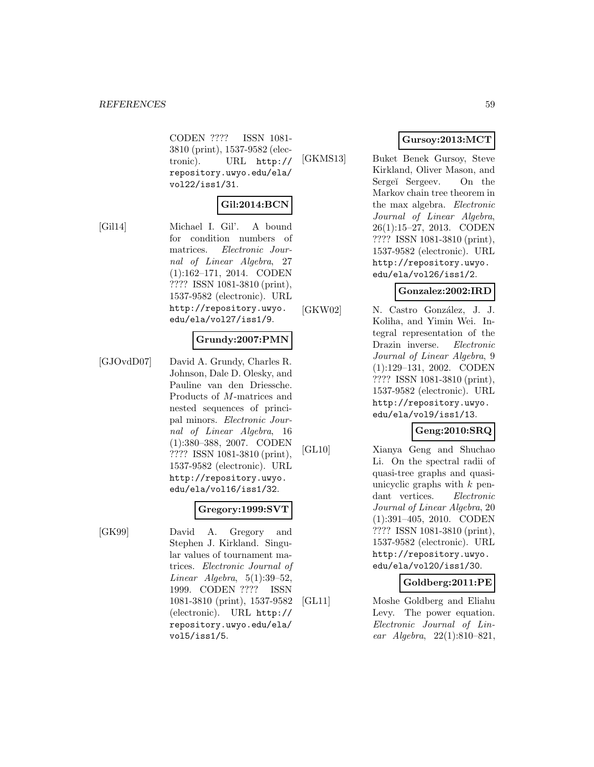CODEN ???? ISSN 1081- 3810 (print), 1537-9582 (electronic). URL http:// repository.uwyo.edu/ela/ vol22/iss1/31.

### **Gil:2014:BCN**

[Gil14] Michael I. Gil'. A bound for condition numbers of matrices. Electronic Journal of Linear Algebra, 27 (1):162–171, 2014. CODEN ???? ISSN 1081-3810 (print), 1537-9582 (electronic). URL http://repository.uwyo. edu/ela/vol27/iss1/9.

### **Grundy:2007:PMN**

[GJOvdD07] David A. Grundy, Charles R. Johnson, Dale D. Olesky, and Pauline van den Driessche. Products of M-matrices and nested sequences of principal minors. Electronic Journal of Linear Algebra, 16 (1):380–388, 2007. CODEN ???? ISSN 1081-3810 (print), 1537-9582 (electronic). URL http://repository.uwyo. edu/ela/vol16/iss1/32.

### **Gregory:1999:SVT**

1081-3810 (print), 1537-9582 (electronic). URL http:// repository.uwyo.edu/ela/

vol5/iss1/5.

[GK99] David A. Gregory and Stephen J. Kirkland. Singular values of tournament matrices. Electronic Journal of Linear Algebra,  $5(1):39-52$ , 1999. CODEN ???? ISSN

- 
- **Gursoy:2013:MCT**
- [GKMS13] Buket Benek Gursoy, Steve Kirkland, Oliver Mason, and Sergeï Sergeev. On the Markov chain tree theorem in the max algebra. Electronic Journal of Linear Algebra, 26(1):15–27, 2013. CODEN ???? ISSN 1081-3810 (print), 1537-9582 (electronic). URL http://repository.uwyo. edu/ela/vol26/iss1/2.

#### **Gonzalez:2002:IRD**

[GKW02] N. Castro González, J. J. Koliha, and Yimin Wei. Integral representation of the Drazin inverse. Electronic Journal of Linear Algebra, 9 (1):129–131, 2002. CODEN ???? ISSN 1081-3810 (print), 1537-9582 (electronic). URL http://repository.uwyo. edu/ela/vol9/iss1/13.

### **Geng:2010:SRQ**

[GL10] Xianya Geng and Shuchao Li. On the spectral radii of quasi-tree graphs and quasiunicyclic graphs with  $k$  pendant vertices. Electronic Journal of Linear Algebra, 20 (1):391–405, 2010. CODEN ???? ISSN 1081-3810 (print), 1537-9582 (electronic). URL http://repository.uwyo. edu/ela/vol20/iss1/30.

### **Goldberg:2011:PE**

[GL11] Moshe Goldberg and Eliahu Levy. The power equation. Electronic Journal of Linear Algebra, 22(1):810–821,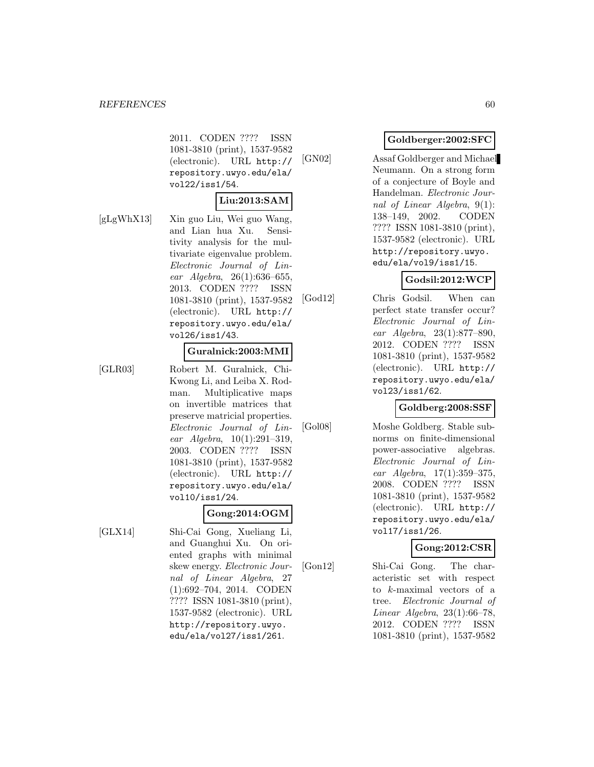2011. CODEN ???? ISSN 1081-3810 (print), 1537-9582 (electronic). URL http:// repository.uwyo.edu/ela/ vol22/iss1/54.

### **Liu:2013:SAM**

[gLgWhX13] Xin guo Liu, Wei guo Wang, and Lian hua Xu. Sensitivity analysis for the multivariate eigenvalue problem. Electronic Journal of Linear Algebra, 26(1):636–655, 2013. CODEN ???? ISSN 1081-3810 (print), 1537-9582 (electronic). URL http:// repository.uwyo.edu/ela/ vol26/iss1/43.

#### **Guralnick:2003:MMI**

[GLR03] Robert M. Guralnick, Chi-Kwong Li, and Leiba X. Rodman. Multiplicative maps on invertible matrices that preserve matricial properties. Electronic Journal of Linear Algebra, 10(1):291–319, 2003. CODEN ???? ISSN 1081-3810 (print), 1537-9582 (electronic). URL http:// repository.uwyo.edu/ela/ vol10/iss1/24.

### **Gong:2014:OGM**

[GLX14] Shi-Cai Gong, Xueliang Li, and Guanghui Xu. On oriented graphs with minimal skew energy. Electronic Journal of Linear Algebra, 27 (1):692–704, 2014. CODEN ???? ISSN 1081-3810 (print), 1537-9582 (electronic). URL http://repository.uwyo. edu/ela/vol27/iss1/261.

### **Goldberger:2002:SFC**

[GN02] Assaf Goldberger and Michael Neumann. On a strong form of a conjecture of Boyle and Handelman. Electronic Journal of Linear Algebra, 9(1): 138–149, 2002. CODEN ???? ISSN 1081-3810 (print), 1537-9582 (electronic). URL http://repository.uwyo. edu/ela/vol9/iss1/15.

# **Godsil:2012:WCP**

[God12] Chris Godsil. When can perfect state transfer occur? Electronic Journal of Linear Algebra, 23(1):877–890, 2012. CODEN ???? ISSN 1081-3810 (print), 1537-9582 (electronic). URL http:// repository.uwyo.edu/ela/ vol23/iss1/62.

# **Goldberg:2008:SSF**

[Gol08] Moshe Goldberg. Stable subnorms on finite-dimensional power-associative algebras. Electronic Journal of Linear Algebra, 17(1):359–375, 2008. CODEN ???? ISSN 1081-3810 (print), 1537-9582 (electronic). URL http:// repository.uwyo.edu/ela/ vol17/iss1/26.

### **Gong:2012:CSR**

[Gon12] Shi-Cai Gong. The characteristic set with respect to k-maximal vectors of a tree. Electronic Journal of Linear Algebra, 23(1):66–78, 2012. CODEN ???? ISSN 1081-3810 (print), 1537-9582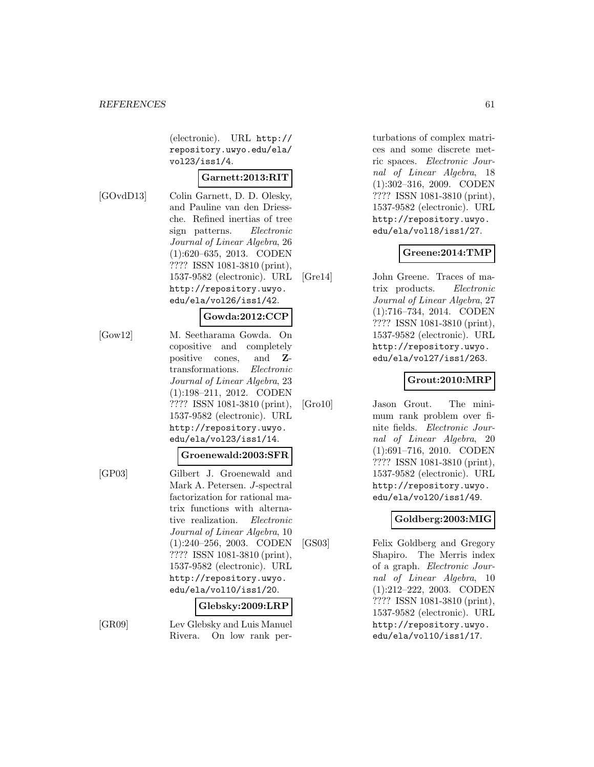(electronic). URL http:// repository.uwyo.edu/ela/ vol23/iss1/4.

### **Garnett:2013:RIT**

[GOvdD13] Colin Garnett, D. D. Olesky, and Pauline van den Driessche. Refined inertias of tree sign patterns. Electronic Journal of Linear Algebra, 26 (1):620–635, 2013. CODEN ???? ISSN 1081-3810 (print), 1537-9582 (electronic). URL http://repository.uwyo. edu/ela/vol26/iss1/42.

# **Gowda:2012:CCP**

[Gow12] M. Seetharama Gowda. On copositive and completely positive cones, and **Z**transformations. Electronic Journal of Linear Algebra, 23 (1):198–211, 2012. CODEN ???? ISSN 1081-3810 (print), 1537-9582 (electronic). URL http://repository.uwyo. edu/ela/vol23/iss1/14.

#### **Groenewald:2003:SFR**

[GP03] Gilbert J. Groenewald and Mark A. Petersen. J-spectral factorization for rational matrix functions with alternative realization. Electronic Journal of Linear Algebra, 10 (1):240–256, 2003. CODEN ???? ISSN 1081-3810 (print), 1537-9582 (electronic). URL http://repository.uwyo. edu/ela/vol10/iss1/20.

### **Glebsky:2009:LRP**

[GR09] Lev Glebsky and Luis Manuel Rivera. On low rank perturbations of complex matrices and some discrete metric spaces. Electronic Journal of Linear Algebra, 18 (1):302–316, 2009. CODEN ???? ISSN 1081-3810 (print), 1537-9582 (electronic). URL http://repository.uwyo. edu/ela/vol18/iss1/27.

### **Greene:2014:TMP**

[Gre14] John Greene. Traces of matrix products. Electronic Journal of Linear Algebra, 27 (1):716–734, 2014. CODEN ???? ISSN 1081-3810 (print), 1537-9582 (electronic). URL http://repository.uwyo. edu/ela/vol27/iss1/263.

# **Grout:2010:MRP**

[Gro10] Jason Grout. The minimum rank problem over finite fields. Electronic Journal of Linear Algebra, 20 (1):691–716, 2010. CODEN ???? ISSN 1081-3810 (print), 1537-9582 (electronic). URL http://repository.uwyo. edu/ela/vol20/iss1/49.

### **Goldberg:2003:MIG**

[GS03] Felix Goldberg and Gregory Shapiro. The Merris index of a graph. Electronic Journal of Linear Algebra, 10 (1):212–222, 2003. CODEN ???? ISSN 1081-3810 (print), 1537-9582 (electronic). URL http://repository.uwyo. edu/ela/vol10/iss1/17.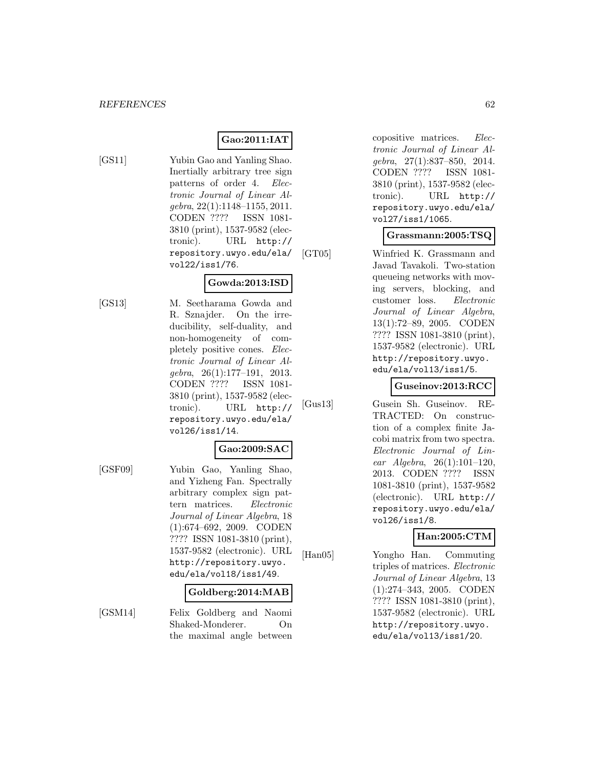# **Gao:2011:IAT**

- 
- [GS11] Yubin Gao and Yanling Shao. Inertially arbitrary tree sign patterns of order 4. Electronic Journal of Linear Algebra, 22(1):1148–1155, 2011. CODEN ???? ISSN 1081- 3810 (print), 1537-9582 (electronic). URL http:// repository.uwyo.edu/ela/ vol22/iss1/76.

# **Gowda:2013:ISD**

[GS13] M. Seetharama Gowda and R. Sznajder. On the irreducibility, self-duality, and non-homogeneity of completely positive cones. Electronic Journal of Linear Algebra, 26(1):177–191, 2013. CODEN ???? ISSN 1081- 3810 (print), 1537-9582 (electronic). URL http:// repository.uwyo.edu/ela/ vol26/iss1/14.

### **Gao:2009:SAC**

[GSF09] Yubin Gao, Yanling Shao, and Yizheng Fan. Spectrally arbitrary complex sign pattern matrices. Electronic Journal of Linear Algebra, 18 (1):674–692, 2009. CODEN ???? ISSN 1081-3810 (print), 1537-9582 (electronic). URL http://repository.uwyo. edu/ela/vol18/iss1/49.

#### **Goldberg:2014:MAB**

[GSM14] Felix Goldberg and Naomi Shaked-Monderer. On the maximal angle between copositive matrices. Electronic Journal of Linear Algebra, 27(1):837–850, 2014. CODEN ???? ISSN 1081- 3810 (print), 1537-9582 (electronic). URL http:// repository.uwyo.edu/ela/ vol27/iss1/1065.

#### **Grassmann:2005:TSQ**

[GT05] Winfried K. Grassmann and Javad Tavakoli. Two-station queueing networks with moving servers, blocking, and customer loss. Electronic Journal of Linear Algebra, 13(1):72–89, 2005. CODEN ???? ISSN 1081-3810 (print), 1537-9582 (electronic). URL http://repository.uwyo. edu/ela/vol13/iss1/5.

### **Guseinov:2013:RCC**

[Gus13] Gusein Sh. Guseinov. RE-TRACTED: On construction of a complex finite Jacobi matrix from two spectra. Electronic Journal of Linear Algebra, 26(1):101–120, 2013. CODEN ???? ISSN 1081-3810 (print), 1537-9582 (electronic). URL http:// repository.uwyo.edu/ela/ vol26/iss1/8.

### **Han:2005:CTM**

[Han05] Yongho Han. Commuting triples of matrices. Electronic Journal of Linear Algebra, 13 (1):274–343, 2005. CODEN ???? ISSN 1081-3810 (print), 1537-9582 (electronic). URL http://repository.uwyo. edu/ela/vol13/iss1/20.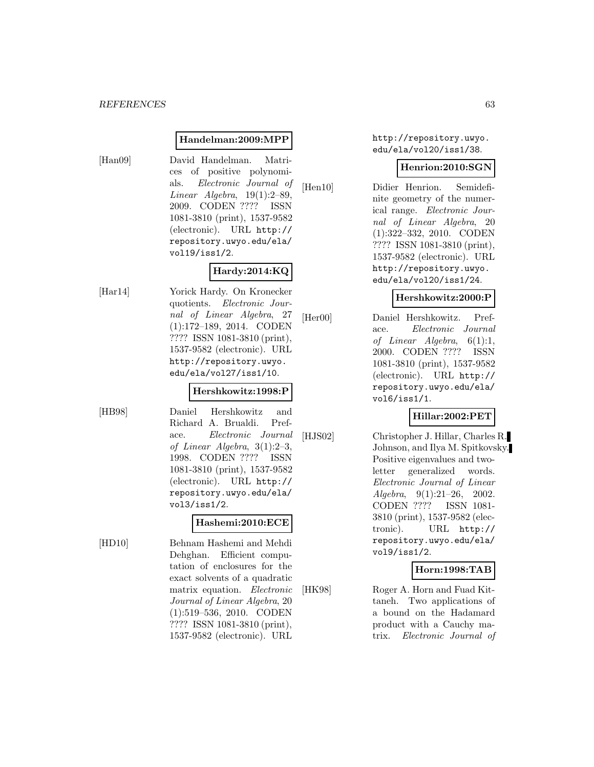#### **Handelman:2009:MPP**

[Han09] David Handelman. Matrices of positive polynomials. Electronic Journal of Linear Algebra, 19(1):2–89, 2009. CODEN ???? ISSN 1081-3810 (print), 1537-9582 (electronic). URL http:// repository.uwyo.edu/ela/ vol19/iss1/2.

# **Hardy:2014:KQ**

[Har14] Yorick Hardy. On Kronecker quotients. Electronic Journal of Linear Algebra, 27 (1):172–189, 2014. CODEN ???? ISSN 1081-3810 (print), 1537-9582 (electronic). URL http://repository.uwyo. edu/ela/vol27/iss1/10.

#### **Hershkowitz:1998:P**

[HB98] Daniel Hershkowitz and Richard A. Brualdi. Preface. Electronic Journal of Linear Algebra, 3(1):2–3, 1998. CODEN ???? ISSN 1081-3810 (print), 1537-9582 (electronic). URL http:// repository.uwyo.edu/ela/ vol3/iss1/2.

### **Hashemi:2010:ECE**

[HD10] Behnam Hashemi and Mehdi Dehghan. Efficient computation of enclosures for the exact solvents of a quadratic matrix equation. Electronic Journal of Linear Algebra, 20 (1):519–536, 2010. CODEN ???? ISSN 1081-3810 (print), 1537-9582 (electronic). URL

http://repository.uwyo. edu/ela/vol20/iss1/38.

### **Henrion:2010:SGN**

[Hen10] Didier Henrion. Semidefinite geometry of the numerical range. Electronic Journal of Linear Algebra, 20 (1):322–332, 2010. CODEN ???? ISSN 1081-3810 (print), 1537-9582 (electronic). URL http://repository.uwyo. edu/ela/vol20/iss1/24.

#### **Hershkowitz:2000:P**

[Her00] Daniel Hershkowitz. Preface. Electronic Journal of Linear Algebra,  $6(1):1$ , 2000. CODEN ???? ISSN 1081-3810 (print), 1537-9582 (electronic). URL http:// repository.uwyo.edu/ela/ vol6/iss1/1.

### **Hillar:2002:PET**

[HJS02] Christopher J. Hillar, Charles R. Johnson, and Ilya M. Spitkovsky. Positive eigenvalues and twoletter generalized words. Electronic Journal of Linear Algebra, 9(1):21–26, 2002. CODEN ???? ISSN 1081- 3810 (print), 1537-9582 (electronic). URL http:// repository.uwyo.edu/ela/ vol9/iss1/2.

### **Horn:1998:TAB**

[HK98] Roger A. Horn and Fuad Kittaneh. Two applications of a bound on the Hadamard product with a Cauchy matrix. Electronic Journal of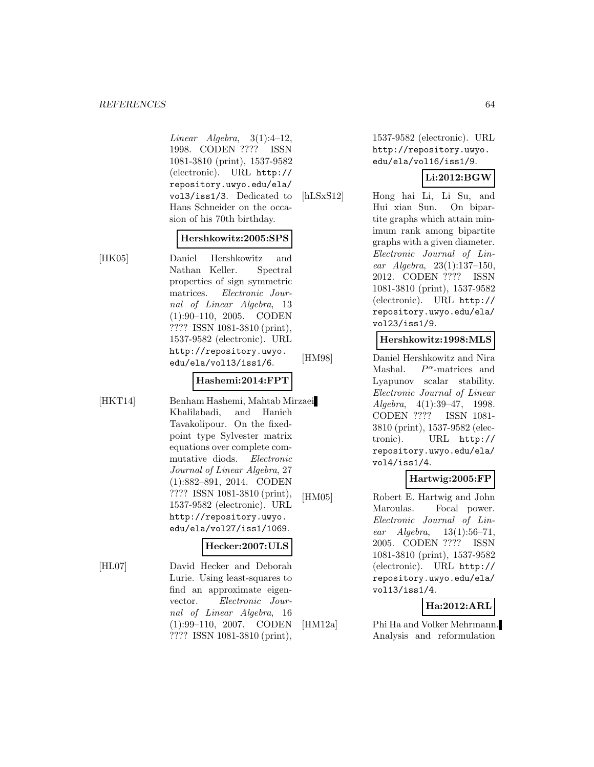Linear Algebra,  $3(1):4-12$ , 1998. CODEN ???? ISSN 1081-3810 (print), 1537-9582 (electronic). URL http:// repository.uwyo.edu/ela/ vol3/iss1/3. Dedicated to Hans Schneider on the occasion of his 70th birthday.

#### **Hershkowitz:2005:SPS**

[HK05] Daniel Hershkowitz and Nathan Keller. Spectral properties of sign symmetric matrices. Electronic Journal of Linear Algebra, 13 (1):90–110, 2005. CODEN ???? ISSN 1081-3810 (print), 1537-9582 (electronic). URL http://repository.uwyo. edu/ela/vol13/iss1/6.

#### **Hashemi:2014:FPT**

[HKT14] Benham Hashemi, Mahtab Mirzaei Khalilabadi, and Hanieh Tavakolipour. On the fixedpoint type Sylvester matrix equations over complete commutative diods. Electronic Journal of Linear Algebra, 27 (1):882–891, 2014. CODEN ???? ISSN 1081-3810 (print), 1537-9582 (electronic). URL http://repository.uwyo. edu/ela/vol27/iss1/1069.

### **Hecker:2007:ULS**

[HL07] David Hecker and Deborah Lurie. Using least-squares to find an approximate eigenvector. Electronic Journal of Linear Algebra, 16 (1):99–110, 2007. CODEN ???? ISSN 1081-3810 (print),

1537-9582 (electronic). URL http://repository.uwyo. edu/ela/vol16/iss1/9.

# **Li:2012:BGW**

[hLSxS12] Hong hai Li, Li Su, and Hui xian Sun. On bipartite graphs which attain minimum rank among bipartite graphs with a given diameter. Electronic Journal of Linear Algebra, 23(1):137–150, 2012. CODEN ???? ISSN 1081-3810 (print), 1537-9582 (electronic). URL http:// repository.uwyo.edu/ela/ vol23/iss1/9.

### **Hershkowitz:1998:MLS**

[HM98] Daniel Hershkowitz and Nira Mashal.  $P^{\alpha}$ -matrices and Lyapunov scalar stability. Electronic Journal of Linear Algebra, 4(1):39–47, 1998. CODEN ???? ISSN 1081- 3810 (print), 1537-9582 (electronic). URL http:// repository.uwyo.edu/ela/ vol4/iss1/4.

# **Hartwig:2005:FP**

[HM05] Robert E. Hartwig and John Maroulas. Focal power. Electronic Journal of Linear Algebra, 13(1):56–71, 2005. CODEN ???? ISSN 1081-3810 (print), 1537-9582 (electronic). URL http:// repository.uwyo.edu/ela/ vol13/iss1/4.

# **Ha:2012:ARL**

[HM12a] Phi Ha and Volker Mehrmann. Analysis and reformulation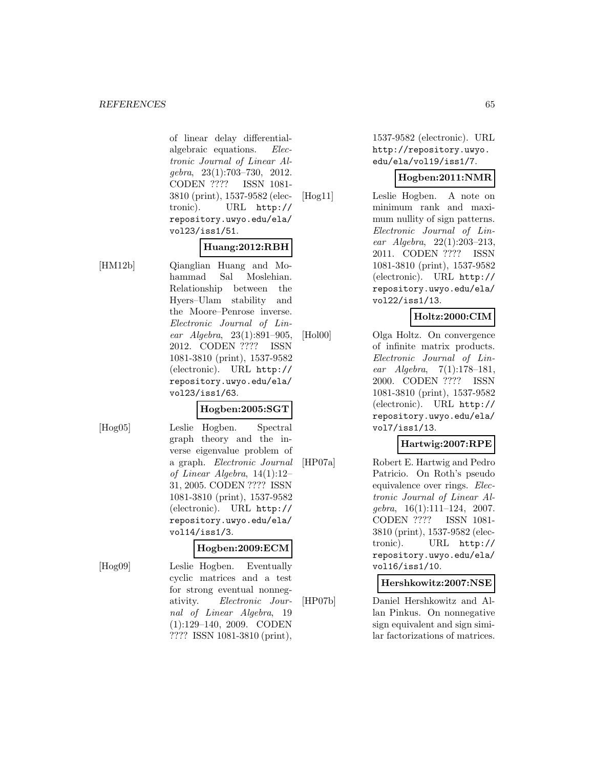of linear delay differentialalgebraic equations. Electronic Journal of Linear Algebra, 23(1):703–730, 2012. CODEN ???? ISSN 1081- 3810 (print), 1537-9582 (electronic). URL http:// repository.uwyo.edu/ela/ vol23/iss1/51.

# **Huang:2012:RBH**

[HM12b] Qianglian Huang and Mohammad Sal Moslehian. Relationship between the Hyers–Ulam stability and the Moore–Penrose inverse. Electronic Journal of Linear Algebra, 23(1):891–905, 2012. CODEN ???? ISSN 1081-3810 (print), 1537-9582 (electronic). URL http:// repository.uwyo.edu/ela/ vol23/iss1/63.

#### **Hogben:2005:SGT**

[Hog05] Leslie Hogben. Spectral graph theory and the inverse eigenvalue problem of a graph. Electronic Journal of Linear Algebra, 14(1):12– 31, 2005. CODEN ???? ISSN 1081-3810 (print), 1537-9582 (electronic). URL http:// repository.uwyo.edu/ela/ vol14/iss1/3.

#### **Hogben:2009:ECM**

[Hog09] Leslie Hogben. Eventually cyclic matrices and a test for strong eventual nonnegativity. Electronic Journal of Linear Algebra, 19 (1):129–140, 2009. CODEN ???? ISSN 1081-3810 (print),

1537-9582 (electronic). URL http://repository.uwyo. edu/ela/vol19/iss1/7.

#### **Hogben:2011:NMR**

[Hog11] Leslie Hogben. A note on minimum rank and maximum nullity of sign patterns. Electronic Journal of Linear Algebra, 22(1):203–213, 2011. CODEN ???? ISSN 1081-3810 (print), 1537-9582 (electronic). URL http:// repository.uwyo.edu/ela/ vol22/iss1/13.

# **Holtz:2000:CIM**

[Hol00] Olga Holtz. On convergence of infinite matrix products. Electronic Journal of Linear Algebra, 7(1):178–181, 2000. CODEN ???? ISSN 1081-3810 (print), 1537-9582 (electronic). URL http:// repository.uwyo.edu/ela/ vol7/iss1/13.

# **Hartwig:2007:RPE**

[HP07a] Robert E. Hartwig and Pedro Patricio. On Roth's pseudo equivalence over rings. Electronic Journal of Linear Alqebra,  $16(1):111-124$ ,  $2007$ . CODEN ???? ISSN 1081- 3810 (print), 1537-9582 (electronic). URL http:// repository.uwyo.edu/ela/ vol16/iss1/10.

**Hershkowitz:2007:NSE**

[HP07b] Daniel Hershkowitz and Allan Pinkus. On nonnegative sign equivalent and sign similar factorizations of matrices.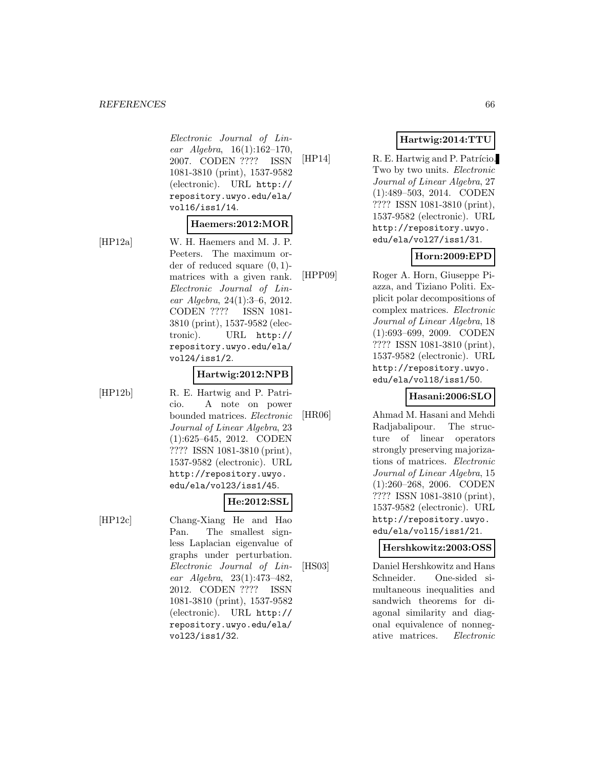Electronic Journal of Linear Algebra, 16(1):162–170, 2007. CODEN ???? ISSN 1081-3810 (print), 1537-9582 (electronic). URL http:// repository.uwyo.edu/ela/ vol16/iss1/14.

#### **Haemers:2012:MOR**

[HP12a] W. H. Haemers and M. J. P. Peeters. The maximum order of reduced square  $(0, 1)$ matrices with a given rank. Electronic Journal of Linear Algebra, 24(1):3–6, 2012.

CODEN ???? ISSN 1081- 3810 (print), 1537-9582 (electronic). URL http:// repository.uwyo.edu/ela/ vol24/iss1/2.

#### **Hartwig:2012:NPB**

[HP12b] R. E. Hartwig and P. Patricio. A note on power bounded matrices. Electronic Journal of Linear Algebra, 23 (1):625–645, 2012. CODEN ???? ISSN 1081-3810 (print), 1537-9582 (electronic). URL http://repository.uwyo. edu/ela/vol23/iss1/45.

# **He:2012:SSL**

[HP12c] Chang-Xiang He and Hao Pan. The smallest signless Laplacian eigenvalue of graphs under perturbation. Electronic Journal of Linear Algebra, 23(1):473–482, 2012. CODEN ???? ISSN 1081-3810 (print), 1537-9582 (electronic). URL http:// repository.uwyo.edu/ela/ vol23/iss1/32.

 $[HP14]$  R. E. Hartwig and P. Patrício. Two by two units. Electronic Journal of Linear Algebra, 27 (1):489–503, 2014. CODEN ???? ISSN 1081-3810 (print), 1537-9582 (electronic). URL http://repository.uwyo. edu/ela/vol27/iss1/31.

# **Horn:2009:EPD**

[HPP09] Roger A. Horn, Giuseppe Pi-

azza, and Tiziano Politi. Explicit polar decompositions of complex matrices. Electronic Journal of Linear Algebra, 18 (1):693–699, 2009. CODEN ???? ISSN 1081-3810 (print), 1537-9582 (electronic). URL http://repository.uwyo. edu/ela/vol18/iss1/50.

### **Hasani:2006:SLO**

[HR06] Ahmad M. Hasani and Mehdi Radjabalipour. The structure of linear operators strongly preserving majorizations of matrices. Electronic Journal of Linear Algebra, 15 (1):260–268, 2006. CODEN ???? ISSN 1081-3810 (print), 1537-9582 (electronic). URL http://repository.uwyo. edu/ela/vol15/iss1/21.

**Hershkowitz:2003:OSS**

[HS03] Daniel Hershkowitz and Hans Schneider. One-sided simultaneous inequalities and sandwich theorems for diagonal similarity and diagonal equivalence of nonnegative matrices. Electronic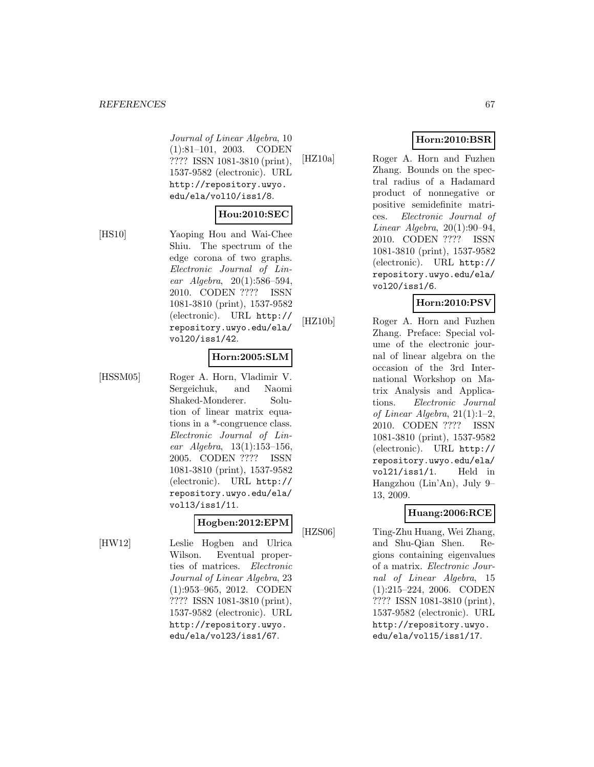Journal of Linear Algebra, 10 (1):81–101, 2003. CODEN ???? ISSN 1081-3810 (print), 1537-9582 (electronic). URL http://repository.uwyo. edu/ela/vol10/iss1/8.

### **Hou:2010:SEC**

[HS10] Yaoping Hou and Wai-Chee Shiu. The spectrum of the edge corona of two graphs. Electronic Journal of Linear Algebra, 20(1):586–594, 2010. CODEN ???? ISSN 1081-3810 (print), 1537-9582 (electronic). URL http:// repository.uwyo.edu/ela/ vol20/iss1/42.

#### **Horn:2005:SLM**

[HSSM05] Roger A. Horn, Vladimir V. Sergeichuk, and Naomi Shaked-Monderer. Solution of linear matrix equations in a \*-congruence class. Electronic Journal of Linear Algebra, 13(1):153–156, 2005. CODEN ???? ISSN 1081-3810 (print), 1537-9582 (electronic). URL http:// repository.uwyo.edu/ela/ vol13/iss1/11.

### **Hogben:2012:EPM**

[HW12] Leslie Hogben and Ulrica Wilson. Eventual properties of matrices. Electronic Journal of Linear Algebra, 23 (1):953–965, 2012. CODEN ???? ISSN 1081-3810 (print), 1537-9582 (electronic). URL http://repository.uwyo. edu/ela/vol23/iss1/67.

# **Horn:2010:BSR**

[HZ10a] Roger A. Horn and Fuzhen Zhang. Bounds on the spectral radius of a Hadamard product of nonnegative or positive semidefinite matrices. Electronic Journal of Linear Algebra,  $20(1):90-94$ , 2010. CODEN ???? ISSN 1081-3810 (print), 1537-9582 (electronic). URL http:// repository.uwyo.edu/ela/ vol20/iss1/6.

# **Horn:2010:PSV**

[HZ10b] Roger A. Horn and Fuzhen Zhang. Preface: Special volume of the electronic journal of linear algebra on the occasion of the 3rd International Workshop on Matrix Analysis and Applications. Electronic Journal of Linear Algebra, 21(1):1–2, 2010. CODEN ???? ISSN 1081-3810 (print), 1537-9582 (electronic). URL http:// repository.uwyo.edu/ela/ vol21/iss1/1. Held in Hangzhou (Lin'An), July 9– 13, 2009.

### **Huang:2006:RCE**

[HZS06] Ting-Zhu Huang, Wei Zhang, and Shu-Qian Shen. Regions containing eigenvalues of a matrix. Electronic Journal of Linear Algebra, 15 (1):215–224, 2006. CODEN ???? ISSN 1081-3810 (print), 1537-9582 (electronic). URL http://repository.uwyo. edu/ela/vol15/iss1/17.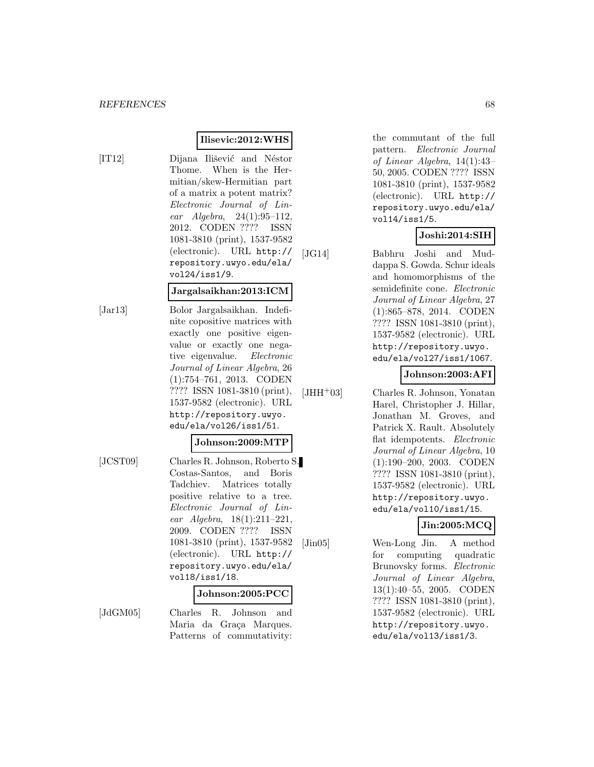#### **Ilisevic:2012:WHS**

[IT12] Dijana Ilišević and Néstor Thome. When is the Hermitian/skew-Hermitian part of a matrix a potent matrix? Electronic Journal of Linear Algebra, 24(1):95–112, 2012. CODEN ???? ISSN 1081-3810 (print), 1537-9582 (electronic). URL http:// repository.uwyo.edu/ela/ vol24/iss1/9.

#### **Jargalsaikhan:2013:ICM**

[Jar13] Bolor Jargalsaikhan. Indefinite copositive matrices with exactly one positive eigenvalue or exactly one negative eigenvalue. Electronic Journal of Linear Algebra, 26 (1):754–761, 2013. CODEN ???? ISSN 1081-3810 (print), 1537-9582 (electronic). URL http://repository.uwyo. edu/ela/vol26/iss1/51.

#### **Johnson:2009:MTP**

[JCST09] Charles R. Johnson, Roberto S. Costas-Santos, and Boris Tadchiev. Matrices totally positive relative to a tree. Electronic Journal of Linear Algebra, 18(1):211–221, 2009. CODEN ???? ISSN 1081-3810 (print), 1537-9582 (electronic). URL http:// repository.uwyo.edu/ela/ vol18/iss1/18.

#### **Johnson:2005:PCC**

[JdGM05] Charles R. Johnson and Maria da Graça Marques. Patterns of commutativity:

the commutant of the full pattern. Electronic Journal of Linear Algebra, 14(1):43– 50, 2005. CODEN ???? ISSN 1081-3810 (print), 1537-9582 (electronic). URL http:// repository.uwyo.edu/ela/ vol14/iss1/5.

### **Joshi:2014:SIH**

[JG14] Babhru Joshi and Muddappa S. Gowda. Schur ideals and homomorphisms of the semidefinite cone. Electronic Journal of Linear Algebra, 27 (1):865–878, 2014. CODEN ???? ISSN 1081-3810 (print), 1537-9582 (electronic). URL http://repository.uwyo. edu/ela/vol27/iss1/1067.

#### **Johnson:2003:AFI**

[JHH<sup>+</sup>03] Charles R. Johnson, Yonatan Harel, Christopher J. Hillar, Jonathan M. Groves, and Patrick X. Rault. Absolutely flat idempotents. Electronic Journal of Linear Algebra, 10 (1):190–200, 2003. CODEN ???? ISSN 1081-3810 (print), 1537-9582 (electronic). URL http://repository.uwyo. edu/ela/vol10/iss1/15.

# **Jin:2005:MCQ**

[Jin05] Wen-Long Jin. A method for computing quadratic Brunovsky forms. Electronic Journal of Linear Algebra, 13(1):40–55, 2005. CODEN ???? ISSN 1081-3810 (print), 1537-9582 (electronic). URL http://repository.uwyo. edu/ela/vol13/iss1/3.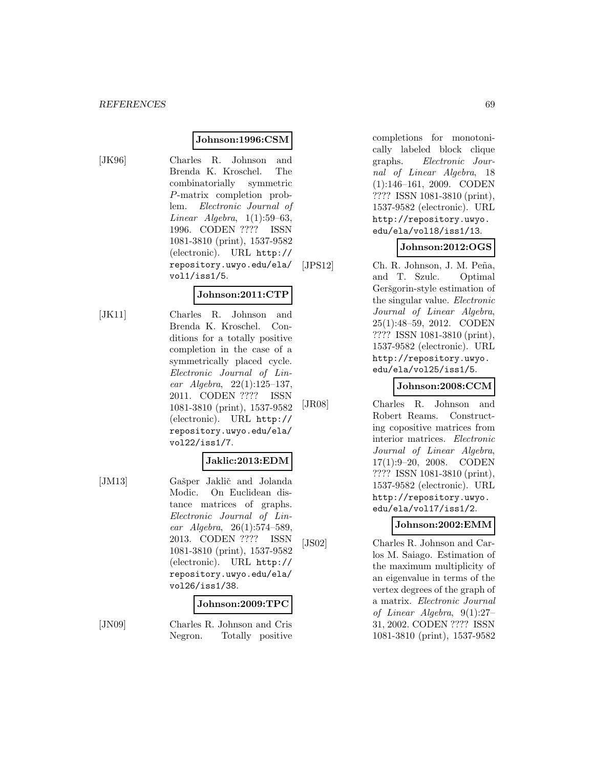#### **Johnson:1996:CSM**

[JK96] Charles R. Johnson and Brenda K. Kroschel. The combinatorially symmetric P-matrix completion problem. Electronic Journal of Linear Algebra, 1(1):59–63, 1996. CODEN ???? ISSN 1081-3810 (print), 1537-9582 (electronic). URL http:// repository.uwyo.edu/ela/ vol1/iss1/5.

#### **Johnson:2011:CTP**

[JK11] Charles R. Johnson and Brenda K. Kroschel. Conditions for a totally positive completion in the case of a symmetrically placed cycle. Electronic Journal of Linear Algebra, 22(1):125–137, 2011. CODEN ???? ISSN 1081-3810 (print), 1537-9582 (electronic). URL http:// repository.uwyo.edu/ela/ vol22/iss1/7.

# **Jaklic:2013:EDM**

[JM13] Gašper Jaklič and Jolanda Modic. On Euclidean distance matrices of graphs. Electronic Journal of Linear Algebra, 26(1):574–589, 2013. CODEN ???? ISSN 1081-3810 (print), 1537-9582 (electronic). URL http:// repository.uwyo.edu/ela/ vol26/iss1/38.

#### **Johnson:2009:TPC**

[JN09] Charles R. Johnson and Cris Negron. Totally positive completions for monotonically labeled block clique graphs. Electronic Journal of Linear Algebra, 18 (1):146–161, 2009. CODEN ???? ISSN 1081-3810 (print), 1537-9582 (electronic). URL http://repository.uwyo. edu/ela/vol18/iss1/13.

# **Johnson:2012:OGS**

[JPS12] Ch. R. Johnson, J. M. Peña, and T. Szulc. Optimal Geršgorin-style estimation of the singular value. Electronic Journal of Linear Algebra, 25(1):48–59, 2012. CODEN ???? ISSN 1081-3810 (print), 1537-9582 (electronic). URL http://repository.uwyo. edu/ela/vol25/iss1/5.

### **Johnson:2008:CCM**

[JR08] Charles R. Johnson and Robert Reams. Constructing copositive matrices from interior matrices. Electronic Journal of Linear Algebra, 17(1):9–20, 2008. CODEN ???? ISSN 1081-3810 (print), 1537-9582 (electronic). URL http://repository.uwyo. edu/ela/vol17/iss1/2.

### **Johnson:2002:EMM**

[JS02] Charles R. Johnson and Carlos M. Saiago. Estimation of the maximum multiplicity of an eigenvalue in terms of the vertex degrees of the graph of a matrix. Electronic Journal of Linear Algebra, 9(1):27– 31, 2002. CODEN ???? ISSN 1081-3810 (print), 1537-9582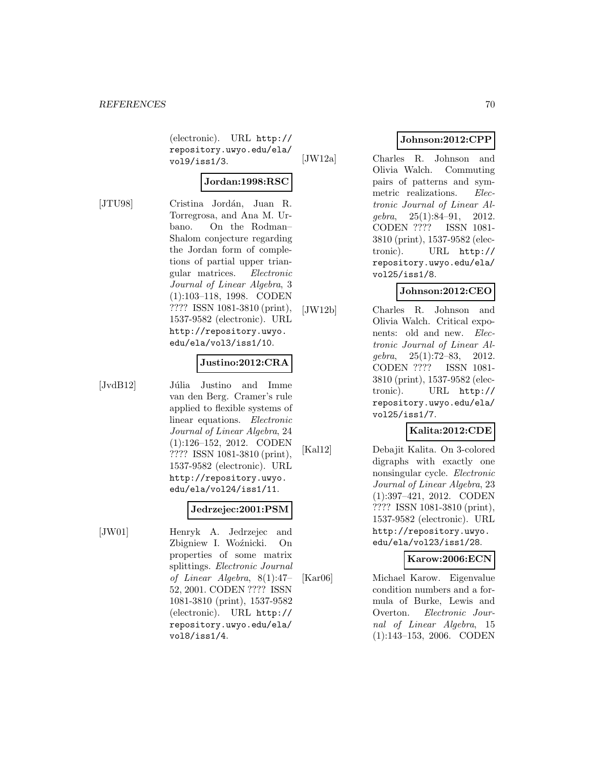(electronic). URL http:// repository.uwyo.edu/ela/ vol9/iss1/3.

# **Jordan:1998:RSC**

[JTU98] Cristina Jordán, Juan R. Torregrosa, and Ana M. Urbano. On the Rodman– Shalom conjecture regarding the Jordan form of completions of partial upper triangular matrices. Electronic Journal of Linear Algebra, 3 (1):103–118, 1998. CODEN ???? ISSN 1081-3810 (print), 1537-9582 (electronic). URL http://repository.uwyo. edu/ela/vol3/iss1/10.

#### **Justino:2012:CRA**

[JvdB12] Júlia Justino and Imme van den Berg. Cramer's rule applied to flexible systems of linear equations. Electronic Journal of Linear Algebra, 24 (1):126–152, 2012. CODEN ???? ISSN 1081-3810 (print), 1537-9582 (electronic). URL http://repository.uwyo. edu/ela/vol24/iss1/11.

### **Jedrzejec:2001:PSM**

[JW01] Henryk A. Jedrzejec and Zbigniew I. Woźnicki. On properties of some matrix splittings. Electronic Journal of Linear Algebra, 8(1):47– 52, 2001. CODEN ???? ISSN 1081-3810 (print), 1537-9582 (electronic). URL http:// repository.uwyo.edu/ela/ vol8/iss1/4.

# **Johnson:2012:CPP**

[JW12a] Charles R. Johnson and Olivia Walch. Commuting pairs of patterns and symmetric realizations. Electronic Journal of Linear Algebra, 25(1):84–91, 2012. CODEN ???? ISSN 1081- 3810 (print), 1537-9582 (electronic). URL http:// repository.uwyo.edu/ela/ vol25/iss1/8.

# **Johnson:2012:CEO**

[JW12b] Charles R. Johnson and Olivia Walch. Critical exponents: old and new. Electronic Journal of Linear Algebra, 25(1):72–83, 2012. CODEN ???? ISSN 1081- 3810 (print), 1537-9582 (electronic). URL http:// repository.uwyo.edu/ela/ vol25/iss1/7.

# **Kalita:2012:CDE**

[Kal12] Debajit Kalita. On 3-colored digraphs with exactly one nonsingular cycle. Electronic Journal of Linear Algebra, 23 (1):397–421, 2012. CODEN ???? ISSN 1081-3810 (print), 1537-9582 (electronic). URL http://repository.uwyo. edu/ela/vol23/iss1/28.

### **Karow:2006:ECN**

[Kar06] Michael Karow. Eigenvalue condition numbers and a formula of Burke, Lewis and Overton. Electronic Journal of Linear Algebra, 15 (1):143–153, 2006. CODEN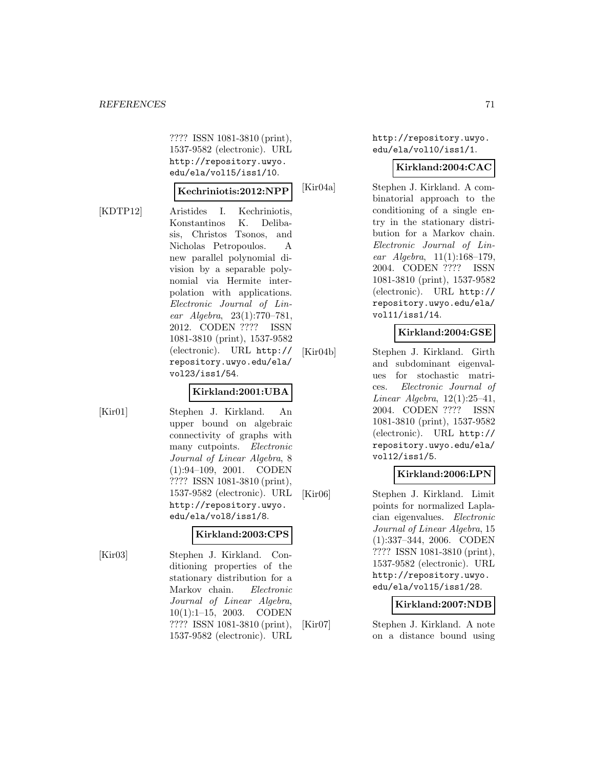???? ISSN 1081-3810 (print), 1537-9582 (electronic). URL http://repository.uwyo. edu/ela/vol15/iss1/10.

#### **Kechriniotis:2012:NPP**

[KDTP12] Aristides I. Kechriniotis, Konstantinos K. Delibasis, Christos Tsonos, and Nicholas Petropoulos. A new parallel polynomial division by a separable polynomial via Hermite interpolation with applications. Electronic Journal of Linear Algebra, 23(1):770–781, 2012. CODEN ???? ISSN 1081-3810 (print), 1537-9582 (electronic). URL http:// repository.uwyo.edu/ela/ vol23/iss1/54.

### **Kirkland:2001:UBA**

[Kir01] Stephen J. Kirkland. An upper bound on algebraic connectivity of graphs with many cutpoints. Electronic Journal of Linear Algebra, 8 (1):94–109, 2001. CODEN ???? ISSN 1081-3810 (print), 1537-9582 (electronic). URL http://repository.uwyo. edu/ela/vol8/iss1/8.

### **Kirkland:2003:CPS**

1537-9582 (electronic). URL

[Kir03] Stephen J. Kirkland. Conditioning properties of the stationary distribution for a Markov chain. Electronic Journal of Linear Algebra, 10(1):1–15, 2003. CODEN ???? ISSN 1081-3810 (print), http://repository.uwyo. edu/ela/vol10/iss1/1.

#### **Kirkland:2004:CAC**

[Kir04a] Stephen J. Kirkland. A combinatorial approach to the conditioning of a single entry in the stationary distribution for a Markov chain. Electronic Journal of Linear Algebra, 11(1):168–179, 2004. CODEN ???? ISSN 1081-3810 (print), 1537-9582 (electronic). URL http:// repository.uwyo.edu/ela/ vol11/iss1/14.

#### **Kirkland:2004:GSE**

[Kir04b] Stephen J. Kirkland. Girth and subdominant eigenvalues for stochastic matrices. Electronic Journal of Linear Algebra,  $12(1):25-41$ , 2004. CODEN ???? ISSN 1081-3810 (print), 1537-9582 (electronic). URL http:// repository.uwyo.edu/ela/ vol12/iss1/5.

### **Kirkland:2006:LPN**

[Kir06] Stephen J. Kirkland. Limit points for normalized Laplacian eigenvalues. Electronic Journal of Linear Algebra, 15 (1):337–344, 2006. CODEN ???? ISSN 1081-3810 (print), 1537-9582 (electronic). URL http://repository.uwyo. edu/ela/vol15/iss1/28.

### **Kirkland:2007:NDB**

[Kir07] Stephen J. Kirkland. A note on a distance bound using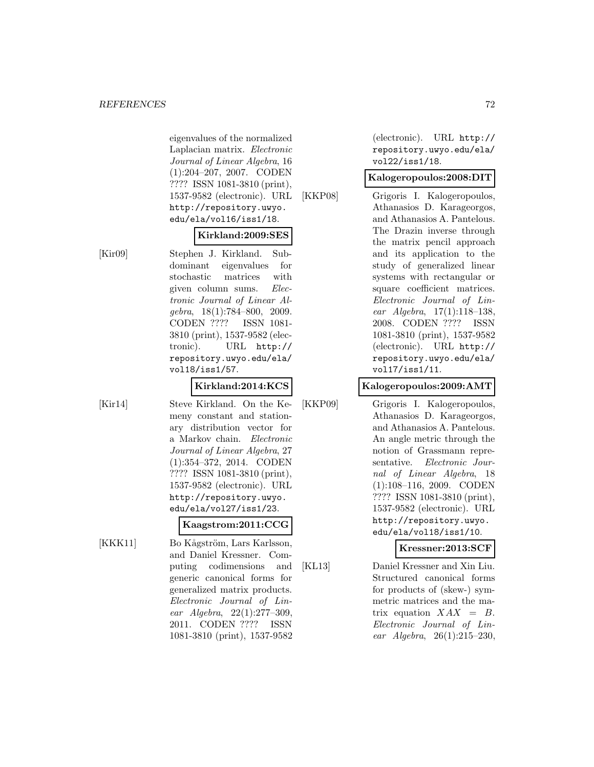eigenvalues of the normalized Laplacian matrix. Electronic Journal of Linear Algebra, 16 (1):204–207, 2007. CODEN ???? ISSN 1081-3810 (print), 1537-9582 (electronic). URL http://repository.uwyo. edu/ela/vol16/iss1/18.

#### **Kirkland:2009:SES**

[Kir09] Stephen J. Kirkland. Subdominant eigenvalues for stochastic matrices with given column sums. Electronic Journal of Linear Al $qebra, 18(1):784-800, 2009.$ CODEN ???? ISSN 1081- 3810 (print), 1537-9582 (electronic). URL http:// repository.uwyo.edu/ela/ vol18/iss1/57.

### **Kirkland:2014:KCS**

[Kir14] Steve Kirkland. On the Kemeny constant and stationary distribution vector for a Markov chain. Electronic Journal of Linear Algebra, 27 (1):354–372, 2014. CODEN ???? ISSN 1081-3810 (print), 1537-9582 (electronic). URL http://repository.uwyo. edu/ela/vol27/iss1/23.

# **Kaagstrom:2011:CCG**

[KKK11] Bo Kågström, Lars Karlsson, and Daniel Kressner. Computing codimensions and generic canonical forms for generalized matrix products. Electronic Journal of Linear Algebra, 22(1):277–309, 2011. CODEN ???? ISSN 1081-3810 (print), 1537-9582

(electronic). URL http:// repository.uwyo.edu/ela/ vol22/iss1/18.

### **Kalogeropoulos:2008:DIT**

[KKP08] Grigoris I. Kalogeropoulos, Athanasios D. Karageorgos, and Athanasios A. Pantelous. The Drazin inverse through the matrix pencil approach and its application to the study of generalized linear systems with rectangular or square coefficient matrices. Electronic Journal of Linear Algebra, 17(1):118–138, 2008. CODEN ???? ISSN 1081-3810 (print), 1537-9582 (electronic). URL http:// repository.uwyo.edu/ela/ vol17/iss1/11.

### **Kalogeropoulos:2009:AMT**

[KKP09] Grigoris I. Kalogeropoulos, Athanasios D. Karageorgos, and Athanasios A. Pantelous. An angle metric through the notion of Grassmann representative. Electronic Journal of Linear Algebra, 18 (1):108–116, 2009. CODEN ???? ISSN 1081-3810 (print), 1537-9582 (electronic). URL http://repository.uwyo. edu/ela/vol18/iss1/10.

### **Kressner:2013:SCF**

[KL13] Daniel Kressner and Xin Liu. Structured canonical forms for products of (skew-) symmetric matrices and the matrix equation  $XAX = B$ . Electronic Journal of Linear Algebra, 26(1):215–230,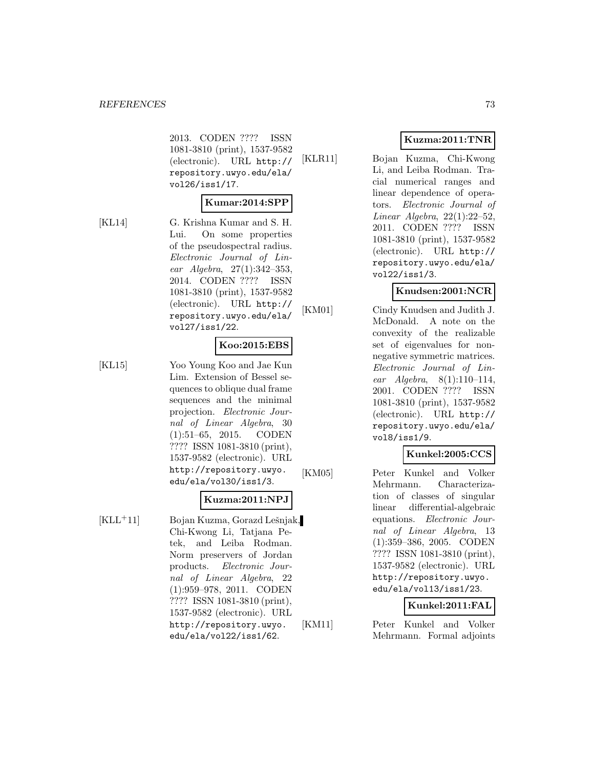2013. CODEN ???? ISSN 1081-3810 (print), 1537-9582 (electronic). URL http:// repository.uwyo.edu/ela/ vol26/iss1/17.

#### **Kumar:2014:SPP**

[KL14] G. Krishna Kumar and S. H. Lui. On some properties of the pseudospectral radius. Electronic Journal of Linear Algebra, 27(1):342–353, 2014. CODEN ???? ISSN 1081-3810 (print), 1537-9582 (electronic). URL http:// repository.uwyo.edu/ela/ vol27/iss1/22.

# **Koo:2015:EBS**

[KL15] Yoo Young Koo and Jae Kun Lim. Extension of Bessel sequences to oblique dual frame sequences and the minimal projection. Electronic Journal of Linear Algebra, 30 (1):51–65, 2015. CODEN ???? ISSN 1081-3810 (print), 1537-9582 (electronic). URL http://repository.uwyo. edu/ela/vol30/iss1/3.

#### **Kuzma:2011:NPJ**

 $[KLL+11]$  Bojan Kuzma, Gorazd Lešnjak, Chi-Kwong Li, Tatjana Petek, and Leiba Rodman. Norm preservers of Jordan products. Electronic Journal of Linear Algebra, 22 (1):959–978, 2011. CODEN ???? ISSN 1081-3810 (print), 1537-9582 (electronic). URL http://repository.uwyo. edu/ela/vol22/iss1/62.

# **Kuzma:2011:TNR**

[KLR11] Bojan Kuzma, Chi-Kwong Li, and Leiba Rodman. Tracial numerical ranges and linear dependence of operators. Electronic Journal of Linear Algebra, 22(1):22–52, 2011. CODEN ???? ISSN 1081-3810 (print), 1537-9582 (electronic). URL http:// repository.uwyo.edu/ela/ vol22/iss1/3.

# **Knudsen:2001:NCR**

[KM01] Cindy Knudsen and Judith J. McDonald. A note on the convexity of the realizable set of eigenvalues for nonnegative symmetric matrices. Electronic Journal of Linear Algebra, 8(1):110–114, 2001. CODEN ???? ISSN 1081-3810 (print), 1537-9582 (electronic). URL http:// repository.uwyo.edu/ela/ vol8/iss1/9.

# **Kunkel:2005:CCS**

[KM05] Peter Kunkel and Volker Mehrmann. Characterization of classes of singular linear differential-algebraic equations. Electronic Journal of Linear Algebra, 13 (1):359–386, 2005. CODEN ???? ISSN 1081-3810 (print), 1537-9582 (electronic). URL http://repository.uwyo. edu/ela/vol13/iss1/23.

# **Kunkel:2011:FAL**

[KM11] Peter Kunkel and Volker Mehrmann. Formal adjoints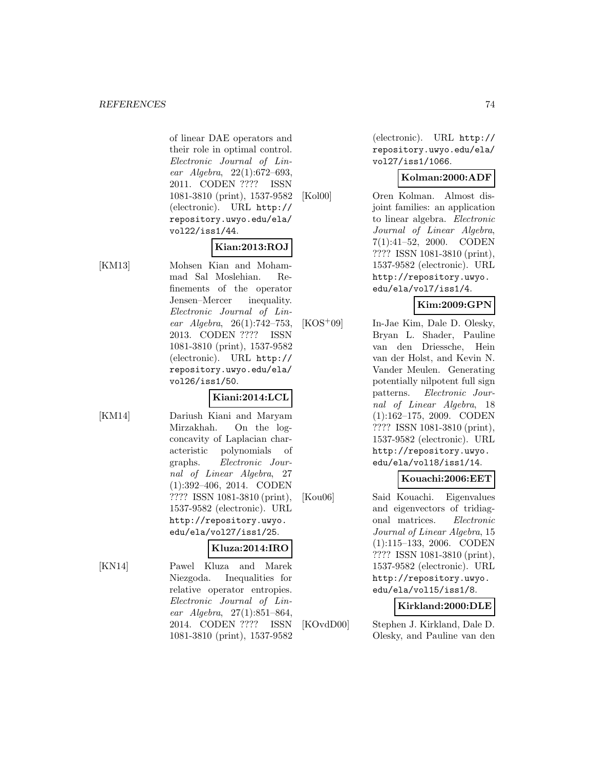of linear DAE operators and their role in optimal control. Electronic Journal of Linear Algebra, 22(1):672–693, 2011. CODEN ???? ISSN 1081-3810 (print), 1537-9582 (electronic). URL http:// repository.uwyo.edu/ela/ vol22/iss1/44.

# **Kian:2013:ROJ**

[KM13] Mohsen Kian and Mohammad Sal Moslehian. Refinements of the operator Jensen–Mercer inequality. Electronic Journal of Linear Algebra, 26(1):742–753, 2013. CODEN ???? ISSN 1081-3810 (print), 1537-9582 (electronic). URL http:// repository.uwyo.edu/ela/ vol26/iss1/50.

#### **Kiani:2014:LCL**

[KM14] Dariush Kiani and Maryam Mirzakhah. On the logconcavity of Laplacian characteristic polynomials of graphs. Electronic Journal of Linear Algebra, 27 (1):392–406, 2014. CODEN ???? ISSN 1081-3810 (print), 1537-9582 (electronic). URL http://repository.uwyo. edu/ela/vol27/iss1/25.

#### **Kluza:2014:IRO**

[KN14] Pawel Kluza and Marek Niezgoda. Inequalities for relative operator entropies. Electronic Journal of Linear Algebra, 27(1):851–864, 2014. CODEN ???? ISSN 1081-3810 (print), 1537-9582

(electronic). URL http:// repository.uwyo.edu/ela/ vol27/iss1/1066.

#### **Kolman:2000:ADF**

[Kol00] Oren Kolman. Almost disjoint families: an application to linear algebra. Electronic Journal of Linear Algebra, 7(1):41–52, 2000. CODEN ???? ISSN 1081-3810 (print), 1537-9582 (electronic). URL http://repository.uwyo. edu/ela/vol7/iss1/4.

# **Kim:2009:GPN**

[KOS<sup>+</sup>09] In-Jae Kim, Dale D. Olesky, Bryan L. Shader, Pauline van den Driessche, Hein van der Holst, and Kevin N. Vander Meulen. Generating potentially nilpotent full sign patterns. Electronic Journal of Linear Algebra, 18 (1):162–175, 2009. CODEN ???? ISSN 1081-3810 (print), 1537-9582 (electronic). URL http://repository.uwyo. edu/ela/vol18/iss1/14.

# **Kouachi:2006:EET**

[Kou06] Said Kouachi. Eigenvalues and eigenvectors of tridiagonal matrices. Electronic Journal of Linear Algebra, 15 (1):115–133, 2006. CODEN ???? ISSN 1081-3810 (print), 1537-9582 (electronic). URL http://repository.uwyo. edu/ela/vol15/iss1/8.

#### **Kirkland:2000:DLE**

[KOvdD00] Stephen J. Kirkland, Dale D. Olesky, and Pauline van den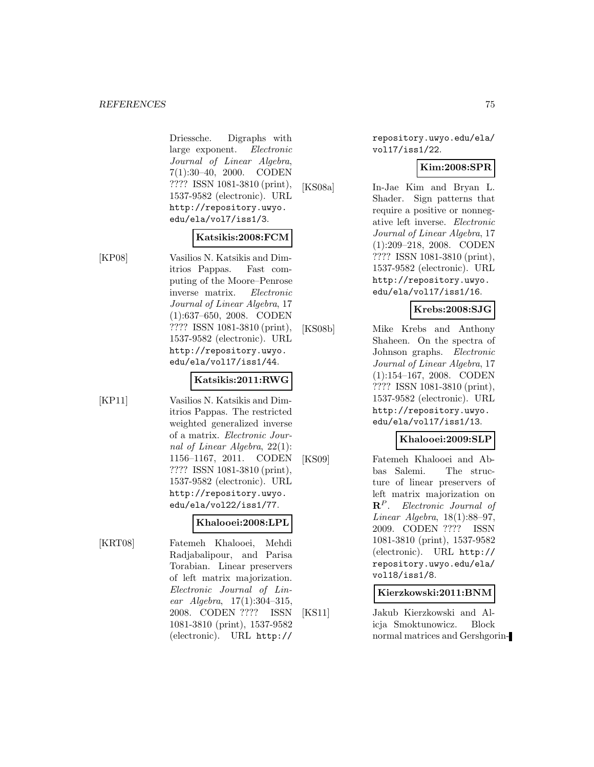#### *REFERENCES* 75

Driessche. Digraphs with large exponent. Electronic Journal of Linear Algebra, 7(1):30–40, 2000. CODEN ???? ISSN 1081-3810 (print), 1537-9582 (electronic). URL http://repository.uwyo. edu/ela/vol7/iss1/3.

#### **Katsikis:2008:FCM**

[KP08] Vasilios N. Katsikis and Dimitrios Pappas. Fast computing of the Moore–Penrose inverse matrix. Electronic Journal of Linear Algebra, 17 (1):637–650, 2008. CODEN ???? ISSN 1081-3810 (print), 1537-9582 (electronic). URL http://repository.uwyo. edu/ela/vol17/iss1/44.

#### **Katsikis:2011:RWG**

[KP11] Vasilios N. Katsikis and Dimitrios Pappas. The restricted weighted generalized inverse of a matrix. Electronic Journal of Linear Algebra, 22(1): 1156–1167, 2011. CODEN ???? ISSN 1081-3810 (print), 1537-9582 (electronic). URL http://repository.uwyo. edu/ela/vol22/iss1/77.

#### **Khalooei:2008:LPL**

[KRT08] Fatemeh Khalooei, Mehdi Radjabalipour, and Parisa Torabian. Linear preservers of left matrix majorization. Electronic Journal of Linear Algebra, 17(1):304–315, 2008. CODEN ???? ISSN 1081-3810 (print), 1537-9582 (electronic). URL http://

repository.uwyo.edu/ela/ vol17/iss1/22.

#### **Kim:2008:SPR**

[KS08a] In-Jae Kim and Bryan L. Shader. Sign patterns that require a positive or nonnegative left inverse. Electronic Journal of Linear Algebra, 17 (1):209–218, 2008. CODEN ???? ISSN 1081-3810 (print), 1537-9582 (electronic). URL http://repository.uwyo. edu/ela/vol17/iss1/16.

#### **Krebs:2008:SJG**

[KS08b] Mike Krebs and Anthony Shaheen. On the spectra of Johnson graphs. Electronic Journal of Linear Algebra, 17 (1):154–167, 2008. CODEN ???? ISSN 1081-3810 (print), 1537-9582 (electronic). URL http://repository.uwyo. edu/ela/vol17/iss1/13.

# **Khalooei:2009:SLP**

[KS09] Fatemeh Khalooei and Abbas Salemi. The structure of linear preservers of left matrix majorization on **R**<sup>P</sup> . Electronic Journal of Linear Algebra, 18(1):88–97, 2009. CODEN ???? ISSN 1081-3810 (print), 1537-9582 (electronic). URL http:// repository.uwyo.edu/ela/ vol18/iss1/8.

#### **Kierzkowski:2011:BNM**

[KS11] Jakub Kierzkowski and Alicja Smoktunowicz. Block normal matrices and Gershgorin-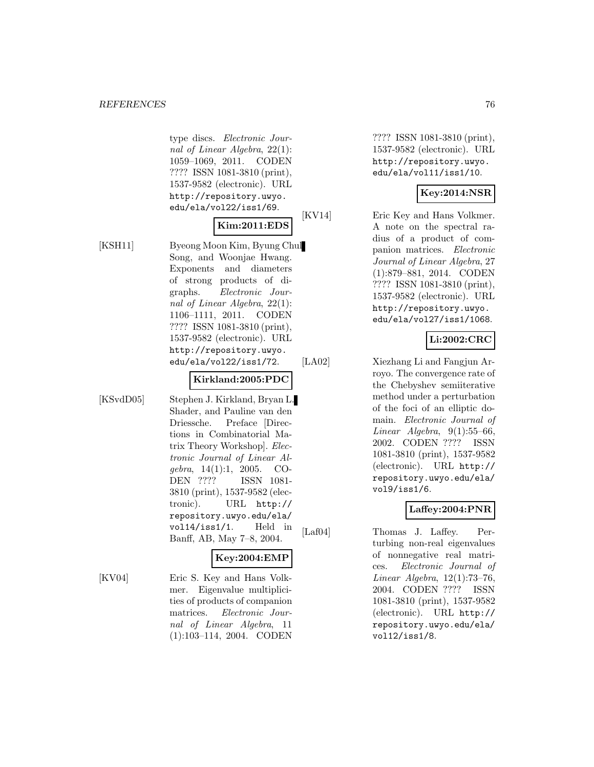#### **REFERENCES** 76

type discs. Electronic Journal of Linear Algebra, 22(1): 1059–1069, 2011. CODEN ???? ISSN 1081-3810 (print), 1537-9582 (electronic). URL http://repository.uwyo. edu/ela/vol22/iss1/69.

# **Kim:2011:EDS**

[KSH11] Byeong Moon Kim, Byung Chul Song, and Woonjae Hwang. Exponents and diameters of strong products of digraphs. Electronic Journal of Linear Algebra, 22(1): 1106–1111, 2011. CODEN ???? ISSN 1081-3810 (print), 1537-9582 (electronic). URL http://repository.uwyo. edu/ela/vol22/iss1/72.

#### **Kirkland:2005:PDC**

[KSvdD05] Stephen J. Kirkland, Bryan L. Shader, and Pauline van den Driessche. Preface [Directions in Combinatorial Matrix Theory Workshop]. Electronic Journal of Linear Algebra, 14(1):1, 2005. CO-DEN ???? ISSN 1081- 3810 (print), 1537-9582 (electronic). URL http:// repository.uwyo.edu/ela/ vol14/iss1/1. Held in Banff, AB, May 7–8, 2004.

# **Key:2004:EMP**

[KV04] Eric S. Key and Hans Volkmer. Eigenvalue multiplicities of products of companion matrices. Electronic Journal of Linear Algebra, 11 (1):103–114, 2004. CODEN

???? ISSN 1081-3810 (print), 1537-9582 (electronic). URL http://repository.uwyo. edu/ela/vol11/iss1/10.

# **Key:2014:NSR**

[KV14] Eric Key and Hans Volkmer. A note on the spectral radius of a product of companion matrices. Electronic Journal of Linear Algebra, 27 (1):879–881, 2014. CODEN ???? ISSN 1081-3810 (print), 1537-9582 (electronic). URL http://repository.uwyo. edu/ela/vol27/iss1/1068.

# **Li:2002:CRC**

[LA02] Xiezhang Li and Fangjun Arroyo. The convergence rate of the Chebyshev semiiterative method under a perturbation of the foci of an elliptic domain. Electronic Journal of Linear Algebra,  $9(1):55-66$ , 2002. CODEN ???? ISSN 1081-3810 (print), 1537-9582 (electronic). URL http:// repository.uwyo.edu/ela/ vol9/iss1/6.

#### **Laffey:2004:PNR**

[Laf04] Thomas J. Laffey. Perturbing non-real eigenvalues of nonnegative real matrices. Electronic Journal of Linear Algebra, 12(1):73–76, 2004. CODEN ???? ISSN 1081-3810 (print), 1537-9582 (electronic). URL http:// repository.uwyo.edu/ela/ vol12/iss1/8.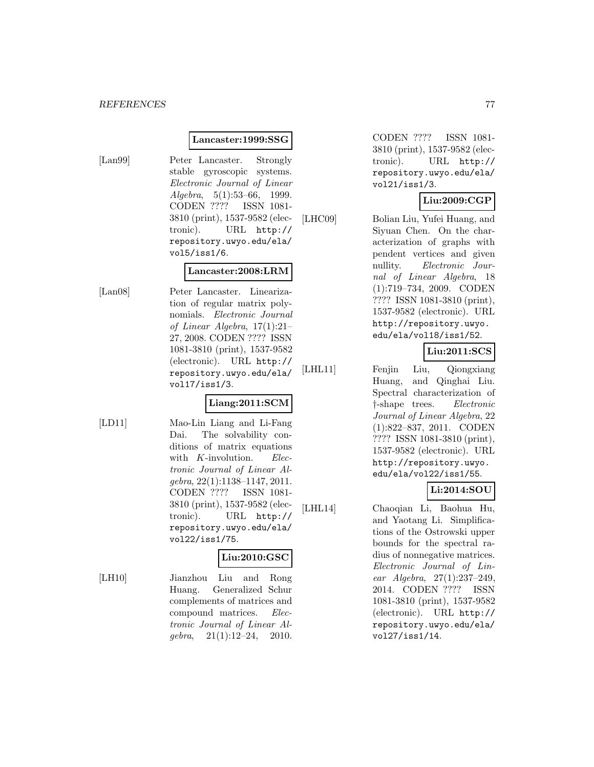#### **Lancaster:1999:SSG**

[Lan99] Peter Lancaster. Strongly stable gyroscopic systems. Electronic Journal of Linear Algebra, 5(1):53–66, 1999. CODEN ???? ISSN 1081- 3810 (print), 1537-9582 (electronic). URL http:// repository.uwyo.edu/ela/ vol5/iss1/6.

# **Lancaster:2008:LRM**

[Lan08] Peter Lancaster. Linearization of regular matrix polynomials. Electronic Journal of Linear Algebra, 17(1):21– 27, 2008. CODEN ???? ISSN 1081-3810 (print), 1537-9582 (electronic). URL http:// repository.uwyo.edu/ela/ vol17/iss1/3.

#### **Liang:2011:SCM**

[LD11] Mao-Lin Liang and Li-Fang Dai. The solvability conditions of matrix equations with K-involution. Electronic Journal of Linear Algebra, 22(1):1138–1147, 2011. CODEN ???? ISSN 1081- 3810 (print), 1537-9582 (electronic). URL http:// repository.uwyo.edu/ela/ vol22/iss1/75.

# **Liu:2010:GSC**

[LH10] Jianzhou Liu and Rong Huang. Generalized Schur complements of matrices and compound matrices. Electronic Journal of Linear Al $qebra, 21(1):12-24, 2010.$ 

CODEN ???? ISSN 1081- 3810 (print), 1537-9582 (electronic). URL http:// repository.uwyo.edu/ela/ vol21/iss1/3.

#### **Liu:2009:CGP**

[LHC09] Bolian Liu, Yufei Huang, and Siyuan Chen. On the characterization of graphs with pendent vertices and given nullity. Electronic Journal of Linear Algebra, 18 (1):719–734, 2009. CODEN ???? ISSN 1081-3810 (print), 1537-9582 (electronic). URL http://repository.uwyo. edu/ela/vol18/iss1/52.

# **Liu:2011:SCS**

[LHL11] Fenjin Liu, Qiongxiang Huang, and Qinghai Liu. Spectral characterization of †-shape trees. Electronic Journal of Linear Algebra, 22 (1):822–837, 2011. CODEN ???? ISSN 1081-3810 (print), 1537-9582 (electronic). URL http://repository.uwyo. edu/ela/vol22/iss1/55.

# **Li:2014:SOU**

[LHL14] Chaoqian Li, Baohua Hu, and Yaotang Li. Simplifications of the Ostrowski upper bounds for the spectral radius of nonnegative matrices. Electronic Journal of Linear Algebra, 27(1):237–249, 2014. CODEN ???? ISSN 1081-3810 (print), 1537-9582 (electronic). URL http:// repository.uwyo.edu/ela/ vol27/iss1/14.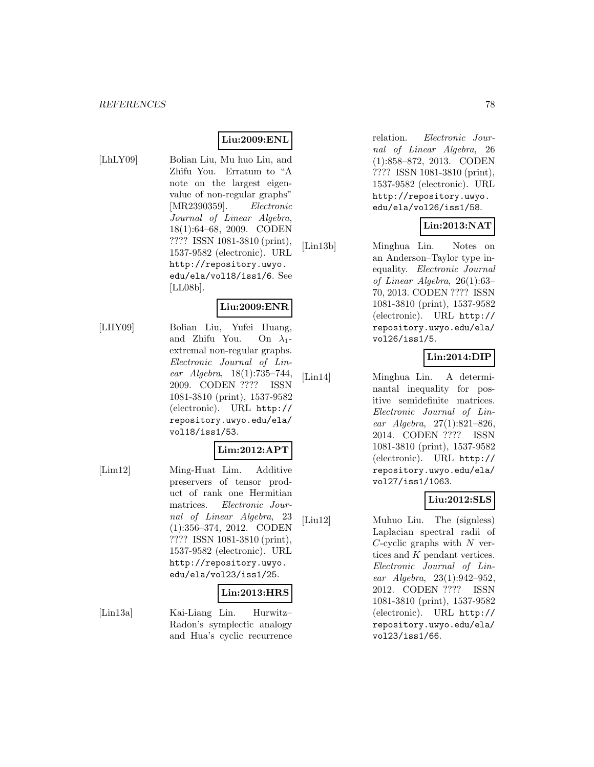#### **Liu:2009:ENL**

[LhLY09] Bolian Liu, Mu huo Liu, and Zhifu You. Erratum to "A note on the largest eigenvalue of non-regular graphs" [MR2390359]. Electronic Journal of Linear Algebra, 18(1):64–68, 2009. CODEN ???? ISSN 1081-3810 (print), 1537-9582 (electronic). URL http://repository.uwyo. edu/ela/vol18/iss1/6. See [LL08b].

# **Liu:2009:ENR**

[LHY09] Bolian Liu, Yufei Huang, and Zhifu You. On  $\lambda_1$ extremal non-regular graphs. Electronic Journal of Linear Algebra, 18(1):735–744, 2009. CODEN ???? ISSN 1081-3810 (print), 1537-9582 (electronic). URL http:// repository.uwyo.edu/ela/ vol18/iss1/53.

# **Lim:2012:APT**

[Lim12] Ming-Huat Lim. Additive preservers of tensor product of rank one Hermitian matrices. Electronic Journal of Linear Algebra, 23 (1):356–374, 2012. CODEN ???? ISSN 1081-3810 (print), 1537-9582 (electronic). URL http://repository.uwyo. edu/ela/vol23/iss1/25.

#### **Lin:2013:HRS**

[Lin13a] Kai-Liang Lin. Hurwitz– Radon's symplectic analogy and Hua's cyclic recurrence relation. Electronic Journal of Linear Algebra, 26 (1):858–872, 2013. CODEN ???? ISSN 1081-3810 (print), 1537-9582 (electronic). URL http://repository.uwyo. edu/ela/vol26/iss1/58.

# **Lin:2013:NAT**

[Lin13b] Minghua Lin. Notes on an Anderson–Taylor type inequality. Electronic Journal of Linear Algebra, 26(1):63– 70, 2013. CODEN ???? ISSN 1081-3810 (print), 1537-9582 (electronic). URL http:// repository.uwyo.edu/ela/ vol26/iss1/5.

#### **Lin:2014:DIP**

[Lin14] Minghua Lin. A determinantal inequality for positive semidefinite matrices. Electronic Journal of Linear Algebra, 27(1):821–826, 2014. CODEN ???? ISSN 1081-3810 (print), 1537-9582 (electronic). URL http:// repository.uwyo.edu/ela/ vol27/iss1/1063.

#### **Liu:2012:SLS**

[Liu12] Muhuo Liu. The (signless) Laplacian spectral radii of  $C$ -cyclic graphs with  $N$  vertices and K pendant vertices. Electronic Journal of Linear Algebra, 23(1):942–952, 2012. CODEN ???? ISSN 1081-3810 (print), 1537-9582 (electronic). URL http:// repository.uwyo.edu/ela/ vol23/iss1/66.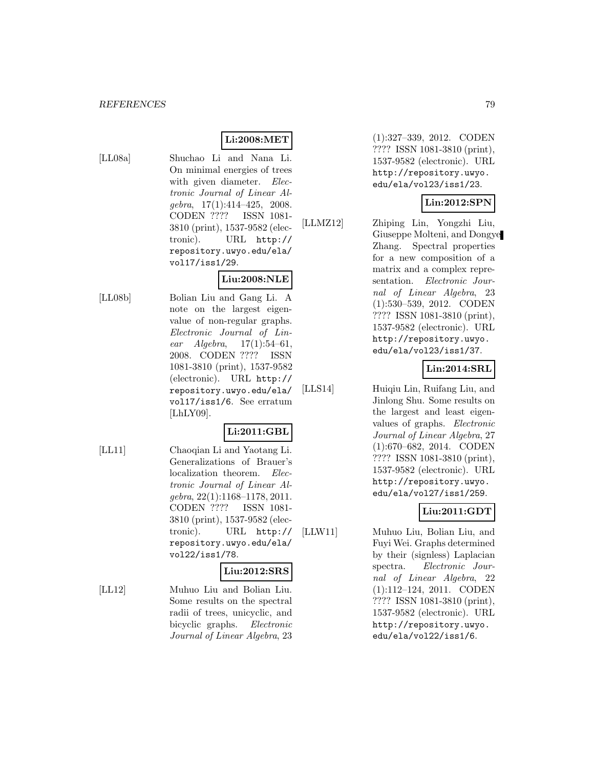#### **Li:2008:MET**

[LL08a] Shuchao Li and Nana Li. On minimal energies of trees with given diameter. Electronic Journal of Linear Al $qebra, 17(1):414-425, 2008.$ CODEN ???? ISSN 1081- 3810 (print), 1537-9582 (electronic). URL http:// repository.uwyo.edu/ela/ vol17/iss1/29.

#### **Liu:2008:NLE**

[LL08b] Bolian Liu and Gang Li. A note on the largest eigenvalue of non-regular graphs. Electronic Journal of Linear  $Algebra, 17(1):54–61,$ 2008. CODEN ???? ISSN 1081-3810 (print), 1537-9582 (electronic). URL http:// repository.uwyo.edu/ela/ vol17/iss1/6. See erratum [LhLY09].

# **Li:2011:GBL**

[LL11] Chaoqian Li and Yaotang Li. Generalizations of Brauer's localization theorem. Electronic Journal of Linear Algebra, 22(1):1168–1178, 2011. CODEN ???? ISSN 1081- 3810 (print), 1537-9582 (electronic). URL http:// repository.uwyo.edu/ela/ vol22/iss1/78.

#### **Liu:2012:SRS**

[LL12] Muhuo Liu and Bolian Liu. Some results on the spectral radii of trees, unicyclic, and bicyclic graphs. Electronic Journal of Linear Algebra, 23

(1):327–339, 2012. CODEN ???? ISSN 1081-3810 (print), 1537-9582 (electronic). URL http://repository.uwyo. edu/ela/vol23/iss1/23.

#### **Lin:2012:SPN**

[LLMZ12] Zhiping Lin, Yongzhi Liu, Giuseppe Molteni, and Dongye Zhang. Spectral properties for a new composition of a matrix and a complex representation. Electronic Journal of Linear Algebra, 23 (1):530–539, 2012. CODEN ???? ISSN 1081-3810 (print), 1537-9582 (electronic). URL http://repository.uwyo. edu/ela/vol23/iss1/37.

# **Lin:2014:SRL**

[LLS14] Huiqiu Lin, Ruifang Liu, and Jinlong Shu. Some results on the largest and least eigenvalues of graphs. Electronic Journal of Linear Algebra, 27 (1):670–682, 2014. CODEN ???? ISSN 1081-3810 (print), 1537-9582 (electronic). URL http://repository.uwyo. edu/ela/vol27/iss1/259.

# **Liu:2011:GDT**

[LLW11] Muhuo Liu, Bolian Liu, and Fuyi Wei. Graphs determined by their (signless) Laplacian spectra. Electronic Journal of Linear Algebra, 22 (1):112–124, 2011. CODEN ???? ISSN 1081-3810 (print), 1537-9582 (electronic). URL http://repository.uwyo. edu/ela/vol22/iss1/6.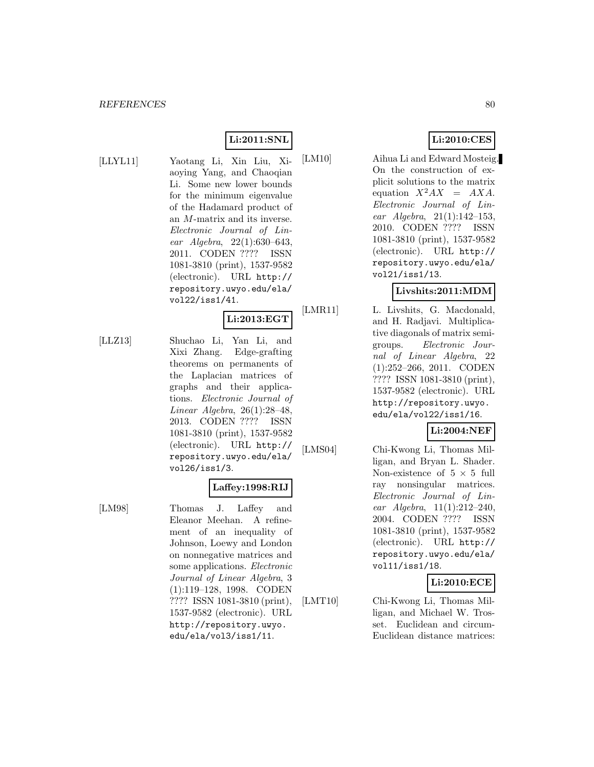# **Li:2011:SNL**

- 
- [LLYL11] Yaotang Li, Xin Liu, Xiaoying Yang, and Chaoqian Li. Some new lower bounds for the minimum eigenvalue of the Hadamard product of an M-matrix and its inverse. Electronic Journal of Linear Algebra, 22(1):630–643, 2011. CODEN ???? ISSN 1081-3810 (print), 1537-9582 (electronic). URL http:// repository.uwyo.edu/ela/ vol22/iss1/41.

#### **Li:2013:EGT**

[LLZ13] Shuchao Li, Yan Li, and Xixi Zhang. Edge-grafting theorems on permanents of the Laplacian matrices of graphs and their applications. Electronic Journal of Linear Algebra, 26(1):28–48, 2013. CODEN ???? ISSN 1081-3810 (print), 1537-9582 (electronic). URL http:// repository.uwyo.edu/ela/ vol26/iss1/3.

**Laffey:1998:RIJ**

[LM98] Thomas J. Laffey and Eleanor Meehan. A refinement of an inequality of Johnson, Loewy and London on nonnegative matrices and some applications. Electronic Journal of Linear Algebra, 3 (1):119–128, 1998. CODEN ???? ISSN 1081-3810 (print), 1537-9582 (electronic). URL http://repository.uwyo. edu/ela/vol3/iss1/11.

# **Li:2010:CES**

[LM10] Aihua Li and Edward Mosteig. On the construction of explicit solutions to the matrix equation  $X^2AX = AXA$ . Electronic Journal of Linear Algebra, 21(1):142–153, 2010. CODEN ???? ISSN 1081-3810 (print), 1537-9582 (electronic). URL http:// repository.uwyo.edu/ela/ vol21/iss1/13.

# **Livshits:2011:MDM**

[LMR11] L. Livshits, G. Macdonald, and H. Radjavi. Multiplicative diagonals of matrix semigroups. Electronic Journal of Linear Algebra, 22 (1):252–266, 2011. CODEN ???? ISSN 1081-3810 (print), 1537-9582 (electronic). URL http://repository.uwyo. edu/ela/vol22/iss1/16.

# **Li:2004:NEF**

[LMS04] Chi-Kwong Li, Thomas Milligan, and Bryan L. Shader. Non-existence of  $5 \times 5$  full ray nonsingular matrices. Electronic Journal of Linear Algebra, 11(1):212–240, 2004. CODEN ???? ISSN 1081-3810 (print), 1537-9582 (electronic). URL http:// repository.uwyo.edu/ela/ vol11/iss1/18.

#### **Li:2010:ECE**

[LMT10] Chi-Kwong Li, Thomas Milligan, and Michael W. Trosset. Euclidean and circum-Euclidean distance matrices: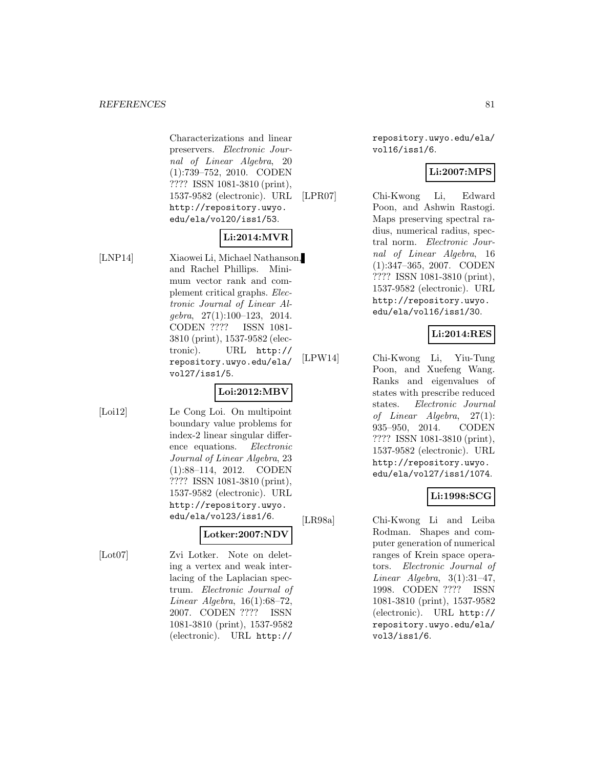Characterizations and linear preservers. Electronic Journal of Linear Algebra, 20 (1):739–752, 2010. CODEN ???? ISSN 1081-3810 (print), 1537-9582 (electronic). URL http://repository.uwyo. edu/ela/vol20/iss1/53.

# **Li:2014:MVR**

[LNP14] Xiaowei Li, Michael Nathanson, and Rachel Phillips. Minimum vector rank and complement critical graphs. Electronic Journal of Linear Algebra, 27(1):100–123, 2014. CODEN ???? ISSN 1081- 3810 (print), 1537-9582 (electronic). URL http:// repository.uwyo.edu/ela/ vol27/iss1/5.

# **Loi:2012:MBV**

[Loi12] Le Cong Loi. On multipoint boundary value problems for index-2 linear singular difference equations. Electronic Journal of Linear Algebra, 23 (1):88–114, 2012. CODEN ???? ISSN 1081-3810 (print), 1537-9582 (electronic). URL http://repository.uwyo. edu/ela/vol23/iss1/6.

# **Lotker:2007:NDV**

[Lot07] Zvi Lotker. Note on deleting a vertex and weak interlacing of the Laplacian spectrum. Electronic Journal of Linear Algebra, 16(1):68–72, 2007. CODEN ???? ISSN 1081-3810 (print), 1537-9582 (electronic). URL http://

repository.uwyo.edu/ela/ vol16/iss1/6.

# **Li:2007:MPS**

[LPR07] Chi-Kwong Li, Edward Poon, and Ashwin Rastogi. Maps preserving spectral radius, numerical radius, spectral norm. Electronic Journal of Linear Algebra, 16 (1):347–365, 2007. CODEN ???? ISSN 1081-3810 (print), 1537-9582 (electronic). URL http://repository.uwyo. edu/ela/vol16/iss1/30.

# **Li:2014:RES**

[LPW14] Chi-Kwong Li, Yiu-Tung Poon, and Xuefeng Wang. Ranks and eigenvalues of states with prescribe reduced states. Electronic Journal of Linear Algebra, 27(1): 935–950, 2014. CODEN ???? ISSN 1081-3810 (print), 1537-9582 (electronic). URL http://repository.uwyo. edu/ela/vol27/iss1/1074.

# **Li:1998:SCG**

[LR98a] Chi-Kwong Li and Leiba Rodman. Shapes and computer generation of numerical ranges of Krein space operators. Electronic Journal of Linear Algebra,  $3(1):31-47$ , 1998. CODEN ???? ISSN 1081-3810 (print), 1537-9582 (electronic). URL http:// repository.uwyo.edu/ela/ vol3/iss1/6.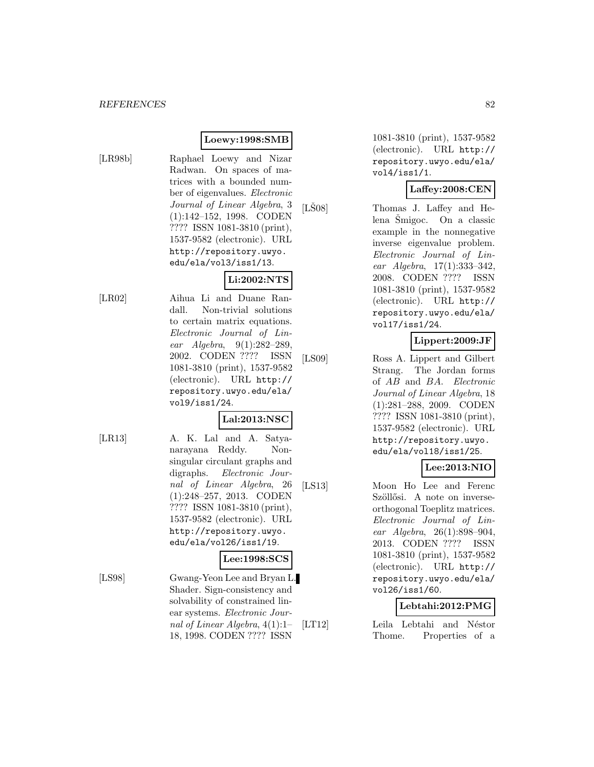# **Loewy:1998:SMB**

[LR98b] Raphael Loewy and Nizar Radwan. On spaces of matrices with a bounded number of eigenvalues. Electronic Journal of Linear Algebra, 3 (1):142–152, 1998. CODEN ???? ISSN 1081-3810 (print), 1537-9582 (electronic). URL http://repository.uwyo. edu/ela/vol3/iss1/13.

# **Li:2002:NTS**

[LR02] Aihua Li and Duane Randall. Non-trivial solutions to certain matrix equations. Electronic Journal of Linear Algebra, 9(1):282–289, 2002. CODEN ???? ISSN 1081-3810 (print), 1537-9582 (electronic). URL http:// repository.uwyo.edu/ela/ vol9/iss1/24.

#### **Lal:2013:NSC**

[LR13] A. K. Lal and A. Satyanarayana Reddy. Nonsingular circulant graphs and digraphs. Electronic Journal of Linear Algebra, 26 (1):248–257, 2013. CODEN ???? ISSN 1081-3810 (print), 1537-9582 (electronic). URL http://repository.uwyo. edu/ela/vol26/iss1/19.

#### **Lee:1998:SCS**

[LS98] Gwang-Yeon Lee and Bryan L. Shader. Sign-consistency and solvability of constrained linear systems. Electronic Journal of Linear Algebra, 4(1):1– 18, 1998. CODEN ???? ISSN

1081-3810 (print), 1537-9582 (electronic). URL http:// repository.uwyo.edu/ela/ vol4/iss1/1.

#### **Laffey:2008:CEN**

[LSO8] Thomas J. Laffey and He $l$ ena Šmigoc. On a classic example in the nonnegative inverse eigenvalue problem. Electronic Journal of Linear Algebra, 17(1):333–342, 2008. CODEN ???? ISSN 1081-3810 (print), 1537-9582 (electronic). URL http:// repository.uwyo.edu/ela/ vol17/iss1/24.

# **Lippert:2009:JF**

[LS09] Ross A. Lippert and Gilbert Strang. The Jordan forms of AB and BA. Electronic Journal of Linear Algebra, 18 (1):281–288, 2009. CODEN ???? ISSN 1081-3810 (print), 1537-9582 (electronic). URL http://repository.uwyo. edu/ela/vol18/iss1/25.

# **Lee:2013:NIO**

[LS13] Moon Ho Lee and Ferenc Szöllősi. A note on inverseorthogonal Toeplitz matrices. Electronic Journal of Linear Algebra, 26(1):898–904, 2013. CODEN ???? ISSN 1081-3810 (print), 1537-9582 (electronic). URL http:// repository.uwyo.edu/ela/ vol26/iss1/60.

# **Lebtahi:2012:PMG**

[LT12] Leila Lebtahi and Néstor Thome. Properties of a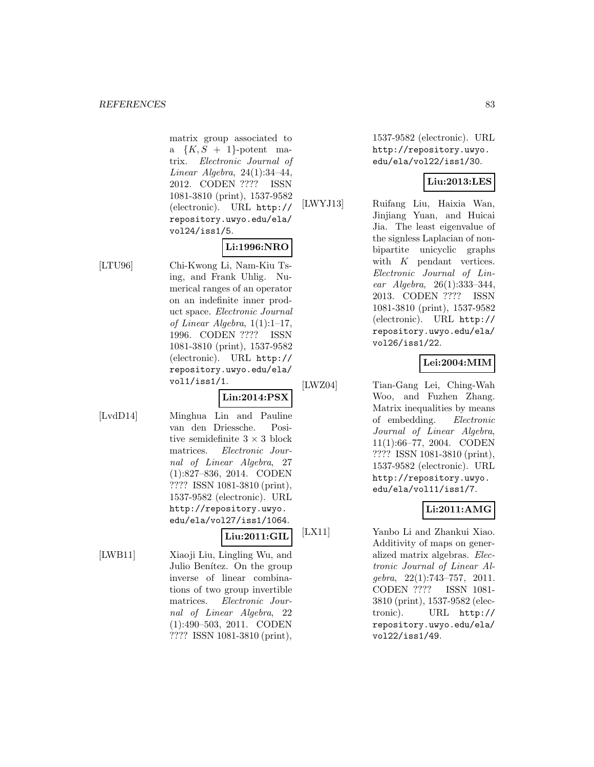matrix group associated to a  $\{K, S + 1\}$ -potent matrix. Electronic Journal of Linear Algebra, 24(1):34–44, 2012. CODEN ???? ISSN 1081-3810 (print), 1537-9582 (electronic). URL http:// repository.uwyo.edu/ela/ vol24/iss1/5.

# **Li:1996:NRO**

**Lin:2014:PSX**

[LTU96] Chi-Kwong Li, Nam-Kiu Tsing, and Frank Uhlig. Numerical ranges of an operator on an indefinite inner product space. Electronic Journal of Linear Algebra,  $1(1):1-17$ , 1996. CODEN ???? ISSN 1081-3810 (print), 1537-9582 (electronic). URL http:// repository.uwyo.edu/ela/ vol1/iss1/1.

[LvdD14] Minghua Lin and Pauline van den Driessche. Positive semidefinite  $3 \times 3$  block matrices. Electronic Journal of Linear Algebra, 27 (1):827–836, 2014. CODEN ???? ISSN 1081-3810 (print), 1537-9582 (electronic). URL http://repository.uwyo. edu/ela/vol27/iss1/1064.

# **Liu:2011:GIL**

[LWB11] Xiaoji Liu, Lingling Wu, and Julio Benítez. On the group inverse of linear combinations of two group invertible matrices. Electronic Journal of Linear Algebra, 22 (1):490–503, 2011. CODEN ???? ISSN 1081-3810 (print),

1537-9582 (electronic). URL http://repository.uwyo. edu/ela/vol22/iss1/30.

# **Liu:2013:LES**

[LWYJ13] Ruifang Liu, Haixia Wan, Jinjiang Yuan, and Huicai Jia. The least eigenvalue of the signless Laplacian of nonbipartite unicyclic graphs with  $K$  pendant vertices. Electronic Journal of Linear Algebra, 26(1):333–344, 2013. CODEN ???? ISSN 1081-3810 (print), 1537-9582 (electronic). URL http:// repository.uwyo.edu/ela/ vol26/iss1/22.

# **Lei:2004:MIM**

[LWZ04] Tian-Gang Lei, Ching-Wah Woo, and Fuzhen Zhang. Matrix inequalities by means of embedding. Electronic Journal of Linear Algebra, 11(1):66–77, 2004. CODEN ???? ISSN 1081-3810 (print), 1537-9582 (electronic). URL http://repository.uwyo. edu/ela/vol11/iss1/7.

# **Li:2011:AMG**

[LX11] Yanbo Li and Zhankui Xiao. Additivity of maps on generalized matrix algebras. Electronic Journal of Linear Algebra, 22(1):743–757, 2011. CODEN ???? ISSN 1081- 3810 (print), 1537-9582 (electronic). URL http:// repository.uwyo.edu/ela/ vol22/iss1/49.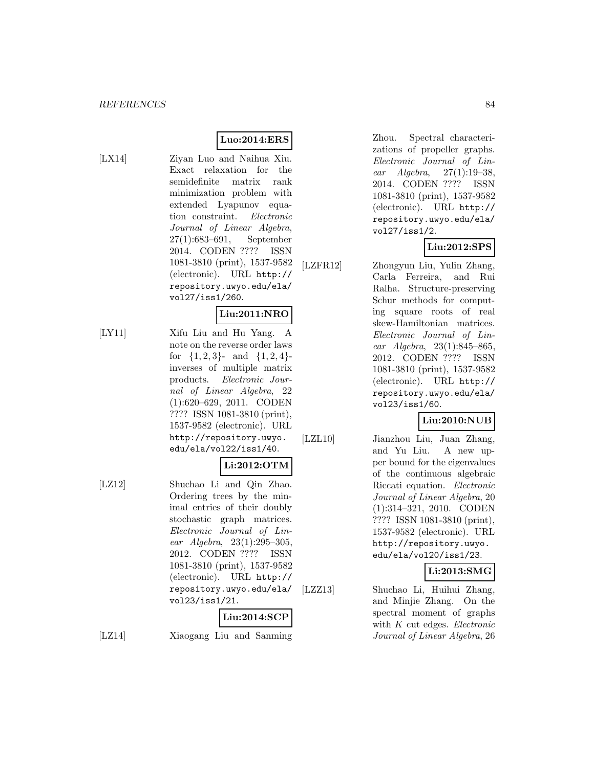# **Luo:2014:ERS**

[LX14] Ziyan Luo and Naihua Xiu. Exact relaxation for the semidefinite matrix rank minimization problem with extended Lyapunov equation constraint. Electronic Journal of Linear Algebra, 27(1):683–691, September 2014. CODEN ???? ISSN 1081-3810 (print), 1537-9582 (electronic). URL http:// repository.uwyo.edu/ela/ vol27/iss1/260.

# **Liu:2011:NRO**

[LY11] Xifu Liu and Hu Yang. A note on the reverse order laws for  $\{1, 2, 3\}$ - and  $\{1, 2, 4\}$ inverses of multiple matrix products. Electronic Journal of Linear Algebra, 22 (1):620–629, 2011. CODEN ???? ISSN 1081-3810 (print), 1537-9582 (electronic). URL http://repository.uwyo. edu/ela/vol22/iss1/40.

#### **Li:2012:OTM**

[LZ12] Shuchao Li and Qin Zhao. Ordering trees by the minimal entries of their doubly stochastic graph matrices. Electronic Journal of Linear Algebra, 23(1):295–305, 2012. CODEN ???? ISSN 1081-3810 (print), 1537-9582 (electronic). URL http:// repository.uwyo.edu/ela/ vol23/iss1/21.

# **Liu:2014:SCP**

[LZ14] Xiaogang Liu and Sanming

Zhou. Spectral characterizations of propeller graphs. Electronic Journal of Linear Algebra, 27(1):19–38, 2014. CODEN ???? ISSN 1081-3810 (print), 1537-9582 (electronic). URL http:// repository.uwyo.edu/ela/ vol27/iss1/2.

# **Liu:2012:SPS**

[LZFR12] Zhongyun Liu, Yulin Zhang,

Carla Ferreira, and Rui Ralha. Structure-preserving Schur methods for computing square roots of real skew-Hamiltonian matrices. Electronic Journal of Linear Algebra, 23(1):845–865, 2012. CODEN ???? ISSN 1081-3810 (print), 1537-9582 (electronic). URL http:// repository.uwyo.edu/ela/ vol23/iss1/60.

#### **Liu:2010:NUB**

[LZL10] Jianzhou Liu, Juan Zhang, and Yu Liu. A new upper bound for the eigenvalues of the continuous algebraic Riccati equation. Electronic Journal of Linear Algebra, 20 (1):314–321, 2010. CODEN ???? ISSN 1081-3810 (print), 1537-9582 (electronic). URL http://repository.uwyo. edu/ela/vol20/iss1/23.

**Li:2013:SMG**

[LZZ13] Shuchao Li, Huihui Zhang, and Minjie Zhang. On the spectral moment of graphs with K cut edges. Electronic Journal of Linear Algebra, 26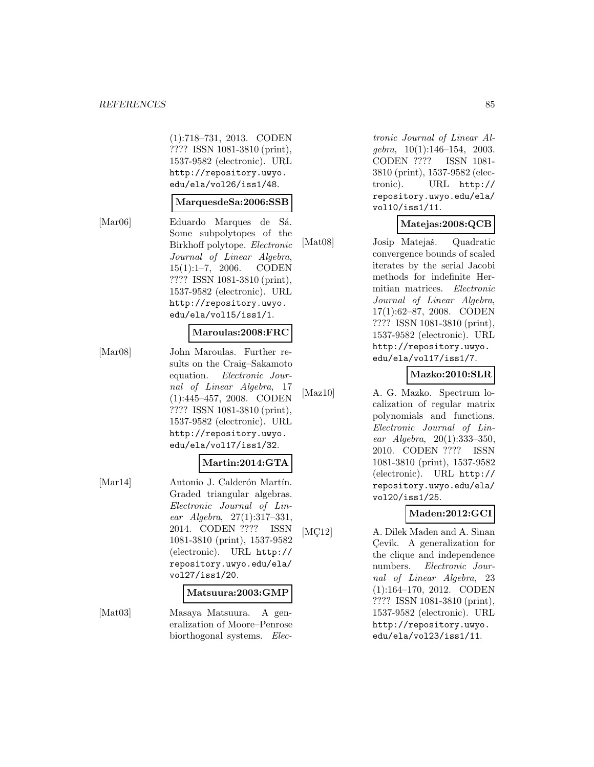#### *REFERENCES* 85

(1):718–731, 2013. CODEN ???? ISSN 1081-3810 (print), 1537-9582 (electronic). URL http://repository.uwyo. edu/ela/vol26/iss1/48.

#### **MarquesdeSa:2006:SSB**

[Mar06] Eduardo Marques de Sá. Some subpolytopes of the Birkhoff polytope. Electronic Journal of Linear Algebra, 15(1):1–7, 2006. CODEN ???? ISSN 1081-3810 (print), 1537-9582 (electronic). URL http://repository.uwyo.

# edu/ela/vol15/iss1/1.

#### **Maroulas:2008:FRC**

[Mar08] John Maroulas. Further results on the Craig–Sakamoto equation. Electronic Journal of Linear Algebra, 17 (1):445–457, 2008. CODEN ???? ISSN 1081-3810 (print), 1537-9582 (electronic). URL http://repository.uwyo. edu/ela/vol17/iss1/32.

# **Martin:2014:GTA**

[Mar14] Antonio J. Calderón Martín. Graded triangular algebras. Electronic Journal of Linear Algebra, 27(1):317–331, 2014. CODEN ???? ISSN 1081-3810 (print), 1537-9582 (electronic). URL http:// repository.uwyo.edu/ela/ vol27/iss1/20.

#### **Matsuura:2003:GMP**

[Mat03] Masaya Matsuura. A generalization of Moore–Penrose biorthogonal systems. Elec-

tronic Journal of Linear Algebra, 10(1):146–154, 2003. CODEN ???? ISSN 1081- 3810 (print), 1537-9582 (electronic). URL http:// repository.uwyo.edu/ela/ vol10/iss1/11.

# **Matejas:2008:QCB**

[Mat08] Josip Matejaš. Quadratic convergence bounds of scaled iterates by the serial Jacobi methods for indefinite Hermitian matrices. Electronic Journal of Linear Algebra, 17(1):62–87, 2008. CODEN ???? ISSN 1081-3810 (print), 1537-9582 (electronic). URL http://repository.uwyo. edu/ela/vol17/iss1/7.

#### **Mazko:2010:SLR**

[Maz10] A. G. Mazko. Spectrum lo-

calization of regular matrix polynomials and functions. Electronic Journal of Linear Algebra, 20(1):333–350, 2010. CODEN ???? ISSN 1081-3810 (print), 1537-9582 (electronic). URL http:// repository.uwyo.edu/ela/ vol20/iss1/25.

#### **Maden:2012:GCI**

[MC<sup>12]</sup> A. Dilek Maden and A. Sinan Cevik. A generalization for the clique and independence numbers. Electronic Journal of Linear Algebra, 23 (1):164–170, 2012. CODEN ???? ISSN 1081-3810 (print), 1537-9582 (electronic). URL http://repository.uwyo. edu/ela/vol23/iss1/11.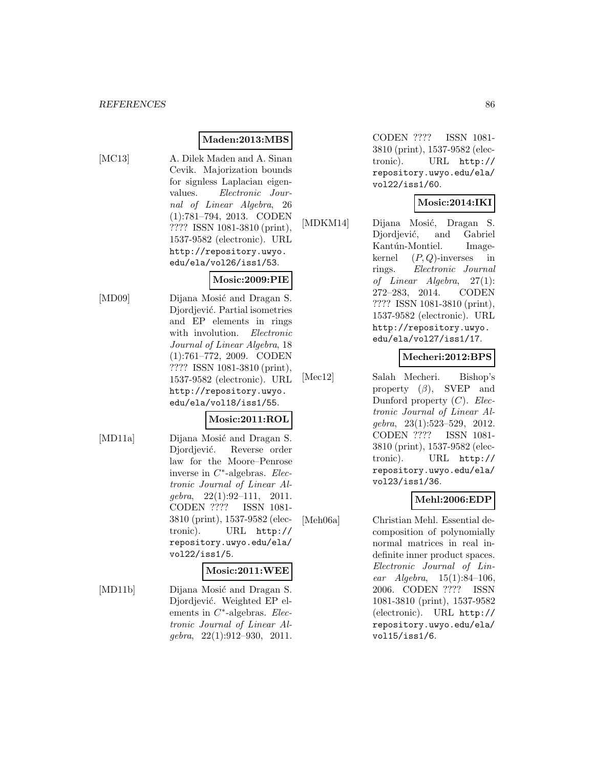# **Maden:2013:MBS**

- 
- [MC13] A. Dilek Maden and A. Sinan Cevik. Majorization bounds for signless Laplacian eigenvalues. Electronic Journal of Linear Algebra, 26 (1):781–794, 2013. CODEN ???? ISSN 1081-3810 (print), 1537-9582 (electronic). URL http://repository.uwyo. edu/ela/vol26/iss1/53.

#### **Mosic:2009:PIE**

[MD09] Dijana Mosić and Dragan S. Djordjević. Partial isometries and EP elements in rings with involution. Electronic Journal of Linear Algebra, 18 (1):761–772, 2009. CODEN ???? ISSN 1081-3810 (print), 1537-9582 (electronic). URL http://repository.uwyo. edu/ela/vol18/iss1/55.

#### **Mosic:2011:ROL**

[MD11a] Dijana Mosić and Dragan S. Djordjević. Reverse order law for the Moore–Penrose inverse in  $C^*$ -algebras. Electronic Journal of Linear Algebra, 22(1):92–111, 2011. CODEN ???? ISSN 1081- 3810 (print), 1537-9582 (electronic). URL http:// repository.uwyo.edu/ela/ vol22/iss1/5.

# **Mosic:2011:WEE**

[MD11b] Dijana Mosić and Dragan S. Djordjević. Weighted EP elements in  $C^*$ -algebras. Electronic Journal of Linear Al $qebra, 22(1):912-930, 2011.$ 

CODEN ???? ISSN 1081- 3810 (print), 1537-9582 (electronic). URL http:// repository.uwyo.edu/ela/ vol22/iss1/60.

# **Mosic:2014:IKI**

[MDKM14] Dijana Mosić, Dragan S. Djordjević, and Gabriel Kantún-Montiel. Imagekernel  $(P, Q)$ -inverses in rings. Electronic Journal of Linear Algebra, 27(1): 272–283, 2014. CODEN ???? ISSN 1081-3810 (print), 1537-9582 (electronic). URL http://repository.uwyo. edu/ela/vol27/iss1/17.

# **Mecheri:2012:BPS**

[Mec12] Salah Mecheri. Bishop's property  $(\beta)$ , SVEP and Dunford property  $(C)$ . Electronic Journal of Linear Algebra, 23(1):523–529, 2012. CODEN ???? ISSN 1081- 3810 (print), 1537-9582 (electronic). URL http:// repository.uwyo.edu/ela/ vol23/iss1/36.

# **Mehl:2006:EDP**

[Meh06a] Christian Mehl. Essential decomposition of polynomially normal matrices in real indefinite inner product spaces. Electronic Journal of Linear  $Algebra$ ,  $15(1):84-106$ , 2006. CODEN ???? ISSN 1081-3810 (print), 1537-9582 (electronic). URL http:// repository.uwyo.edu/ela/ vol15/iss1/6.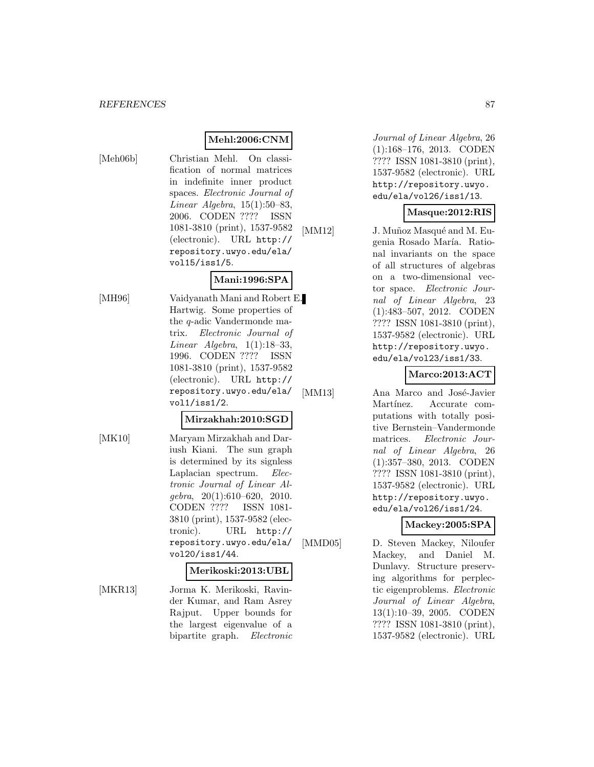# **Mehl:2006:CNM**

[Meh06b] Christian Mehl. On classification of normal matrices in indefinite inner product spaces. Electronic Journal of Linear Algebra,  $15(1):50-83$ , 2006. CODEN ???? ISSN 1081-3810 (print), 1537-9582 (electronic). URL http:// repository.uwyo.edu/ela/ vol15/iss1/5.

# **Mani:1996:SPA**

[MH96] Vaidyanath Mani and Robert E. Hartwig. Some properties of the q-adic Vandermonde matrix. Electronic Journal of Linear Algebra,  $1(1):18-33$ , 1996. CODEN ???? ISSN 1081-3810 (print), 1537-9582

vol1/iss1/2.

# **Mirzakhah:2010:SGD**

(electronic). URL http:// repository.uwyo.edu/ela/

[MK10] Maryam Mirzakhah and Dariush Kiani. The sun graph is determined by its signless Laplacian spectrum. Electronic Journal of Linear Al $qebra, 20(1):610-620, 2010.$ CODEN ???? ISSN 1081- 3810 (print), 1537-9582 (electronic). URL http:// repository.uwyo.edu/ela/ vol20/iss1/44.

#### **Merikoski:2013:UBL**

[MKR13] Jorma K. Merikoski, Ravinder Kumar, and Ram Asrey Rajput. Upper bounds for the largest eigenvalue of a bipartite graph. Electronic

Journal of Linear Algebra, 26 (1):168–176, 2013. CODEN ???? ISSN 1081-3810 (print), 1537-9582 (electronic). URL http://repository.uwyo. edu/ela/vol26/iss1/13.

### **Masque:2012:RIS**

[MM12] J. Muñoz Masqué and M. Eugenia Rosado María. Rational invariants on the space of all structures of algebras on a two-dimensional vector space. Electronic Journal of Linear Algebra, 23 (1):483–507, 2012. CODEN ???? ISSN 1081-3810 (print), 1537-9582 (electronic). URL http://repository.uwyo. edu/ela/vol23/iss1/33.

# **Marco:2013:ACT**

[MM13] Ana Marco and José-Javier Martínez. Accurate computations with totally positive Bernstein–Vandermonde matrices. Electronic Journal of Linear Algebra, 26 (1):357–380, 2013. CODEN ???? ISSN 1081-3810 (print), 1537-9582 (electronic). URL http://repository.uwyo. edu/ela/vol26/iss1/24.

# **Mackey:2005:SPA**

[MMD05] D. Steven Mackey, Niloufer Mackey, and Daniel M. Dunlavy. Structure preserving algorithms for perplectic eigenproblems. Electronic Journal of Linear Algebra, 13(1):10–39, 2005. CODEN ???? ISSN 1081-3810 (print), 1537-9582 (electronic). URL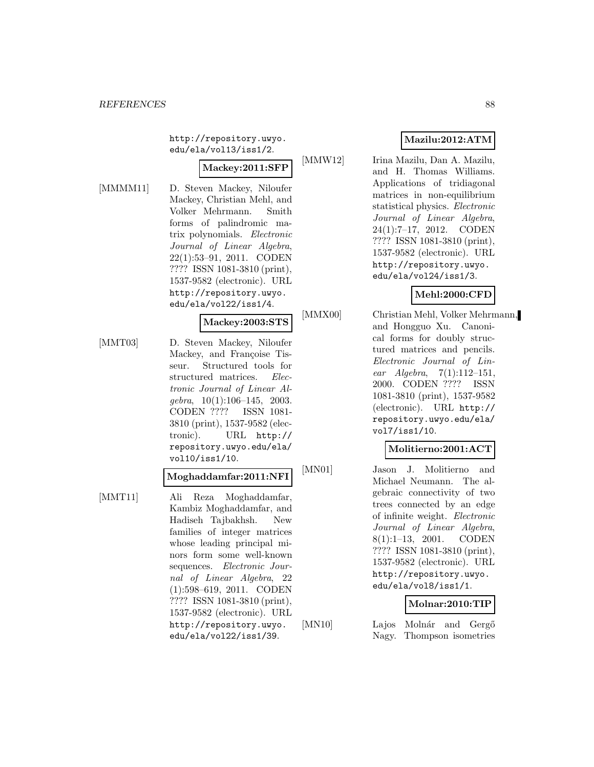http://repository.uwyo. edu/ela/vol13/iss1/2.

# **Mackey:2011:SFP**

[MMMM11] D. Steven Mackey, Niloufer Mackey, Christian Mehl, and Volker Mehrmann. Smith forms of palindromic matrix polynomials. Electronic Journal of Linear Algebra, 22(1):53–91, 2011. CODEN ???? ISSN 1081-3810 (print), 1537-9582 (electronic). URL http://repository.uwyo. edu/ela/vol22/iss1/4.

#### **Mackey:2003:STS**

[MMT03] D. Steven Mackey, Niloufer Mackey, and Françoise Tisseur. Structured tools for structured matrices. Electronic Journal of Linear Al $qebra, 10(1):106-145, 2003.$ CODEN ???? ISSN 1081- 3810 (print), 1537-9582 (electronic). URL http:// repository.uwyo.edu/ela/ vol10/iss1/10.

#### **Moghaddamfar:2011:NFI**

[MMT11] Ali Reza Moghaddamfar, Kambiz Moghaddamfar, and Hadiseh Tajbakhsh. New families of integer matrices whose leading principal minors form some well-known sequences. Electronic Journal of Linear Algebra, 22 (1):598–619, 2011. CODEN ???? ISSN 1081-3810 (print), 1537-9582 (electronic). URL http://repository.uwyo. edu/ela/vol22/iss1/39.

# **Mazilu:2012:ATM**

[MMW12] Irina Mazilu, Dan A. Mazilu, and H. Thomas Williams. Applications of tridiagonal matrices in non-equilibrium statistical physics. Electronic Journal of Linear Algebra, 24(1):7–17, 2012. CODEN ???? ISSN 1081-3810 (print), 1537-9582 (electronic). URL http://repository.uwyo. edu/ela/vol24/iss1/3.

# **Mehl:2000:CFD**

[MMX00] Christian Mehl, Volker Mehrmann, and Hongguo Xu. Canonical forms for doubly structured matrices and pencils. Electronic Journal of Linear Algebra,  $7(1):112-151$ , 2000. CODEN ???? ISSN 1081-3810 (print), 1537-9582 (electronic). URL http:// repository.uwyo.edu/ela/ vol7/iss1/10.

#### **Molitierno:2001:ACT**

[MN01] Jason J. Molitierno and Michael Neumann. The algebraic connectivity of two trees connected by an edge of infinite weight. Electronic Journal of Linear Algebra, 8(1):1–13, 2001. CODEN ???? ISSN 1081-3810 (print), 1537-9582 (electronic). URL http://repository.uwyo. edu/ela/vol8/iss1/1.

#### **Molnar:2010:TIP**

[MN10] Lajos Molnár and Gergő Nagy. Thompson isometries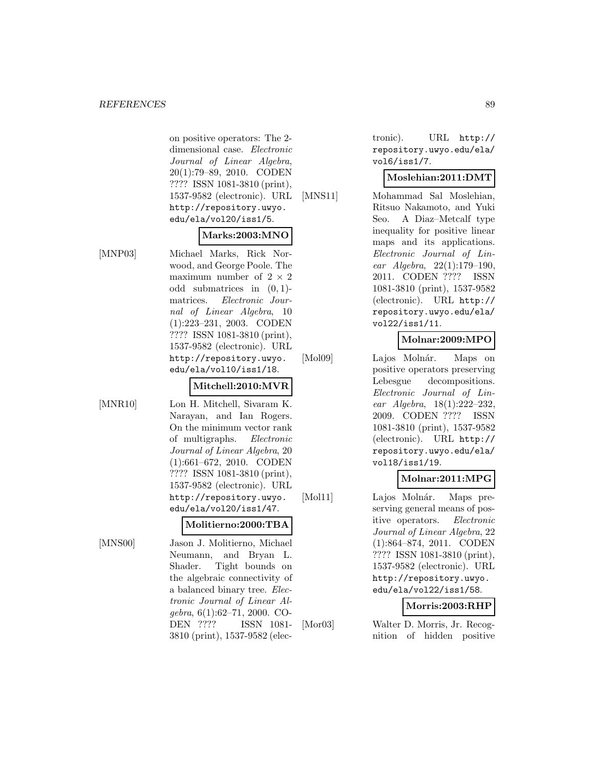on positive operators: The 2 dimensional case. Electronic Journal of Linear Algebra, 20(1):79–89, 2010. CODEN ???? ISSN 1081-3810 (print), 1537-9582 (electronic). URL http://repository.uwyo. edu/ela/vol20/iss1/5.

# **Marks:2003:MNO**

[MNP03] Michael Marks, Rick Norwood, and George Poole. The maximum number of  $2 \times 2$ odd submatrices in  $(0, 1)$ matrices. Electronic Journal of Linear Algebra, 10 (1):223–231, 2003. CODEN ???? ISSN 1081-3810 (print), 1537-9582 (electronic). URL http://repository.uwyo. edu/ela/vol10/iss1/18.

# **Mitchell:2010:MVR**

[MNR10] Lon H. Mitchell, Sivaram K. Narayan, and Ian Rogers. On the minimum vector rank of multigraphs. Electronic Journal of Linear Algebra, 20 (1):661–672, 2010. CODEN ???? ISSN 1081-3810 (print), 1537-9582 (electronic). URL http://repository.uwyo. edu/ela/vol20/iss1/47.

# **Molitierno:2000:TBA**

[MNS00] Jason J. Molitierno, Michael Neumann, and Bryan L. Shader. Tight bounds on the algebraic connectivity of a balanced binary tree. Electronic Journal of Linear Algebra, 6(1):62–71, 2000. CO-DEN ???? ISSN 1081- 3810 (print), 1537-9582 (electronic). URL http:// repository.uwyo.edu/ela/ vol6/iss1/7.

# **Moslehian:2011:DMT**

[MNS11] Mohammad Sal Moslehian, Ritsuo Nakamoto, and Yuki Seo. A Diaz–Metcalf type inequality for positive linear maps and its applications. Electronic Journal of Linear Algebra, 22(1):179–190, 2011. CODEN ???? ISSN 1081-3810 (print), 1537-9582 (electronic). URL http:// repository.uwyo.edu/ela/ vol22/iss1/11.

# **Molnar:2009:MPO**

[Mol09] Lajos Molnár. Maps on positive operators preserving Lebesgue decompositions. Electronic Journal of Linear Algebra, 18(1):222–232, 2009. CODEN ???? ISSN 1081-3810 (print), 1537-9582 (electronic). URL http:// repository.uwyo.edu/ela/ vol18/iss1/19.

# **Molnar:2011:MPG**

[Mol11] Lajos Molnár. Maps preserving general means of positive operators. Electronic Journal of Linear Algebra, 22 (1):864–874, 2011. CODEN ???? ISSN 1081-3810 (print), 1537-9582 (electronic). URL http://repository.uwyo. edu/ela/vol22/iss1/58.

# **Morris:2003:RHP**

[Mor03] Walter D. Morris, Jr. Recognition of hidden positive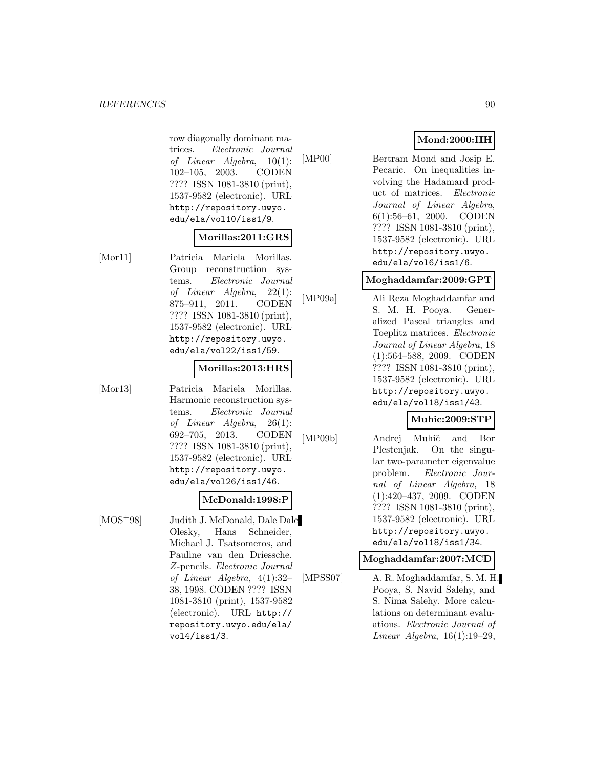#### *REFERENCES* 90

row diagonally dominant matrices. Electronic Journal of Linear Algebra, 10(1): 102–105, 2003. CODEN ???? ISSN 1081-3810 (print), 1537-9582 (electronic). URL http://repository.uwyo. edu/ela/vol10/iss1/9.

#### **Morillas:2011:GRS**

[Mor11] Patricia Mariela Morillas. Group reconstruction systems. Electronic Journal of Linear Algebra, 22(1): 875–911, 2011. CODEN ???? ISSN 1081-3810 (print), 1537-9582 (electronic). URL http://repository.uwyo. edu/ela/vol22/iss1/59.

#### **Morillas:2013:HRS**

[Mor13] Patricia Mariela Morillas. Harmonic reconstruction systems. Electronic Journal of Linear Algebra, 26(1): 692–705, 2013. CODEN ???? ISSN 1081-3810 (print), 1537-9582 (electronic). URL http://repository.uwyo. edu/ela/vol26/iss1/46.

#### **McDonald:1998:P**

[MOS<sup>+</sup>98] Judith J. McDonald, Dale Dale Olesky, Hans Schneider, Michael J. Tsatsomeros, and Pauline van den Driessche. Z-pencils. Electronic Journal of Linear Algebra, 4(1):32– 38, 1998. CODEN ???? ISSN 1081-3810 (print), 1537-9582 (electronic). URL http:// repository.uwyo.edu/ela/ vol4/iss1/3.

# **Mond:2000:IIH**

[MP00] Bertram Mond and Josip E. Pecaric. On inequalities involving the Hadamard product of matrices. Electronic Journal of Linear Algebra, 6(1):56–61, 2000. CODEN ???? ISSN 1081-3810 (print), 1537-9582 (electronic). URL http://repository.uwyo. edu/ela/vol6/iss1/6.

#### **Moghaddamfar:2009:GPT**

[MP09a] Ali Reza Moghaddamfar and S. M. H. Pooya. Generalized Pascal triangles and Toeplitz matrices. Electronic Journal of Linear Algebra, 18 (1):564–588, 2009. CODEN ???? ISSN 1081-3810 (print), 1537-9582 (electronic). URL http://repository.uwyo. edu/ela/vol18/iss1/43.

#### **Muhic:2009:STP**

[MP09b] Andrej Muhič and Bor Plestenjak. On the singular two-parameter eigenvalue problem. Electronic Journal of Linear Algebra, 18 (1):420–437, 2009. CODEN ???? ISSN 1081-3810 (print), 1537-9582 (electronic). URL http://repository.uwyo. edu/ela/vol18/iss1/34.

#### **Moghaddamfar:2007:MCD**

[MPSS07] A. R. Moghaddamfar, S. M. H. Pooya, S. Navid Salehy, and S. Nima Salehy. More calculations on determinant evaluations. Electronic Journal of Linear Algebra,  $16(1):19-29$ ,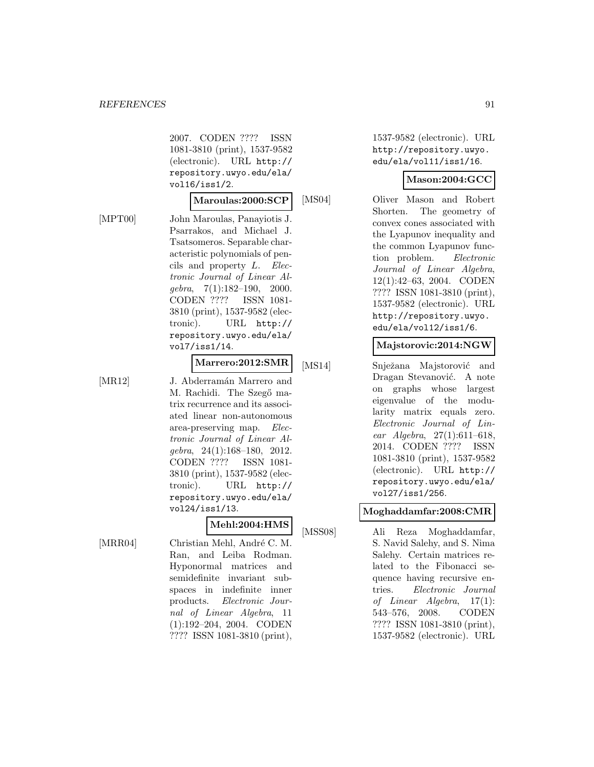2007. CODEN ???? ISSN 1081-3810 (print), 1537-9582 (electronic). URL http:// repository.uwyo.edu/ela/ vol16/iss1/2.

#### **Maroulas:2000:SCP**

[MPT00] John Maroulas, Panayiotis J. Psarrakos, and Michael J. Tsatsomeros. Separable characteristic polynomials of pencils and property L. Electronic Journal of Linear Algebra, 7(1):182–190, 2000. CODEN ???? ISSN 1081- 3810 (print), 1537-9582 (electronic). URL http:// repository.uwyo.edu/ela/ vol7/iss1/14.

#### **Marrero:2012:SMR**

[MR12] J. Abderramán Marrero and M. Rachidi. The Szegő matrix recurrence and its associated linear non-autonomous area-preserving map. Electronic Journal of Linear Algebra, 24(1):168–180, 2012. CODEN ???? ISSN 1081- 3810 (print), 1537-9582 (electronic). URL http:// repository.uwyo.edu/ela/ vol24/iss1/13.

#### **Mehl:2004:HMS**

[MRR04] Christian Mehl, André C. M. Ran, and Leiba Rodman. Hyponormal matrices and semidefinite invariant subspaces in indefinite inner products. Electronic Journal of Linear Algebra, 11 (1):192–204, 2004. CODEN ???? ISSN 1081-3810 (print),

1537-9582 (electronic). URL http://repository.uwyo. edu/ela/vol11/iss1/16.

#### **Mason:2004:GCC**

[MS04] Oliver Mason and Robert Shorten. The geometry of convex cones associated with the Lyapunov inequality and the common Lyapunov function problem. Electronic Journal of Linear Algebra, 12(1):42–63, 2004. CODEN ???? ISSN 1081-3810 (print), 1537-9582 (electronic). URL http://repository.uwyo. edu/ela/vol12/iss1/6.

#### **Majstorovic:2014:NGW**

[MS14] Snježana Majstorović and Dragan Stevanović. A note on graphs whose largest eigenvalue of the modularity matrix equals zero. Electronic Journal of Linear Algebra, 27(1):611–618, 2014. CODEN ???? ISSN 1081-3810 (print), 1537-9582 (electronic). URL http:// repository.uwyo.edu/ela/ vol27/iss1/256.

#### **Moghaddamfar:2008:CMR**

[MSS08] Ali Reza Moghaddamfar, S. Navid Salehy, and S. Nima Salehy. Certain matrices related to the Fibonacci sequence having recursive entries. Electronic Journal of Linear Algebra, 17(1): 543–576, 2008. CODEN ???? ISSN 1081-3810 (print), 1537-9582 (electronic). URL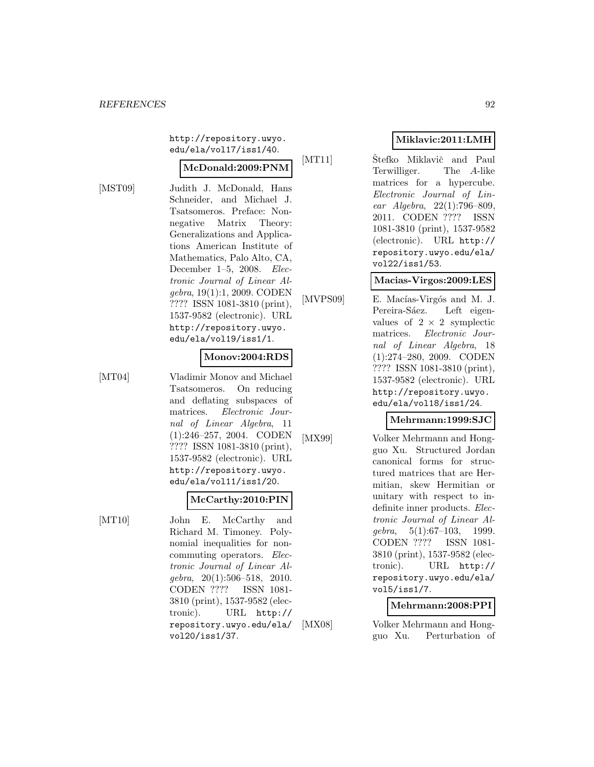http://repository.uwyo. edu/ela/vol17/iss1/40.

#### **McDonald:2009:PNM**

[MST09] Judith J. McDonald, Hans Schneider, and Michael J. Tsatsomeros. Preface: Nonnegative Matrix Theory: Generalizations and Applications American Institute of Mathematics, Palo Alto, CA, December 1–5, 2008. Electronic Journal of Linear Algebra, 19(1):1, 2009. CODEN ???? ISSN 1081-3810 (print), 1537-9582 (electronic). URL http://repository.uwyo. edu/ela/vol19/iss1/1.

#### **Monov:2004:RDS**

[MT04] Vladimir Monov and Michael Tsatsomeros. On reducing and deflating subspaces of matrices. Electronic Journal of Linear Algebra, 11 (1):246–257, 2004. CODEN ???? ISSN 1081-3810 (print), 1537-9582 (electronic). URL http://repository.uwyo. edu/ela/vol11/iss1/20.

#### **McCarthy:2010:PIN**

[MT10] John E. McCarthy and Richard M. Timoney. Polynomial inequalities for noncommuting operators. Electronic Journal of Linear Al $qebra, 20(1):506-518, 2010.$ CODEN ???? ISSN 1081- 3810 (print), 1537-9582 (electronic). URL http:// repository.uwyo.edu/ela/ vol20/iss1/37.

# **Miklavic:2011:LMH**

[MT11] Stefko Miklavič and Paul Terwilliger. The A-like matrices for a hypercube. Electronic Journal of Linear Algebra, 22(1):796–809, 2011. CODEN ???? ISSN 1081-3810 (print), 1537-9582 (electronic). URL http:// repository.uwyo.edu/ela/ vol22/iss1/53.

#### **Macias-Virgos:2009:LES**

[MVPS09] E. Macías-Virgós and M. J. Pereira-Sáez. Left eigenvalues of  $2 \times 2$  symplectic matrices. Electronic Journal of Linear Algebra, 18 (1):274–280, 2009. CODEN ???? ISSN 1081-3810 (print), 1537-9582 (electronic). URL http://repository.uwyo. edu/ela/vol18/iss1/24.

#### **Mehrmann:1999:SJC**

[MX99] Volker Mehrmann and Hongguo Xu. Structured Jordan canonical forms for structured matrices that are Hermitian, skew Hermitian or unitary with respect to indefinite inner products. Electronic Journal of Linear Al $qebra, 5(1):67-103, 1999.$ CODEN ???? ISSN 1081- 3810 (print), 1537-9582 (electronic). URL http:// repository.uwyo.edu/ela/ vol5/iss1/7.

# **Mehrmann:2008:PPI**

[MX08] Volker Mehrmann and Hongguo Xu. Perturbation of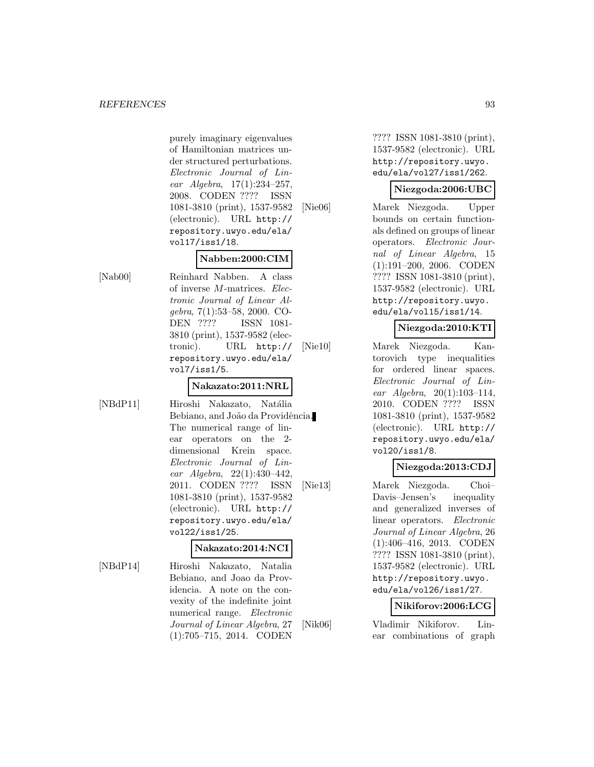purely imaginary eigenvalues of Hamiltonian matrices under structured perturbations. Electronic Journal of Linear Algebra, 17(1):234–257, 2008. CODEN ???? ISSN 1081-3810 (print), 1537-9582 (electronic). URL http:// repository.uwyo.edu/ela/ vol17/iss1/18.

# **Nabben:2000:CIM**

[Nab00] Reinhard Nabben. A class of inverse M-matrices. Electronic Journal of Linear Algebra, 7(1):53–58, 2000. CO-DEN ???? ISSN 1081- 3810 (print), 1537-9582 (electronic). URL http:// repository.uwyo.edu/ela/ vol7/iss1/5.

# **Nakazato:2011:NRL**

[NBdP11] Hiroshi Nakazato, Natália Bebiano, and João da Providência. The numerical range of linear operators on the 2 dimensional Krein space. Electronic Journal of Linear Algebra, 22(1):430–442, 2011. CODEN ???? ISSN 1081-3810 (print), 1537-9582 (electronic). URL http:// repository.uwyo.edu/ela/ vol22/iss1/25.

#### **Nakazato:2014:NCI**

[NBdP14] Hiroshi Nakazato, Natalia Bebiano, and Joao da Providencia. A note on the convexity of the indefinite joint numerical range. Electronic Journal of Linear Algebra, 27 (1):705–715, 2014. CODEN

???? ISSN 1081-3810 (print), 1537-9582 (electronic). URL http://repository.uwyo. edu/ela/vol27/iss1/262.

#### **Niezgoda:2006:UBC**

[Nie06] Marek Niezgoda. Upper bounds on certain functionals defined on groups of linear operators. Electronic Journal of Linear Algebra, 15 (1):191–200, 2006. CODEN ???? ISSN 1081-3810 (print), 1537-9582 (electronic). URL http://repository.uwyo. edu/ela/vol15/iss1/14.

#### **Niezgoda:2010:KTI**

[Nie10] Marek Niezgoda. Kantorovich type inequalities for ordered linear spaces. Electronic Journal of Linear Algebra, 20(1):103–114, 2010. CODEN ???? ISSN 1081-3810 (print), 1537-9582 (electronic). URL http:// repository.uwyo.edu/ela/ vol20/iss1/8.

# **Niezgoda:2013:CDJ**

[Nie13] Marek Niezgoda. Choi– Davis–Jensen's inequality and generalized inverses of linear operators. Electronic Journal of Linear Algebra, 26 (1):406–416, 2013. CODEN ???? ISSN 1081-3810 (print), 1537-9582 (electronic). URL http://repository.uwyo. edu/ela/vol26/iss1/27.

#### **Nikiforov:2006:LCG**

[Nik06] Vladimir Nikiforov. Linear combinations of graph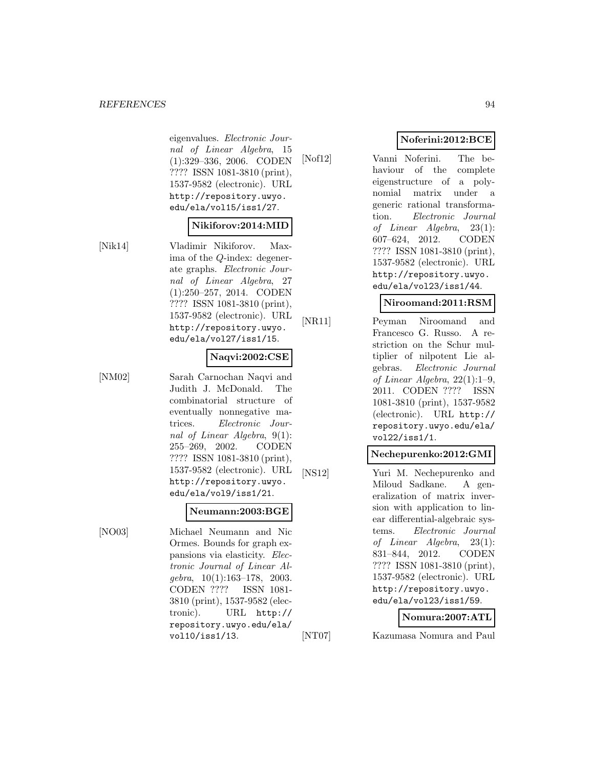#### *REFERENCES* 94

eigenvalues. Electronic Journal of Linear Algebra, 15 (1):329–336, 2006. CODEN ???? ISSN 1081-3810 (print), 1537-9582 (electronic). URL http://repository.uwyo. edu/ela/vol15/iss1/27.

#### **Nikiforov:2014:MID**

[Nik14] Vladimir Nikiforov. Maxima of the Q-index: degenerate graphs. Electronic Journal of Linear Algebra, 27 (1):250–257, 2014. CODEN ???? ISSN 1081-3810 (print), 1537-9582 (electronic). URL http://repository.uwyo. edu/ela/vol27/iss1/15.

#### **Naqvi:2002:CSE**

[NM02] Sarah Carnochan Naqvi and Judith J. McDonald. The combinatorial structure of eventually nonnegative matrices. Electronic Journal of Linear Algebra, 9(1): 255–269, 2002. CODEN ???? ISSN 1081-3810 (print), 1537-9582 (electronic). URL http://repository.uwyo. edu/ela/vol9/iss1/21.

#### **Neumann:2003:BGE**

[NO03] Michael Neumann and Nic Ormes. Bounds for graph expansions via elasticity. Electronic Journal of Linear Al $qebra, 10(1):163-178, 2003.$ CODEN ???? ISSN 1081- 3810 (print), 1537-9582 (electronic). URL http:// repository.uwyo.edu/ela/ vol10/iss1/13.

# **Noferini:2012:BCE**

[Nof12] Vanni Noferini. The behaviour of the complete eigenstructure of a polynomial matrix under a generic rational transformation. Electronic Journal of Linear Algebra, 23(1): 607–624, 2012. CODEN ???? ISSN 1081-3810 (print), 1537-9582 (electronic). URL http://repository.uwyo. edu/ela/vol23/iss1/44.

# **Niroomand:2011:RSM**

[NR11] Peyman Niroomand and Francesco G. Russo. A restriction on the Schur multiplier of nilpotent Lie algebras. Electronic Journal of Linear Algebra, 22(1):1–9, 2011. CODEN ???? ISSN 1081-3810 (print), 1537-9582 (electronic). URL http:// repository.uwyo.edu/ela/ vol22/iss1/1.

#### **Nechepurenko:2012:GMI**

[NS12] Yuri M. Nechepurenko and Miloud Sadkane. A generalization of matrix inversion with application to linear differential-algebraic systems. Electronic Journal of Linear Algebra, 23(1): 831–844, 2012. CODEN ???? ISSN 1081-3810 (print), 1537-9582 (electronic). URL http://repository.uwyo. edu/ela/vol23/iss1/59.

#### **Nomura:2007:ATL**

[NT07] Kazumasa Nomura and Paul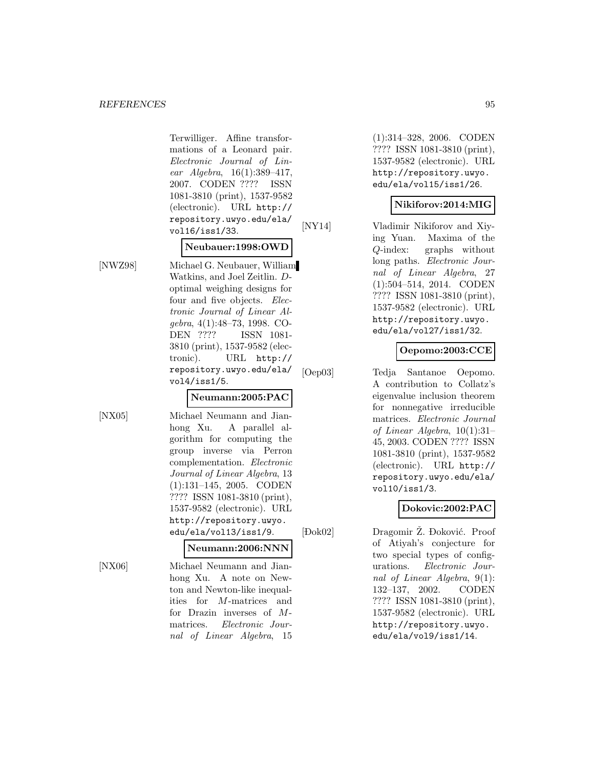Terwilliger. Affine transformations of a Leonard pair. Electronic Journal of Linear Algebra, 16(1):389–417, 2007. CODEN ???? ISSN 1081-3810 (print), 1537-9582 (electronic). URL http:// repository.uwyo.edu/ela/ vol16/iss1/33.

#### **Neubauer:1998:OWD**

[NWZ98] Michael G. Neubauer, William Watkins, and Joel Zeitlin. Doptimal weighing designs for four and five objects. *Elec*tronic Journal of Linear Algebra, 4(1):48–73, 1998. CO-DEN ???? ISSN 1081- 3810 (print), 1537-9582 (electronic). URL http:// repository.uwyo.edu/ela/ vol4/iss1/5.

#### **Neumann:2005:PAC**

[NX05] Michael Neumann and Jianhong Xu. A parallel algorithm for computing the group inverse via Perron complementation. Electronic Journal of Linear Algebra, 13 (1):131–145, 2005. CODEN ???? ISSN 1081-3810 (print), 1537-9582 (electronic). URL http://repository.uwyo. edu/ela/vol13/iss1/9.

#### **Neumann:2006:NNN**

 $[$  <br>  $\hfill \blacksquare$ 

[NX06] Michael Neumann and Jianhong Xu. A note on Newton and Newton-like inequalities for M-matrices and for Drazin inverses of Mmatrices. Electronic Journal of Linear Algebra, 15

(1):314–328, 2006. CODEN ???? ISSN 1081-3810 (print), 1537-9582 (electronic). URL http://repository.uwyo. edu/ela/vol15/iss1/26.

#### **Nikiforov:2014:MIG**

[NY14] Vladimir Nikiforov and Xiying Yuan. Maxima of the Q-index: graphs without long paths. Electronic Journal of Linear Algebra, 27 (1):504–514, 2014. CODEN ???? ISSN 1081-3810 (print), 1537-9582 (electronic). URL http://repository.uwyo. edu/ela/vol27/iss1/32.

# **Oepomo:2003:CCE**

[Oep03] Tedja Santanoe Oepomo. A contribution to Collatz's eigenvalue inclusion theorem for nonnegative irreducible matrices. Electronic Journal of Linear Algebra, 10(1):31– 45, 2003. CODEN ???? ISSN 1081-3810 (print), 1537-9582 (electronic). URL http:// repository.uwyo.edu/ela/ vol10/iss1/3.

# **Dokovic:2002:PAC**

Dok02] Dragomir Ž. Đoković. Proof of Atiyah's conjecture for two special types of configurations. Electronic Journal of Linear Algebra, 9(1): 132–137, 2002. CODEN ???? ISSN 1081-3810 (print), 1537-9582 (electronic). URL http://repository.uwyo. edu/ela/vol9/iss1/14.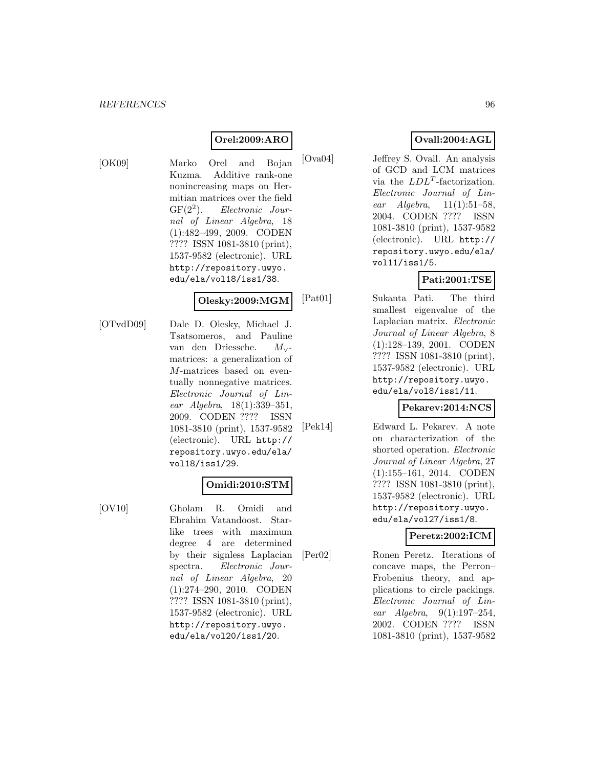# **Orel:2009:ARO**

[OK09] Marko Orel and Bojan

Kuzma. Additive rank-one nonincreasing maps on Hermitian matrices over the field  $GF(2^2)$ . Electronic Journal of Linear Algebra, 18 (1):482–499, 2009. CODEN ???? ISSN 1081-3810 (print), 1537-9582 (electronic). URL http://repository.uwyo. edu/ela/vol18/iss1/38.

#### **Olesky:2009:MGM**

[OTvdD09] Dale D. Olesky, Michael J. Tsatsomeros, and Pauline van den Driessche. M∨ matrices: a generalization of M-matrices based on eventually nonnegative matrices. Electronic Journal of Linear Algebra, 18(1):339–351, 2009. CODEN ???? ISSN 1081-3810 (print), 1537-9582 (electronic). URL http:// repository.uwyo.edu/ela/ vol18/iss1/29.

#### **Omidi:2010:STM**

[OV10] Gholam R. Omidi and Ebrahim Vatandoost. Starlike trees with maximum degree 4 are determined by their signless Laplacian spectra. Electronic Journal of Linear Algebra, 20 (1):274–290, 2010. CODEN ???? ISSN 1081-3810 (print), 1537-9582 (electronic). URL http://repository.uwyo. edu/ela/vol20/iss1/20.

# **Ovall:2004:AGL**

[Ova04] Jeffrey S. Ovall. An analysis of GCD and LCM matrices via the  $LDL<sup>T</sup>$ -factorization. Electronic Journal of Linear Algebra, 11(1):51–58, 2004. CODEN ???? ISSN 1081-3810 (print), 1537-9582 (electronic). URL http:// repository.uwyo.edu/ela/ vol11/iss1/5.

# **Pati:2001:TSE**

[Pat01] Sukanta Pati. The third smallest eigenvalue of the Laplacian matrix. Electronic Journal of Linear Algebra, 8 (1):128–139, 2001. CODEN ???? ISSN 1081-3810 (print), 1537-9582 (electronic). URL http://repository.uwyo. edu/ela/vol8/iss1/11.

# **Pekarev:2014:NCS**

[Pek14] Edward L. Pekarev. A note on characterization of the shorted operation. Electronic Journal of Linear Algebra, 27 (1):155–161, 2014. CODEN ???? ISSN 1081-3810 (print), 1537-9582 (electronic). URL http://repository.uwyo. edu/ela/vol27/iss1/8.

#### **Peretz:2002:ICM**

[Per02] Ronen Peretz. Iterations of concave maps, the Perron– Frobenius theory, and applications to circle packings. Electronic Journal of Linear Algebra, 9(1):197–254, 2002. CODEN ???? ISSN 1081-3810 (print), 1537-9582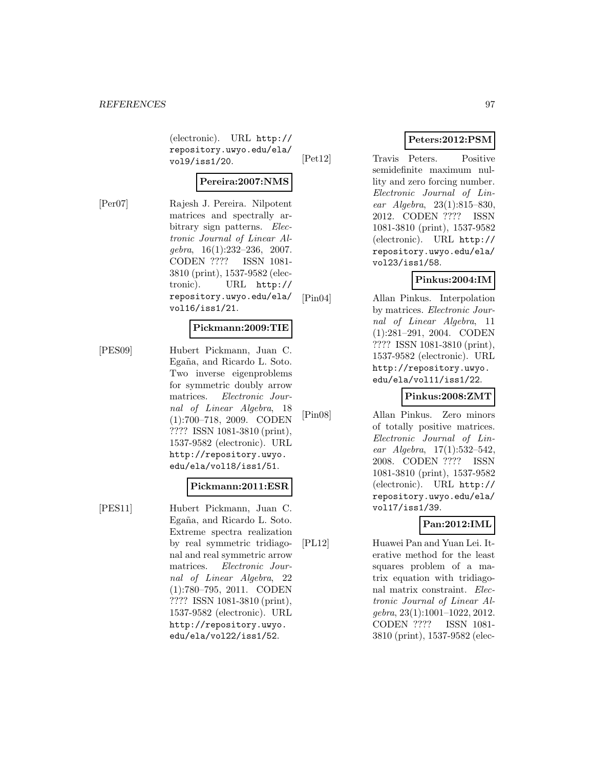(electronic). URL http:// repository.uwyo.edu/ela/ vol9/iss1/20.

#### **Pereira:2007:NMS**

[Per07] Rajesh J. Pereira. Nilpotent matrices and spectrally arbitrary sign patterns. *Elec*tronic Journal of Linear Algebra, 16(1):232–236, 2007. CODEN ???? ISSN 1081- 3810 (print), 1537-9582 (electronic). URL http:// repository.uwyo.edu/ela/ vol16/iss1/21.

#### **Pickmann:2009:TIE**

[PES09] Hubert Pickmann, Juan C. Egaña, and Ricardo L. Soto. Two inverse eigenproblems for symmetric doubly arrow matrices. Electronic Journal of Linear Algebra, 18 (1):700–718, 2009. CODEN ???? ISSN 1081-3810 (print), 1537-9582 (electronic). URL http://repository.uwyo. edu/ela/vol18/iss1/51.

#### **Pickmann:2011:ESR**

[PES11] Hubert Pickmann, Juan C. Egaña, and Ricardo L. Soto. Extreme spectra realization by real symmetric tridiagonal and real symmetric arrow matrices. Electronic Journal of Linear Algebra, 22 (1):780–795, 2011. CODEN ???? ISSN 1081-3810 (print), 1537-9582 (electronic). URL http://repository.uwyo. edu/ela/vol22/iss1/52.

# **Peters:2012:PSM**

[Pet12] Travis Peters. Positive semidefinite maximum nullity and zero forcing number. Electronic Journal of Linear Algebra, 23(1):815–830, 2012. CODEN ???? ISSN 1081-3810 (print), 1537-9582 (electronic). URL http:// repository.uwyo.edu/ela/ vol23/iss1/58.

# **Pinkus:2004:IM**

[Pin04] Allan Pinkus. Interpolation by matrices. Electronic Journal of Linear Algebra, 11 (1):281–291, 2004. CODEN ???? ISSN 1081-3810 (print), 1537-9582 (electronic). URL http://repository.uwyo. edu/ela/vol11/iss1/22.

# **Pinkus:2008:ZMT**

[Pin08] Allan Pinkus. Zero minors of totally positive matrices. Electronic Journal of Linear Algebra, 17(1):532–542, 2008. CODEN ???? ISSN 1081-3810 (print), 1537-9582 (electronic). URL http:// repository.uwyo.edu/ela/ vol17/iss1/39.

# **Pan:2012:IML**

[PL12] Huawei Pan and Yuan Lei. Iterative method for the least squares problem of a matrix equation with tridiagonal matrix constraint. Electronic Journal of Linear Algebra, 23(1):1001–1022, 2012. CODEN ???? ISSN 1081- 3810 (print), 1537-9582 (elec-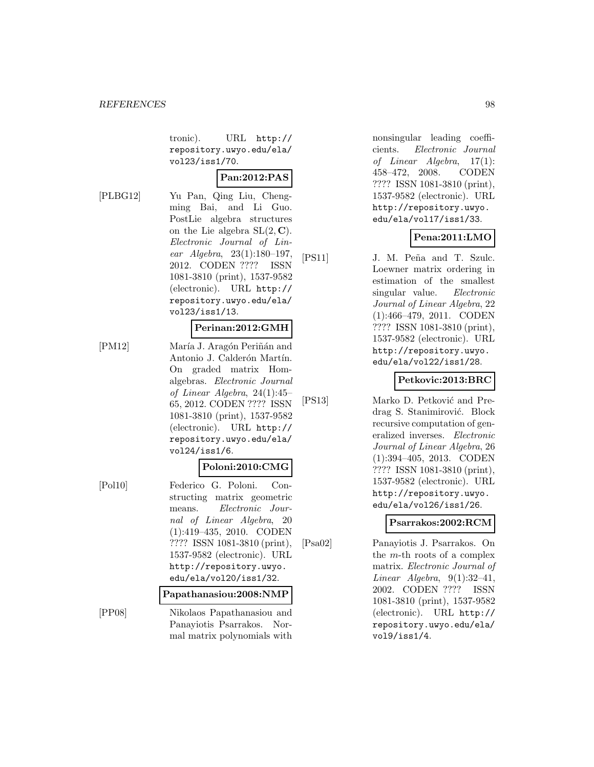tronic). URL http:// repository.uwyo.edu/ela/ vol23/iss1/70.

# **Pan:2012:PAS**

[PLBG12] Yu Pan, Qing Liu, Chengming Bai, and Li Guo. PostLie algebra structures on the Lie algebra  $SL(2, \mathbb{C})$ . Electronic Journal of Linear Algebra, 23(1):180–197, 2012. CODEN ???? ISSN 1081-3810 (print), 1537-9582 (electronic). URL http:// repository.uwyo.edu/ela/ vol23/iss1/13.

#### **Perinan:2012:GMH**

[PM12] María J. Aragón Periñán and Antonio J. Calderón Martín. On graded matrix Homalgebras. Electronic Journal of Linear Algebra, 24(1):45– 65, 2012. CODEN ???? ISSN 1081-3810 (print), 1537-9582 (electronic). URL http:// repository.uwyo.edu/ela/ vol24/iss1/6.

# **Poloni:2010:CMG**

[Pol10] Federico G. Poloni. Constructing matrix geometric means. Electronic Journal of Linear Algebra, 20 (1):419–435, 2010. CODEN ???? ISSN 1081-3810 (print), 1537-9582 (electronic). URL http://repository.uwyo. edu/ela/vol20/iss1/32. **Papathanasiou:2008:NMP**

[PP08] Nikolaos Papathanasiou and Panayiotis Psarrakos. Normal matrix polynomials with

nonsingular leading coefficients. Electronic Journal of Linear Algebra, 17(1): 458–472, 2008. CODEN ???? ISSN 1081-3810 (print), 1537-9582 (electronic). URL http://repository.uwyo. edu/ela/vol17/iss1/33.

# **Pena:2011:LMO**

[PS11] J. M. Peña and T. Szulc. Loewner matrix ordering in estimation of the smallest singular value. Electronic Journal of Linear Algebra, 22 (1):466–479, 2011. CODEN ???? ISSN 1081-3810 (print), 1537-9582 (electronic). URL http://repository.uwyo. edu/ela/vol22/iss1/28.

# **Petkovic:2013:BRC**

[PS13] Marko D. Petković and Predrag S. Stanimirović. Block recursive computation of generalized inverses. Electronic Journal of Linear Algebra, 26 (1):394–405, 2013. CODEN ???? ISSN 1081-3810 (print), 1537-9582 (electronic). URL http://repository.uwyo. edu/ela/vol26/iss1/26.

#### **Psarrakos:2002:RCM**

[Psa02] Panayiotis J. Psarrakos. On the m-th roots of a complex matrix. Electronic Journal of Linear Algebra,  $9(1):32-41$ , 2002. CODEN ???? ISSN 1081-3810 (print), 1537-9582 (electronic). URL http:// repository.uwyo.edu/ela/ vol9/iss1/4.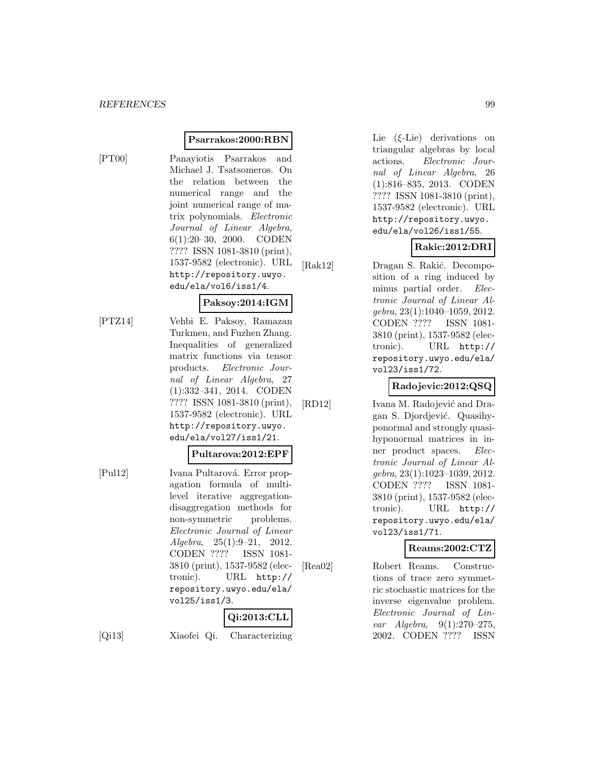#### **Psarrakos:2000:RBN**

[PT00] Panayiotis Psarrakos and Michael J. Tsatsomeros. On the relation between the numerical range and the joint numerical range of matrix polynomials. Electronic Journal of Linear Algebra, 6(1):20–30, 2000. CODEN ???? ISSN 1081-3810 (print), 1537-9582 (electronic). URL http://repository.uwyo. edu/ela/vol6/iss1/4.

# **Paksoy:2014:IGM**

[PTZ14] Vehbi E. Paksoy, Ramazan Turkmen, and Fuzhen Zhang. Inequalities of generalized matrix functions via tensor products. Electronic Journal of Linear Algebra, 27 (1):332–341, 2014. CODEN ???? ISSN 1081-3810 (print), 1537-9582 (electronic). URL http://repository.uwyo. edu/ela/vol27/iss1/21.

#### **Pultarova:2012:EPF**

[Pul12] Ivana Pultarová. Error propagation formula of multilevel iterative aggregationdisaggregation methods for non-symmetric problems. Electronic Journal of Linear Algebra, 25(1):9–21, 2012. CODEN ???? ISSN 1081- 3810 (print), 1537-9582 (electronic). URL http:// repository.uwyo.edu/ela/ vol25/iss1/3.

# **Qi:2013:CLL**

[Qi13] Xiaofei Qi. Characterizing

Lie (ξ-Lie) derivations on triangular algebras by local actions. Electronic Journal of Linear Algebra, 26 (1):816–835, 2013. CODEN ???? ISSN 1081-3810 (print), 1537-9582 (electronic). URL http://repository.uwyo. edu/ela/vol26/iss1/55.

# **Rakic:2012:DRI**

[Rak12] Dragan S. Rakić. Decomposition of a ring induced by minus partial order. Electronic Journal of Linear Algebra, 23(1):1040–1059, 2012. CODEN ???? ISSN 1081- 3810 (print), 1537-9582 (electronic). URL http:// repository.uwyo.edu/ela/ vol23/iss1/72.

# **Radojevic:2012:QSQ**

[RD12] Ivana M. Radojević and Dragan S. Djordjević. Quasihyponormal and strongly quasihyponormal matrices in inner product spaces. Electronic Journal of Linear Algebra, 23(1):1023–1039, 2012. CODEN ???? ISSN 1081- 3810 (print), 1537-9582 (electronic). URL http:// repository.uwyo.edu/ela/ vol23/iss1/71.

#### **Reams:2002:CTZ**

[Rea02] Robert Reams. Constructions of trace zero symmetric stochastic matrices for the inverse eigenvalue problem. Electronic Journal of Linear Algebra, 9(1):270–275, 2002. CODEN ???? ISSN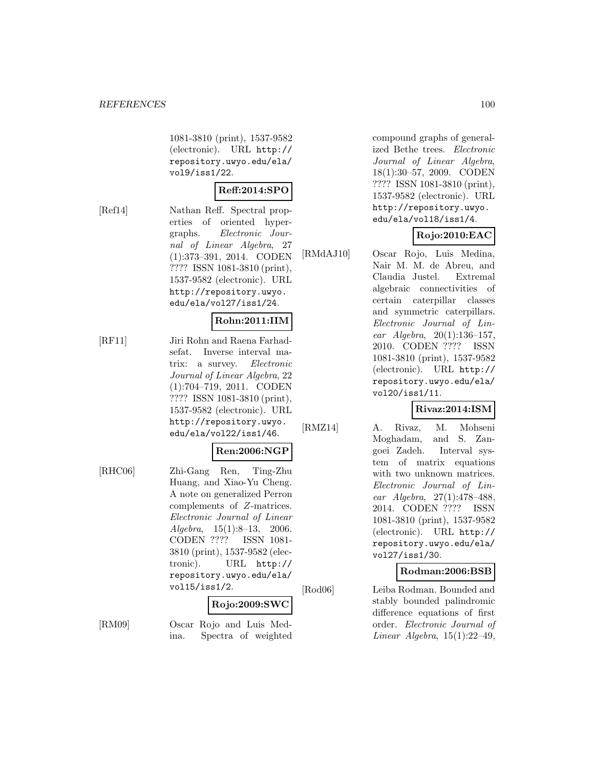1081-3810 (print), 1537-9582 (electronic). URL http:// repository.uwyo.edu/ela/ vol9/iss1/22.

# **Reff:2014:SPO**

[Ref14] Nathan Reff. Spectral properties of oriented hypergraphs. Electronic Journal of Linear Algebra, 27 (1):373–391, 2014. CODEN ???? ISSN 1081-3810 (print), 1537-9582 (electronic). URL http://repository.uwyo. edu/ela/vol27/iss1/24.

#### **Rohn:2011:IIM**

[RF11] Jiri Rohn and Raena Farhadsefat. Inverse interval matrix: a survey. Electronic Journal of Linear Algebra, 22 (1):704–719, 2011. CODEN ???? ISSN 1081-3810 (print), 1537-9582 (electronic). URL http://repository.uwyo. edu/ela/vol22/iss1/46.

#### **Ren:2006:NGP**

[RHC06] Zhi-Gang Ren, Ting-Zhu Huang, and Xiao-Yu Cheng. A note on generalized Perron complements of Z-matrices. Electronic Journal of Linear  $Algebra, 15(1):8-13, 2006.$ CODEN ???? ISSN 1081- 3810 (print), 1537-9582 (electronic). URL http:// repository.uwyo.edu/ela/ vol15/iss1/2.

#### **Rojo:2009:SWC**

[RM09] Oscar Rojo and Luis Medina. Spectra of weighted compound graphs of generalized Bethe trees. Electronic Journal of Linear Algebra, 18(1):30–57, 2009. CODEN ???? ISSN 1081-3810 (print), 1537-9582 (electronic). URL http://repository.uwyo. edu/ela/vol18/iss1/4.

# **Rojo:2010:EAC**

[RMdAJ10] Oscar Rojo, Luis Medina, Nair M. M. de Abreu, and Claudia Justel. Extremal algebraic connectivities of certain caterpillar classes and symmetric caterpillars. Electronic Journal of Linear Algebra, 20(1):136–157, 2010. CODEN ???? ISSN 1081-3810 (print), 1537-9582 (electronic). URL http:// repository.uwyo.edu/ela/ vol20/iss1/11.

# **Rivaz:2014:ISM**

[RMZ14] A. Rivaz, M. Mohseni Moghadam, and S. Zangoei Zadeh. Interval system of matrix equations with two unknown matrices. Electronic Journal of Linear Algebra, 27(1):478–488, 2014. CODEN ???? ISSN 1081-3810 (print), 1537-9582 (electronic). URL http:// repository.uwyo.edu/ela/ vol27/iss1/30.

# **Rodman:2006:BSB**

[Rod06] Leiba Rodman. Bounded and stably bounded palindromic difference equations of first order. Electronic Journal of Linear Algebra,  $15(1):22-49$ ,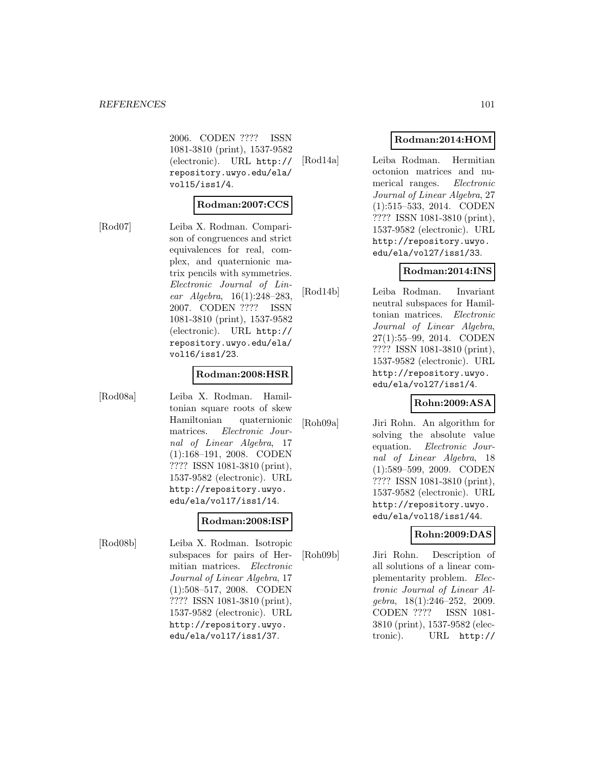2006. CODEN ???? ISSN 1081-3810 (print), 1537-9582 (electronic). URL http:// repository.uwyo.edu/ela/ vol15/iss1/4.

#### **Rodman:2007:CCS**

[Rod07] Leiba X. Rodman. Comparison of congruences and strict equivalences for real, complex, and quaternionic matrix pencils with symmetries. Electronic Journal of Linear Algebra, 16(1):248–283, 2007. CODEN ???? ISSN 1081-3810 (print), 1537-9582 (electronic). URL http:// repository.uwyo.edu/ela/ vol16/iss1/23.

#### **Rodman:2008:HSR**

[Rod08a] Leiba X. Rodman. Hamiltonian square roots of skew Hamiltonian quaternionic matrices. Electronic Journal of Linear Algebra, 17 (1):168–191, 2008. CODEN ???? ISSN 1081-3810 (print), 1537-9582 (electronic). URL http://repository.uwyo. edu/ela/vol17/iss1/14.

#### **Rodman:2008:ISP**

[Rod08b] Leiba X. Rodman. Isotropic subspaces for pairs of Hermitian matrices. Electronic Journal of Linear Algebra, 17 (1):508–517, 2008. CODEN ???? ISSN 1081-3810 (print), 1537-9582 (electronic). URL http://repository.uwyo. edu/ela/vol17/iss1/37.

# **Rodman:2014:HOM**

[Rod14a] Leiba Rodman. Hermitian octonion matrices and numerical ranges. Electronic Journal of Linear Algebra, 27 (1):515–533, 2014. CODEN ???? ISSN 1081-3810 (print), 1537-9582 (electronic). URL http://repository.uwyo. edu/ela/vol27/iss1/33.

# **Rodman:2014:INS**

[Rod14b] Leiba Rodman. Invariant neutral subspaces for Hamiltonian matrices. Electronic Journal of Linear Algebra, 27(1):55–99, 2014. CODEN ???? ISSN 1081-3810 (print), 1537-9582 (electronic). URL http://repository.uwyo. edu/ela/vol27/iss1/4.

#### **Rohn:2009:ASA**

[Roh09a] Jiri Rohn. An algorithm for solving the absolute value equation. Electronic Journal of Linear Algebra, 18 (1):589–599, 2009. CODEN ???? ISSN 1081-3810 (print), 1537-9582 (electronic). URL http://repository.uwyo. edu/ela/vol18/iss1/44.

#### **Rohn:2009:DAS**

[Roh09b] Jiri Rohn. Description of all solutions of a linear complementarity problem. Electronic Journal of Linear Algebra, 18(1):246–252, 2009. CODEN ???? ISSN 1081- 3810 (print), 1537-9582 (electronic). URL http://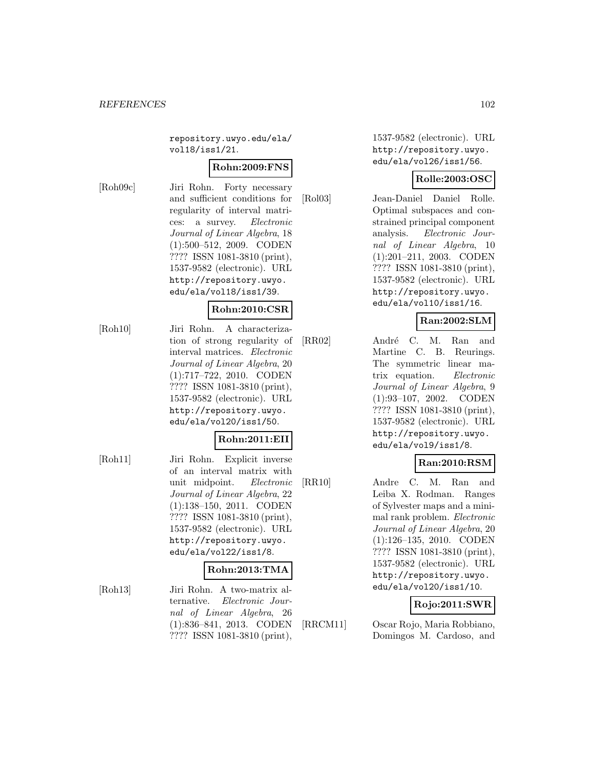repository.uwyo.edu/ela/ vol18/iss1/21.

#### **Rohn:2009:FNS**

[Roh09c] Jiri Rohn. Forty necessary and sufficient conditions for regularity of interval matrices: a survey. Electronic Journal of Linear Algebra, 18 (1):500–512, 2009. CODEN ???? ISSN 1081-3810 (print), 1537-9582 (electronic). URL http://repository.uwyo. edu/ela/vol18/iss1/39.

#### **Rohn:2010:CSR**

[Roh10] Jiri Rohn. A characterization of strong regularity of interval matrices. Electronic Journal of Linear Algebra, 20 (1):717–722, 2010. CODEN ???? ISSN 1081-3810 (print), 1537-9582 (electronic). URL http://repository.uwyo. edu/ela/vol20/iss1/50.

#### **Rohn:2011:EII**

[Roh11] Jiri Rohn. Explicit inverse of an interval matrix with unit midpoint. Electronic Journal of Linear Algebra, 22 (1):138–150, 2011. CODEN ???? ISSN 1081-3810 (print), 1537-9582 (electronic). URL http://repository.uwyo. edu/ela/vol22/iss1/8.

#### **Rohn:2013:TMA**

[Roh13] Jiri Rohn. A two-matrix alternative. Electronic Journal of Linear Algebra, 26 (1):836–841, 2013. CODEN ???? ISSN 1081-3810 (print),

1537-9582 (electronic). URL http://repository.uwyo. edu/ela/vol26/iss1/56.

# **Rolle:2003:OSC**

[Rol03] Jean-Daniel Daniel Rolle. Optimal subspaces and constrained principal component analysis. Electronic Journal of Linear Algebra, 10 (1):201–211, 2003. CODEN ???? ISSN 1081-3810 (print), 1537-9582 (electronic). URL http://repository.uwyo. edu/ela/vol10/iss1/16.

# **Ran:2002:SLM**

[RR02] André C. M. Ran and Martine C. B. Reurings. The symmetric linear matrix equation. Electronic Journal of Linear Algebra, 9 (1):93–107, 2002. CODEN ???? ISSN 1081-3810 (print), 1537-9582 (electronic). URL http://repository.uwyo. edu/ela/vol9/iss1/8.

# **Ran:2010:RSM**

[RR10] Andre C. M. Ran and Leiba X. Rodman. Ranges of Sylvester maps and a minimal rank problem. Electronic Journal of Linear Algebra, 20 (1):126–135, 2010. CODEN ???? ISSN 1081-3810 (print), 1537-9582 (electronic). URL http://repository.uwyo. edu/ela/vol20/iss1/10.

# **Rojo:2011:SWR**

[RRCM11] Oscar Rojo, Maria Robbiano, Domingos M. Cardoso, and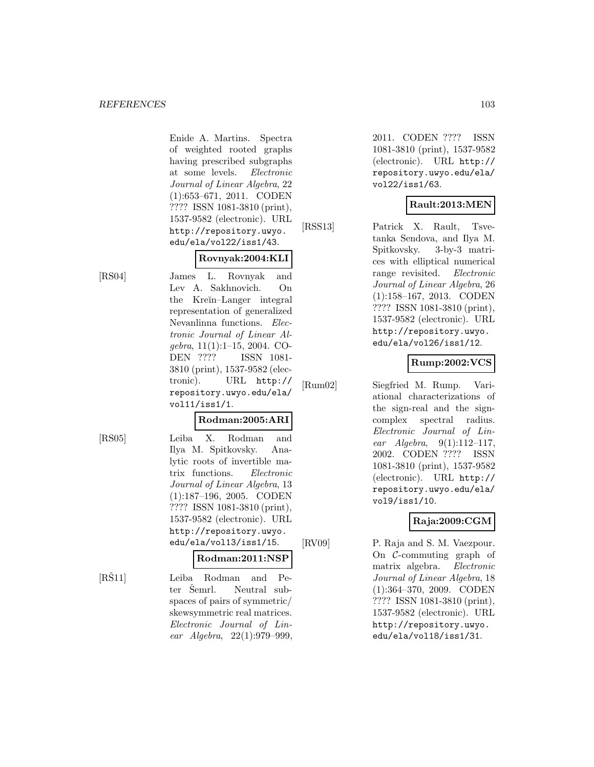Enide A. Martins. Spectra of weighted rooted graphs having prescribed subgraphs at some levels. Electronic Journal of Linear Algebra, 22 (1):653–671, 2011. CODEN ???? ISSN 1081-3810 (print), 1537-9582 (electronic). URL http://repository.uwyo. edu/ela/vol22/iss1/43.

# **Rovnyak:2004:KLI**

[RS04] James L. Rovnyak and Lev A. Sakhnovich. On the Kre˘ın–Langer integral representation of generalized Nevanlinna functions. Electronic Journal of Linear Algebra, 11(1):1–15, 2004. CO-DEN ???? ISSN 1081- 3810 (print), 1537-9582 (electronic). URL http:// repository.uwyo.edu/ela/ vol11/iss1/1.

#### **Rodman:2005:ARI**

[RS05] Leiba X. Rodman and Ilya M. Spitkovsky. Analytic roots of invertible matrix functions. Electronic Journal of Linear Algebra, 13 (1):187–196, 2005. CODEN ???? ISSN 1081-3810 (print), 1537-9582 (electronic). URL http://repository.uwyo. edu/ela/vol13/iss1/15.

# **Rodman:2011:NSP**

[RS11] Leiba Rodman and Peter Semrl. Neutral subspaces of pairs of symmetric/ skewsymmetric real matrices. Electronic Journal of Linear Algebra, 22(1):979–999, 2011. CODEN ???? ISSN 1081-3810 (print), 1537-9582 (electronic). URL http:// repository.uwyo.edu/ela/ vol22/iss1/63.

# **Rault:2013:MEN**

[RSS13] Patrick X. Rault, Tsvetanka Sendova, and Ilya M. Spitkovsky. 3-by-3 matrices with elliptical numerical range revisited. Electronic Journal of Linear Algebra, 26 (1):158–167, 2013. CODEN ???? ISSN 1081-3810 (print), 1537-9582 (electronic). URL http://repository.uwyo. edu/ela/vol26/iss1/12.

# **Rump:2002:VCS**

[Rum02] Siegfried M. Rump. Variational characterizations of the sign-real and the signcomplex spectral radius. Electronic Journal of Linear Algebra,  $9(1):112-117$ , 2002. CODEN ???? ISSN 1081-3810 (print), 1537-9582 (electronic). URL http:// repository.uwyo.edu/ela/ vol9/iss1/10.

# **Raja:2009:CGM**

[RV09] P. Raja and S. M. Vaezpour. On C-commuting graph of matrix algebra. Electronic Journal of Linear Algebra, 18 (1):364–370, 2009. CODEN ???? ISSN 1081-3810 (print), 1537-9582 (electronic). URL http://repository.uwyo. edu/ela/vol18/iss1/31.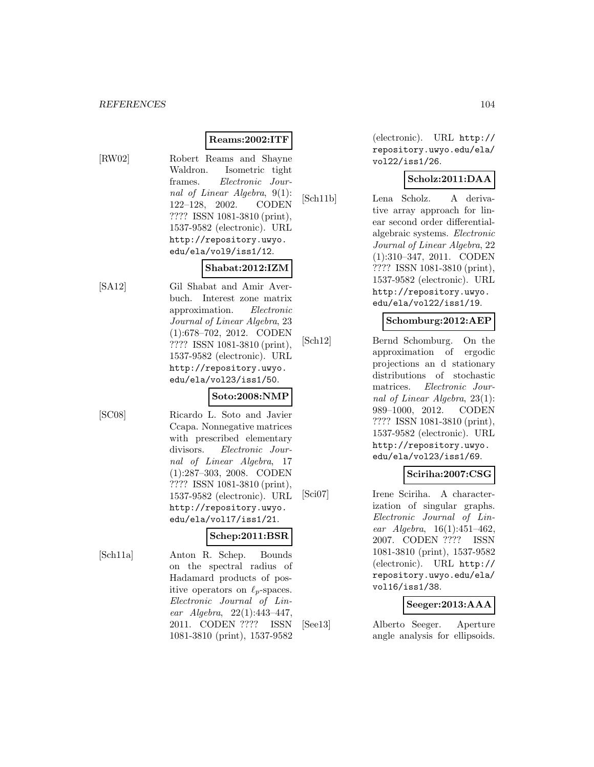# **Reams:2002:ITF**

- 
- [RW02] Robert Reams and Shayne Waldron. Isometric tight frames. Electronic Journal of Linear Algebra, 9(1): 122–128, 2002. CODEN ???? ISSN 1081-3810 (print), 1537-9582 (electronic). URL http://repository.uwyo. edu/ela/vol9/iss1/12.

# **Shabat:2012:IZM**

[SA12] Gil Shabat and Amir Averbuch. Interest zone matrix approximation. Electronic Journal of Linear Algebra, 23 (1):678–702, 2012. CODEN ???? ISSN 1081-3810 (print), 1537-9582 (electronic). URL http://repository.uwyo. edu/ela/vol23/iss1/50.

# **Soto:2008:NMP**

[SC08] Ricardo L. Soto and Javier Ccapa. Nonnegative matrices with prescribed elementary divisors. Electronic Journal of Linear Algebra, 17 (1):287–303, 2008. CODEN ???? ISSN 1081-3810 (print), 1537-9582 (electronic). URL http://repository.uwyo. edu/ela/vol17/iss1/21.

# **Schep:2011:BSR**

[Sch11a] Anton R. Schep. Bounds on the spectral radius of Hadamard products of positive operators on  $\ell_p$ -spaces. Electronic Journal of Linear Algebra, 22(1):443–447, 2011. CODEN ???? ISSN 1081-3810 (print), 1537-9582

(electronic). URL http:// repository.uwyo.edu/ela/ vol22/iss1/26.

# **Scholz:2011:DAA**

[Sch11b] Lena Scholz. A derivative array approach for linear second order differentialalgebraic systems. Electronic Journal of Linear Algebra, 22 (1):310–347, 2011. CODEN ???? ISSN 1081-3810 (print), 1537-9582 (electronic). URL http://repository.uwyo. edu/ela/vol22/iss1/19.

# **Schomburg:2012:AEP**

[Sch12] Bernd Schomburg. On the approximation of ergodic projections an d stationary distributions of stochastic matrices. Electronic Journal of Linear Algebra, 23(1): 989–1000, 2012. CODEN ???? ISSN 1081-3810 (print), 1537-9582 (electronic). URL http://repository.uwyo. edu/ela/vol23/iss1/69.

# **Sciriha:2007:CSG**

[Sci07] Irene Sciriha. A characterization of singular graphs. Electronic Journal of Linear Algebra,  $16(1):451-462$ , 2007. CODEN ???? ISSN 1081-3810 (print), 1537-9582 (electronic). URL http:// repository.uwyo.edu/ela/ vol16/iss1/38.

# **Seeger:2013:AAA**

[See13] Alberto Seeger. Aperture angle analysis for ellipsoids.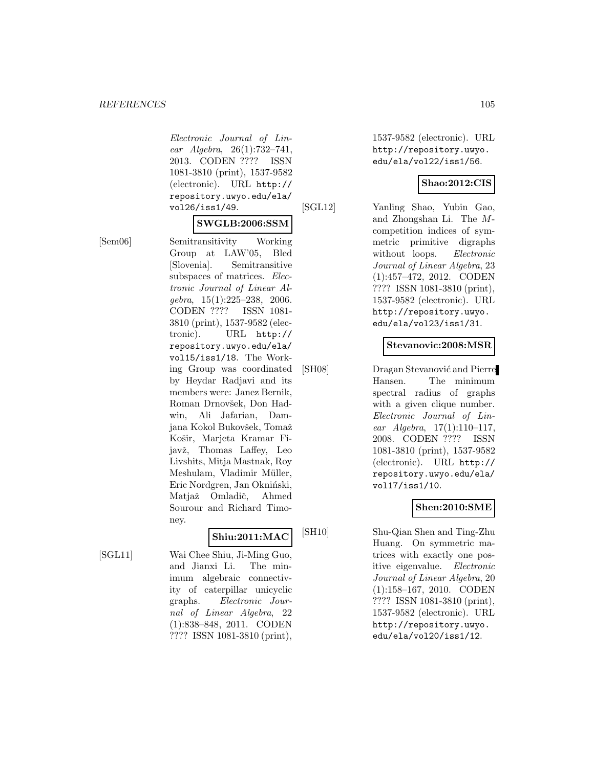Electronic Journal of Linear Algebra, 26(1):732–741, 2013. CODEN ???? ISSN 1081-3810 (print), 1537-9582 (electronic). URL http:// repository.uwyo.edu/ela/ vol26/iss1/49.

#### **SWGLB:2006:SSM**

[Sem06] Semitransitivity Working Group at LAW'05, Bled [Slovenia]. Semitransitive subspaces of matrices. Electronic Journal of Linear Algebra, 15(1):225–238, 2006. CODEN ???? ISSN 1081- 3810 (print), 1537-9582 (electronic). URL http:// repository.uwyo.edu/ela/ vol15/iss1/18. The Working Group was coordinated by Heydar Radjavi and its members were: Janez Bernik, Roman Drnovšek, Don Hadwin, Ali Jafarian, Damjana Kokol Bukovšek, Tomaž Košir, Marjeta Kramar Fijavž, Thomas Laffey, Leo Livshits, Mitja Mastnak, Roy Meshulam, Vladimir Müller, Eric Nordgren, Jan Okniński, Matjaž Omladič, Ahmed Sourour and Richard Timoney.

# **Shiu:2011:MAC**

[SGL11] Wai Chee Shiu, Ji-Ming Guo, and Jianxi Li. The minimum algebraic connectivity of caterpillar unicyclic graphs. Electronic Journal of Linear Algebra, 22 (1):838–848, 2011. CODEN ???? ISSN 1081-3810 (print),

1537-9582 (electronic). URL http://repository.uwyo. edu/ela/vol22/iss1/56.

#### **Shao:2012:CIS**

[SGL12] Yanling Shao, Yubin Gao, and Zhongshan Li. The Mcompetition indices of symmetric primitive digraphs without loops. *Electronic* Journal of Linear Algebra, 23 (1):457–472, 2012. CODEN ???? ISSN 1081-3810 (print), 1537-9582 (electronic). URL http://repository.uwyo. edu/ela/vol23/iss1/31.

#### **Stevanovic:2008:MSR**

[SH08] Dragan Stevanović and Pierre Hansen. The minimum spectral radius of graphs with a given clique number. Electronic Journal of Linear Algebra, 17(1):110–117, 2008. CODEN ???? ISSN 1081-3810 (print), 1537-9582 (electronic). URL http:// repository.uwyo.edu/ela/ vol17/iss1/10.

# **Shen:2010:SME**

[SH10] Shu-Qian Shen and Ting-Zhu Huang. On symmetric matrices with exactly one positive eigenvalue. Electronic Journal of Linear Algebra, 20 (1):158–167, 2010. CODEN ???? ISSN 1081-3810 (print), 1537-9582 (electronic). URL http://repository.uwyo. edu/ela/vol20/iss1/12.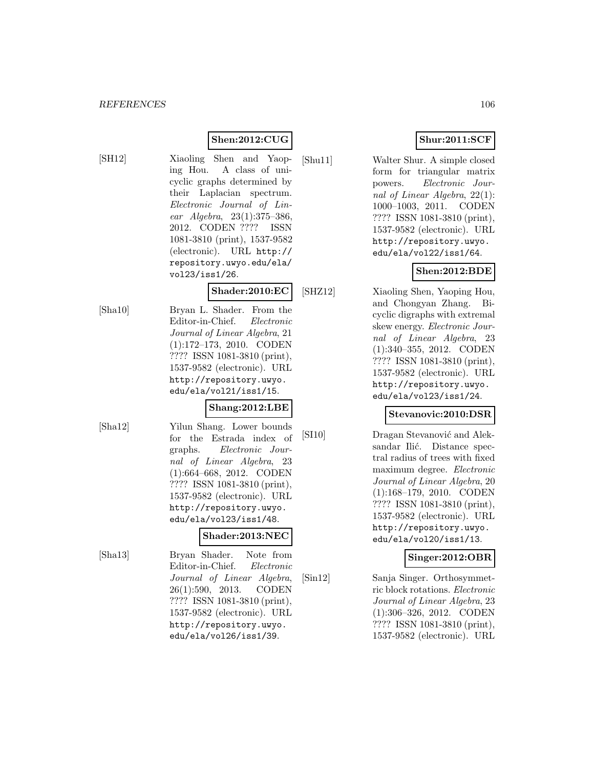# **Shen:2012:CUG**

[SH12] Xiaoling Shen and Yaoping Hou. A class of unicyclic graphs determined by their Laplacian spectrum. Electronic Journal of Linear Algebra, 23(1):375–386, 2012. CODEN ???? ISSN 1081-3810 (print), 1537-9582 (electronic). URL http:// repository.uwyo.edu/ela/ vol23/iss1/26.

#### **Shader:2010:EC**

[Sha10] Bryan L. Shader. From the Editor-in-Chief. Electronic Journal of Linear Algebra, 21 (1):172–173, 2010. CODEN ???? ISSN 1081-3810 (print), 1537-9582 (electronic). URL http://repository.uwyo. edu/ela/vol21/iss1/15.

# **Shang:2012:LBE**

[Sha12] Yilun Shang. Lower bounds for the Estrada index of graphs. Electronic Journal of Linear Algebra, 23 (1):664–668, 2012. CODEN ???? ISSN 1081-3810 (print), 1537-9582 (electronic). URL http://repository.uwyo. edu/ela/vol23/iss1/48.

#### **Shader:2013:NEC**

[Sha13] Bryan Shader. Note from Editor-in-Chief. Electronic Journal of Linear Algebra, 26(1):590, 2013. CODEN ???? ISSN 1081-3810 (print), 1537-9582 (electronic). URL http://repository.uwyo. edu/ela/vol26/iss1/39.

# **Shur:2011:SCF**

[Shu11] Walter Shur. A simple closed form for triangular matrix powers. Electronic Journal of Linear Algebra, 22(1): 1000–1003, 2011. CODEN ???? ISSN 1081-3810 (print), 1537-9582 (electronic). URL http://repository.uwyo. edu/ela/vol22/iss1/64.

# **Shen:2012:BDE**

[SHZ12] Xiaoling Shen, Yaoping Hou, and Chongyan Zhang. Bicyclic digraphs with extremal skew energy. Electronic Journal of Linear Algebra, 23 (1):340–355, 2012. CODEN ???? ISSN 1081-3810 (print), 1537-9582 (electronic). URL http://repository.uwyo. edu/ela/vol23/iss1/24.

#### **Stevanovic:2010:DSR**

[SI10] Dragan Stevanović and Aleksandar Ilić. Distance spectral radius of trees with fixed maximum degree. Electronic Journal of Linear Algebra, 20 (1):168–179, 2010. CODEN ???? ISSN 1081-3810 (print), 1537-9582 (electronic). URL http://repository.uwyo. edu/ela/vol20/iss1/13.

#### **Singer:2012:OBR**

[Sin12] Sanja Singer. Orthosymmetric block rotations. Electronic Journal of Linear Algebra, 23 (1):306–326, 2012. CODEN ???? ISSN 1081-3810 (print), 1537-9582 (electronic). URL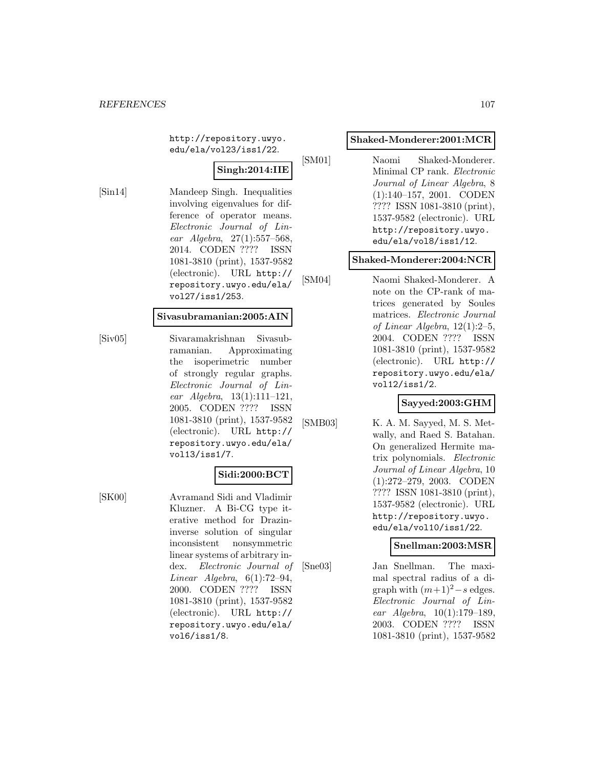http://repository.uwyo. edu/ela/vol23/iss1/22.

# **Singh:2014:IIE**

[Sin14] Mandeep Singh. Inequalities involving eigenvalues for difference of operator means. Electronic Journal of Linear Algebra, 27(1):557–568, 2014. CODEN ???? ISSN 1081-3810 (print), 1537-9582 (electronic). URL http:// repository.uwyo.edu/ela/ vol27/iss1/253.

#### **Sivasubramanian:2005:AIN**

[Siv05] Sivaramakrishnan Sivasubramanian. Approximating the isoperimetric number of strongly regular graphs. Electronic Journal of Linear Algebra, 13(1):111–121, 2005. CODEN ???? ISSN 1081-3810 (print), 1537-9582 (electronic). URL http:// repository.uwyo.edu/ela/ vol13/iss1/7.

#### **Sidi:2000:BCT**

[SK00] Avramand Sidi and Vladimir Kluzner. A Bi-CG type iterative method for Drazininverse solution of singular inconsistent nonsymmetric linear systems of arbitrary index. Electronic Journal of Linear Algebra,  $6(1)$ :72-94, 2000. CODEN ???? ISSN 1081-3810 (print), 1537-9582 (electronic). URL http:// repository.uwyo.edu/ela/ vol6/iss1/8.

#### **Shaked-Monderer:2001:MCR**

[SM01] Naomi Shaked-Monderer. Minimal CP rank. Electronic Journal of Linear Algebra, 8 (1):140–157, 2001. CODEN ???? ISSN 1081-3810 (print), 1537-9582 (electronic). URL http://repository.uwyo. edu/ela/vol8/iss1/12.

#### **Shaked-Monderer:2004:NCR**

[SM04] Naomi Shaked-Monderer. A note on the CP-rank of matrices generated by Soules matrices. Electronic Journal of Linear Algebra, 12(1):2–5, 2004. CODEN ???? ISSN 1081-3810 (print), 1537-9582 (electronic). URL http:// repository.uwyo.edu/ela/ vol12/iss1/2.

#### **Sayyed:2003:GHM**

[SMB03] K. A. M. Sayyed, M. S. Metwally, and Raed S. Batahan. On generalized Hermite matrix polynomials. Electronic Journal of Linear Algebra, 10 (1):272–279, 2003. CODEN ???? ISSN 1081-3810 (print), 1537-9582 (electronic). URL http://repository.uwyo. edu/ela/vol10/iss1/22.

# **Snellman:2003:MSR**

[Sne03] Jan Snellman. The maximal spectral radius of a digraph with  $(m+1)^2 - s$  edges. Electronic Journal of Linear Algebra, 10(1):179–189, 2003. CODEN ???? ISSN 1081-3810 (print), 1537-9582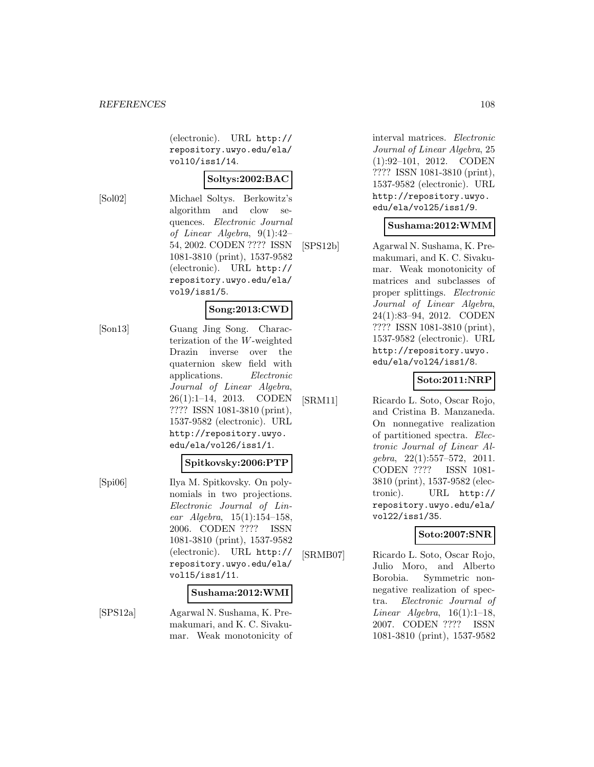(electronic). URL http:// repository.uwyo.edu/ela/ vol10/iss1/14.

# **Soltys:2002:BAC**

[Sol02] Michael Soltys. Berkowitz's algorithm and clow sequences. Electronic Journal of Linear Algebra, 9(1):42– 54, 2002. CODEN ???? ISSN 1081-3810 (print), 1537-9582 (electronic). URL http:// repository.uwyo.edu/ela/ vol9/iss1/5.

# **Song:2013:CWD**

[Son13] Guang Jing Song. Characterization of the W-weighted Drazin inverse over the quaternion skew field with applications. Electronic Journal of Linear Algebra, 26(1):1–14, 2013. CODEN ???? ISSN 1081-3810 (print), 1537-9582 (electronic). URL http://repository.uwyo. edu/ela/vol26/iss1/1.

# **Spitkovsky:2006:PTP**

[Spi06] Ilya M. Spitkovsky. On polynomials in two projections. Electronic Journal of Linear Algebra, 15(1):154–158, 2006. CODEN ???? ISSN 1081-3810 (print), 1537-9582 (electronic). URL http:// repository.uwyo.edu/ela/ vol15/iss1/11.

#### **Sushama:2012:WMI**

[SPS12a] Agarwal N. Sushama, K. Premakumari, and K. C. Sivakumar. Weak monotonicity of interval matrices. Electronic Journal of Linear Algebra, 25 (1):92–101, 2012. CODEN ???? ISSN 1081-3810 (print), 1537-9582 (electronic). URL http://repository.uwyo. edu/ela/vol25/iss1/9.

# **Sushama:2012:WMM**

[SPS12b] Agarwal N. Sushama, K. Premakumari, and K. C. Sivakumar. Weak monotonicity of matrices and subclasses of proper splittings. Electronic Journal of Linear Algebra, 24(1):83–94, 2012. CODEN ???? ISSN 1081-3810 (print), 1537-9582 (electronic). URL http://repository.uwyo. edu/ela/vol24/iss1/8.

# **Soto:2011:NRP**

[SRM11] Ricardo L. Soto, Oscar Rojo, and Cristina B. Manzaneda. On nonnegative realization of partitioned spectra. Electronic Journal of Linear Algebra, 22(1):557–572, 2011. CODEN ???? ISSN 1081- 3810 (print), 1537-9582 (electronic). URL http:// repository.uwyo.edu/ela/ vol22/iss1/35.

# **Soto:2007:SNR**

[SRMB07] Ricardo L. Soto, Oscar Rojo, Julio Moro, and Alberto Borobia. Symmetric nonnegative realization of spectra. Electronic Journal of Linear Algebra,  $16(1):1-18$ , 2007. CODEN ???? ISSN 1081-3810 (print), 1537-9582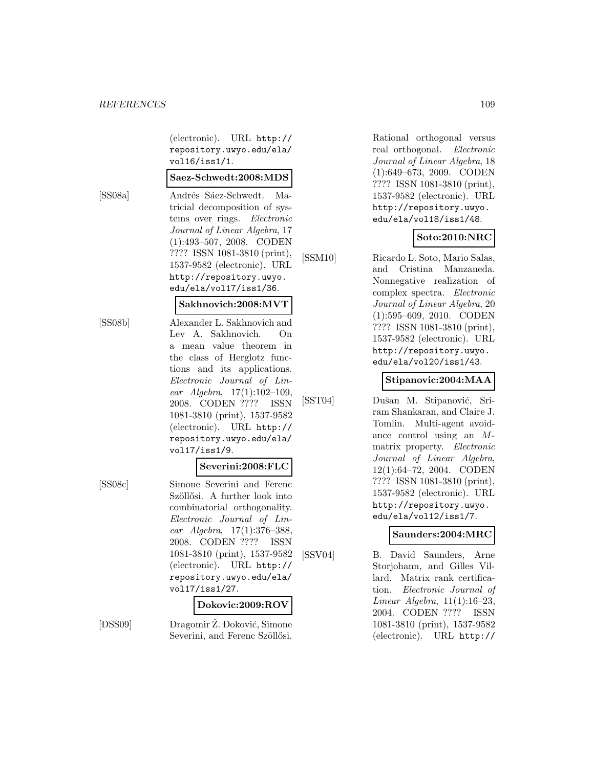(electronic). URL http:// repository.uwyo.edu/ela/ vol16/iss1/1.

#### **Saez-Schwedt:2008:MDS**

[SS08a] Andrés Sáez-Schwedt. Matricial decomposition of systems over rings. Electronic Journal of Linear Algebra, 17 (1):493–507, 2008. CODEN ???? ISSN 1081-3810 (print), 1537-9582 (electronic). URL http://repository.uwyo. edu/ela/vol17/iss1/36.

#### **Sakhnovich:2008:MVT**

[SS08b] Alexander L. Sakhnovich and Lev A. Sakhnovich. On a mean value theorem in the class of Herglotz functions and its applications. Electronic Journal of Linear Algebra, 17(1):102–109, 2008. CODEN ???? ISSN 1081-3810 (print), 1537-9582 (electronic). URL http:// repository.uwyo.edu/ela/ vol17/iss1/9.

#### **Severini:2008:FLC**

[SS08c] Simone Severini and Ferenc Szöllősi. A further look into combinatorial orthogonality. Electronic Journal of Linear Algebra, 17(1):376–388, 2008. CODEN ???? ISSN 1081-3810 (print), 1537-9582 (electronic). URL http:// repository.uwyo.edu/ela/ vol17/iss1/27.

#### **Dokovic:2009:ROV**

 $[$  <br>  $\hfill \blacksquare$ DSS09] Dragomir Ž. Đoković, Simone Severini, and Ferenc Szöllősi. Rational orthogonal versus real orthogonal. Electronic Journal of Linear Algebra, 18 (1):649–673, 2009. CODEN ???? ISSN 1081-3810 (print), 1537-9582 (electronic). URL http://repository.uwyo. edu/ela/vol18/iss1/48.

# **Soto:2010:NRC**

[SSM10] Ricardo L. Soto, Mario Salas, and Cristina Manzaneda. Nonnegative realization of complex spectra. Electronic Journal of Linear Algebra, 20 (1):595–609, 2010. CODEN ???? ISSN 1081-3810 (print), 1537-9582 (electronic). URL http://repository.uwyo. edu/ela/vol20/iss1/43.

#### **Stipanovic:2004:MAA**

[SST04] Dušan M. Stipanović, Sriram Shankaran, and Claire J. Tomlin. Multi-agent avoidance control using an Mmatrix property. Electronic Journal of Linear Algebra, 12(1):64–72, 2004. CODEN ???? ISSN 1081-3810 (print), 1537-9582 (electronic). URL http://repository.uwyo. edu/ela/vol12/iss1/7.

#### **Saunders:2004:MRC**

[SSV04] B. David Saunders, Arne Storjohann, and Gilles Villard. Matrix rank certification. Electronic Journal of Linear Algebra, 11(1):16–23, 2004. CODEN ???? ISSN 1081-3810 (print), 1537-9582 (electronic). URL http://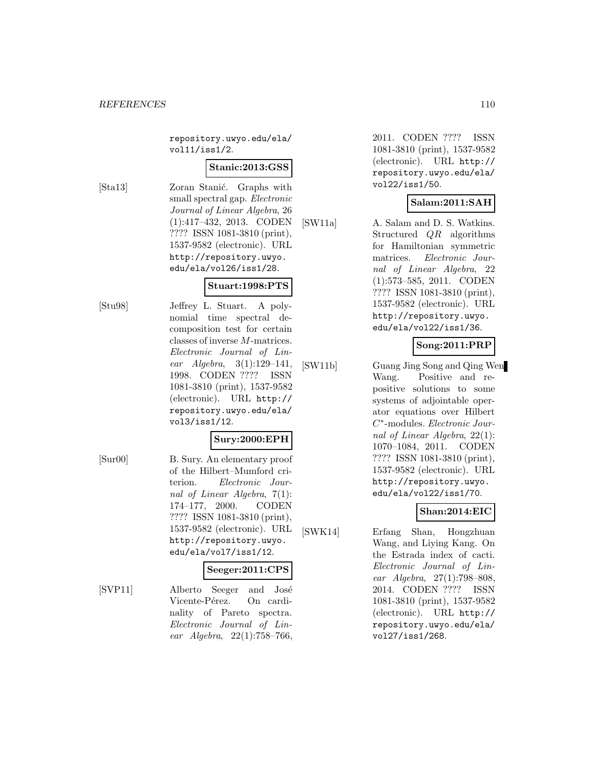repository.uwyo.edu/ela/ vol11/iss1/2.

#### **Stanic:2013:GSS**

[Sta13] Zoran Stanić. Graphs with small spectral gap. Electronic Journal of Linear Algebra, 26 (1):417–432, 2013. CODEN ???? ISSN 1081-3810 (print), 1537-9582 (electronic). URL http://repository.uwyo. edu/ela/vol26/iss1/28.

#### **Stuart:1998:PTS**

[Stu98] Jeffrey L. Stuart. A polynomial time spectral decomposition test for certain classes of inverse M-matrices. Electronic Journal of Linear Algebra, 3(1):129–141, 1998. CODEN ???? ISSN 1081-3810 (print), 1537-9582 (electronic). URL http:// repository.uwyo.edu/ela/ vol3/iss1/12.

#### **Sury:2000:EPH**

[Sur00] B. Sury. An elementary proof of the Hilbert–Mumford criterion. Electronic Journal of Linear Algebra, 7(1): 174–177, 2000. CODEN ???? ISSN 1081-3810 (print), 1537-9582 (electronic). URL http://repository.uwyo. edu/ela/vol7/iss1/12.

## **Seeger:2011:CPS**

[SVP11] Alberto Seeger and José Vicente-Pérez. On cardinality of Pareto spectra. Electronic Journal of Linear Algebra, 22(1):758–766,

2011. CODEN ???? ISSN 1081-3810 (print), 1537-9582 (electronic). URL http:// repository.uwyo.edu/ela/ vol22/iss1/50.

#### **Salam:2011:SAH**

[SW11a] A. Salam and D. S. Watkins. Structured QR algorithms for Hamiltonian symmetric matrices. Electronic Journal of Linear Algebra, 22 (1):573–585, 2011. CODEN ???? ISSN 1081-3810 (print), 1537-9582 (electronic). URL http://repository.uwyo. edu/ela/vol22/iss1/36.

#### **Song:2011:PRP**

[SW11b] Guang Jing Song and Qing Wen Wang. Positive and repositive solutions to some systems of adjointable operator equations over Hilbert C∗-modules. Electronic Journal of Linear Algebra, 22(1): 1070–1084, 2011. CODEN ???? ISSN 1081-3810 (print), 1537-9582 (electronic). URL http://repository.uwyo. edu/ela/vol22/iss1/70.

## **Shan:2014:EIC**

[SWK14] Erfang Shan, Hongzhuan Wang, and Liying Kang. On the Estrada index of cacti. Electronic Journal of Linear Algebra, 27(1):798–808, 2014. CODEN ???? ISSN 1081-3810 (print), 1537-9582 (electronic). URL http:// repository.uwyo.edu/ela/ vol27/iss1/268.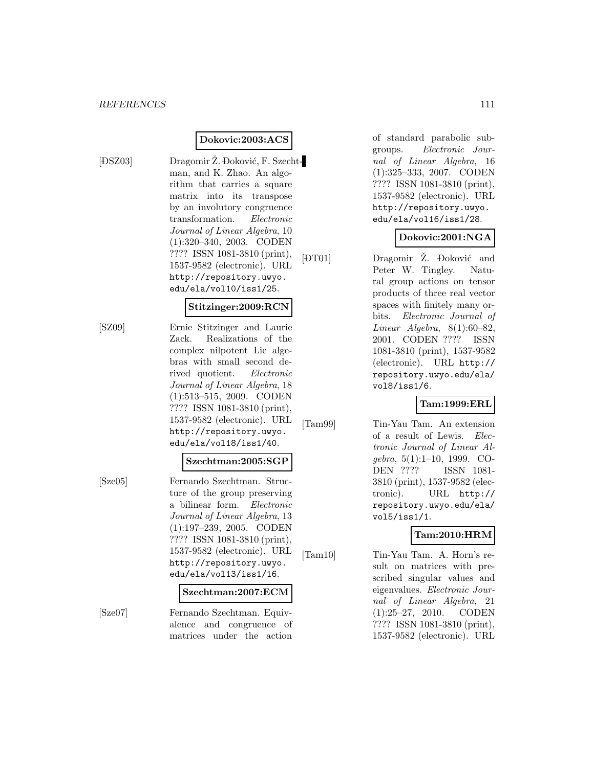$[$   $\pm$ 

#### **Dokovic:2003:ACS**

DSZ03] Dragomir Ž. Đoković, F. Szechtman, and K. Zhao. An algorithm that carries a square matrix into its transpose by an involutory congruence transformation. Electronic Journal of Linear Algebra, 10 (1):320–340, 2003. CODEN ???? ISSN 1081-3810 (print), 1537-9582 (electronic). URL http://repository.uwyo. edu/ela/vol10/iss1/25.  $[$ 

#### **Stitzinger:2009:RCN**

[SZ09] Ernie Stitzinger and Laurie Zack. Realizations of the complex nilpotent Lie algebras with small second derived quotient. Electronic Journal of Linear Algebra, 18 (1):513–515, 2009. CODEN ???? ISSN 1081-3810 (print), 1537-9582 (electronic). URL http://repository.uwyo. edu/ela/vol18/iss1/40.

#### **Szechtman:2005:SGP**

[Sze05] Fernando Szechtman. Structure of the group preserving a bilinear form. Electronic Journal of Linear Algebra, 13 (1):197–239, 2005. CODEN ???? ISSN 1081-3810 (print), 1537-9582 (electronic). URL http://repository.uwyo. edu/ela/vol13/iss1/16.

#### **Szechtman:2007:ECM**

[Sze07] Fernando Szechtman. Equivalence and congruence of matrices under the action

of standard parabolic subgroups. Electronic Journal of Linear Algebra, 16 (1):325–333, 2007. CODEN ???? ISSN 1081-3810 (print), 1537-9582 (electronic). URL http://repository.uwyo. edu/ela/vol16/iss1/28.

#### **Dokovic:2001:NGA**

DT01] Dragomir Ž. Đoković and Peter W. Tingley. Natural group actions on tensor products of three real vector spaces with finitely many orbits. Electronic Journal of Linear Algebra,  $8(1):60-82$ , 2001. CODEN ???? ISSN 1081-3810 (print), 1537-9582 (electronic). URL http:// repository.uwyo.edu/ela/ vol8/iss1/6.

#### **Tam:1999:ERL**

[Tam99] Tin-Yau Tam. An extension of a result of Lewis. Electronic Journal of Linear Algebra, 5(1):1–10, 1999. CO-DEN ???? ISSN 1081- 3810 (print), 1537-9582 (electronic). URL http:// repository.uwyo.edu/ela/ vol5/iss1/1.

## **Tam:2010:HRM**

[Tam10] Tin-Yau Tam. A. Horn's result on matrices with prescribed singular values and eigenvalues. Electronic Journal of Linear Algebra, 21 (1):25–27, 2010. CODEN ???? ISSN 1081-3810 (print), 1537-9582 (electronic). URL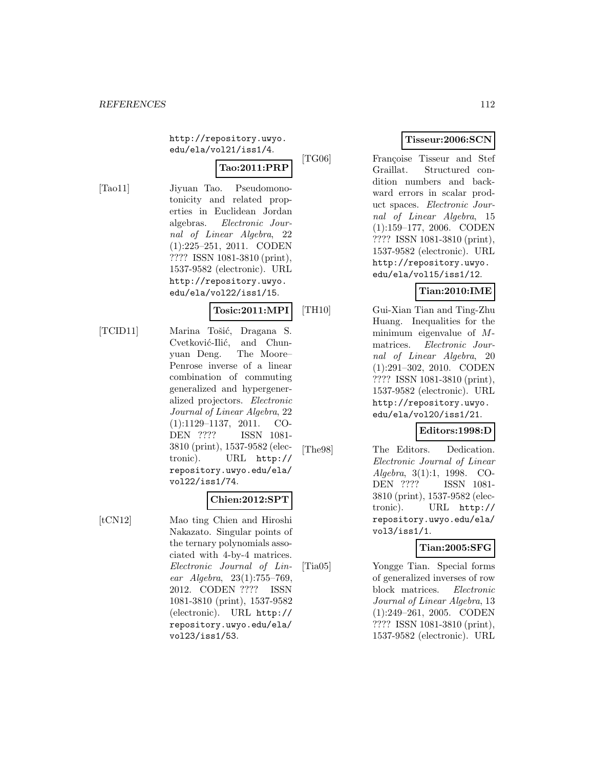http://repository.uwyo. edu/ela/vol21/iss1/4.

# **Tao:2011:PRP**

[Tao11] Jiyuan Tao. Pseudomonotonicity and related properties in Euclidean Jordan algebras. Electronic Journal of Linear Algebra, 22 (1):225–251, 2011. CODEN ???? ISSN 1081-3810 (print), 1537-9582 (electronic). URL http://repository.uwyo. edu/ela/vol22/iss1/15.

#### **Tosic:2011:MPI**

[TCID11] Marina Tošić, Dragana S. Cvetković-Ilić, and Chunyuan Deng. The Moore– Penrose inverse of a linear combination of commuting generalized and hypergeneralized projectors. Electronic Journal of Linear Algebra, 22 (1):1129–1137, 2011. CO-DEN ???? ISSN 1081- 3810 (print), 1537-9582 (electronic). URL http:// repository.uwyo.edu/ela/ vol22/iss1/74.

#### **Chien:2012:SPT**

[tCN12] Mao ting Chien and Hiroshi Nakazato. Singular points of the ternary polynomials associated with 4-by-4 matrices. Electronic Journal of Linear Algebra, 23(1):755–769, 2012. CODEN ???? ISSN 1081-3810 (print), 1537-9582 (electronic). URL http:// repository.uwyo.edu/ela/ vol23/iss1/53.

# **Tisseur:2006:SCN**

[TG06] Françoise Tisseur and Stef Graillat. Structured condition numbers and backward errors in scalar product spaces. Electronic Journal of Linear Algebra, 15 (1):159–177, 2006. CODEN ???? ISSN 1081-3810 (print), 1537-9582 (electronic). URL http://repository.uwyo. edu/ela/vol15/iss1/12.

## **Tian:2010:IME**

[TH10] Gui-Xian Tian and Ting-Zhu Huang. Inequalities for the minimum eigenvalue of Mmatrices. Electronic Journal of Linear Algebra, 20 (1):291–302, 2010. CODEN ???? ISSN 1081-3810 (print), 1537-9582 (electronic). URL http://repository.uwyo. edu/ela/vol20/iss1/21.

#### **Editors:1998:D**

[The98] The Editors. Dedication. Electronic Journal of Linear Algebra, 3(1):1, 1998. CO-DEN ???? ISSN 1081- 3810 (print), 1537-9582 (electronic). URL http:// repository.uwyo.edu/ela/ vol3/iss1/1.

## **Tian:2005:SFG**

[Tia05] Yongge Tian. Special forms of generalized inverses of row block matrices. Electronic Journal of Linear Algebra, 13 (1):249–261, 2005. CODEN ???? ISSN 1081-3810 (print), 1537-9582 (electronic). URL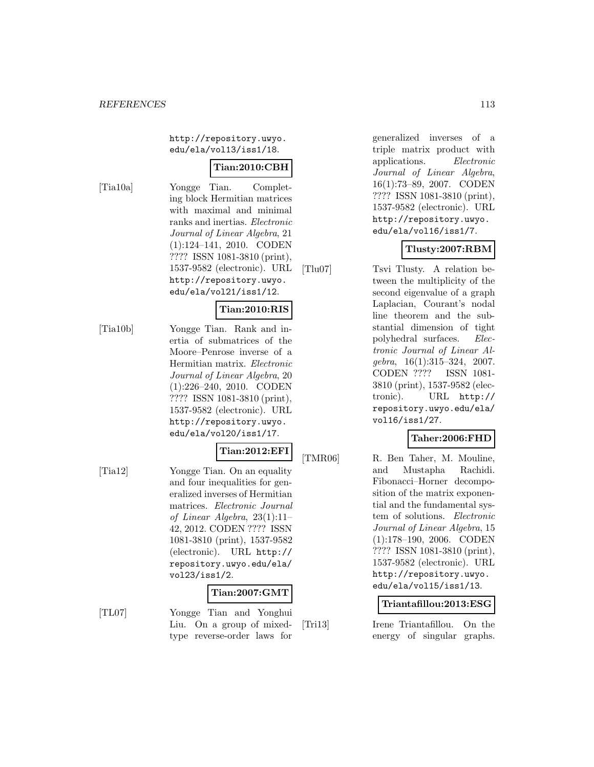http://repository.uwyo. edu/ela/vol13/iss1/18.

# **Tian:2010:CBH**

[Tia10a] Yongge Tian. Completing block Hermitian matrices with maximal and minimal ranks and inertias. Electronic Journal of Linear Algebra, 21 (1):124–141, 2010. CODEN ???? ISSN 1081-3810 (print), 1537-9582 (electronic). URL http://repository.uwyo. edu/ela/vol21/iss1/12.

# **Tian:2010:RIS**

[Tia10b] Yongge Tian. Rank and inertia of submatrices of the Moore–Penrose inverse of a Hermitian matrix. Electronic Journal of Linear Algebra, 20 (1):226–240, 2010. CODEN ???? ISSN 1081-3810 (print), 1537-9582 (electronic). URL http://repository.uwyo. edu/ela/vol20/iss1/17.

#### **Tian:2012:EFI**

[Tia12] Yongge Tian. On an equality and four inequalities for generalized inverses of Hermitian matrices. Electronic Journal of Linear Algebra, 23(1):11– 42, 2012. CODEN ???? ISSN 1081-3810 (print), 1537-9582 (electronic). URL http:// repository.uwyo.edu/ela/ vol23/iss1/2.

#### **Tian:2007:GMT**

[TL07] Yongge Tian and Yonghui Liu. On a group of mixedtype reverse-order laws for

generalized inverses of a triple matrix product with applications. Electronic Journal of Linear Algebra, 16(1):73–89, 2007. CODEN ???? ISSN 1081-3810 (print), 1537-9582 (electronic). URL http://repository.uwyo. edu/ela/vol16/iss1/7.

## **Tlusty:2007:RBM**

[Tlu07] Tsvi Tlusty. A relation between the multiplicity of the second eigenvalue of a graph Laplacian, Courant's nodal line theorem and the substantial dimension of tight polyhedral surfaces. Electronic Journal of Linear Algebra, 16(1):315–324, 2007. CODEN ???? ISSN 1081- 3810 (print), 1537-9582 (electronic). URL http:// repository.uwyo.edu/ela/ vol16/iss1/27.

#### **Taher:2006:FHD**

[TMR06] R. Ben Taher, M. Mouline, and Mustapha Rachidi. Fibonacci–Horner decomposition of the matrix exponential and the fundamental system of solutions. Electronic Journal of Linear Algebra, 15 (1):178–190, 2006. CODEN ???? ISSN 1081-3810 (print), 1537-9582 (electronic). URL http://repository.uwyo. edu/ela/vol15/iss1/13.

#### **Triantafillou:2013:ESG**

[Tri13] Irene Triantafillou. On the energy of singular graphs.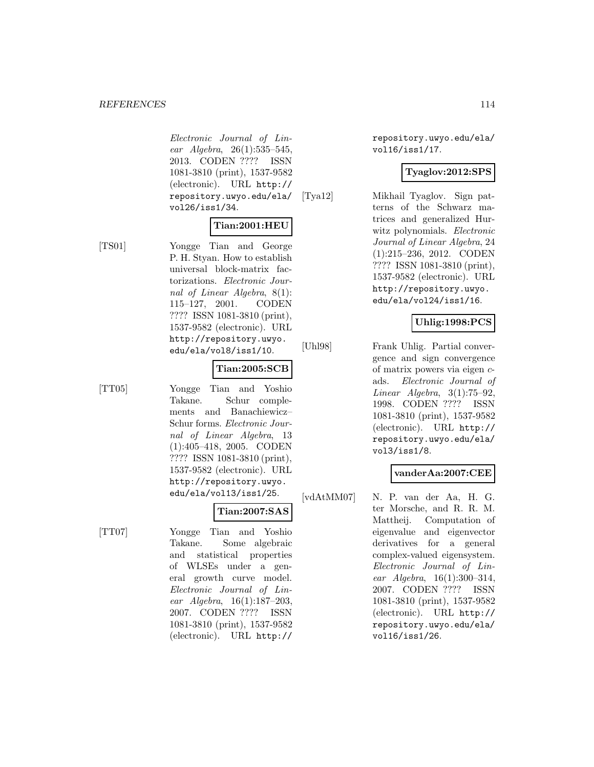Electronic Journal of Linear Algebra, 26(1):535–545, 2013. CODEN ???? ISSN 1081-3810 (print), 1537-9582 (electronic). URL http:// repository.uwyo.edu/ela/ vol26/iss1/34.

#### **Tian:2001:HEU**

[TS01] Yongge Tian and George P. H. Styan. How to establish universal block-matrix factorizations. Electronic Journal of Linear Algebra, 8(1): 115–127, 2001. CODEN ???? ISSN 1081-3810 (print), 1537-9582 (electronic). URL http://repository.uwyo. edu/ela/vol8/iss1/10.

#### **Tian:2005:SCB**

[TT05] Yongge Tian and Yoshio Takane. Schur complements and Banachiewicz– Schur forms. Electronic Journal of Linear Algebra, 13 (1):405–418, 2005. CODEN ???? ISSN 1081-3810 (print), 1537-9582 (electronic). URL http://repository.uwyo. edu/ela/vol13/iss1/25.

# **Tian:2007:SAS**

[TT07] Yongge Tian and Yoshio Takane. Some algebraic and statistical properties of WLSEs under a general growth curve model. Electronic Journal of Linear Algebra, 16(1):187–203, 2007. CODEN ???? ISSN 1081-3810 (print), 1537-9582 (electronic). URL http://

repository.uwyo.edu/ela/ vol16/iss1/17.

#### **Tyaglov:2012:SPS**

[Tya12] Mikhail Tyaglov. Sign patterns of the Schwarz matrices and generalized Hurwitz polynomials. Electronic Journal of Linear Algebra, 24 (1):215–236, 2012. CODEN ???? ISSN 1081-3810 (print), 1537-9582 (electronic). URL http://repository.uwyo. edu/ela/vol24/iss1/16.

## **Uhlig:1998:PCS**

[Uhl98] Frank Uhlig. Partial convergence and sign convergence of matrix powers via eigen cads. Electronic Journal of Linear Algebra,  $3(1)$ :75-92, 1998. CODEN ???? ISSN 1081-3810 (print), 1537-9582 (electronic). URL http:// repository.uwyo.edu/ela/ vol3/iss1/8.

#### **vanderAa:2007:CEE**

[vdAtMM07] N. P. van der Aa, H. G. ter Morsche, and R. R. M. Mattheij. Computation of eigenvalue and eigenvector derivatives for a general complex-valued eigensystem. Electronic Journal of Linear Algebra, 16(1):300–314, 2007. CODEN ???? ISSN 1081-3810 (print), 1537-9582 (electronic). URL http:// repository.uwyo.edu/ela/ vol16/iss1/26.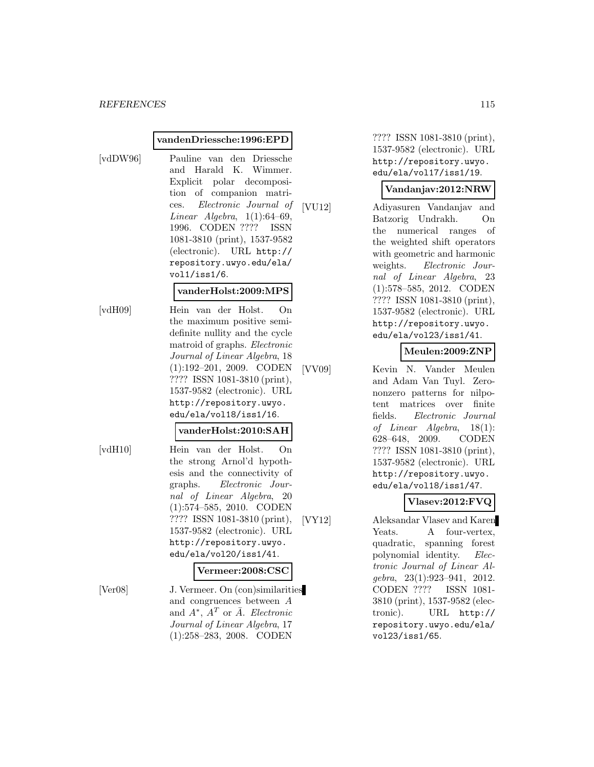#### **vandenDriessche:1996:EPD**

- 
- [vdDW96] Pauline van den Driessche and Harald K. Wimmer. Explicit polar decomposition of companion matrices. Electronic Journal of Linear Algebra,  $1(1):64-69$ , 1996. CODEN ???? ISSN 1081-3810 (print), 1537-9582 (electronic). URL http:// repository.uwyo.edu/ela/ vol1/iss1/6.

#### **vanderHolst:2009:MPS**

[vdH09] Hein van der Holst. On the maximum positive semidefinite nullity and the cycle matroid of graphs. Electronic Journal of Linear Algebra, 18 (1):192–201, 2009. CODEN ???? ISSN 1081-3810 (print), 1537-9582 (electronic). URL http://repository.uwyo. edu/ela/vol18/iss1/16.

#### **vanderHolst:2010:SAH**

[vdH10] Hein van der Holst. On the strong Arnol'd hypothesis and the connectivity of graphs. Electronic Journal of Linear Algebra, 20 (1):574–585, 2010. CODEN ???? ISSN 1081-3810 (print), 1537-9582 (electronic). URL http://repository.uwyo. edu/ela/vol20/iss1/41.

#### **Vermeer:2008:CSC**

[Ver08] J. Vermeer. On (con)similarities and congruences between A and  $A^*$ ,  $A^T$  or  $\overline{A}$ . Electronic Journal of Linear Algebra, 17 (1):258–283, 2008. CODEN

???? ISSN 1081-3810 (print), 1537-9582 (electronic). URL http://repository.uwyo. edu/ela/vol17/iss1/19.

#### **Vandanjav:2012:NRW**

[VU12] Adiyasuren Vandanjav and Batzorig Undrakh. On the numerical ranges of the weighted shift operators with geometric and harmonic weights. Electronic Journal of Linear Algebra, 23 (1):578–585, 2012. CODEN ???? ISSN 1081-3810 (print), 1537-9582 (electronic). URL http://repository.uwyo. edu/ela/vol23/iss1/41.

#### **Meulen:2009:ZNP**

[VV09] Kevin N. Vander Meulen and Adam Van Tuyl. Zerononzero patterns for nilpotent matrices over finite fields. Electronic Journal of Linear Algebra, 18(1): 628–648, 2009. CODEN ???? ISSN 1081-3810 (print), 1537-9582 (electronic). URL http://repository.uwyo. edu/ela/vol18/iss1/47.

#### **Vlasev:2012:FVQ**

[VY12] Aleksandar Vlasev and Karen Yeats. A four-vertex, quadratic, spanning forest polynomial identity. Electronic Journal of Linear Algebra, 23(1):923–941, 2012. CODEN ???? ISSN 1081- 3810 (print), 1537-9582 (electronic). URL http:// repository.uwyo.edu/ela/ vol23/iss1/65.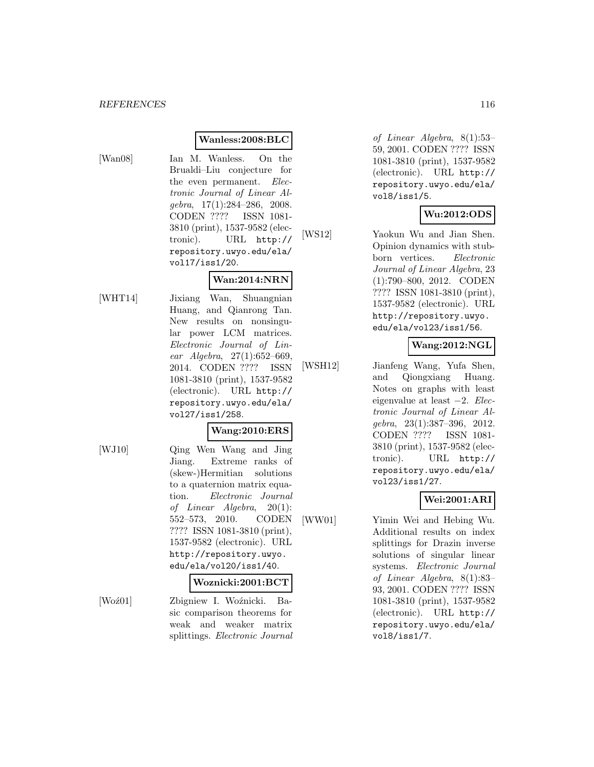#### **Wanless:2008:BLC**

[Wan08] Ian M. Wanless. On the Brualdi–Liu conjecture for the even permanent. Electronic Journal of Linear Algebra, 17(1):284–286, 2008. CODEN ???? ISSN 1081- 3810 (print), 1537-9582 (electronic). URL http:// repository.uwyo.edu/ela/ vol17/iss1/20.

#### **Wan:2014:NRN**

[WHT14] Jixiang Wan, Shuangnian Huang, and Qianrong Tan. New results on nonsingular power LCM matrices. Electronic Journal of Linear Algebra, 27(1):652–669, 2014. CODEN ???? ISSN 1081-3810 (print), 1537-9582 (electronic). URL http:// repository.uwyo.edu/ela/ vol27/iss1/258.

#### **Wang:2010:ERS**

[WJ10] Qing Wen Wang and Jing Jiang. Extreme ranks of (skew-)Hermitian solutions to a quaternion matrix equation. Electronic Journal of Linear Algebra, 20(1): 552–573, 2010. CODEN ???? ISSN 1081-3810 (print), 1537-9582 (electronic). URL http://repository.uwyo. edu/ela/vol20/iss1/40.

#### **Woznicki:2001:BCT**

[Woź01] Zbigniew I. Woźnicki. Basic comparison theorems for weak and weaker matrix splittings. Electronic Journal

of Linear Algebra, 8(1):53– 59, 2001. CODEN ???? ISSN 1081-3810 (print), 1537-9582 (electronic). URL http:// repository.uwyo.edu/ela/ vol8/iss1/5.

## **Wu:2012:ODS**

[WS12] Yaokun Wu and Jian Shen. Opinion dynamics with stubborn vertices. Electronic Journal of Linear Algebra, 23 (1):790–800, 2012. CODEN ???? ISSN 1081-3810 (print), 1537-9582 (electronic). URL http://repository.uwyo. edu/ela/vol23/iss1/56.

#### **Wang:2012:NGL**

[WSH12] Jianfeng Wang, Yufa Shen, and Qiongxiang Huang. Notes on graphs with least eigenvalue at least −2. Electronic Journal of Linear Algebra, 23(1):387–396, 2012. CODEN ???? ISSN 1081- 3810 (print), 1537-9582 (electronic). URL http:// repository.uwyo.edu/ela/ vol23/iss1/27.

## **Wei:2001:ARI**

[WW01] Yimin Wei and Hebing Wu. Additional results on index splittings for Drazin inverse solutions of singular linear systems. Electronic Journal of Linear Algebra, 8(1):83– 93, 2001. CODEN ???? ISSN 1081-3810 (print), 1537-9582 (electronic). URL http:// repository.uwyo.edu/ela/ vol8/iss1/7.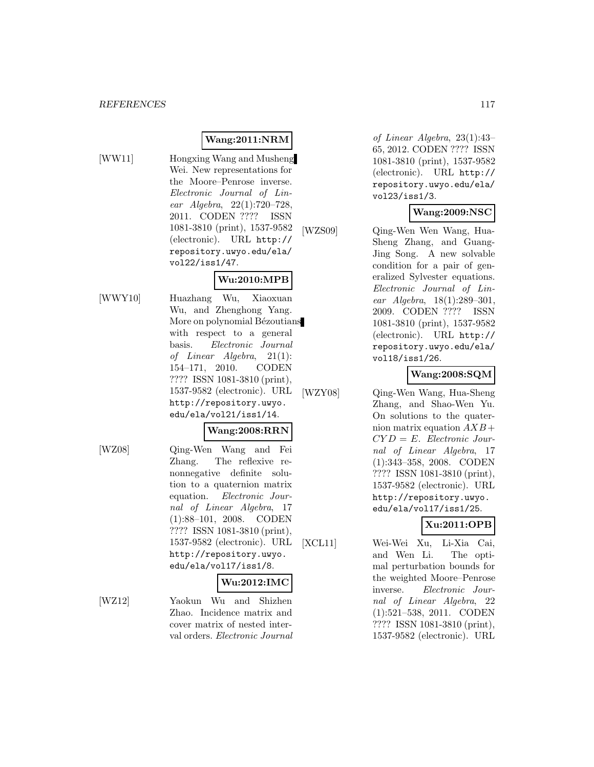# **Wang:2011:NRM**

- 
- [WW11] Hongxing Wang and Musheng Wei. New representations for the Moore–Penrose inverse. Electronic Journal of Linear Algebra, 22(1):720–728, 2011. CODEN ???? ISSN 1081-3810 (print), 1537-9582 (electronic). URL http:// repository.uwyo.edu/ela/ vol22/iss1/47.

# **Wu:2010:MPB**

[WWY10] Huazhang Wu, Xiaoxuan Wu, and Zhenghong Yang. More on polynomial Bézoutians with respect to a general basis. Electronic Journal of Linear Algebra, 21(1): 154–171, 2010. CODEN ???? ISSN 1081-3810 (print), 1537-9582 (electronic). URL http://repository.uwyo. edu/ela/vol21/iss1/14.

## **Wang:2008:RRN**

[WZ08] Qing-Wen Wang and Fei Zhang. The reflexive renonnegative definite solution to a quaternion matrix equation. Electronic Journal of Linear Algebra, 17 (1):88–101, 2008. CODEN ???? ISSN 1081-3810 (print), 1537-9582 (electronic). URL http://repository.uwyo. edu/ela/vol17/iss1/8.

#### **Wu:2012:IMC**

[WZ12] Yaokun Wu and Shizhen Zhao. Incidence matrix and cover matrix of nested interval orders. Electronic Journal

of Linear Algebra, 23(1):43– 65, 2012. CODEN ???? ISSN 1081-3810 (print), 1537-9582 (electronic). URL http:// repository.uwyo.edu/ela/ vol23/iss1/3.

## **Wang:2009:NSC**

[WZS09] Qing-Wen Wen Wang, Hua-Sheng Zhang, and Guang-Jing Song. A new solvable condition for a pair of generalized Sylvester equations. Electronic Journal of Linear Algebra, 18(1):289–301, 2009. CODEN ???? ISSN 1081-3810 (print), 1537-9582 (electronic). URL http:// repository.uwyo.edu/ela/ vol18/iss1/26.

#### **Wang:2008:SQM**

[WZY08] Qing-Wen Wang, Hua-Sheng Zhang, and Shao-Wen Yu. On solutions to the quaternion matrix equation  $AXB+$  $CYD = E.$  Electronic Journal of Linear Algebra, 17 (1):343–358, 2008. CODEN ???? ISSN 1081-3810 (print), 1537-9582 (electronic). URL http://repository.uwyo. edu/ela/vol17/iss1/25.

# **Xu:2011:OPB**

[XCL11] Wei-Wei Xu, Li-Xia Cai, and Wen Li. The optimal perturbation bounds for the weighted Moore–Penrose inverse. Electronic Journal of Linear Algebra, 22 (1):521–538, 2011. CODEN ???? ISSN 1081-3810 (print), 1537-9582 (electronic). URL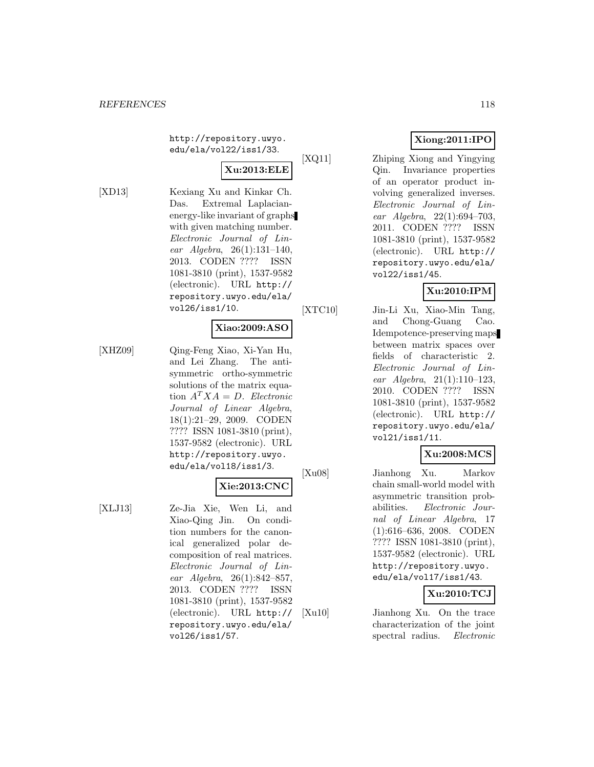http://repository.uwyo. edu/ela/vol22/iss1/33.

# **Xu:2013:ELE**

[XD13] Kexiang Xu and Kinkar Ch. Das. Extremal Laplacianenergy-like invariant of graphs with given matching number. Electronic Journal of Linear Algebra, 26(1):131–140, 2013. CODEN ???? ISSN 1081-3810 (print), 1537-9582 (electronic). URL http:// repository.uwyo.edu/ela/ vol26/iss1/10.

#### **Xiao:2009:ASO**

[XHZ09] Qing-Feng Xiao, Xi-Yan Hu, and Lei Zhang. The antisymmetric ortho-symmetric solutions of the matrix equation  $A^T X A = D$ . Electronic Journal of Linear Algebra, 18(1):21–29, 2009. CODEN ???? ISSN 1081-3810 (print), 1537-9582 (electronic). URL http://repository.uwyo. edu/ela/vol18/iss1/3.

# **Xie:2013:CNC**

[XLJ13] Ze-Jia Xie, Wen Li, and Xiao-Qing Jin. On condition numbers for the canonical generalized polar decomposition of real matrices. Electronic Journal of Linear Algebra, 26(1):842–857, 2013. CODEN ???? ISSN 1081-3810 (print), 1537-9582 (electronic). URL http:// repository.uwyo.edu/ela/ vol26/iss1/57.

# **Xiong:2011:IPO**

[XQ11] Zhiping Xiong and Yingying Qin. Invariance properties of an operator product involving generalized inverses. Electronic Journal of Linear Algebra, 22(1):694–703, 2011. CODEN ???? ISSN 1081-3810 (print), 1537-9582 (electronic). URL http:// repository.uwyo.edu/ela/ vol22/iss1/45.

# **Xu:2010:IPM**

[XTC10] Jin-Li Xu, Xiao-Min Tang, and Chong-Guang Cao. Idempotence-preserving maps between matrix spaces over fields of characteristic 2. Electronic Journal of Linear Algebra, 21(1):110–123, 2010. CODEN ???? ISSN 1081-3810 (print), 1537-9582 (electronic). URL http:// repository.uwyo.edu/ela/ vol21/iss1/11.

## **Xu:2008:MCS**

[Xu08] Jianhong Xu. Markov chain small-world model with asymmetric transition probabilities. Electronic Journal of Linear Algebra, 17 (1):616–636, 2008. CODEN ???? ISSN 1081-3810 (print), 1537-9582 (electronic). URL http://repository.uwyo. edu/ela/vol17/iss1/43.

# **Xu:2010:TCJ**

[Xu10] Jianhong Xu. On the trace characterization of the joint spectral radius. Electronic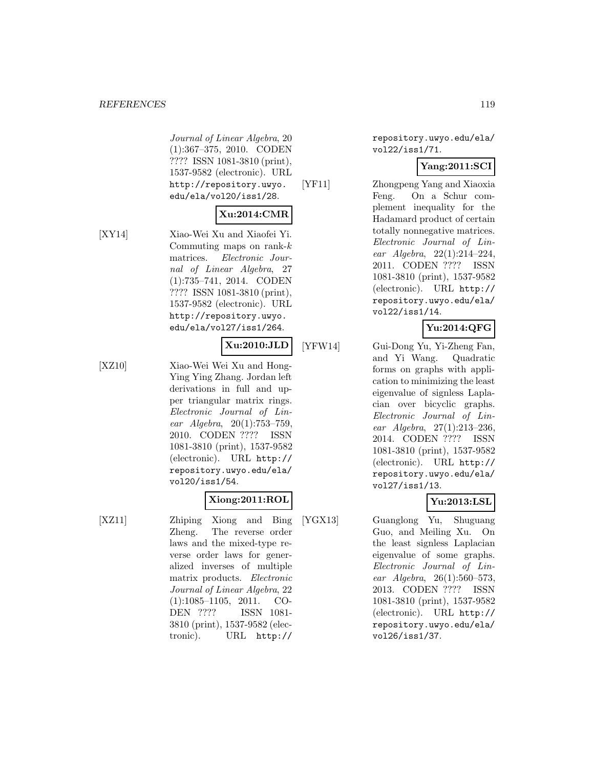#### *REFERENCES* 119

Journal of Linear Algebra, 20 (1):367–375, 2010. CODEN ???? ISSN 1081-3810 (print), 1537-9582 (electronic). URL http://repository.uwyo. edu/ela/vol20/iss1/28.

# **Xu:2014:CMR**

[XY14] Xiao-Wei Xu and Xiaofei Yi. Commuting maps on rank- $k$ matrices. Electronic Journal of Linear Algebra, 27 (1):735–741, 2014. CODEN ???? ISSN 1081-3810 (print), 1537-9582 (electronic). URL http://repository.uwyo. edu/ela/vol27/iss1/264.

## **Xu:2010:JLD**

[XZ10] Xiao-Wei Wei Xu and Hong-Ying Ying Zhang. Jordan left derivations in full and upper triangular matrix rings. Electronic Journal of Linear Algebra, 20(1):753–759, 2010. CODEN ???? ISSN 1081-3810 (print), 1537-9582 (electronic). URL http:// repository.uwyo.edu/ela/ vol20/iss1/54.

#### **Xiong:2011:ROL**

[XZ11] Zhiping Xiong and Bing Zheng. The reverse order laws and the mixed-type reverse order laws for generalized inverses of multiple matrix products. Electronic Journal of Linear Algebra, 22 (1):1085–1105, 2011. CO-DEN ???? ISSN 1081- 3810 (print), 1537-9582 (electronic). URL http://

repository.uwyo.edu/ela/ vol22/iss1/71.

## **Yang:2011:SCI**

[YF11] Zhongpeng Yang and Xiaoxia Feng. On a Schur complement inequality for the Hadamard product of certain totally nonnegative matrices. Electronic Journal of Linear Algebra, 22(1):214–224, 2011. CODEN ???? ISSN 1081-3810 (print), 1537-9582 (electronic). URL http:// repository.uwyo.edu/ela/ vol22/iss1/14.

#### **Yu:2014:QFG**

[YFW14] Gui-Dong Yu, Yi-Zheng Fan, and Yi Wang. Quadratic forms on graphs with application to minimizing the least eigenvalue of signless Laplacian over bicyclic graphs. Electronic Journal of Linear Algebra, 27(1):213–236, 2014. CODEN ???? ISSN 1081-3810 (print), 1537-9582 (electronic). URL http:// repository.uwyo.edu/ela/ vol27/iss1/13.

## **Yu:2013:LSL**

[YGX13] Guanglong Yu, Shuguang Guo, and Meiling Xu. On the least signless Laplacian eigenvalue of some graphs. Electronic Journal of Linear Algebra, 26(1):560–573, 2013. CODEN ???? ISSN 1081-3810 (print), 1537-9582 (electronic). URL http:// repository.uwyo.edu/ela/ vol26/iss1/37.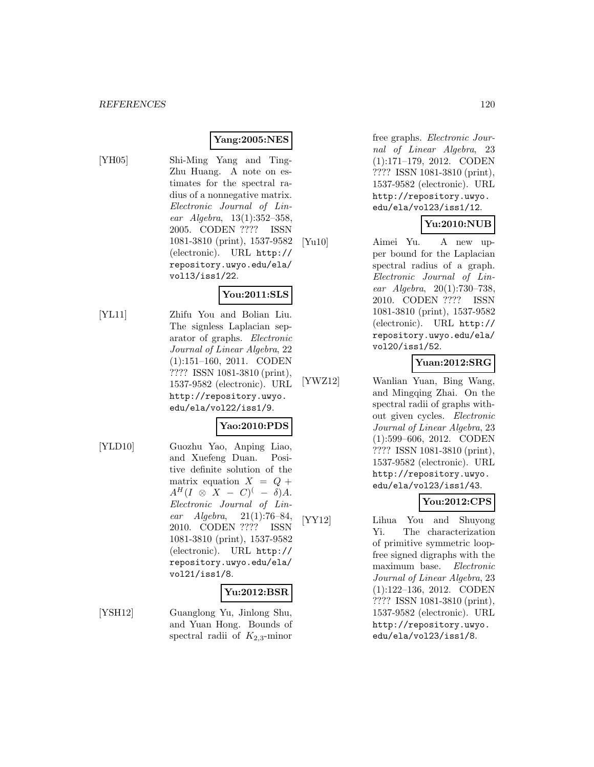#### **Yang:2005:NES**

[YH05] Shi-Ming Yang and Ting-Zhu Huang. A note on estimates for the spectral radius of a nonnegative matrix. Electronic Journal of Linear Algebra, 13(1):352–358, 2005. CODEN ???? ISSN 1081-3810 (print), 1537-9582 (electronic). URL http:// repository.uwyo.edu/ela/ vol13/iss1/22.

#### **You:2011:SLS**

[YL11] Zhifu You and Bolian Liu. The signless Laplacian separator of graphs. Electronic Journal of Linear Algebra, 22 (1):151–160, 2011. CODEN ???? ISSN 1081-3810 (print), 1537-9582 (electronic). URL http://repository.uwyo. edu/ela/vol22/iss1/9.

# **Yao:2010:PDS**

[YLD10] Guozhu Yao, Anping Liao, and Xuefeng Duan. Positive definite solution of the matrix equation  $X = Q +$  $A^H(I \otimes X - C)^{(-)} \circ A$ . Electronic Journal of Linear  $Algebra$ ,  $21(1):76-84$ , 2010. CODEN ???? ISSN 1081-3810 (print), 1537-9582 (electronic). URL http:// repository.uwyo.edu/ela/ vol21/iss1/8.

#### **Yu:2012:BSR**

[YSH12] Guanglong Yu, Jinlong Shu, and Yuan Hong. Bounds of spectral radii of  $K_{2,3}$ -minor

free graphs. Electronic Journal of Linear Algebra, 23 (1):171–179, 2012. CODEN ???? ISSN 1081-3810 (print), 1537-9582 (electronic). URL http://repository.uwyo. edu/ela/vol23/iss1/12.

#### **Yu:2010:NUB**

[Yu10] Aimei Yu. A new upper bound for the Laplacian spectral radius of a graph. Electronic Journal of Linear Algebra, 20(1):730–738, 2010. CODEN ???? ISSN 1081-3810 (print), 1537-9582 (electronic). URL http:// repository.uwyo.edu/ela/ vol20/iss1/52.

#### **Yuan:2012:SRG**

[YWZ12] Wanlian Yuan, Bing Wang, and Mingqing Zhai. On the spectral radii of graphs without given cycles. Electronic Journal of Linear Algebra, 23 (1):599–606, 2012. CODEN ???? ISSN 1081-3810 (print), 1537-9582 (electronic). URL http://repository.uwyo. edu/ela/vol23/iss1/43.

#### **You:2012:CPS**

[YY12] Lihua You and Shuyong Yi. The characterization of primitive symmetric loopfree signed digraphs with the maximum base. Electronic Journal of Linear Algebra, 23 (1):122–136, 2012. CODEN ???? ISSN 1081-3810 (print), 1537-9582 (electronic). URL http://repository.uwyo. edu/ela/vol23/iss1/8.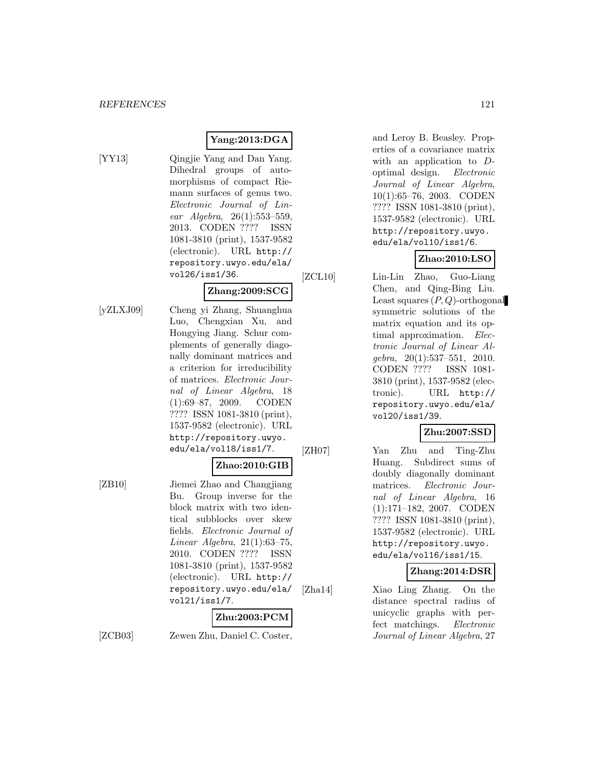# **Yang:2013:DGA**

[YY13] Qingjie Yang and Dan Yang. Dihedral groups of automorphisms of compact Riemann surfaces of genus two. Electronic Journal of Linear Algebra, 26(1):553–559, 2013. CODEN ???? ISSN 1081-3810 (print), 1537-9582 (electronic). URL http:// repository.uwyo.edu/ela/ vol26/iss1/36.

## **Zhang:2009:SCG**

[yZLXJ09] Cheng yi Zhang, Shuanghua Luo, Chengxian Xu, and Hongying Jiang. Schur complements of generally diagonally dominant matrices and a criterion for irreducibility of matrices. Electronic Journal of Linear Algebra, 18 (1):69–87, 2009. CODEN ???? ISSN 1081-3810 (print), 1537-9582 (electronic). URL http://repository.uwyo. edu/ela/vol18/iss1/7.

#### **Zhao:2010:GIB**

[ZB10] Jiemei Zhao and Changjiang Bu. Group inverse for the block matrix with two identical subblocks over skew fields. Electronic Journal of Linear Algebra, 21(1):63–75, 2010. CODEN ???? ISSN 1081-3810 (print), 1537-9582 (electronic). URL http:// repository.uwyo.edu/ela/ vol21/iss1/7.

# **Zhu:2003:PCM**

[ZCB03] Zewen Zhu, Daniel C. Coster,

and Leroy B. Beasley. Properties of a covariance matrix with an application to  $D$ optimal design. Electronic Journal of Linear Algebra, 10(1):65–76, 2003. CODEN ???? ISSN 1081-3810 (print), 1537-9582 (electronic). URL http://repository.uwyo. edu/ela/vol10/iss1/6.

# **Zhao:2010:LSO**

- [ZCL10] Lin-Lin Zhao, Guo-Liang
	- Chen, and Qing-Bing Liu. Least squares  $(P, Q)$ -orthogonal symmetric solutions of the matrix equation and its optimal approximation. Electronic Journal of Linear Algebra, 20(1):537–551, 2010. CODEN ???? ISSN 1081- 3810 (print), 1537-9582 (electronic). URL http:// repository.uwyo.edu/ela/ vol20/iss1/39.

#### **Zhu:2007:SSD**

[ZH07] Yan Zhu and Ting-Zhu Huang. Subdirect sums of doubly diagonally dominant matrices. Electronic Journal of Linear Algebra, 16 (1):171–182, 2007. CODEN ???? ISSN 1081-3810 (print), 1537-9582 (electronic). URL http://repository.uwyo. edu/ela/vol16/iss1/15.

#### **Zhang:2014:DSR**

[Zha14] Xiao Ling Zhang. On the distance spectral radius of unicyclic graphs with perfect matchings. Electronic Journal of Linear Algebra, 27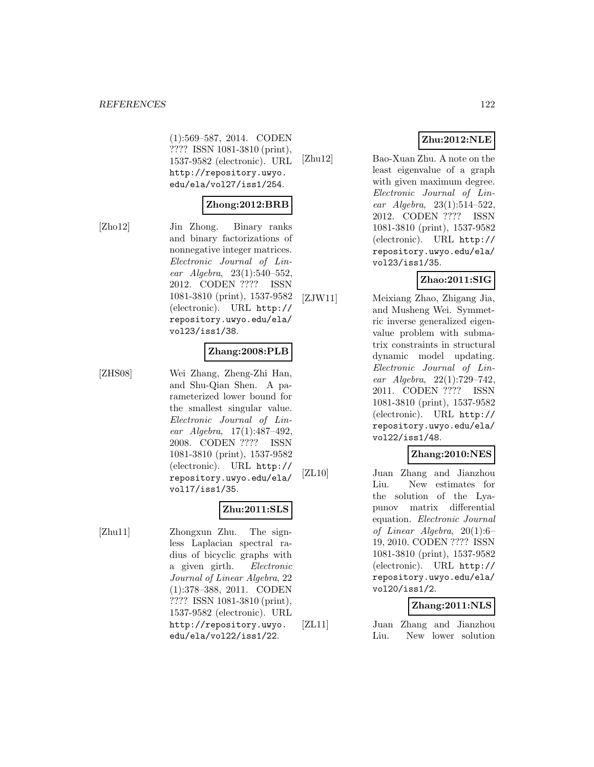(1):569–587, 2014. CODEN ???? ISSN 1081-3810 (print), 1537-9582 (electronic). URL http://repository.uwyo. edu/ela/vol27/iss1/254.

#### **Zhong:2012:BRB**

[Zho12] Jin Zhong. Binary ranks

and binary factorizations of nonnegative integer matrices. Electronic Journal of Linear Algebra, 23(1):540–552, 2012. CODEN ???? ISSN 1081-3810 (print), 1537-9582 (electronic). URL http:// repository.uwyo.edu/ela/ vol23/iss1/38.

#### **Zhang:2008:PLB**

[ZHS08] Wei Zhang, Zheng-Zhi Han, and Shu-Qian Shen. A parameterized lower bound for the smallest singular value. Electronic Journal of Linear Algebra, 17(1):487–492, 2008. CODEN ???? ISSN 1081-3810 (print), 1537-9582 (electronic). URL http:// repository.uwyo.edu/ela/ vol17/iss1/35.

# **Zhu:2011:SLS**

[Zhu11] Zhongxun Zhu. The signless Laplacian spectral radius of bicyclic graphs with a given girth. Electronic Journal of Linear Algebra, 22 (1):378–388, 2011. CODEN ???? ISSN 1081-3810 (print), 1537-9582 (electronic). URL http://repository.uwyo. edu/ela/vol22/iss1/22.

# **Zhu:2012:NLE**

[Zhu12] Bao-Xuan Zhu. A note on the least eigenvalue of a graph with given maximum degree. Electronic Journal of Linear Algebra, 23(1):514–522, 2012. CODEN ???? ISSN 1081-3810 (print), 1537-9582 (electronic). URL http:// repository.uwyo.edu/ela/ vol23/iss1/35.

# **Zhao:2011:SIG**

[ZJW11] Meixiang Zhao, Zhigang Jia, and Musheng Wei. Symmetric inverse generalized eigenvalue problem with submatrix constraints in structural dynamic model updating. Electronic Journal of Linear Algebra, 22(1):729–742, 2011. CODEN ???? ISSN 1081-3810 (print), 1537-9582 (electronic). URL http:// repository.uwyo.edu/ela/ vol22/iss1/48.

## **Zhang:2010:NES**

[ZL10] Juan Zhang and Jianzhou Liu. New estimates for the solution of the Lyapunov matrix differential equation. Electronic Journal of Linear Algebra, 20(1):6– 19, 2010. CODEN ???? ISSN 1081-3810 (print), 1537-9582 (electronic). URL http:// repository.uwyo.edu/ela/ vol20/iss1/2.

# **Zhang:2011:NLS**

[ZL11] Juan Zhang and Jianzhou Liu. New lower solution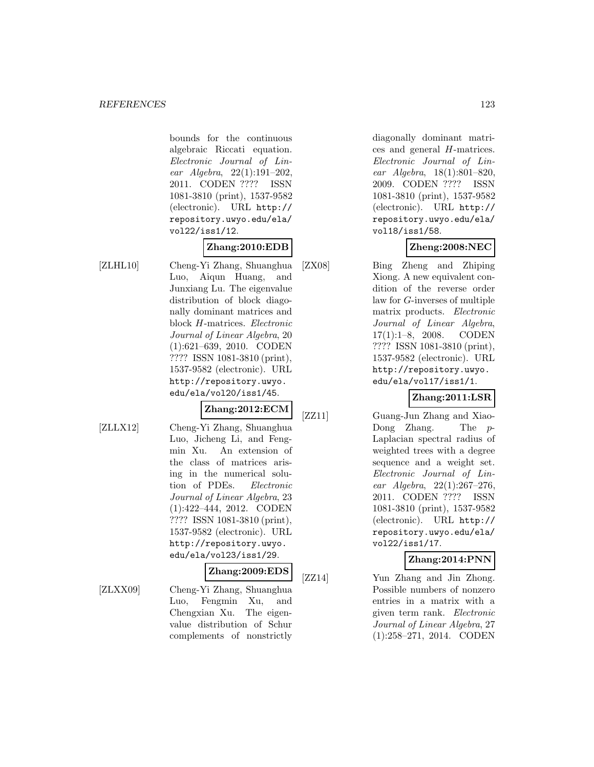bounds for the continuous algebraic Riccati equation. Electronic Journal of Linear Algebra, 22(1):191–202, 2011. CODEN ???? ISSN 1081-3810 (print), 1537-9582 (electronic). URL http:// repository.uwyo.edu/ela/ vol22/iss1/12.

# **Zhang:2010:EDB**

[ZLHL10] Cheng-Yi Zhang, Shuanghua Luo, Aiqun Huang, and Junxiang Lu. The eigenvalue distribution of block diagonally dominant matrices and block H-matrices. Electronic Journal of Linear Algebra, 20 (1):621–639, 2010. CODEN ???? ISSN 1081-3810 (print), 1537-9582 (electronic). URL http://repository.uwyo. edu/ela/vol20/iss1/45.

# **Zhang:2012:ECM**

- 
- [ZLLX12] Cheng-Yi Zhang, Shuanghua Luo, Jicheng Li, and Fengmin Xu. An extension of the class of matrices arising in the numerical solution of PDEs. Electronic Journal of Linear Algebra, 23 (1):422–444, 2012. CODEN ???? ISSN 1081-3810 (print), 1537-9582 (electronic). URL http://repository.uwyo. edu/ela/vol23/iss1/29.

## **Zhang:2009:EDS**

[ZLXX09] Cheng-Yi Zhang, Shuanghua Luo, Fengmin Xu, and Chengxian Xu. The eigenvalue distribution of Schur complements of nonstrictly

diagonally dominant matrices and general H-matrices. Electronic Journal of Linear Algebra, 18(1):801–820, 2009. CODEN ???? ISSN 1081-3810 (print), 1537-9582 (electronic). URL http:// repository.uwyo.edu/ela/ vol18/iss1/58.

# **Zheng:2008:NEC**

[ZX08] Bing Zheng and Zhiping Xiong. A new equivalent condition of the reverse order law for G-inverses of multiple matrix products. Electronic Journal of Linear Algebra, 17(1):1–8, 2008. CODEN ???? ISSN 1081-3810 (print), 1537-9582 (electronic). URL http://repository.uwyo. edu/ela/vol17/iss1/1.

## **Zhang:2011:LSR**

[ZZ11] Guang-Jun Zhang and Xiao-Dong Zhang. The p-Laplacian spectral radius of weighted trees with a degree sequence and a weight set. Electronic Journal of Linear Algebra, 22(1):267–276, 2011. CODEN ???? ISSN 1081-3810 (print), 1537-9582 (electronic). URL http:// repository.uwyo.edu/ela/ vol22/iss1/17.

## **Zhang:2014:PNN**

[ZZ14] Yun Zhang and Jin Zhong. Possible numbers of nonzero entries in a matrix with a given term rank. Electronic Journal of Linear Algebra, 27 (1):258–271, 2014. CODEN